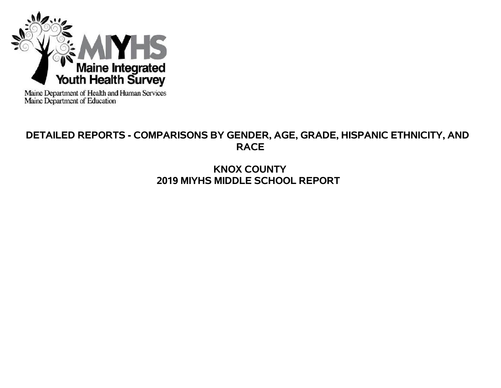

Maine Department of Health and Human Services<br>Maine Department of Education

# **DETAILED REPORTS - COMPARISONS BY GENDER, AGE, GRADE, HISPANIC ETHNICITY, AND RACE**

# **KNOX COUNTY 2019 MIYHS MIDDLE SCHOOL REPORT**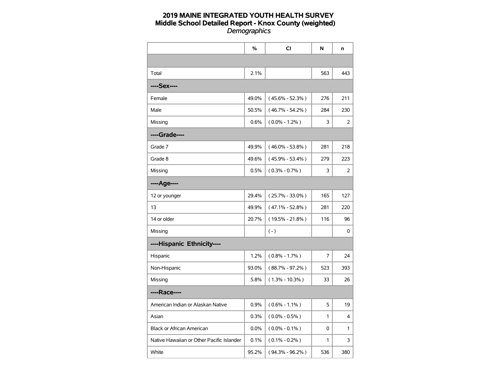|                                           | %     | CI                  | N              | n   |
|-------------------------------------------|-------|---------------------|----------------|-----|
|                                           |       |                     |                |     |
| Total                                     | 2.1%  |                     | 563            | 443 |
| ----Sex----                               |       |                     |                |     |
| Female                                    | 49.0% | $(45.6\% - 52.3\%)$ | 276            | 211 |
| Male                                      | 50.5% | $(46.7\% - 54.2\%)$ | 284            | 230 |
| Missing                                   | 0.6%  | $(0.0\% - 1.2\%)$   | 3              | 2   |
| ----Grade----                             |       |                     |                |     |
| Grade 7                                   | 49.9% | $(46.0\% - 53.8\%)$ | 281            | 218 |
| Grade 8                                   | 49.6% | $(45.9\% - 53.4\%)$ | 279            | 223 |
| Missing                                   | 0.5%  | $(0.3\% - 0.7\%)$   | 3              | 2   |
| ----Age----                               |       |                     |                |     |
| 12 or younger                             | 29.4% | $(25.7\% - 33.0\%)$ | 165            | 127 |
| 13                                        | 49.9% | $(47.1\% - 52.8\%)$ | 281            | 220 |
| 14 or older                               | 20.7% | $(19.5\% - 21.8\%)$ | 116            | 96  |
| Missing                                   |       | $(-)$               |                | 0   |
| ----Hispanic Ethnicity----                |       |                     |                |     |
| Hispanic                                  | 1.2%  | $(0.8\% - 1.7\%)$   | $\overline{7}$ | 24  |
| Non-Hispanic                              | 93.0% | $(88.7\% - 97.2\%)$ | 523            | 393 |
| Missing                                   | 5.8%  | $(1.3\% - 10.3\%)$  | 33             | 26  |
| ----Race----                              |       |                     |                |     |
| American Indian or Alaskan Native         | 0.9%  | $(0.6\% - 1.1\%)$   | 5              | 19  |
| Asian                                     | 0.3%  | $(0.0\% - 0.5\%)$   | 1              | 4   |
| <b>Black or African American</b>          | 0.0%  | $(0.0\% - 0.1\%)$   | 0              | 1   |
| Native Hawaiian or Other Pacific Islander | 0.1%  | $(0.1\% - 0.2\%)$   | 1              | 3   |
| White                                     | 95.2% | $(94.3\% - 96.2\%)$ | 536            | 380 |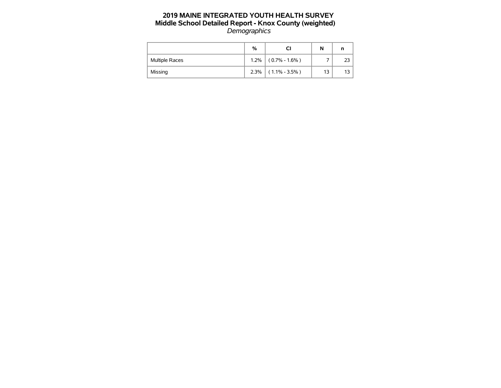|                       | %    |                       | N  | n |
|-----------------------|------|-----------------------|----|---|
| <b>Multiple Races</b> | 1.2% | $(0.7\% - 1.6\%)$     |    |   |
| Missing               |      | $2.3\%$ (1.1% - 3.5%) | 13 |   |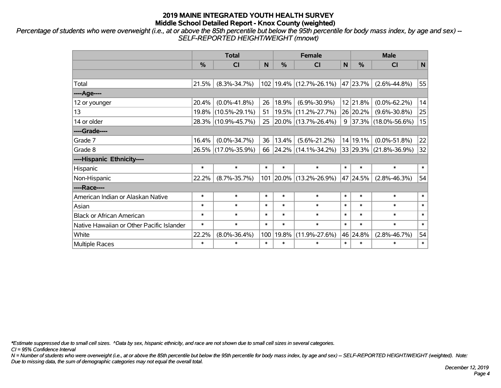*Percentage of students who were overweight (i.e., at or above the 85th percentile but below the 95th percentile for body mass index, by age and sex) -- SELF-REPORTED HEIGHT/WEIGHT (mnowt)*

|                                           |               | <b>Total</b>        |        | <b>Female</b> | <b>Male</b>              |        |               |                         |        |
|-------------------------------------------|---------------|---------------------|--------|---------------|--------------------------|--------|---------------|-------------------------|--------|
|                                           | $\frac{0}{0}$ | CI                  | N      | $\frac{9}{6}$ | <b>CI</b>                | N      | $\frac{0}{0}$ | <b>CI</b>               | N      |
|                                           |               |                     |        |               |                          |        |               |                         |        |
| Total                                     | 21.5%         | $(8.3\% - 34.7\%)$  | 102    |               | 19.4% (12.7%-26.1%)      |        | 47 23.7%      | $(2.6\% - 44.8\%)$      | 55     |
| ----Age----                               |               |                     |        |               |                          |        |               |                         |        |
| 12 or younger                             | 20.4%         | $(0.0\% - 41.8\%)$  | 26     | 18.9%         | $(6.9\% - 30.9\%)$       |        | 12 21.8%      | $(0.0\% - 62.2\%)$      | 14     |
| 13                                        | 19.8%         | $(10.5\% - 29.1\%)$ | 51     | 19.5%         | $(11.2\% - 27.7\%)$      |        | 26 20.2%      | $(9.6\% - 30.8\%)$      | 25     |
| 14 or older                               |               | 28.3% (10.9%-45.7%) | 25     |               | 20.0% (13.7%-26.4%)      |        |               | $9$ 37.3% (18.0%-56.6%) | 15     |
| ----Grade----                             |               |                     |        |               |                          |        |               |                         |        |
| Grade 7                                   | 16.4%         | $(0.0\% - 34.7\%)$  | 36     | 13.4%         | $(5.6\% - 21.2\%)$       |        | 14 19.1%      | $(0.0\% - 51.8\%)$      | 22     |
| Grade 8                                   |               | 26.5% (17.0%-35.9%) | 66     |               | $ 24.2\% $ (14.1%-34.2%) |        |               | 33 29.3% (21.8%-36.9%)  | 32     |
| ----Hispanic Ethnicity----                |               |                     |        |               |                          |        |               |                         |        |
| Hispanic                                  | $\ast$        | $\ast$              | $\ast$ | $\ast$        | $\ast$                   | $\ast$ | $\ast$        | $\ast$                  | $\ast$ |
| Non-Hispanic                              | 22.2%         | $(8.7\% - 35.7\%)$  | 101    | $ 20.0\% $    | $(13.2\% - 26.9\%)$      |        | 47 24.5%      | $(2.8\% - 46.3\%)$      | 54     |
| ----Race----                              |               |                     |        |               |                          |        |               |                         |        |
| American Indian or Alaskan Native         | $\ast$        | $\ast$              | $\ast$ | $\ast$        | $\ast$                   | $\ast$ | $\ast$        | $\ast$                  | $\ast$ |
| Asian                                     | $\ast$        | $\ast$              | $\ast$ | $\ast$        | $\ast$                   | $\ast$ | $\ast$        | $\ast$                  | $\ast$ |
| <b>Black or African American</b>          | $\ast$        | $\ast$              | $\ast$ | $\ast$        | $\ast$                   | $\ast$ | $\ast$        | $\ast$                  | $\ast$ |
| Native Hawaiian or Other Pacific Islander | $\ast$        | $\ast$              | $\ast$ | $\ast$        | $\ast$                   | $\ast$ | $\ast$        | $\ast$                  | $\ast$ |
| White                                     | 22.2%         | $(8.0\% - 36.4\%)$  | 100    | 19.8%         | $(11.9\% - 27.6\%)$      |        | 46 24.8%      | $(2.8\% - 46.7\%)$      | 54     |
| <b>Multiple Races</b>                     | $\ast$        | $\ast$              | $\ast$ | $\ast$        | $\ast$                   | $\ast$ | $\ast$        | $\ast$                  | $\ast$ |

*\*Estimate suppressed due to small cell sizes. ^Data by sex, hispanic ethnicity, and race are not shown due to small cell sizes in several categories.*

*CI = 95% Confidence Interval*

*N = Number of students who were overweight (i.e., at or above the 85th percentile but below the 95th percentile for body mass index, by age and sex) -- SELF-REPORTED HEIGHT/WEIGHT (weighted). Note: Due to missing data, the sum of demographic categories may not equal the overall total.*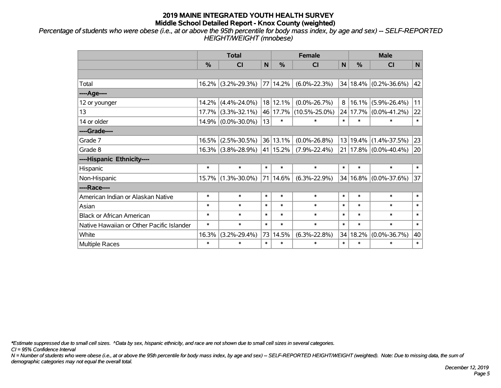*Percentage of students who were obese (i.e., at or above the 95th percentile for body mass index, by age and sex) -- SELF-REPORTED HEIGHT/WEIGHT (mnobese)*

|                                           |          | <b>Total</b>          |        | <b>Female</b> | <b>Male</b>         |        |          |                           |        |
|-------------------------------------------|----------|-----------------------|--------|---------------|---------------------|--------|----------|---------------------------|--------|
|                                           | %        | <b>CI</b>             | N      | $\frac{0}{0}$ | N<br><b>CI</b>      |        | %        | <b>CI</b>                 | N      |
|                                           |          |                       |        |               |                     |        |          |                           |        |
| Total                                     | 16.2%    | $(3.2\% - 29.3\%)$    |        | 77 14.2%      | $(6.0\% - 22.3\%)$  |        |          | 34 18.4% (0.2%-36.6%)     | 42     |
| ---- Age----                              |          |                       |        |               |                     |        |          |                           |        |
| 12 or younger                             | 14.2%    | $(4.4\% - 24.0\%)$    |        | 18 12.1%      | $(0.0\% - 26.7\%)$  | 8      | 16.1%    | $(5.9\% - 26.4\%)$        | 11     |
| 13                                        | 17.7%    | $(3.3\% - 32.1\%)$    |        | 46 17.7%      | $(10.5\% - 25.0\%)$ |        | 24 17.7% | $(0.0\% - 41.2\%)$        | 22     |
| 14 or older                               |          | 14.9% (0.0%-30.0%)    | 13     | $\ast$        | $\ast$              | $\ast$ | $\ast$   | $\ast$                    | $\ast$ |
| ----Grade----                             |          |                       |        |               |                     |        |          |                           |        |
| Grade 7                                   | 16.5%    | $(2.5\% - 30.5\%)$    |        | 36 13.1%      | $(0.0\% - 26.8\%)$  | 13     | 19.4%    | $(1.4\% - 37.5\%)$        | 23     |
| Grade 8                                   |          | $16.3\%$ (3.8%-28.9%) |        | 41 15.2%      | $(7.9\% - 22.4\%)$  |        |          | $21 17.8\% $ (0.0%-40.4%) | 20     |
| ----Hispanic Ethnicity----                |          |                       |        |               |                     |        |          |                           |        |
| Hispanic                                  | $\ast$   | $\ast$                | $\ast$ | $\ast$        | $\ast$              | $\ast$ | $\ast$   | $\ast$                    | $\ast$ |
| Non-Hispanic                              | $15.7\%$ | $(1.3\% - 30.0\%)$    |        | 71 14.6%      | $(6.3\% - 22.9\%)$  | 34     | 16.8%    | $(0.0\% - 37.6\%)$        | 37     |
| ----Race----                              |          |                       |        |               |                     |        |          |                           |        |
| American Indian or Alaskan Native         | $\ast$   | $\ast$                | $\ast$ | $\ast$        | $\ast$              | $\ast$ | $\ast$   | $\ast$                    | $\ast$ |
| Asian                                     | $\ast$   | $\ast$                | $\ast$ | $\ast$        | $\ast$              | $\ast$ | $\ast$   | $\ast$                    | $\ast$ |
| <b>Black or African American</b>          | $\ast$   | $\ast$                | $\ast$ | $\ast$        | $\ast$              | $\ast$ | $\ast$   | $\ast$                    | $\ast$ |
| Native Hawaiian or Other Pacific Islander | $\ast$   | $\ast$                | $\ast$ | $\ast$        | $\ast$              | $\ast$ | $\ast$   | $\ast$                    | $\ast$ |
| White                                     | 16.3%    | $(3.2\% - 29.4\%)$    | 73     | 14.5%         | $(6.3\% - 22.8\%)$  | 34     | 18.2%    | $(0.0\% - 36.7\%)$        | 40     |
| <b>Multiple Races</b>                     | $\ast$   | $\ast$                | $\ast$ | $\ast$        | $\ast$              | $\ast$ | $\ast$   | $\ast$                    | $\ast$ |

*\*Estimate suppressed due to small cell sizes. ^Data by sex, hispanic ethnicity, and race are not shown due to small cell sizes in several categories.*

*CI = 95% Confidence Interval*

*N = Number of students who were obese (i.e., at or above the 95th percentile for body mass index, by age and sex) -- SELF-REPORTED HEIGHT/WEIGHT (weighted). Note: Due to missing data, the sum of demographic categories may not equal the overall total.*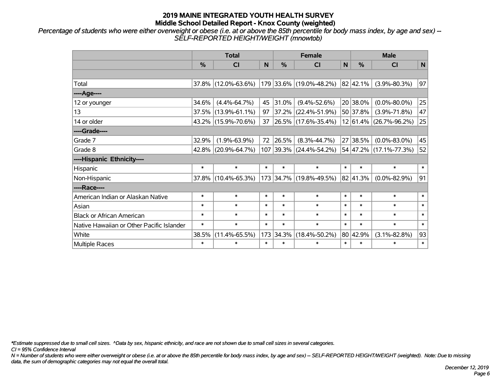*Percentage of students who were either overweight or obese (i.e. at or above the 85th percentile for body mass index, by age and sex) -- SELF-REPORTED HEIGHT/WEIGHT (mnowtob)*

|                                           |        | <b>Total</b>        |        | <b>Female</b> | <b>Male</b>              |             |               |                        |              |
|-------------------------------------------|--------|---------------------|--------|---------------|--------------------------|-------------|---------------|------------------------|--------------|
|                                           | %      | CI                  | N      | $\frac{0}{0}$ | CI                       | $\mathbf N$ | $\frac{0}{0}$ | <b>CI</b>              | $\mathsf{N}$ |
|                                           |        |                     |        |               |                          |             |               |                        |              |
| Total                                     |        | 37.8% (12.0%-63.6%) |        |               | 179 33.6% (19.0%-48.2%)  |             | 82 42.1%      | $(3.9\% - 80.3\%)$     | 97           |
| ---- Age----                              |        |                     |        |               |                          |             |               |                        |              |
| 12 or younger                             | 34.6%  | $(4.4\% - 64.7\%)$  | 45     | 31.0%         | $(9.4\% - 52.6\%)$       |             | 20 38.0%      | $(0.0\% - 80.0\%)$     | 25           |
| 13                                        |        | 37.5% (13.9%-61.1%) | 97     |               | 37.2% (22.4%-51.9%)      |             | 50 37.8%      | $(3.9\% - 71.8\%)$     | 47           |
| 14 or older                               |        | 43.2% (15.9%-70.6%) | 37     |               | $ 26.5\% $ (17.6%-35.4%) |             |               | 12 61.4% (26.7%-96.2%) | 25           |
| ----Grade----                             |        |                     |        |               |                          |             |               |                        |              |
| Grade 7                                   | 32.9%  | $(1.9\% - 63.9\%)$  | 72     | 26.5%         | $(8.3\% - 44.7\%)$       | 27          | 38.5%         | $(0.0\% - 83.0\%)$     | 45           |
| Grade 8                                   |        | 42.8% (20.9%-64.7%) |        |               | 107 39.3% (24.4%-54.2%)  |             |               | 54 47.2% (17.1%-77.3%) | 52           |
| ----Hispanic Ethnicity----                |        |                     |        |               |                          |             |               |                        |              |
| Hispanic                                  | $\ast$ | $\ast$              | $\ast$ | $\ast$        | $\ast$                   | $\ast$      | $\ast$        | $\ast$                 | $\ast$       |
| Non-Hispanic                              |        | 37.8% (10.4%-65.3%) |        |               | 173 34.7% (19.8%-49.5%)  |             | 82 41.3%      | $(0.0\% - 82.9\%)$     | 91           |
| ----Race----                              |        |                     |        |               |                          |             |               |                        |              |
| American Indian or Alaskan Native         | $\ast$ | $\ast$              | $\ast$ | $\ast$        | $\ast$                   | $\ast$      | $\ast$        | $\ast$                 | $\ast$       |
| Asian                                     | $\ast$ | $\ast$              | $\ast$ | $\ast$        | $\ast$                   | $\ast$      | $\ast$        | $\ast$                 | $\ast$       |
| <b>Black or African American</b>          | $\ast$ | $\ast$              | $\ast$ | $\ast$        | $\ast$                   | $\ast$      | $\ast$        | $\ast$                 | $\ast$       |
| Native Hawaiian or Other Pacific Islander | $\ast$ | $\ast$              | $\ast$ | $\ast$        | $\ast$                   | $\ast$      | $\ast$        | $\ast$                 | $\ast$       |
| White                                     | 38.5%  | $(11.4\% - 65.5\%)$ | 173    | 34.3%         | $(18.4\% - 50.2\%)$      |             | 80 42.9%      | $(3.1\% - 82.8\%)$     | 93           |
| Multiple Races                            | $\ast$ | $\ast$              | $\ast$ | $\ast$        | $\ast$                   | $\ast$      | $\ast$        | $\ast$                 | $\ast$       |

*\*Estimate suppressed due to small cell sizes. ^Data by sex, hispanic ethnicity, and race are not shown due to small cell sizes in several categories.*

*CI = 95% Confidence Interval*

*N = Number of students who were either overweight or obese (i.e. at or above the 85th percentile for body mass index, by age and sex) -- SELF-REPORTED HEIGHT/WEIGHT (weighted). Note: Due to missing data, the sum of demographic categories may not equal the overall total.*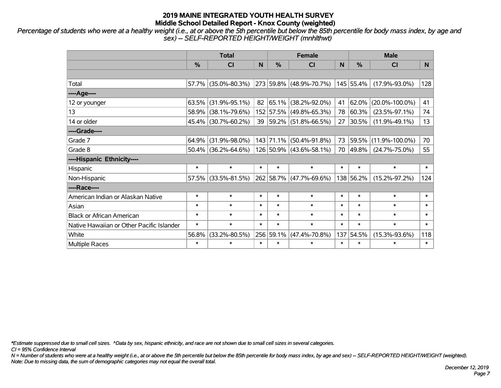*Percentage of students who were at a healthy weight (i.e., at or above the 5th percentile but below the 85th percentile for body mass index, by age and sex) -- SELF-REPORTED HEIGHT/WEIGHT (mnhlthwt)*

|                                           |               | <b>Total</b>           |        |               | <b>Female</b>           |        | <b>Male</b>   |                      |        |
|-------------------------------------------|---------------|------------------------|--------|---------------|-------------------------|--------|---------------|----------------------|--------|
|                                           | $\frac{0}{0}$ | <b>CI</b>              | N      | $\frac{0}{0}$ | <b>CI</b>               | N      | $\frac{0}{0}$ | <b>CI</b>            | N      |
|                                           |               |                        |        |               |                         |        |               |                      |        |
| Total                                     |               | 57.7% (35.0%-80.3%)    |        |               | 273 59.8% (48.9%-70.7%) |        | 145 55.4%     | $(17.9\% - 93.0\%)$  | 128    |
| ----Age----                               |               |                        |        |               |                         |        |               |                      |        |
| 12 or younger                             | 63.5%         | $(31.9\% - 95.1\%)$    |        | 82 65.1%      | $(38.2\% - 92.0\%)$     | 41     | $62.0\%$      | $(20.0\% - 100.0\%)$ | 41     |
| 13                                        | 58.9%         | $(38.1\% - 79.6\%)$    |        | 152 57.5%     | $(49.8\% - 65.3\%)$     | 78     | 60.3%         | $(23.5\% - 97.1\%)$  | 74     |
| 14 or older                               |               | 45.4% (30.7%-60.2%)    |        |               | 39 59.2% (51.8%-66.5%)  | 27     | $30.5\%$      | $(11.9\% - 49.1\%)$  | 13     |
| ----Grade----                             |               |                        |        |               |                         |        |               |                      |        |
| Grade 7                                   | $64.9\%$      | $(31.9\% - 98.0\%)$    |        | 143 71.1%     | $(50.4\% - 91.8\%)$     | 73     | 59.5%         | $(11.9\% - 100.0\%)$ | 70     |
| Grade 8                                   |               | $50.4\%$ (36.2%-64.6%) |        |               | 126 50.9% (43.6%-58.1%) | 70     | $ 49.8\% $    | $(24.7\% - 75.0\%)$  | 55     |
| ----Hispanic Ethnicity----                |               |                        |        |               |                         |        |               |                      |        |
| Hispanic                                  | $\ast$        | $\ast$                 | $\ast$ | $\ast$        | $\ast$                  | $\ast$ | $\ast$        | $\ast$               | $\ast$ |
| Non-Hispanic                              | 57.5%         | $(33.5\% - 81.5\%)$    |        | 262 58.7%     | $(47.7\% - 69.6\%)$     |        | 138 56.2%     | $(15.2\% - 97.2\%)$  | 124    |
| ----Race----                              |               |                        |        |               |                         |        |               |                      |        |
| American Indian or Alaskan Native         | $\ast$        | $\ast$                 | $\ast$ | $\ast$        | $\ast$                  | $\ast$ | $\ast$        | $\ast$               | $\ast$ |
| Asian                                     | $\ast$        | $\ast$                 | $\ast$ | $\ast$        | $\ast$                  | $\ast$ | $\ast$        | $\ast$               | $\ast$ |
| <b>Black or African American</b>          | $\ast$        | $\ast$                 | $\ast$ | $\ast$        | $\ast$                  | $\ast$ | $\ast$        | $\ast$               | $\ast$ |
| Native Hawaiian or Other Pacific Islander | $\ast$        | $\ast$                 | $\ast$ | $\ast$        | $\ast$                  | $\ast$ | $\ast$        | $\ast$               | $\ast$ |
| White                                     | 56.8%         | $(33.2\% - 80.5\%)$    | 256    | 59.1%         | $(47.4\% - 70.8\%)$     | 137    | 54.5%         | $(15.3\% - 93.6\%)$  | 118    |
| <b>Multiple Races</b>                     | $\ast$        | $\ast$                 | $\ast$ | $\ast$        | $\ast$                  | $\ast$ | $\ast$        | $\ast$               | $\ast$ |

*\*Estimate suppressed due to small cell sizes. ^Data by sex, hispanic ethnicity, and race are not shown due to small cell sizes in several categories.*

*CI = 95% Confidence Interval*

*N = Number of students who were at a healthy weight (i.e., at or above the 5th percentile but below the 85th percentile for body mass index, by age and sex) -- SELF-REPORTED HEIGHT/WEIGHT (weighted). Note: Due to missing data, the sum of demographic categories may not equal the overall total.*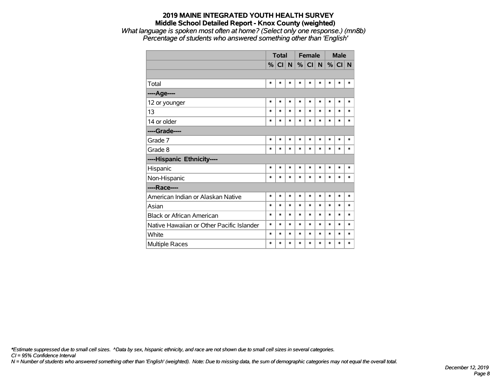*What language is spoken most often at home? (Select only one response.) (mn8b) Percentage of students who answered something other than 'English'*

|                                           |               | <b>Total</b> |        |        | <b>Female</b> |        | <b>Male</b> |        |        |
|-------------------------------------------|---------------|--------------|--------|--------|---------------|--------|-------------|--------|--------|
|                                           | $\frac{9}{6}$ | CI           | N      |        | $\%$ CI       | N      | %           | CI     | N      |
|                                           |               |              |        |        |               |        |             |        |        |
| Total                                     | $\ast$        | *            | $\ast$ | $\ast$ | $\ast$        | $\ast$ | $\ast$      | $\ast$ | $\ast$ |
| ---- Age----                              |               |              |        |        |               |        |             |        |        |
| 12 or younger                             | $\ast$        | $\ast$       | $\ast$ | $\ast$ | $\ast$        | $\ast$ | $\ast$      | $\ast$ | $\ast$ |
| 13                                        | $\ast$        | *            | $\ast$ | $\ast$ | $\ast$        | $\ast$ | $\ast$      | $\ast$ | $\ast$ |
| 14 or older                               | $\ast$        | $\ast$       | $\ast$ | $\ast$ | $\ast$        | $\ast$ | $\ast$      | $\ast$ | $\ast$ |
| ----Grade----                             |               |              |        |        |               |        |             |        |        |
| Grade 7                                   | $\ast$        | $\ast$       | $\ast$ | $\ast$ | $\ast$        | $\ast$ | $\ast$      | $\ast$ | $\ast$ |
| Grade 8                                   | $\ast$        | *            | $\ast$ | $\ast$ | $\ast$        | $\ast$ | $\ast$      | $\ast$ | $\ast$ |
| ----Hispanic Ethnicity----                |               |              |        |        |               |        |             |        |        |
| Hispanic                                  | $\ast$        | *            | $\ast$ | $\ast$ | $\ast$        | $\ast$ | *           | *      | $\ast$ |
| Non-Hispanic                              | $\ast$        | $\ast$       | $\ast$ | $\ast$ | $\ast$        | $\ast$ | $\ast$      | $\ast$ | $\ast$ |
| ----Race----                              |               |              |        |        |               |        |             |        |        |
| American Indian or Alaskan Native         | $\ast$        | $\ast$       | $\ast$ | $\ast$ | $\ast$        | $\ast$ | $\ast$      | $\ast$ | $\ast$ |
| Asian                                     | $\ast$        | *            | $\ast$ | $\ast$ | $\ast$        | $\ast$ | $\ast$      | $\ast$ | $\ast$ |
| <b>Black or African American</b>          | $\ast$        | *            | $\ast$ | $\ast$ | $\ast$        | $\ast$ | $\ast$      | $\ast$ | $\ast$ |
| Native Hawaiian or Other Pacific Islander | $\ast$        | *            | $\ast$ | $\ast$ | $\ast$        | $\ast$ | $\ast$      | $\ast$ | $\ast$ |
| White                                     | $\ast$        | *            | $\ast$ | $\ast$ | $\ast$        | $\ast$ | $\ast$      | $\ast$ | $\ast$ |
| <b>Multiple Races</b>                     | $\ast$        | $\ast$       | $\ast$ | $\ast$ | $\ast$        | $\ast$ | $\ast$      | $\ast$ | $\ast$ |

*\*Estimate suppressed due to small cell sizes. ^Data by sex, hispanic ethnicity, and race are not shown due to small cell sizes in several categories.*

*CI = 95% Confidence Interval*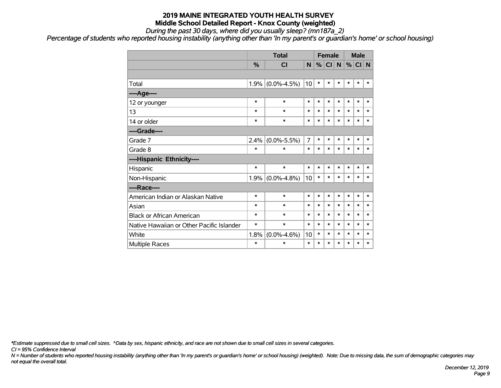*During the past 30 days, where did you usually sleep? (mn187a\_2)*

*Percentage of students who reported housing instability (anything other than 'In my parent's or guardian's home' or school housing)*

|                                           |        | <b>Total</b>      |        | <b>Female</b> |           |             | <b>Male</b> |        |        |
|-------------------------------------------|--------|-------------------|--------|---------------|-----------|-------------|-------------|--------|--------|
|                                           | %      | CI                | N      | %             | <b>CI</b> | $\mathbf N$ | %           | CI N   |        |
|                                           |        |                   |        |               |           |             |             |        |        |
| Total                                     | 1.9%   | $(0.0\% - 4.5\%)$ | 10     | $\ast$        | $\ast$    | $\ast$      | *           | $\ast$ | $\ast$ |
| ---- Age----                              |        |                   |        |               |           |             |             |        |        |
| 12 or younger                             | $\ast$ | $\ast$            | $\ast$ | $\ast$        | $\ast$    | $\ast$      | $\ast$      | $\ast$ | $\ast$ |
| 13                                        | $\ast$ | $\ast$            | $\ast$ | $\ast$        | $\ast$    | $\ast$      | *           | $\ast$ | $\ast$ |
| 14 or older                               | $\ast$ | $\ast$            | $\ast$ | $\ast$        | $\ast$    | $\ast$      | $\ast$      | $\ast$ | $\ast$ |
| ----Grade----                             |        |                   |        |               |           |             |             |        |        |
| Grade 7                                   | 2.4%   | $(0.0\% - 5.5\%)$ | 7      | $\ast$        | $\ast$    | $\ast$      | $\ast$      | $\ast$ | $\ast$ |
| Grade 8                                   | $\ast$ | $\ast$            | $\ast$ | $\ast$        | $\ast$    | $\ast$      | *           | $\ast$ | $\ast$ |
| ----Hispanic Ethnicity----                |        |                   |        |               |           |             |             |        |        |
| Hispanic                                  | $\ast$ | $\ast$            | $\ast$ | $\ast$        | $\ast$    | $\ast$      | $\ast$      | $\ast$ | $\ast$ |
| Non-Hispanic                              | 1.9%   | $(0.0\% - 4.8\%)$ | 10     | $\ast$        | $\ast$    | $\ast$      | *           | $\ast$ | $\ast$ |
| ----Race----                              |        |                   |        |               |           |             |             |        |        |
| American Indian or Alaskan Native         | $\ast$ | $\ast$            | $\ast$ | $\ast$        | $\ast$    | $\ast$      | *           | $\ast$ | $\ast$ |
| Asian                                     | $\ast$ | $\ast$            | $\ast$ | $\ast$        | $\ast$    | $\ast$      | $\ast$      | $\ast$ | $\ast$ |
| <b>Black or African American</b>          | $\ast$ | $\ast$            | $\ast$ | $\ast$        | $\ast$    | $\ast$      | *           | $\ast$ | $\ast$ |
| Native Hawaiian or Other Pacific Islander | $\ast$ | $\ast$            | $\ast$ | $\ast$        | $\ast$    | *           | *           | $\ast$ | $\ast$ |
| White                                     | 1.8%   | $(0.0\% - 4.6\%)$ | 10     | $\ast$        | $\ast$    | $\ast$      | *           | $\ast$ | $\ast$ |
| Multiple Races                            | $\ast$ | $\ast$            | $\ast$ | $\ast$        | $\ast$    | $\ast$      | $\ast$      | $\ast$ | $\ast$ |

*\*Estimate suppressed due to small cell sizes. ^Data by sex, hispanic ethnicity, and race are not shown due to small cell sizes in several categories.*

*CI = 95% Confidence Interval*

*N = Number of students who reported housing instability (anything other than 'In my parent's or guardian's home' or school housing) (weighted). Note: Due to missing data, the sum of demographic categories may not equal the overall total.*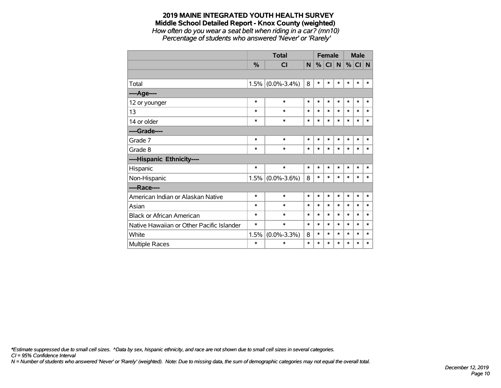*How often do you wear a seat belt when riding in a car? (mn10) Percentage of students who answered 'Never' or 'Rarely'*

|                                           |               | <b>Total</b>        |        | <b>Female</b> |        |        | <b>Male</b> |        |        |
|-------------------------------------------|---------------|---------------------|--------|---------------|--------|--------|-------------|--------|--------|
|                                           | $\frac{0}{2}$ | <b>CI</b>           | N      | %             | CI N   |        | %           | CI N   |        |
|                                           |               |                     |        |               |        |        |             |        |        |
| Total                                     |               | $1.5\%$ (0.0%-3.4%) | 8      | $\ast$        | $\ast$ | $\ast$ | $\ast$      | $\ast$ | $\ast$ |
| ----Age----                               |               |                     |        |               |        |        |             |        |        |
| 12 or younger                             | $\ast$        | $\ast$              | $\ast$ | $\ast$        | $\ast$ | $\ast$ | $\ast$      | $\ast$ | $\ast$ |
| 13                                        | $\ast$        | $\ast$              | $\ast$ | $\ast$        | $\ast$ | $\ast$ | $\ast$      | $\ast$ | $\ast$ |
| 14 or older                               | $\ast$        | $\ast$              | $\ast$ | $\ast$        | $\ast$ | $\ast$ | $\ast$      | $\ast$ | $\ast$ |
| ----Grade----                             |               |                     |        |               |        |        |             |        |        |
| Grade 7                                   | $\ast$        | $\ast$              | $\ast$ | $\ast$        | $\ast$ | $\ast$ | $\ast$      | $\ast$ | $\ast$ |
| Grade 8                                   | $\ast$        | $\ast$              | $\ast$ | $\ast$        | $\ast$ | $\ast$ | $\ast$      | $\ast$ | $\ast$ |
| ----Hispanic Ethnicity----                |               |                     |        |               |        |        |             |        |        |
| Hispanic                                  | $\ast$        | $\ast$              | $\ast$ | $\ast$        | $\ast$ | $\ast$ | *           | $\ast$ | ∗      |
| Non-Hispanic                              |               | $1.5\%$ (0.0%-3.6%) | 8      | $\ast$        | $\ast$ | $\ast$ | $\ast$      | $\ast$ | $\ast$ |
| ----Race----                              |               |                     |        |               |        |        |             |        |        |
| American Indian or Alaskan Native         | $\ast$        | $\ast$              | $\ast$ | $\ast$        | $\ast$ | $\ast$ | $\ast$      | $\ast$ | $\ast$ |
| Asian                                     | $\ast$        | $\ast$              | $\ast$ | $\ast$        | $\ast$ | $\ast$ | $\ast$      | $\ast$ | $\ast$ |
| <b>Black or African American</b>          | $\ast$        | $\ast$              | $\ast$ | $\ast$        | $\ast$ | $\ast$ | $\ast$      | $\ast$ | $\ast$ |
| Native Hawaiian or Other Pacific Islander | $\ast$        | $\ast$              | $\ast$ | $\ast$        | $\ast$ | $\ast$ | $\ast$      | $\ast$ | $\ast$ |
| White                                     | 1.5%          | $(0.0\% - 3.3\%)$   | 8      | $\ast$        | $\ast$ | $\ast$ | $\ast$      | $\ast$ | $\ast$ |
| Multiple Races                            | $\ast$        | $\ast$              | $\ast$ | $\ast$        | $\ast$ | *      | $\ast$      | *      | *      |

*\*Estimate suppressed due to small cell sizes. ^Data by sex, hispanic ethnicity, and race are not shown due to small cell sizes in several categories.*

*CI = 95% Confidence Interval*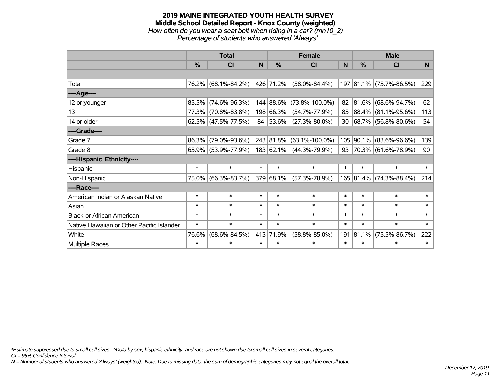#### **2019 MAINE INTEGRATED YOUTH HEALTH SURVEY Middle School Detailed Report - Knox County (weighted)** *How often do you wear a seat belt when riding in a car? (mn10\_2) Percentage of students who answered 'Always'*

|                                           |               | <b>Total</b>           |          | <b>Female</b> | <b>Male</b>          |        |           |                          |        |
|-------------------------------------------|---------------|------------------------|----------|---------------|----------------------|--------|-----------|--------------------------|--------|
|                                           | $\frac{9}{6}$ | CI                     | <b>N</b> | $\%$          | CI                   | N      | %         | <b>CI</b>                | N      |
|                                           |               |                        |          |               |                      |        |           |                          |        |
| Total                                     |               | 76.2% (68.1%-84.2%)    |          | 426 71.2%     | $(58.0\% - 84.4\%)$  |        |           | 197 81.1% (75.7%-86.5%)  | 229    |
| ----Age----                               |               |                        |          |               |                      |        |           |                          |        |
| 12 or younger                             | 85.5%         | $(74.6\% - 96.3\%)$    |          | 144 88.6%     | $(73.8\% - 100.0\%)$ | 82     | 81.6%     | $(68.6\% - 94.7\%)$      | 62     |
| 13                                        |               | 77.3% (70.8%-83.8%)    |          | 198 66.3%     | $(54.7\% - 77.9\%)$  | 85     |           | 88.4% (81.1%-95.6%)      | 113    |
| 14 or older                               |               | $62.5\%$ (47.5%-77.5%) |          | 84 53.6%      | $(27.3\% - 80.0\%)$  | 30     |           | $ 68.7\% $ (56.8%-80.6%) | 54     |
| ----Grade----                             |               |                        |          |               |                      |        |           |                          |        |
| Grade 7                                   | 86.3%         | $(79.0\% - 93.6\%)$    |          | 243 81.8%     | $(63.1\% - 100.0\%)$ | 105    | 90.1%     | $(83.6\% - 96.6\%)$      | 139    |
| Grade 8                                   |               | $65.9\%$ (53.9%-77.9%) |          | 183 62.1%     | $(44.3\% - 79.9\%)$  | 93     |           | $ 70.3\% $ (61.6%-78.9%) | 90     |
| ----Hispanic Ethnicity----                |               |                        |          |               |                      |        |           |                          |        |
| Hispanic                                  | $\ast$        | $\ast$                 | $\ast$   | $\ast$        | $\ast$               | $\ast$ | $\ast$    | $\ast$                   | $\ast$ |
| Non-Hispanic                              |               | 75.0% (66.3%-83.7%)    |          | 379 68.1%     | $(57.3\% - 78.9\%)$  |        | 165 81.4% | $(74.3\% - 88.4\%)$      | 214    |
| ----Race----                              |               |                        |          |               |                      |        |           |                          |        |
| American Indian or Alaskan Native         | $\ast$        | $\ast$                 | $\ast$   | $\ast$        | $\ast$               | $\ast$ | $\ast$    | $\ast$                   | $\ast$ |
| Asian                                     | $\ast$        | $\ast$                 | $\ast$   | $\ast$        | $\ast$               | $\ast$ | $\ast$    | $\ast$                   | $\ast$ |
| <b>Black or African American</b>          | $\ast$        | $\ast$                 | $\ast$   | $\ast$        | $\ast$               | $\ast$ | $\ast$    | $\ast$                   | $\ast$ |
| Native Hawaiian or Other Pacific Islander | $\ast$        | $\ast$                 | $\ast$   | $\ast$        | $\ast$               | $\ast$ | $\ast$    | $\ast$                   | $\ast$ |
| White                                     | 76.6%         | $(68.6\% - 84.5\%)$    | 413      | 71.9%         | $(58.8\% - 85.0\%)$  | 191    | 81.1%     | $(75.5\% - 86.7\%)$      | 222    |
| Multiple Races                            | $\ast$        | $\ast$                 | $\ast$   | $\ast$        | $\ast$               | $\ast$ | $\ast$    | $\ast$                   | $\ast$ |

*\*Estimate suppressed due to small cell sizes. ^Data by sex, hispanic ethnicity, and race are not shown due to small cell sizes in several categories.*

*CI = 95% Confidence Interval*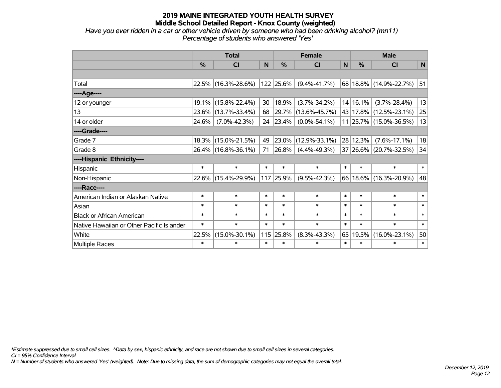*Have you ever ridden in a car or other vehicle driven by someone who had been drinking alcohol? (mn11) Percentage of students who answered 'Yes'*

|                                           |               | <b>Total</b>        |        |           | <b>Female</b>             | <b>Male</b> |               |                        |        |
|-------------------------------------------|---------------|---------------------|--------|-----------|---------------------------|-------------|---------------|------------------------|--------|
|                                           | $\frac{0}{0}$ | <b>CI</b>           | N      | %         | $\mathsf{N}$<br><b>CI</b> |             | $\frac{0}{0}$ | <b>CI</b>              | N      |
|                                           |               |                     |        |           |                           |             |               |                        |        |
| Total                                     |               | 22.5% (16.3%-28.6%) |        | 122 25.6% | $(9.4\% - 41.7\%)$        |             |               | 68 18.8% (14.9%-22.7%) | 51     |
| ----Age----                               |               |                     |        |           |                           |             |               |                        |        |
| 12 or younger                             | 19.1%         | $(15.8\% - 22.4\%)$ | 30     | 18.9%     | $(3.7\% - 34.2\%)$        |             | 14 16.1%      | $(3.7\% - 28.4\%)$     | 13     |
| 13                                        | 23.6%         | $(13.7\% - 33.4\%)$ | 68     | 29.7%     | $(13.6\% - 45.7\%)$       |             |               | 43 17.8% (12.5%-23.1%) | 25     |
| 14 or older                               | 24.6%         | $(7.0\% - 42.3\%)$  | 24     | 23.4%     | $(0.0\% - 54.1\%)$        |             |               | 11 25.7% (15.0%-36.5%) | 13     |
| ----Grade----                             |               |                     |        |           |                           |             |               |                        |        |
| Grade 7                                   | 18.3%         | $(15.0\% - 21.5\%)$ | 49     | 23.0%     | $(12.9\% - 33.1\%)$       |             | 28 12.3%      | $(7.6\% - 17.1\%)$     | 18     |
| Grade 8                                   |               | 26.4% (16.8%-36.1%) | 71     | 26.8%     | $(4.4\% - 49.3\%)$        |             |               | 37 26.6% (20.7%-32.5%) | 34     |
| ----Hispanic Ethnicity----                |               |                     |        |           |                           |             |               |                        |        |
| Hispanic                                  | $\ast$        | $\ast$              | $\ast$ | $\ast$    | $\ast$                    | $\ast$      | $\ast$        | $\ast$                 | $\ast$ |
| Non-Hispanic                              |               | 22.6% (15.4%-29.9%) | 117    | 25.9%     | $(9.5\% - 42.3\%)$        |             |               | 66 18.6% (16.3%-20.9%) | 48     |
| ----Race----                              |               |                     |        |           |                           |             |               |                        |        |
| American Indian or Alaskan Native         | $\ast$        | $\ast$              | $\ast$ | $\ast$    | $\ast$                    | $\ast$      | $\ast$        | $\ast$                 | $\ast$ |
| Asian                                     | $\ast$        | $\ast$              | $\ast$ | $\ast$    | $\ast$                    | $\ast$      | $\ast$        | $\ast$                 | $\ast$ |
| <b>Black or African American</b>          | $\ast$        | $\ast$              | $\ast$ | $\ast$    | $\ast$                    | $\ast$      | $\ast$        | $\ast$                 | $\ast$ |
| Native Hawaiian or Other Pacific Islander | $\ast$        | $\ast$              | $\ast$ | $\ast$    | $\ast$                    | $\ast$      | $\ast$        | $\ast$                 | $\ast$ |
| White                                     | 22.5%         | $(15.0\% - 30.1\%)$ | 115    | 25.8%     | $(8.3\% - 43.3\%)$        | 65          | 19.5%         | $(16.0\% - 23.1\%)$    | 50     |
| Multiple Races                            | $\ast$        | $\ast$              | $\ast$ | $\ast$    | $\ast$                    | $\ast$      | $\ast$        | $\ast$                 | $\ast$ |

*\*Estimate suppressed due to small cell sizes. ^Data by sex, hispanic ethnicity, and race are not shown due to small cell sizes in several categories.*

*CI = 95% Confidence Interval*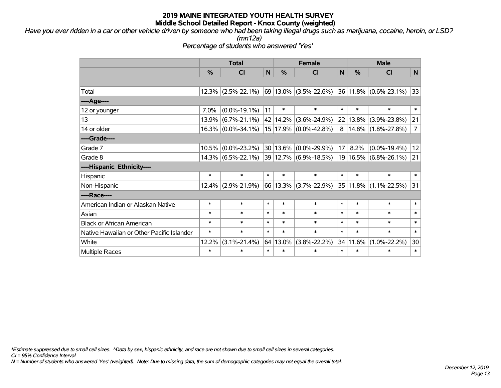*Have you ever ridden in a car or other vehicle driven by someone who had been taking illegal drugs such as marijuana, cocaine, heroin, or LSD?*

*(mn12a)*

*Percentage of students who answered 'Yes'*

|                                           |          | <b>Total</b>          |        | <b>Female</b> | <b>Male</b>           |        |          |                           |                |
|-------------------------------------------|----------|-----------------------|--------|---------------|-----------------------|--------|----------|---------------------------|----------------|
|                                           | %        | <b>CI</b>             | N      | %             | <b>CI</b>             | N      | $\%$     | <b>CI</b>                 | N              |
|                                           |          |                       |        |               |                       |        |          |                           |                |
| Total                                     |          | $12.3\%$ (2.5%-22.1%) |        |               | 69 13.0% (3.5%-22.6%) |        |          | $36 11.8\% $ (0.6%-23.1%) | 33             |
| ---- Age----                              |          |                       |        |               |                       |        |          |                           |                |
| 12 or younger                             | 7.0%     | $(0.0\% - 19.1\%)$    | 11     | $\ast$        | $\ast$                | $\ast$ | $\ast$   | $\ast$                    | $\ast$         |
| 13                                        | 13.9%    | $(6.7\% - 21.1\%)$    |        | 42   14.2%    | $(3.6\% - 24.9\%)$    | 22     | $13.8\%$ | $(3.9\% - 23.8\%)$        | 21             |
| 14 or older                               |          | $16.3\%$ (0.0%-34.1%) |        |               | 15 17.9% (0.0%-42.8%) | 8      |          | $14.8\%$ (1.8%-27.8%)     | $\overline{7}$ |
| ----Grade----                             |          |                       |        |               |                       |        |          |                           |                |
| Grade 7                                   | $10.5\%$ | $(0.0\% - 23.2\%)$    |        |               | 30 13.6% (0.0%-29.9%) | 17     | 8.2%     | $(0.0\% - 19.4\%)$        | 12             |
| Grade 8                                   |          | $14.3\%$ (6.5%-22.1%) |        |               | 39 12.7% (6.9%-18.5%) |        |          | 19 16.5% (6.8%-26.1%)     | 21             |
| ----Hispanic Ethnicity----                |          |                       |        |               |                       |        |          |                           |                |
| Hispanic                                  | $\ast$   | $\ast$                | $\ast$ | $\ast$        | $\ast$                | $\ast$ | $\ast$   | $\ast$                    | $\ast$         |
| Non-Hispanic                              |          | $12.4\%$ (2.9%-21.9%) |        |               | 66 13.3% (3.7%-22.9%) |        |          | 35 11.8% (1.1%-22.5%)     | 31             |
| ----Race----                              |          |                       |        |               |                       |        |          |                           |                |
| American Indian or Alaskan Native         | $\ast$   | $\ast$                | $\ast$ | $\ast$        | $\ast$                | $\ast$ | $\ast$   | $\ast$                    | $\ast$         |
| Asian                                     | $\ast$   | $\ast$                | $\ast$ | $\ast$        | $\ast$                | $\ast$ | $\ast$   | $\ast$                    | $\ast$         |
| <b>Black or African American</b>          | $\ast$   | $\ast$                | $\ast$ | $\ast$        | $\ast$                | $\ast$ | $\ast$   | $\ast$                    | $\ast$         |
| Native Hawaiian or Other Pacific Islander | $\ast$   | $\ast$                | $\ast$ | $\ast$        | $\ast$                | $\ast$ | $\ast$   | $\ast$                    | $\ast$         |
| White                                     | 12.2%    | $(3.1\% - 21.4\%)$    |        | 64 13.0%      | $(3.8\% - 22.2\%)$    |        | 34 11.6% | $(1.0\% - 22.2\%)$        | 30             |
| <b>Multiple Races</b>                     | $\ast$   | $\ast$                | $\ast$ | $\ast$        | $\ast$                | $\ast$ | $\ast$   | $\ast$                    | $\ast$         |

*\*Estimate suppressed due to small cell sizes. ^Data by sex, hispanic ethnicity, and race are not shown due to small cell sizes in several categories.*

*CI = 95% Confidence Interval*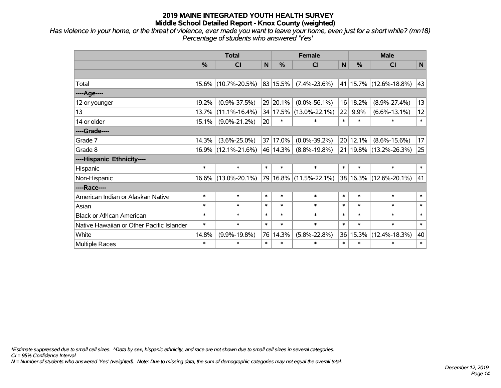*Has violence in your home, or the threat of violence, ever made you want to leave your home, even just for a short while? (mn18) Percentage of students who answered 'Yes'*

|                                           | <b>Total</b><br>$\frac{0}{0}$<br>%<br>N<br>CI<br>15.6% (10.7%-20.5%)<br>83 15.5%<br>19.2%<br>$(0.9\% - 37.5\%)$<br>29 20.1%<br>$(11.1\% - 16.4\%)$<br>34 17.5%<br>13.7%<br>$\ast$<br>20<br>15.1%<br>$(9.0\% - 21.2\%)$<br>14.3%<br>$(3.6\% - 25.0\%)$<br>37 17.0%<br>16.9% (12.1%-21.6%)<br>46 14.3%<br>$\ast$<br>$\ast$<br>$\ast$<br>$\ast$<br>16.6% (13.0%-20.1%)<br>$\ast$<br>$\ast$<br>$\ast$<br>$\ast$<br>$\ast$<br>$\ast$<br>$\ast$<br>$\ast$<br>$\ast$<br>$\ast$<br>$\ast$<br>$\ast$<br>$\ast$<br>$\ast$<br>$\ast$<br>$\ast$<br>76 14.3%<br>14.8%<br>$(9.9\% - 19.8\%)$ |        |        | <b>Female</b> |                        | <b>Male</b>     |               |                            |        |  |
|-------------------------------------------|--------------------------------------------------------------------------------------------------------------------------------------------------------------------------------------------------------------------------------------------------------------------------------------------------------------------------------------------------------------------------------------------------------------------------------------------------------------------------------------------------------------------------------------------------------------------------------|--------|--------|---------------|------------------------|-----------------|---------------|----------------------------|--------|--|
|                                           |                                                                                                                                                                                                                                                                                                                                                                                                                                                                                                                                                                                |        |        |               | <b>CI</b>              | $\mathsf{N}$    | $\frac{0}{0}$ | CI                         | N      |  |
|                                           |                                                                                                                                                                                                                                                                                                                                                                                                                                                                                                                                                                                |        |        |               |                        |                 |               |                            |        |  |
| Total                                     |                                                                                                                                                                                                                                                                                                                                                                                                                                                                                                                                                                                |        |        |               | $(7.4\% - 23.6\%)$     |                 |               | 41   15.7%   (12.6%-18.8%) | 43     |  |
| ----Age----                               |                                                                                                                                                                                                                                                                                                                                                                                                                                                                                                                                                                                |        |        |               |                        |                 |               |                            |        |  |
| 12 or younger                             |                                                                                                                                                                                                                                                                                                                                                                                                                                                                                                                                                                                |        |        |               | $(0.0\% - 56.1\%)$     | 16              | 18.2%         | $(8.9\% - 27.4\%)$         | 13     |  |
| 13                                        |                                                                                                                                                                                                                                                                                                                                                                                                                                                                                                                                                                                |        |        |               | $(13.0\% - 22.1\%)$    | 22              | 9.9%          | $(6.6\% - 13.1\%)$         | 12     |  |
| 14 or older                               |                                                                                                                                                                                                                                                                                                                                                                                                                                                                                                                                                                                |        |        |               | $\ast$                 | $\ast$          | $\ast$        | $\ast$                     | $\ast$ |  |
| ----Grade----                             |                                                                                                                                                                                                                                                                                                                                                                                                                                                                                                                                                                                |        |        |               |                        |                 |               |                            |        |  |
| Grade 7                                   |                                                                                                                                                                                                                                                                                                                                                                                                                                                                                                                                                                                |        |        |               | $(0.0\% - 39.2\%)$     | 20 <sub>1</sub> | 12.1%         | $(8.6\% - 15.6\%)$         | 17     |  |
| Grade 8                                   |                                                                                                                                                                                                                                                                                                                                                                                                                                                                                                                                                                                |        |        |               | $(8.8\% - 19.8\%)$     |                 |               | 21   19.8%   (13.2%-26.3%) | 25     |  |
| ----Hispanic Ethnicity----                |                                                                                                                                                                                                                                                                                                                                                                                                                                                                                                                                                                                |        |        |               |                        |                 |               |                            |        |  |
| Hispanic                                  |                                                                                                                                                                                                                                                                                                                                                                                                                                                                                                                                                                                |        |        |               | $\ast$                 | $\ast$          | $\ast$        | $\ast$                     | $\ast$ |  |
| Non-Hispanic                              |                                                                                                                                                                                                                                                                                                                                                                                                                                                                                                                                                                                |        |        |               | 79 16.8% (11.5%-22.1%) |                 |               | 38 16.3% (12.6%-20.1%)     | 41     |  |
| ----Race----                              |                                                                                                                                                                                                                                                                                                                                                                                                                                                                                                                                                                                |        |        |               |                        |                 |               |                            |        |  |
| American Indian or Alaskan Native         |                                                                                                                                                                                                                                                                                                                                                                                                                                                                                                                                                                                |        |        |               | $\ast$                 | $\ast$          | $\ast$        | $\ast$                     | $\ast$ |  |
| Asian                                     |                                                                                                                                                                                                                                                                                                                                                                                                                                                                                                                                                                                |        |        |               | $\ast$                 | $\ast$          | $\ast$        | $\ast$                     | $\ast$ |  |
| <b>Black or African American</b>          |                                                                                                                                                                                                                                                                                                                                                                                                                                                                                                                                                                                |        |        |               | $\ast$                 | $\ast$          | $\ast$        | $\ast$                     | $\ast$ |  |
| Native Hawaiian or Other Pacific Islander |                                                                                                                                                                                                                                                                                                                                                                                                                                                                                                                                                                                |        |        |               | $\ast$                 | $\ast$          | $\ast$        | $\ast$                     | $\ast$ |  |
| White                                     |                                                                                                                                                                                                                                                                                                                                                                                                                                                                                                                                                                                |        |        |               | $(5.8\% - 22.8\%)$     | 36              | 15.3%         | $(12.4\% - 18.3\%)$        | 40     |  |
| Multiple Races                            | $\ast$                                                                                                                                                                                                                                                                                                                                                                                                                                                                                                                                                                         | $\ast$ | $\ast$ | $\ast$        | $\ast$                 | $\ast$          | $\ast$        | $\ast$                     | $\ast$ |  |

*\*Estimate suppressed due to small cell sizes. ^Data by sex, hispanic ethnicity, and race are not shown due to small cell sizes in several categories.*

*CI = 95% Confidence Interval*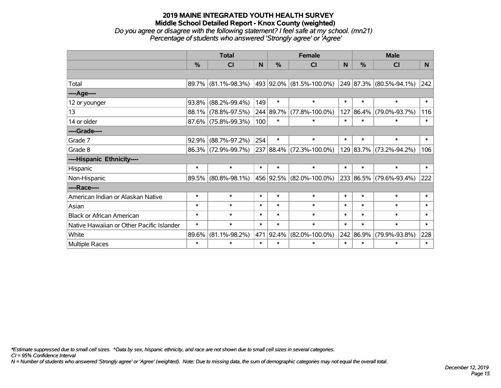*Do you agree or disagree with the following statement? I feel safe at my school. (mn21) Percentage of students who answered 'Strongly agree' or 'Agree'*

|                                           |          | <b>Total</b><br>$\frac{0}{0}$<br>C <sub>l</sub><br>89.7% (81.1%-98.3%)<br>$93.8\%$ (88.2%-99.4%)<br>88.1% (78.8%-97.5%)<br>$87.6\%$ (75.8%-99.3%)<br>$(88.7\% - 97.2\%)$<br>86.3% (72.9%-99.7%)<br>$\ast$<br>$\ast$<br>89.5% (80.8%-98.1%)<br>$\ast$<br>$\ast$<br>$\ast$<br>$\ast$ |        |               | <b>Female</b>                                              |          |               | <b>Male</b>             |        |  |
|-------------------------------------------|----------|------------------------------------------------------------------------------------------------------------------------------------------------------------------------------------------------------------------------------------------------------------------------------------|--------|---------------|------------------------------------------------------------|----------|---------------|-------------------------|--------|--|
|                                           |          |                                                                                                                                                                                                                                                                                    | N      | $\frac{0}{0}$ | <b>CI</b>                                                  | <b>N</b> | $\frac{0}{0}$ | <b>CI</b>               | N      |  |
|                                           |          |                                                                                                                                                                                                                                                                                    |        |               |                                                            |          |               |                         |        |  |
| Total                                     |          |                                                                                                                                                                                                                                                                                    |        |               | 493   92.0%   (81.5%-100.0%)   249   87.3%   (80.5%-94.1%) |          |               |                         | 242    |  |
| ----Age----                               |          |                                                                                                                                                                                                                                                                                    |        |               |                                                            |          |               |                         |        |  |
| 12 or younger                             |          |                                                                                                                                                                                                                                                                                    | 149    | $\ast$        | $\ast$                                                     | $\ast$   | $\ast$        | $\ast$                  | $\ast$ |  |
| 13                                        |          |                                                                                                                                                                                                                                                                                    |        | 244 89.7%     | $(77.8\% - 100.0\%)$                                       | 127      | $ 86.4\% $    | $(79.0\% - 93.7\%)$     | 116    |  |
| 14 or older                               |          |                                                                                                                                                                                                                                                                                    | 100    | $\ast$        | $\ast$                                                     | $\ast$   | $\ast$        | $\ast$                  | $\ast$ |  |
| ----Grade----                             |          |                                                                                                                                                                                                                                                                                    |        |               |                                                            |          |               |                         |        |  |
| Grade 7                                   | $92.9\%$ |                                                                                                                                                                                                                                                                                    | 254    | $\ast$        | $\ast$                                                     | $\ast$   | $\ast$        | $\ast$                  | $\ast$ |  |
| Grade 8                                   |          |                                                                                                                                                                                                                                                                                    |        |               | 237 88.4% (72.3%-100.0%)                                   |          |               | 129 83.7% (73.2%-94.2%) | 106    |  |
| ----Hispanic Ethnicity----                |          |                                                                                                                                                                                                                                                                                    |        |               |                                                            |          |               |                         |        |  |
| Hispanic                                  |          |                                                                                                                                                                                                                                                                                    | $\ast$ | $\ast$        | $\ast$                                                     | $\ast$   | $\ast$        | $\ast$                  | $\ast$ |  |
| Non-Hispanic                              |          |                                                                                                                                                                                                                                                                                    |        |               | 456 92.5% (82.0%-100.0%)                                   |          |               | 233 86.5% (79.6%-93.4%) | 222    |  |
| ----Race----                              |          |                                                                                                                                                                                                                                                                                    |        |               |                                                            |          |               |                         |        |  |
| American Indian or Alaskan Native         |          |                                                                                                                                                                                                                                                                                    | $\ast$ | $\ast$        | $\ast$                                                     | $\ast$   | $\ast$        | $\ast$                  | $\ast$ |  |
| Asian                                     |          |                                                                                                                                                                                                                                                                                    | $\ast$ | $\ast$        | $\ast$                                                     | $\ast$   | $\ast$        | $\ast$                  | $\ast$ |  |
| <b>Black or African American</b>          | $\ast$   | $\ast$                                                                                                                                                                                                                                                                             | $\ast$ | $\ast$        | $\ast$                                                     | $\ast$   | $\ast$        | $\ast$                  | $\ast$ |  |
| Native Hawaiian or Other Pacific Islander | $\ast$   | $\ast$                                                                                                                                                                                                                                                                             | $\ast$ | $\ast$        | $\ast$                                                     | $\ast$   | $\ast$        | $\ast$                  | $\ast$ |  |
| White                                     | 89.6%    | $(81.1\% - 98.2\%)$                                                                                                                                                                                                                                                                |        | 471 92.4%     | $(82.0\% - 100.0\%)$                                       |          | 242 86.9%     | $(79.9\% - 93.8\%)$     | 228    |  |
| Multiple Races                            | $\ast$   | $\ast$                                                                                                                                                                                                                                                                             | $\ast$ | $\ast$        | $\ast$<br>$\ast$                                           |          | $\ast$        | $\ast$                  |        |  |

*\*Estimate suppressed due to small cell sizes. ^Data by sex, hispanic ethnicity, and race are not shown due to small cell sizes in several categories.*

*CI = 95% Confidence Interval*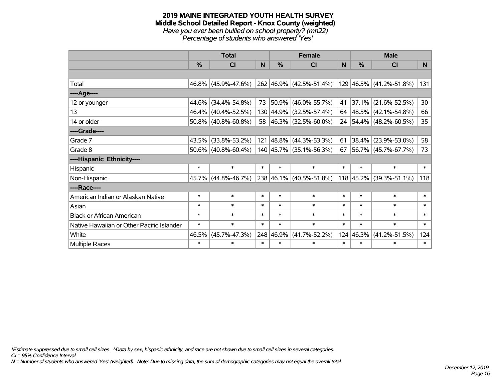#### **2019 MAINE INTEGRATED YOUTH HEALTH SURVEY Middle School Detailed Report - Knox County (weighted)** *Have you ever been bullied on school property? (mn22) Percentage of students who answered 'Yes'*

|                                           |          | <b>Total</b>           |        |            | <b>Female</b>               |          |        | <b>Male</b>               |                 |
|-------------------------------------------|----------|------------------------|--------|------------|-----------------------------|----------|--------|---------------------------|-----------------|
|                                           | %        | CI                     | N      | %          | <b>CI</b>                   | <b>N</b> | %      | <b>CI</b>                 | N               |
|                                           |          |                        |        |            |                             |          |        |                           |                 |
| Total                                     |          | 46.8% (45.9%-47.6%)    |        |            | 262 46.9% (42.5%-51.4%)     |          |        | 129 46.5% (41.2%-51.8%)   | 131             |
| ----Age----                               |          |                        |        |            |                             |          |        |                           |                 |
| 12 or younger                             | 44.6%    | $(34.4\% - 54.8\%)$    | 73     | $ 50.9\% $ | $(46.0\% - 55.7\%)$         | 41       |        | 37.1% (21.6%-52.5%)       | 30              |
| 13                                        | 46.4%    | $(40.4\% - 52.5\%)$    |        |            | 130 44.9% (32.5%-57.4%)     | 64       |        | 48.5% (42.1%-54.8%)       | 66              |
| 14 or older                               |          | $50.8\%$ (40.8%-60.8%) |        |            | 58 46.3% (32.5%-60.0%)      |          |        | 24 54.4% (48.2%-60.5%)    | 35 <sub>2</sub> |
| ----Grade----                             |          |                        |        |            |                             |          |        |                           |                 |
| Grade 7                                   | 43.5%    | $(33.8\% - 53.2\%)$    |        |            | 121 48.8% (44.3%-53.3%)     | 61       |        | 38.4% (23.9%-53.0%)       | 58              |
| Grade 8                                   |          | $50.6\%$ (40.8%-60.4%) |        |            | 140 45.7% (35.1%-56.3%)     | 67       |        | 56.7% (45.7%-67.7%)       | 73              |
| ----Hispanic Ethnicity----                |          |                        |        |            |                             |          |        |                           |                 |
| Hispanic                                  | $\ast$   | $\ast$                 | $\ast$ | $\ast$     | $\ast$                      | $\ast$   | $\ast$ | $\ast$                    | $\ast$          |
| Non-Hispanic                              | $45.7\%$ | $(44.8\% - 46.7\%)$    |        |            | $238 46.1\% $ (40.5%-51.8%) |          |        | $118$ 45.2% (39.3%-51.1%) | 118             |
| ----Race----                              |          |                        |        |            |                             |          |        |                           |                 |
| American Indian or Alaskan Native         | $\ast$   | $\ast$                 | $\ast$ | $\ast$     | $\ast$                      | $\ast$   | $\ast$ | $\ast$                    | $\ast$          |
| Asian                                     | $\ast$   | $\ast$                 | $\ast$ | $\ast$     | $\ast$                      | $\ast$   | $\ast$ | $\ast$                    | $\ast$          |
| <b>Black or African American</b>          | $\ast$   | $\ast$                 | $\ast$ | $\ast$     | $\ast$                      | $\ast$   | $\ast$ | $\ast$                    | $\ast$          |
| Native Hawaiian or Other Pacific Islander | $\ast$   | $\ast$                 | $\ast$ | $\ast$     | $\ast$                      | $\ast$   | $\ast$ | $\ast$                    | $\ast$          |
| White                                     | 46.5%    | $(45.7\% - 47.3\%)$    |        | 248 46.9%  | $(41.7\% - 52.2\%)$         | 124      | 46.3%  | $(41.2\% - 51.5\%)$       | 124             |
| <b>Multiple Races</b>                     | $\ast$   | $\ast$                 | $\ast$ | $\ast$     | $\ast$                      | $\ast$   | $\ast$ | $\ast$                    | $\ast$          |

*\*Estimate suppressed due to small cell sizes. ^Data by sex, hispanic ethnicity, and race are not shown due to small cell sizes in several categories.*

*CI = 95% Confidence Interval*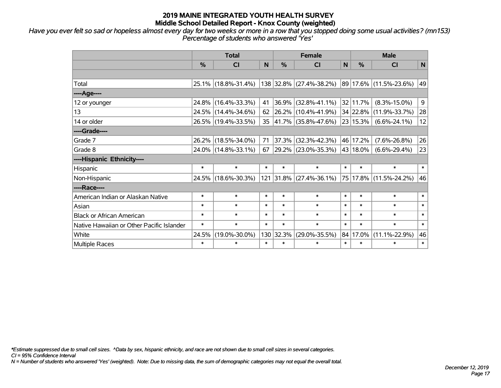*Have you ever felt so sad or hopeless almost every day for two weeks or more in a row that you stopped doing some usual activities? (mn153) Percentage of students who answered 'Yes'*

|                                           |               | <b>Total</b>        |        |          | <b>Female</b>            |              | <b>Male</b> |                        |        |  |  |
|-------------------------------------------|---------------|---------------------|--------|----------|--------------------------|--------------|-------------|------------------------|--------|--|--|
|                                           | $\frac{0}{0}$ | CI                  | N      | %        | <b>CI</b>                | $\mathsf{N}$ | %           | <b>CI</b>              | N      |  |  |
|                                           |               |                     |        |          |                          |              |             |                        |        |  |  |
| Total                                     |               | 25.1% (18.8%-31.4%) |        |          | 138 32.8% (27.4%-38.2%)  |              |             | 89 17.6% (11.5%-23.6%) | 49     |  |  |
| ----Age----                               |               |                     |        |          |                          |              |             |                        |        |  |  |
| 12 or younger                             |               | 24.8% (16.4%-33.3%) | 41     | $36.9\%$ | $(32.8\% - 41.1\%)$      |              | 32 11.7%    | $(8.3\% - 15.0\%)$     | 9      |  |  |
| 13                                        |               | 24.5% (14.4%-34.6%) | 62     |          | 26.2% (10.4%-41.9%)      |              |             | 34 22.8% (11.9%-33.7%) | 28     |  |  |
| 14 or older                               |               | 26.5% (19.4%-33.5%) | 35     |          | 41.7% (35.8%-47.6%)      |              | 23 15.3%    | $(6.6\% - 24.1\%)$     | 12     |  |  |
| ----Grade----                             |               |                     |        |          |                          |              |             |                        |        |  |  |
| Grade 7                                   | 26.2%         | $(18.5\% - 34.0\%)$ | 71     | 37.3%    | $(32.3\% - 42.3\%)$      |              | 46 17.2%    | $(7.6\% - 26.8\%)$     | 26     |  |  |
| Grade 8                                   |               | 24.0% (14.8%-33.1%) | 67     |          | 29.2% (23.0%-35.3%)      |              | 43 18.0%    | $(6.6\% - 29.4\%)$     | 23     |  |  |
| ----Hispanic Ethnicity----                |               |                     |        |          |                          |              |             |                        |        |  |  |
| Hispanic                                  | $\ast$        | $\ast$              | $\ast$ | $\ast$   | $\ast$                   | $\ast$       | $\ast$      | $\ast$                 | $\ast$ |  |  |
| Non-Hispanic                              |               | 24.5% (18.6%-30.3%) | 121    |          | $ 31.8\% $ (27.4%-36.1%) |              |             | 75 17.8% (11.5%-24.2%) | 46     |  |  |
| ----Race----                              |               |                     |        |          |                          |              |             |                        |        |  |  |
| American Indian or Alaskan Native         | $\ast$        | $\ast$              | $\ast$ | $\ast$   | $\ast$                   | $\ast$       | $\ast$      | $\ast$                 | $\ast$ |  |  |
| Asian                                     | $\ast$        | $\ast$              | $\ast$ | $\ast$   | $\ast$                   | $\ast$       | $\ast$      | $\ast$                 | $\ast$ |  |  |
| <b>Black or African American</b>          | $\ast$        | $\ast$              | $\ast$ | $\ast$   | $\ast$                   | $\ast$       | $\ast$      | $\ast$                 | $\ast$ |  |  |
| Native Hawaiian or Other Pacific Islander | $\ast$        | $\ast$              | $\ast$ | $\ast$   | $\ast$                   | $\ast$       | $\ast$      | $\ast$                 | $\ast$ |  |  |
| White                                     | 24.5%         | $(19.0\% - 30.0\%)$ | 130    | 32.3%    | $(29.0\% - 35.5\%)$      | 84           | 17.0%       | $(11.1\% - 22.9\%)$    | 46     |  |  |
| Multiple Races                            | $\ast$        | $\ast$              | $\ast$ | $\ast$   | $\ast$                   | $\ast$       | $\ast$      | $\ast$                 | $\ast$ |  |  |

*\*Estimate suppressed due to small cell sizes. ^Data by sex, hispanic ethnicity, and race are not shown due to small cell sizes in several categories.*

*CI = 95% Confidence Interval*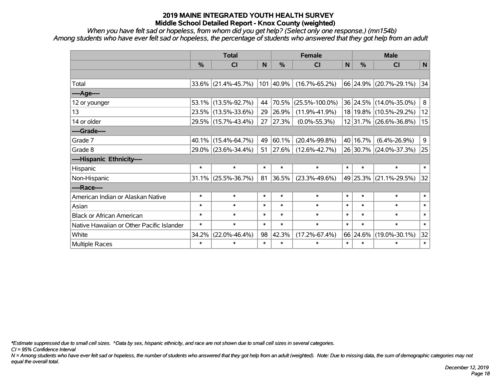*When you have felt sad or hopeless, from whom did you get help? (Select only one response.) (mn154b) Among students who have ever felt sad or hopeless, the percentage of students who answered that they got help from an adult*

|                                           |               | <b>Total</b>           | %<br>N<br>101 40.9%<br>44<br>29<br>27<br>49<br>51<br>$\ast$<br>$\ast$<br>81<br>$\ast$<br>$\ast$<br>$\ast$<br>$\ast$<br>$\ast$<br>$\ast$<br>$\ast$<br>$\ast$<br>98<br>$\ast$<br>$\ast$ |       | <b>Female</b>        | <b>Male</b> |          |                        |                |  |
|-------------------------------------------|---------------|------------------------|---------------------------------------------------------------------------------------------------------------------------------------------------------------------------------------|-------|----------------------|-------------|----------|------------------------|----------------|--|
|                                           | $\frac{0}{0}$ | <b>CI</b>              |                                                                                                                                                                                       |       | <b>CI</b>            | $\mathbf N$ | $\%$     | <b>CI</b>              | N              |  |
|                                           |               |                        |                                                                                                                                                                                       |       |                      |             |          |                        |                |  |
| Total                                     |               | $33.6\%$ (21.4%-45.7%) |                                                                                                                                                                                       |       | $(16.7\% - 65.2\%)$  |             |          | 66 24.9% (20.7%-29.1%) | 34             |  |
| ----Age----                               |               |                        |                                                                                                                                                                                       |       |                      |             |          |                        |                |  |
| 12 or younger                             |               | 53.1% (13.5%-92.7%)    |                                                                                                                                                                                       | 70.5% | $(25.5\% - 100.0\%)$ |             |          | 36 24.5% (14.0%-35.0%) | 8 <sup>1</sup> |  |
| 13                                        |               | 23.5% (13.5%-33.6%)    |                                                                                                                                                                                       | 26.9% | $(11.9\% - 41.9\%)$  |             |          | 18 19.8% (10.5%-29.2%) | 12             |  |
| 14 or older                               |               | 29.5% (15.7%-43.4%)    |                                                                                                                                                                                       | 27.3% | $(0.0\% - 55.3\%)$   |             |          | 12 31.7% (26.6%-36.8%) | 15             |  |
| ----Grade----                             |               |                        |                                                                                                                                                                                       |       |                      |             |          |                        |                |  |
| Grade 7                                   |               | 40.1% (15.4%-64.7%)    |                                                                                                                                                                                       | 60.1% | $(20.4\% - 99.8\%)$  |             | 40 16.7% | $(6.4\% - 26.9\%)$     | 9 <sup>°</sup> |  |
| Grade 8                                   |               | 29.0% (23.6%-34.4%)    |                                                                                                                                                                                       | 27.6% | $(12.6\% - 42.7\%)$  |             |          | 26 30.7% (24.0%-37.3%) | 25             |  |
| ----Hispanic Ethnicity----                |               |                        |                                                                                                                                                                                       |       |                      |             |          |                        |                |  |
| Hispanic                                  | $\ast$        | $\ast$                 |                                                                                                                                                                                       |       | $\ast$               | $\ast$      | $\ast$   | $\ast$                 | $*1$           |  |
| Non-Hispanic                              |               | $31.1\%$ (25.5%-36.7%) |                                                                                                                                                                                       | 36.5% | $(23.3\% - 49.6\%)$  |             | 49 25.3% | $(21.1\% - 29.5\%)$    | 32             |  |
| ----Race----                              |               |                        |                                                                                                                                                                                       |       |                      |             |          |                        |                |  |
| American Indian or Alaskan Native         | $\ast$        | $\ast$                 |                                                                                                                                                                                       |       | $\ast$               | $\ast$      | $\ast$   | $\ast$                 | $\ast$         |  |
| Asian                                     | $\ast$        | $\ast$                 |                                                                                                                                                                                       |       | $\ast$               | $\ast$      | $\ast$   | $\ast$                 | $\ast$         |  |
| <b>Black or African American</b>          | $\ast$        | $\ast$                 |                                                                                                                                                                                       |       | $\ast$               | $\ast$      | $\ast$   | $\ast$                 | $\ast$         |  |
| Native Hawaiian or Other Pacific Islander | $\ast$        | $\ast$                 |                                                                                                                                                                                       |       | $\ast$               | $\ast$      | $\ast$   | $\ast$                 | $\ast$         |  |
| White                                     | 34.2%         | $(22.0\% - 46.4\%)$    |                                                                                                                                                                                       | 42.3% | $(17.2\% - 67.4\%)$  |             | 66 24.6% | $(19.0\% - 30.1\%)$    | 32             |  |
| Multiple Races                            | $\ast$        | $\ast$                 |                                                                                                                                                                                       |       | $\ast$               | $\ast$      | $\ast$   | $\ast$                 | $\ast$         |  |

*\*Estimate suppressed due to small cell sizes. ^Data by sex, hispanic ethnicity, and race are not shown due to small cell sizes in several categories.*

*CI = 95% Confidence Interval*

*N = Among students who have ever felt sad or hopeless, the number of students who answered that they got help from an adult (weighted). Note: Due to missing data, the sum of demographic categories may not equal the overall total.*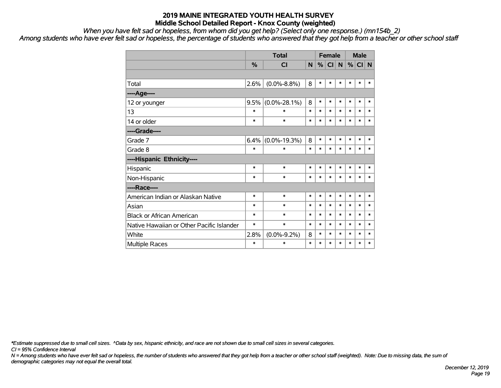*When you have felt sad or hopeless, from whom did you get help? (Select only one response.) (mn154b\_2)*

*Among students who have ever felt sad or hopeless, the percentage of students who answered that they got help from a teacher or other school staff*

|                                           |        | <b>Total</b>       |        | <b>Female</b> |        |        | <b>Male</b> |        |        |
|-------------------------------------------|--------|--------------------|--------|---------------|--------|--------|-------------|--------|--------|
|                                           | %      | <b>CI</b>          | N      | %             | CI N   |        | %           | $CI$ N |        |
|                                           |        |                    |        |               |        |        |             |        |        |
| Total                                     | 2.6%   | $(0.0\% - 8.8\%)$  | 8      | $\ast$        | $\ast$ | $\ast$ | $\ast$      | *      | $\ast$ |
| ----Age----                               |        |                    |        |               |        |        |             |        |        |
| 12 or younger                             | 9.5%   | $(0.0\% - 28.1\%)$ | 8      | $\ast$        | $\ast$ | $\ast$ | $\ast$      | $\ast$ | $\ast$ |
| 13                                        | $\ast$ | $\ast$             | $\ast$ | $\ast$        | $\ast$ | $\ast$ | $\ast$      | $\ast$ | $\ast$ |
| 14 or older                               | *      | $\ast$             | $\ast$ | $\ast$        | $\ast$ | $\ast$ | $\ast$      | $\ast$ | $\ast$ |
| ----Grade----                             |        |                    |        |               |        |        |             |        |        |
| Grade 7                                   | 6.4%   | $(0.0\% - 19.3\%)$ | 8      | $\ast$        | $\ast$ | $\ast$ | $\ast$      | $\ast$ | $\ast$ |
| Grade 8                                   | $\ast$ | $\ast$             | $\ast$ | $\ast$        | $\ast$ | $\ast$ | $\ast$      | $\ast$ | $\ast$ |
| ----Hispanic Ethnicity----                |        |                    |        |               |        |        |             |        |        |
| Hispanic                                  | $\ast$ | *                  | $\ast$ | $\ast$        | $\ast$ | $\ast$ | $\ast$      | $\ast$ | $\ast$ |
| Non-Hispanic                              | $\ast$ | $\ast$             | $\ast$ | $\ast$        | $\ast$ | $\ast$ | $\ast$      | $\ast$ | $\ast$ |
| ----Race----                              |        |                    |        |               |        |        |             |        |        |
| American Indian or Alaskan Native         | $\ast$ | $\ast$             | $\ast$ | $\ast$        | $\ast$ | $\ast$ | $\ast$      | $\ast$ | $\ast$ |
| Asian                                     | $\ast$ | $\ast$             | $\ast$ | $\ast$        | $\ast$ | $\ast$ | $\ast$      | $\ast$ | $\ast$ |
| <b>Black or African American</b>          | $\ast$ | *                  | $\ast$ | $\ast$        | $\ast$ | $\ast$ | $\ast$      | $\ast$ | $\ast$ |
| Native Hawaiian or Other Pacific Islander | $\ast$ | $\ast$             | $\ast$ | $\ast$        | $\ast$ | $\ast$ | $\ast$      | $\ast$ | $\ast$ |
| White                                     | 2.8%   | $(0.0\% - 9.2\%)$  | 8      | $\ast$        | $\ast$ | $\ast$ | $\ast$      | $\ast$ | $\ast$ |
| <b>Multiple Races</b>                     | $\ast$ | $\ast$             | $\ast$ | $\ast$        | $\ast$ | $\ast$ | $\ast$      | $\ast$ | $\ast$ |

*\*Estimate suppressed due to small cell sizes. ^Data by sex, hispanic ethnicity, and race are not shown due to small cell sizes in several categories.*

*CI = 95% Confidence Interval*

*N = Among students who have ever felt sad or hopeless, the number of students who answered that they got help from a teacher or other school staff (weighted). Note: Due to missing data, the sum of demographic categories may not equal the overall total.*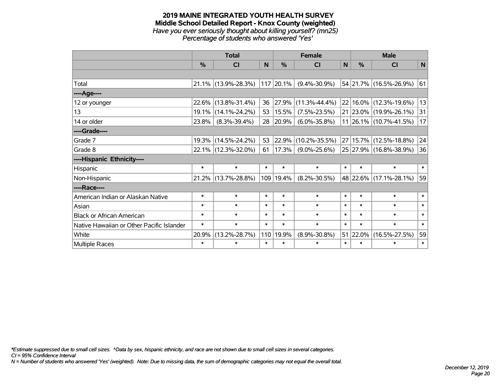#### **2019 MAINE INTEGRATED YOUTH HEALTH SURVEY Middle School Detailed Report - Knox County (weighted)** *Have you ever seriously thought about killing yourself? (mn25) Percentage of students who answered 'Yes'*

|                                           |        | <b>Total</b>           |        |               | <b>Female</b>       |        |        | <b>Male</b>            |              |
|-------------------------------------------|--------|------------------------|--------|---------------|---------------------|--------|--------|------------------------|--------------|
|                                           | $\%$   | <b>CI</b>              | N      | $\frac{0}{0}$ | <b>CI</b>           | N      | $\%$   | <b>CI</b>              | $\mathsf{N}$ |
|                                           |        |                        |        |               |                     |        |        |                        |              |
| Total                                     |        | $21.1\%$ (13.9%-28.3%) |        | $117$ 20.1%   | $(9.4\% - 30.9\%)$  |        |        | 54 21.7% (16.5%-26.9%) | 61           |
| ----Age----                               |        |                        |        |               |                     |        |        |                        |              |
| 12 or younger                             | 22.6%  | $(13.8\% - 31.4\%)$    | 36     | 27.9%         | $(11.3\% - 44.4\%)$ |        |        | 22 16.0% (12.3%-19.6%) | 13           |
| 13                                        | 19.1%  | $(14.1\% - 24.2\%)$    | 53     | 15.5%         | $(7.5\% - 23.5\%)$  |        |        | 21 23.0% (19.9%-26.1%) | 31           |
| 14 or older                               | 23.8%  | $(8.3\% - 39.4\%)$     | 28     | $ 20.9\% $    | $(6.0\% - 35.8\%)$  |        |        | 11 26.1% (10.7%-41.5%) | 17           |
| ----Grade----                             |        |                        |        |               |                     |        |        |                        |              |
| Grade 7                                   |        | 19.3% (14.5%-24.2%)    | 53     | 22.9%         | $(10.2\% - 35.5\%)$ |        |        | 27 15.7% (12.5%-18.8%) | 24           |
| Grade 8                                   |        | 22.1% (12.3%-32.0%)    | 61     | $ 17.3\% $    | $(9.0\% - 25.6\%)$  |        |        | 25 27.9% (16.8%-38.9%) | 36           |
| ----Hispanic Ethnicity----                |        |                        |        |               |                     |        |        |                        |              |
| Hispanic                                  | $\ast$ | $\ast$                 | $\ast$ | $\ast$        | $\ast$              | $\ast$ | $\ast$ | $\ast$                 | $\ast$       |
| Non-Hispanic                              |        | $21.2\%$ (13.7%-28.8%) |        | 109 19.4%     | $(8.2\% - 30.5\%)$  |        |        | 48 22.6% (17.1%-28.1%) | 59           |
| ----Race----                              |        |                        |        |               |                     |        |        |                        |              |
| American Indian or Alaskan Native         | $\ast$ | $\ast$                 | $\ast$ | $\ast$        | $\ast$              | $\ast$ | $\ast$ | $\ast$                 | $\ast$       |
| Asian                                     | $\ast$ | $\ast$                 | $\ast$ | $\ast$        | $\ast$              | $\ast$ | $\ast$ | $\ast$                 | $\ast$       |
| <b>Black or African American</b>          | $\ast$ | $\ast$                 | $\ast$ | $\ast$        | $\ast$              | $\ast$ | $\ast$ | $\ast$                 | $\ast$       |
| Native Hawaiian or Other Pacific Islander | $\ast$ | $\ast$                 | $\ast$ | $\ast$        | $\ast$              | $\ast$ | $\ast$ | $\ast$                 | $\ast$       |
| White                                     | 20.9%  | $(13.2\% - 28.7\%)$    | 110    | 19.9%         | $(8.9\% - 30.8\%)$  | 51     |        | 22.0% (16.5%-27.5%)    | 59           |
| Multiple Races                            | $\ast$ | $\ast$                 | $\ast$ | $\ast$        | $\ast$              | $\ast$ | $\ast$ | $\ast$                 | $\ast$       |

*\*Estimate suppressed due to small cell sizes. ^Data by sex, hispanic ethnicity, and race are not shown due to small cell sizes in several categories.*

*CI = 95% Confidence Interval*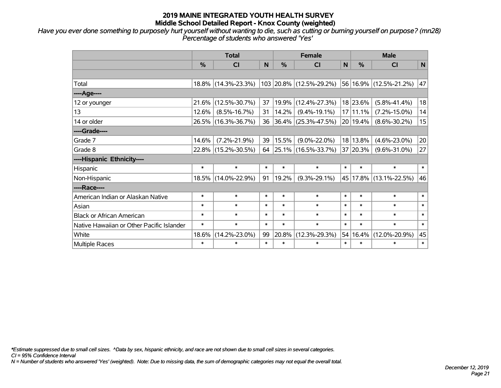*Have you ever done something to purposely hurt yourself without wanting to die, such as cutting or burning yourself on purpose? (mn28) Percentage of students who answered 'Yes'*

|                                           |               | <b>Total</b>        |        |               | <b>Female</b>            |             |               | <b>Male</b>            |              |  |        |        |        |
|-------------------------------------------|---------------|---------------------|--------|---------------|--------------------------|-------------|---------------|------------------------|--------------|--|--------|--------|--------|
|                                           | $\frac{0}{0}$ | CI                  | N      | $\frac{0}{0}$ | CI                       | $\mathbf N$ | $\frac{0}{0}$ | <b>CI</b>              | $\mathsf{N}$ |  |        |        |        |
|                                           |               |                     |        |               |                          |             |               |                        |              |  |        |        |        |
| Total                                     |               | 18.8% (14.3%-23.3%) |        |               | 103 20.8% (12.5%-29.2%)  |             |               | 56 16.9% (12.5%-21.2%) | 47           |  |        |        |        |
| ----Age----                               |               |                     |        |               |                          |             |               |                        |              |  |        |        |        |
| 12 or younger                             | 21.6%         | $(12.5\% - 30.7\%)$ | 37     |               | 19.9% (12.4%-27.3%)      |             | 18 23.6%      | $(5.8\% - 41.4\%)$     | 18           |  |        |        |        |
| 13                                        | 12.6%         | $(8.5\% - 16.7\%)$  | 31     | 14.2%         | $(9.4\% - 19.1\%)$       |             | 17 11.1%      | $(7.2\% - 15.0\%)$     | 14           |  |        |        |        |
| 14 or older                               |               | 26.5% (16.3%-36.7%) | 36     |               | $ 36.4\% $ (25.3%-47.5%) |             | 20 19.4%      | $(8.6\% - 30.2\%)$     | 15           |  |        |        |        |
| ----Grade----                             |               |                     |        |               |                          |             |               |                        |              |  |        |        |        |
| Grade 7                                   | 14.6%         | $(7.2\% - 21.9\%)$  | 39     | 15.5%         | $(9.0\% - 22.0\%)$       |             | 18 13.8%      | $(4.6\% - 23.0\%)$     | 20           |  |        |        |        |
| Grade 8                                   |               | 22.8% (15.2%-30.5%) | 64     |               | $ 25.1\% $ (16.5%-33.7%) |             | 37 20.3%      | $(9.6\% - 31.0\%)$     | 27           |  |        |        |        |
| ----Hispanic Ethnicity----                |               |                     |        |               |                          |             |               |                        |              |  |        |        |        |
| Hispanic                                  | $\ast$        | $\ast$              | $\ast$ | $\ast$        | $\ast$                   | $\ast$      | $\ast$        | $\ast$                 | $\ast$       |  |        |        |        |
| Non-Hispanic                              |               | 18.5% (14.0%-22.9%) | 91     | 19.2%         | $(9.3\% - 29.1\%)$       |             |               | 45 17.8% (13.1%-22.5%) | 46           |  |        |        |        |
| ----Race----                              |               |                     |        |               |                          |             |               |                        |              |  |        |        |        |
| American Indian or Alaskan Native         | $\ast$        | $\ast$              | $\ast$ | $\ast$        | $\ast$                   | $\ast$      | $\ast$        | $\ast$                 | $\ast$       |  |        |        |        |
| Asian                                     | $\ast$        | $\ast$              | $\ast$ | $\ast$        | $\ast$                   |             |               |                        |              |  | $\ast$ | $\ast$ | $\ast$ |
| <b>Black or African American</b>          | $\ast$        | $\ast$              | $\ast$ | $\ast$        | $\ast$                   | $\ast$      | $\ast$        | $\ast$                 | $\ast$       |  |        |        |        |
| Native Hawaiian or Other Pacific Islander | $\ast$        | $\ast$              | $\ast$ | $\ast$        | $\ast$                   | $\ast$      | $\ast$        | $\ast$                 | $\ast$       |  |        |        |        |
| White                                     | 18.6%         | $(14.2\% - 23.0\%)$ | 99     | 20.8%         | $(12.3\% - 29.3\%)$      | 54          | 16.4%         | $(12.0\% - 20.9\%)$    | 45           |  |        |        |        |
| Multiple Races                            | $\ast$        | $\ast$              | $\ast$ | $\ast$        | $\ast$                   | $\ast$      | $\ast$        | $\ast$                 | $\ast$       |  |        |        |        |

*\*Estimate suppressed due to small cell sizes. ^Data by sex, hispanic ethnicity, and race are not shown due to small cell sizes in several categories.*

*CI = 95% Confidence Interval*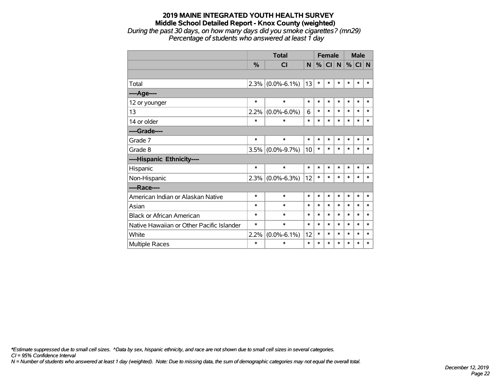*During the past 30 days, on how many days did you smoke cigarettes? (mn29) Percentage of students who answered at least 1 day*

|                                           |               | <b>Total</b>      |        |        | <b>Female</b> |          |        | <b>Male</b> |        |
|-------------------------------------------|---------------|-------------------|--------|--------|---------------|----------|--------|-------------|--------|
|                                           | $\frac{0}{0}$ | <b>CI</b>         | N      | %      | CI            | <b>N</b> | %      | CI N        |        |
|                                           |               |                   |        |        |               |          |        |             |        |
| Total                                     | 2.3%          | $(0.0\% - 6.1\%)$ | 13     | $\ast$ | $\ast$        | *        | *      | $\ast$      | $\ast$ |
| ----Age----                               |               |                   |        |        |               |          |        |             |        |
| 12 or younger                             | *             | $\ast$            | $\ast$ | $\ast$ | $\ast$        | $\ast$   | $\ast$ | $\ast$      | $\ast$ |
| 13                                        | 2.2%          | $(0.0\% - 6.0\%)$ | 6      | $\ast$ | $\ast$        | $\ast$   | $\ast$ | $\ast$      | $\ast$ |
| 14 or older                               | $\ast$        | $\ast$            | $\ast$ | $\ast$ | $\ast$        | $\ast$   | $\ast$ | *           | $\ast$ |
| ----Grade----                             |               |                   |        |        |               |          |        |             |        |
| Grade 7                                   | $\ast$        | $\ast$            | $\ast$ | $\ast$ | $\ast$        | $\ast$   | $\ast$ | $\ast$      | $\ast$ |
| Grade 8                                   | 3.5%          | $(0.0\% - 9.7\%)$ | 10     | $\ast$ | $\ast$        | $\ast$   | *      | $\ast$      | $\ast$ |
| ----Hispanic Ethnicity----                |               |                   |        |        |               |          |        |             |        |
| Hispanic                                  | $\ast$        | $\ast$            | $\ast$ | $\ast$ | *             | $\ast$   | *      | *           | *      |
| Non-Hispanic                              | 2.3%          | $(0.0\% - 6.3\%)$ | 12     | $\ast$ | $\ast$        | $\ast$   | $\ast$ | $\ast$      | $\ast$ |
| ----Race----                              |               |                   |        |        |               |          |        |             |        |
| American Indian or Alaskan Native         | $\ast$        | $\ast$            | $\ast$ | $\ast$ | $\ast$        | *        | $\ast$ | $\ast$      | $\ast$ |
| Asian                                     | *             | $\ast$            | $\ast$ | $\ast$ | $\ast$        | $\ast$   | $\ast$ | $\ast$      | $\ast$ |
| <b>Black or African American</b>          | *             | $\ast$            | $\ast$ | $\ast$ | $\ast$        | $\ast$   | $\ast$ | $\ast$      | $\ast$ |
| Native Hawaiian or Other Pacific Islander | *             | $\ast$            | $\ast$ | $\ast$ | $\ast$        | *        | $\ast$ | $\ast$      | *      |
| White                                     | 2.2%          | $(0.0\% - 6.1\%)$ | 12     | $\ast$ | *             | *        | $\ast$ | $\ast$      | $\ast$ |
| <b>Multiple Races</b>                     | *             | $\ast$            | $\ast$ | $\ast$ | $\ast$        | $\ast$   | $\ast$ | $\ast$      | $\ast$ |

*\*Estimate suppressed due to small cell sizes. ^Data by sex, hispanic ethnicity, and race are not shown due to small cell sizes in several categories.*

*CI = 95% Confidence Interval*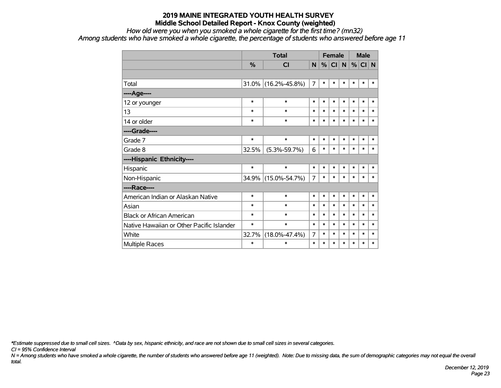#### *How old were you when you smoked a whole cigarette for the first time? (mn32)*

*Among students who have smoked a whole cigarette, the percentage of students who answered before age 11*

|                                           |               |                     | <b>Female</b>  |        |        |        | <b>Male</b> |        |        |
|-------------------------------------------|---------------|---------------------|----------------|--------|--------|--------|-------------|--------|--------|
|                                           | $\frac{0}{0}$ | <b>CI</b>           | N              | %      | CI     | N      | %           | CI N   |        |
|                                           |               |                     |                |        |        |        |             |        |        |
| Total                                     | $31.0\%$      | $(16.2\% - 45.8\%)$ | $\overline{7}$ | $\ast$ | $\ast$ | *      | $\ast$      | $\ast$ | $\ast$ |
| ----Age----                               |               |                     |                |        |        |        |             |        |        |
| 12 or younger                             | $\ast$        | $\ast$              | $\ast$         | $\ast$ | $\ast$ | $\ast$ | $\ast$      | $\ast$ | $\ast$ |
| 13                                        | $\ast$        | $\ast$              | $\ast$         | $\ast$ | $\ast$ | *      | $\ast$      | $\ast$ | $\ast$ |
| 14 or older                               | $\ast$        | $\ast$              | $\ast$         | $\ast$ | $\ast$ | *      | $\ast$      | $\ast$ | $\ast$ |
| ----Grade----                             |               |                     |                |        |        |        |             |        |        |
| Grade 7                                   | $\ast$        | $\ast$              | $\ast$         | $\ast$ | $\ast$ | $\ast$ | $\ast$      | $\ast$ | $\ast$ |
| Grade 8                                   | 32.5%         | $(5.3\% - 59.7\%)$  | 6              | $\ast$ | $\ast$ | *      | $\ast$      | $\ast$ | $\ast$ |
| ----Hispanic Ethnicity----                |               |                     |                |        |        |        |             |        |        |
| Hispanic                                  | $\ast$        | $\ast$              | $\ast$         | $\ast$ | $\ast$ | $\ast$ | $\ast$      | $\ast$ | $\ast$ |
| Non-Hispanic                              | 34.9%         | $(15.0\% - 54.7\%)$ | $\overline{7}$ | $\ast$ | $\ast$ | $\ast$ | $\ast$      | $\ast$ | $\ast$ |
| ----Race----                              |               |                     |                |        |        |        |             |        |        |
| American Indian or Alaskan Native         | $\ast$        | $\ast$              | $\ast$         | $\ast$ | $\ast$ | *      | $\ast$      | $\ast$ | $\ast$ |
| Asian                                     | $\ast$        | $\ast$              | $\ast$         | $\ast$ | $\ast$ | $\ast$ | $\ast$      | $\ast$ | $\ast$ |
| <b>Black or African American</b>          | $\ast$        | $\ast$              | $\ast$         | $\ast$ | $\ast$ | $\ast$ | $\ast$      | $\ast$ | $\ast$ |
| Native Hawaiian or Other Pacific Islander | $\ast$        | $\ast$              | $\ast$         | $\ast$ | $\ast$ | $\ast$ | $\ast$      | $\ast$ | $\ast$ |
| White                                     | 32.7%         | $(18.0\% - 47.4\%)$ | $\overline{7}$ | $\ast$ | $\ast$ | *      | $\ast$      | $\ast$ | $\ast$ |
| Multiple Races                            | $\ast$        | $\ast$              | $\ast$         | $\ast$ | $\ast$ | $\ast$ | $\ast$      | $\ast$ | $\ast$ |

*\*Estimate suppressed due to small cell sizes. ^Data by sex, hispanic ethnicity, and race are not shown due to small cell sizes in several categories.*

*CI = 95% Confidence Interval*

*N = Among students who have smoked a whole cigarette, the number of students who answered before age 11 (weighted). Note: Due to missing data, the sum of demographic categories may not equal the overall total.*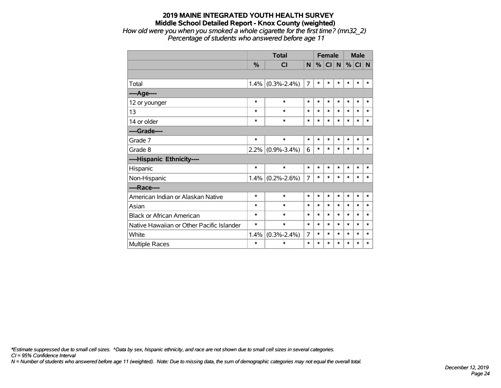*How old were you when you smoked a whole cigarette for the first time? (mn32\_2) Percentage of students who answered before age 11*

|                                           |               | <b>Total</b>      |        | <b>Female</b> |        |              | <b>Male</b> |        |        |
|-------------------------------------------|---------------|-------------------|--------|---------------|--------|--------------|-------------|--------|--------|
|                                           | $\frac{0}{0}$ | <b>CI</b>         | N      | %             | CI     | $\mathsf{N}$ | $\%$        | CI N   |        |
|                                           |               |                   |        |               |        |              |             |        |        |
| Total                                     | $1.4\%$       | $(0.3\% - 2.4\%)$ | 7      | $\ast$        | $\ast$ | *            | *           | $\ast$ | $\ast$ |
| ----Age----                               |               |                   |        |               |        |              |             |        |        |
| 12 or younger                             | $\ast$        | $\ast$            | $\ast$ | $\ast$        | $\ast$ | $\ast$       | *           | $\ast$ | $\ast$ |
| 13                                        | $\ast$        | $\ast$            | $\ast$ | $\ast$        | *      | $\ast$       | *           | $\ast$ | $\ast$ |
| 14 or older                               | $\ast$        | $\ast$            | $\ast$ | $\ast$        | *      | $\ast$       | *           | $\ast$ | $\ast$ |
| ----Grade----                             |               |                   |        |               |        |              |             |        |        |
| Grade 7                                   | $\ast$        | $\ast$            | $\ast$ | $\ast$        | $\ast$ | $\ast$       | $\ast$      | $\ast$ | $\ast$ |
| Grade 8                                   | 2.2%          | $(0.9\% - 3.4\%)$ | 6      | $\ast$        | $\ast$ | $\ast$       | *           | $\ast$ | $\ast$ |
| ----Hispanic Ethnicity----                |               |                   |        |               |        |              |             |        |        |
| Hispanic                                  | $\ast$        | $\ast$            | $\ast$ | $\ast$        | $\ast$ | *            | *           | *      | *      |
| Non-Hispanic                              | $1.4\%$       | $(0.2\% - 2.6\%)$ | 7      | $\ast$        | $\ast$ | $\ast$       | *           | *      | $\ast$ |
| ----Race----                              |               |                   |        |               |        |              |             |        |        |
| American Indian or Alaskan Native         | $\ast$        | $\ast$            | $\ast$ | $\ast$        | $\ast$ | $\ast$       | *           | $\ast$ | $\ast$ |
| Asian                                     | $\ast$        | $\ast$            | $\ast$ | $\ast$        | $\ast$ | $\ast$       | *           | *      | $\ast$ |
| <b>Black or African American</b>          | $\ast$        | $\ast$            | $\ast$ | $\ast$        | $\ast$ | $\ast$       | *           | $\ast$ | $\ast$ |
| Native Hawaiian or Other Pacific Islander | $\ast$        | $\ast$            | $\ast$ | $\ast$        | $\ast$ | $\ast$       | $\ast$      | *      | $\ast$ |
| White                                     | 1.4%          | $(0.3\% - 2.4\%)$ | 7      | $\ast$        | *      | $\ast$       | $\ast$      | $\ast$ | $\ast$ |
| Multiple Races                            | $\ast$        | $\ast$            | $\ast$ | $\ast$        | $\ast$ | $\ast$       | $\ast$      | $\ast$ | $\ast$ |

*\*Estimate suppressed due to small cell sizes. ^Data by sex, hispanic ethnicity, and race are not shown due to small cell sizes in several categories.*

*CI = 95% Confidence Interval*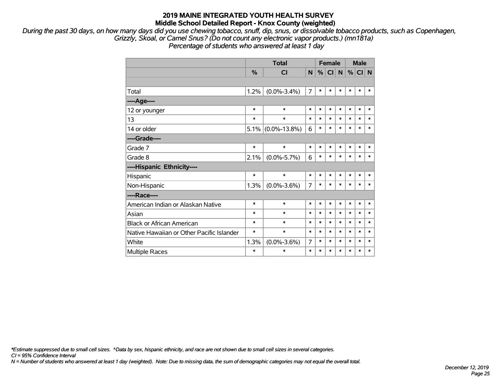*During the past 30 days, on how many days did you use chewing tobacco, snuff, dip, snus, or dissolvable tobacco products, such as Copenhagen, Grizzly, Skoal, or Camel Snus? (Do not count any electronic vapor products.) (mn181a) Percentage of students who answered at least 1 day*

|                                           |        | <b>Total</b>            |                |        | <b>Female</b> |        | <b>Male</b> |        |        |
|-------------------------------------------|--------|-------------------------|----------------|--------|---------------|--------|-------------|--------|--------|
|                                           | %      | $\overline{\mathsf{C}}$ | N              | $\%$   | CI            | N      | %           | CI N   |        |
|                                           |        |                         |                |        |               |        |             |        |        |
| Total                                     | 1.2%   | $(0.0\% - 3.4\%)$       | $\overline{7}$ | $\ast$ | $\ast$        | $\ast$ | $\ast$      | $\ast$ | $\ast$ |
| ---- Age----                              |        |                         |                |        |               |        |             |        |        |
| 12 or younger                             | $\ast$ | $\ast$                  | $\ast$         | $\ast$ | $\ast$        | $\ast$ | $\ast$      | $\ast$ | $\ast$ |
| 13                                        | $\ast$ | $\ast$                  | $\ast$         | $\ast$ | $\ast$        | $\ast$ | $\ast$      | $\ast$ | $\ast$ |
| 14 or older                               |        | $5.1\%$ (0.0%-13.8%)    | 6              | $\ast$ | $\ast$        | $\ast$ | $\ast$      | $\ast$ | $\ast$ |
| ----Grade----                             |        |                         |                |        |               |        |             |        |        |
| Grade 7                                   | $\ast$ | $\ast$                  | *              | $\ast$ | $\ast$        | $\ast$ | $\ast$      | $\ast$ | ∗      |
| Grade 8                                   | 2.1%   | $(0.0\% - 5.7\%)$       | 6              | $\ast$ | $\ast$        | $\ast$ | $\ast$      | $\ast$ | $\ast$ |
| ----Hispanic Ethnicity----                |        |                         |                |        |               |        |             |        |        |
| Hispanic                                  | $\ast$ | $\ast$                  | $\ast$         | $\ast$ | $\ast$        | $\ast$ | $\ast$      | $\ast$ | $\ast$ |
| Non-Hispanic                              | 1.3%   | $(0.0\% - 3.6\%)$       | $\overline{7}$ | *      | $\ast$        | $\ast$ | $\ast$      | $\ast$ | $\ast$ |
| ----Race----                              |        |                         |                |        |               |        |             |        |        |
| American Indian or Alaskan Native         | $\ast$ | $\ast$                  | *              | $\ast$ | $\ast$        | $\ast$ | $\ast$      | $\ast$ | ∗      |
| Asian                                     | $\ast$ | $\ast$                  | $\ast$         | $\ast$ | $\ast$        | $\ast$ | $\ast$      | $\ast$ | $\ast$ |
| <b>Black or African American</b>          | $\ast$ | $\ast$                  | $\ast$         | $\ast$ | $\ast$        | $\ast$ | $\ast$      | $\ast$ | $\ast$ |
| Native Hawaiian or Other Pacific Islander | $\ast$ | $\ast$                  | $\ast$         | *      | $\ast$        | $\ast$ | $\ast$      | $\ast$ | $\ast$ |
| White                                     | 1.3%   | $(0.0\% - 3.6\%)$       | 7              | $\ast$ | $\ast$        | $\ast$ | $\ast$      | $\ast$ | $\ast$ |
| <b>Multiple Races</b>                     | $\ast$ | *                       | $\ast$         | $\ast$ | $\ast$        | $\ast$ | $\ast$      | $\ast$ | $\ast$ |

*\*Estimate suppressed due to small cell sizes. ^Data by sex, hispanic ethnicity, and race are not shown due to small cell sizes in several categories.*

*CI = 95% Confidence Interval*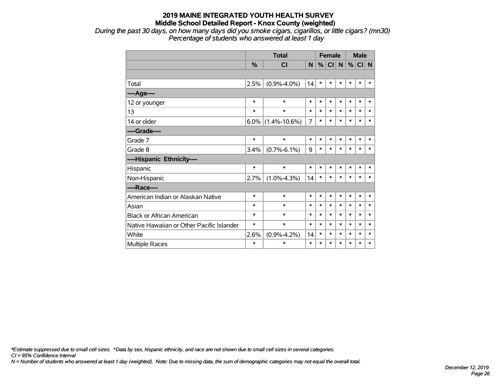*During the past 30 days, on how many days did you smoke cigars, cigarillos, or little cigars? (mn30) Percentage of students who answered at least 1 day*

|                                           |        | <b>Total</b>       |        | <b>Female</b> |                 |             | <b>Male</b> |        |        |
|-------------------------------------------|--------|--------------------|--------|---------------|-----------------|-------------|-------------|--------|--------|
|                                           | %      | <b>CI</b>          | N      | %             | Cl <sub>1</sub> | $\mathbf N$ | $\%$        | CI N   |        |
|                                           |        |                    |        |               |                 |             |             |        |        |
| Total                                     | 2.5%   | $(0.9% -4.0%)$     | 14     | $\ast$        | $\ast$          | $\ast$      | *           | $\ast$ | *      |
| ----Age----                               |        |                    |        |               |                 |             |             |        |        |
| 12 or younger                             | $\ast$ | $\ast$             | $\ast$ | $\ast$        | $\ast$          | $\ast$      | $\ast$      | $\ast$ | $\ast$ |
| 13                                        | $\ast$ | $\ast$             | $\ast$ | $\ast$        | $\ast$          | $\ast$      | $\ast$      | $\ast$ | $\ast$ |
| 14 or older                               | 6.0%   | $(1.4\% - 10.6\%)$ | 7      | $\ast$        | $\ast$          | $\ast$      | $\ast$      | $\ast$ | $\ast$ |
| ----Grade----                             |        |                    |        |               |                 |             |             |        |        |
| Grade 7                                   | $\ast$ | $\ast$             | $\ast$ | $\ast$        | $\ast$          | $\ast$      | $\ast$      | $\ast$ | $\ast$ |
| Grade 8                                   | 3.4%   | $(0.7\% - 6.1\%)$  | 9      | $\ast$        | $\ast$          | $\ast$      | $\ast$      | $\ast$ | $\ast$ |
| ----Hispanic Ethnicity----                |        |                    |        |               |                 |             |             |        |        |
| Hispanic                                  | $\ast$ | $\ast$             | $\ast$ | $\ast$        | $\ast$          | $\ast$      | *           | $\ast$ | *      |
| Non-Hispanic                              | 2.7%   | $(1.0\% - 4.3\%)$  | 14     | $\ast$        | $\ast$          | $\ast$      | $\ast$      | $\ast$ | $\ast$ |
| ----Race----                              |        |                    |        |               |                 |             |             |        |        |
| American Indian or Alaskan Native         | $\ast$ | $\ast$             | $\ast$ | $\ast$        | $\ast$          | $\ast$      | $\ast$      | $\ast$ | $\ast$ |
| Asian                                     | $\ast$ | $\ast$             | $\ast$ | $\ast$        | $\ast$          | $\ast$      | $\ast$      | $\ast$ | *      |
| <b>Black or African American</b>          | $\ast$ | $\ast$             | $\ast$ | $\ast$        | $\ast$          | $\ast$      | $\ast$      | $\ast$ | $\ast$ |
| Native Hawaiian or Other Pacific Islander | $\ast$ | $\ast$             | $\ast$ | $\ast$        | $\ast$          | $\ast$      | $\ast$      | $\ast$ | *      |
| White                                     | 2.6%   | $(0.9\% - 4.2\%)$  | 14     | $\ast$        | $\ast$          | $\ast$      | $\ast$      | $\ast$ | $\ast$ |
| <b>Multiple Races</b>                     | *      | $\ast$             | $\ast$ | $\ast$        | $\ast$          | $\ast$      | $\ast$      | $\ast$ | *      |

*\*Estimate suppressed due to small cell sizes. ^Data by sex, hispanic ethnicity, and race are not shown due to small cell sizes in several categories.*

*CI = 95% Confidence Interval*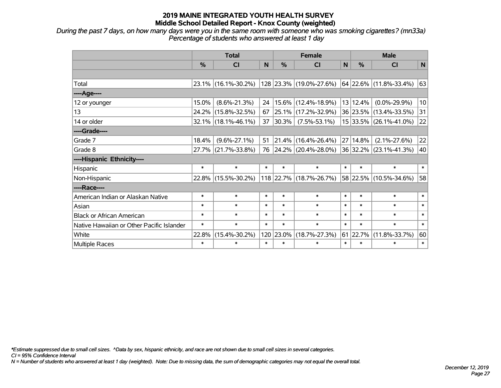*During the past 7 days, on how many days were you in the same room with someone who was smoking cigarettes? (mn33a) Percentage of students who answered at least 1 day*

|                                           | <b>Total</b>  |                        |        |               | <b>Female</b>            |              | <b>Male</b>   |                          |        |  |
|-------------------------------------------|---------------|------------------------|--------|---------------|--------------------------|--------------|---------------|--------------------------|--------|--|
|                                           | $\frac{0}{0}$ | <b>CI</b>              | N      | $\frac{0}{0}$ | <b>CI</b>                | $\mathsf{N}$ | $\frac{0}{0}$ | <b>CI</b>                | N      |  |
|                                           |               |                        |        |               |                          |              |               |                          |        |  |
| Total                                     |               | $23.1\%$ (16.1%-30.2%) |        |               | 128 23.3% (19.0%-27.6%)  |              |               | $64$ 22.6% (11.8%-33.4%) | 63     |  |
| ----Age----                               |               |                        |        |               |                          |              |               |                          |        |  |
| 12 or younger                             | 15.0%         | $(8.6\% - 21.3\%)$     | 24     |               | 15.6% (12.4%-18.9%)      |              | 13 12.4%      | $(0.0\% - 29.9\%)$       | 10     |  |
| 13                                        |               | 24.2% (15.8%-32.5%)    | 67     | 25.1%         | $(17.2\% - 32.9\%)$      |              |               | 36 23.5% (13.4%-33.5%)   | 31     |  |
| 14 or older                               |               | $32.1\%$ (18.1%-46.1%) | 37     | 30.3%         | $(7.5\% - 53.1\%)$       |              |               | 15 33.5% (26.1%-41.0%)   | 22     |  |
| ----Grade----                             |               |                        |        |               |                          |              |               |                          |        |  |
| Grade 7                                   | 18.4%         | $(9.6\% - 27.1\%)$     | 51     | 21.4%         | $(16.4\% - 26.4\%)$      |              | 27 14.8%      | $(2.1\% - 27.6\%)$       | 22     |  |
| Grade 8                                   |               | 27.7% (21.7%-33.8%)    | 76     |               | $ 24.2\% $ (20.4%-28.0%) |              |               | 36 32.2% (23.1%-41.3%)   | 40     |  |
| ----Hispanic Ethnicity----                |               |                        |        |               |                          |              |               |                          |        |  |
| Hispanic                                  | $\ast$        | $\ast$                 | $\ast$ | $\ast$        | $\ast$                   | $\ast$       | $\ast$        | $\ast$                   | $\ast$ |  |
| Non-Hispanic                              |               | 22.8% (15.5%-30.2%)    |        |               | 118 22.7% (18.7%-26.7%)  |              |               | 58 22.5% (10.5%-34.6%)   | 58     |  |
| ----Race----                              |               |                        |        |               |                          |              |               |                          |        |  |
| American Indian or Alaskan Native         | $\ast$        | $\ast$                 | $\ast$ | $\ast$        | $\ast$                   | $\ast$       | $\ast$        | $\ast$                   | $\ast$ |  |
| Asian                                     | $\ast$        | $\ast$                 | $\ast$ | $\ast$        | $\ast$                   | $\ast$       | $\ast$        | $\ast$                   | $\ast$ |  |
| <b>Black or African American</b>          | $\ast$        | $\ast$                 | $\ast$ | $\ast$        | $\ast$                   | $\ast$       | $\ast$        | $\ast$                   | $\ast$ |  |
| Native Hawaiian or Other Pacific Islander | $\ast$        | $\ast$                 | $\ast$ | $\ast$        | $\ast$                   | $\ast$       | $\ast$        | $\ast$                   | $\ast$ |  |
| White                                     | 22.8%         | $(15.4\% - 30.2\%)$    | 120    | 23.0%         | $(18.7\% - 27.3\%)$      | 61           | 22.7%         | $(11.8\% - 33.7\%)$      | 60     |  |
| Multiple Races                            | $\ast$        | $\ast$                 | $\ast$ | $\ast$        | $\ast$                   | $\ast$       | $\ast$        | $\ast$                   | $\ast$ |  |

*\*Estimate suppressed due to small cell sizes. ^Data by sex, hispanic ethnicity, and race are not shown due to small cell sizes in several categories.*

*CI = 95% Confidence Interval*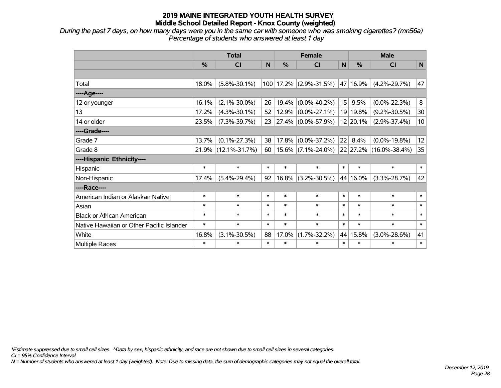*During the past 7 days, on how many days were you in the same car with someone who was smoking cigarettes? (mn56a) Percentage of students who answered at least 1 day*

|                                           | <b>Total</b> |                     |        |        | <b>Female</b>           |        | <b>Male</b> |                        |                   |  |
|-------------------------------------------|--------------|---------------------|--------|--------|-------------------------|--------|-------------|------------------------|-------------------|--|
|                                           | %            | C <sub>l</sub>      | N      | %      | <b>CI</b>               | N      | %           | <b>CI</b>              | N                 |  |
|                                           |              |                     |        |        |                         |        |             |                        |                   |  |
| Total                                     | 18.0%        | $(5.8\% - 30.1\%)$  |        |        | 100 17.2% (2.9%-31.5%)  |        | 47 16.9%    | $(4.2\% - 29.7\%)$     | 47                |  |
| ---- Age----                              |              |                     |        |        |                         |        |             |                        |                   |  |
| 12 or younger                             | 16.1%        | $(2.1\% - 30.0\%)$  | 26     | 19.4%  | $(0.0\% - 40.2\%)$      | 15     | 9.5%        | $(0.0\% - 22.3\%)$     | 8                 |  |
| 13                                        | 17.2%        | $(4.3\% - 30.1\%)$  | 52     | 12.9%  | $(0.0\% - 27.1\%)$      |        | 19 19.8%    | $(9.2\% - 30.5\%)$     | 30 <sup>°</sup>   |  |
| 14 or older                               | 23.5%        | $(7.3\% - 39.7\%)$  | 23     |        | $ 27.4\% $ (0.0%-57.9%) |        | $12$ 20.1%  | $(2.9\% - 37.4\%)$     | 10 <sup>1</sup>   |  |
| ----Grade----                             |              |                     |        |        |                         |        |             |                        |                   |  |
| Grade 7                                   | 13.7%        | $(0.1\% - 27.3\%)$  | 38     | 17.8%  | $(0.0\% - 37.2\%)$      | 22     | 8.4%        | $(0.0\% - 19.8\%)$     | $12 \overline{ }$ |  |
| Grade 8                                   |              | 21.9% (12.1%-31.7%) | 60     |        | $15.6\%$ (7.1%-24.0%)   |        |             | 22 27.2% (16.0%-38.4%) | 35                |  |
| ----Hispanic Ethnicity----                |              |                     |        |        |                         |        |             |                        |                   |  |
| Hispanic                                  | $\ast$       | $\ast$              | $\ast$ | $\ast$ | $\ast$                  | $\ast$ | $\ast$      | $\ast$                 | $\ast$            |  |
| Non-Hispanic                              | 17.4%        | $(5.4\% - 29.4\%)$  | 92     | 16.8%  | $(3.2\% - 30.5\%)$      |        | 44 16.0%    | $(3.3\% - 28.7\%)$     | 42                |  |
| ----Race----                              |              |                     |        |        |                         |        |             |                        |                   |  |
| American Indian or Alaskan Native         | $\ast$       | $\ast$              | $\ast$ | $\ast$ | $\ast$                  | $\ast$ | $\ast$      | $\ast$                 | $\ast$            |  |
| Asian                                     | $\ast$       | $\ast$              | $\ast$ | $\ast$ | $\ast$                  | $\ast$ | $\ast$      | $\ast$                 | $\ast$            |  |
| <b>Black or African American</b>          | $\ast$       | $\ast$              | $\ast$ | $\ast$ | $\ast$                  | $\ast$ | $\ast$      | $\ast$                 | $\ast$            |  |
| Native Hawaiian or Other Pacific Islander | $\ast$       | $\ast$              | $\ast$ | $\ast$ | $\ast$                  | $\ast$ | $\ast$      | $\ast$                 | $\ast$            |  |
| White                                     | 16.8%        | $(3.1\% - 30.5\%)$  | 88     | 17.0%  | $(1.7\% - 32.2\%)$      |        | 44 15.8%    | $(3.0\% - 28.6\%)$     | 41                |  |
| Multiple Races                            | $\ast$       | $\ast$              | $\ast$ | $\ast$ | $\ast$                  | $\ast$ | $\ast$      | $\ast$                 | $\ast$            |  |

*\*Estimate suppressed due to small cell sizes. ^Data by sex, hispanic ethnicity, and race are not shown due to small cell sizes in several categories.*

*CI = 95% Confidence Interval*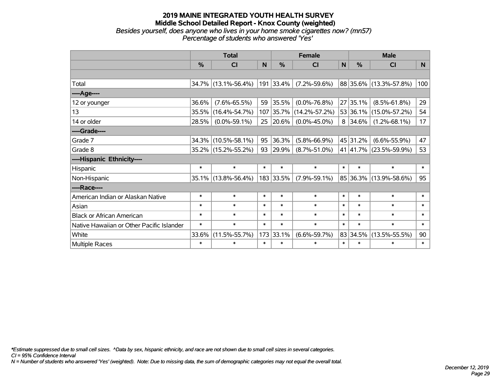#### **2019 MAINE INTEGRATED YOUTH HEALTH SURVEY Middle School Detailed Report - Knox County (weighted)** *Besides yourself, does anyone who lives in your home smoke cigarettes now? (mn57) Percentage of students who answered 'Yes'*

|                                           | <b>Total</b> |                     |        |           | <b>Female</b>       |        | <b>Male</b> |                        |                |  |
|-------------------------------------------|--------------|---------------------|--------|-----------|---------------------|--------|-------------|------------------------|----------------|--|
|                                           | %            | CI                  | N      | $\%$      | <b>CI</b>           | N      | %           | <b>CI</b>              | N <sub>1</sub> |  |
|                                           |              |                     |        |           |                     |        |             |                        |                |  |
| Total                                     |              | 34.7% (13.1%-56.4%) |        | 191 33.4% | $(7.2\% - 59.6\%)$  |        |             | 88 35.6% (13.3%-57.8%) | 100            |  |
| ----Age----                               |              |                     |        |           |                     |        |             |                        |                |  |
| 12 or younger                             | 36.6%        | $(7.6\% - 65.5\%)$  | 59     | 35.5%     | $(0.0\% - 76.8\%)$  |        | 27 35.1%    | $(8.5\% - 61.8\%)$     | 29             |  |
| 13                                        | 35.5%        | $(16.4\% - 54.7\%)$ | 107    | $ 35.7\%$ | $(14.2\% - 57.2\%)$ |        | 53 36.1%    | $(15.0\% - 57.2\%)$    | 54             |  |
| 14 or older                               | 28.5%        | $(0.0\% - 59.1\%)$  | 25     | 20.6%     | $(0.0\% - 45.0\%)$  |        | 8 34.6%     | $(1.2\% - 68.1\%)$     | 17             |  |
| ----Grade----                             |              |                     |        |           |                     |        |             |                        |                |  |
| Grade 7                                   | 34.3%        | $(10.5\% - 58.1\%)$ | 95     | 36.3%     | $(5.8\% - 66.9\%)$  |        | 45 31.2%    | $(6.6\% - 55.9\%)$     | 47             |  |
| Grade 8                                   |              | 35.2% (15.2%-55.2%) | 93     | 29.9%     | $(8.7\% - 51.0\%)$  |        | 41 41.7%    | $(23.5\% - 59.9\%)$    | 53             |  |
| ----Hispanic Ethnicity----                |              |                     |        |           |                     |        |             |                        |                |  |
| Hispanic                                  | $\ast$       | $\ast$              | $\ast$ | $\ast$    | $\ast$              | $\ast$ | $\ast$      | $\ast$                 | $\ast$         |  |
| Non-Hispanic                              | $35.1\%$     | $(13.8\% - 56.4\%)$ |        | 183 33.5% | $(7.9\% - 59.1\%)$  |        | 85 36.3%    | $(13.9\% - 58.6\%)$    | 95             |  |
| ----Race----                              |              |                     |        |           |                     |        |             |                        |                |  |
| American Indian or Alaskan Native         | $\ast$       | $\ast$              | $\ast$ | $\ast$    | $\ast$              | $\ast$ | $\ast$      | $\ast$                 | $\ast$         |  |
| Asian                                     | $\ast$       | $\ast$              | $\ast$ | $\ast$    | $\ast$              | $\ast$ | $\ast$      | $\ast$                 | $\ast$         |  |
| <b>Black or African American</b>          | $\ast$       | $\ast$              | $\ast$ | $\ast$    | $\ast$              | $\ast$ | $\ast$      | $\ast$                 | $\ast$         |  |
| Native Hawaiian or Other Pacific Islander | $\ast$       | $\ast$              | $\ast$ | $\ast$    | $\ast$              | $\ast$ | $\ast$      | $\ast$                 | $\ast$         |  |
| White                                     | 33.6%        | $(11.5\% - 55.7\%)$ | 173    | 33.1%     | $(6.6\% - 59.7\%)$  |        | 83 34.5%    | $(13.5\% - 55.5\%)$    | 90             |  |
| <b>Multiple Races</b>                     | $\ast$       | $\ast$              | $\ast$ | $\ast$    | $\ast$              | $\ast$ | $\ast$      | $\ast$                 | $\ast$         |  |

*\*Estimate suppressed due to small cell sizes. ^Data by sex, hispanic ethnicity, and race are not shown due to small cell sizes in several categories.*

*CI = 95% Confidence Interval*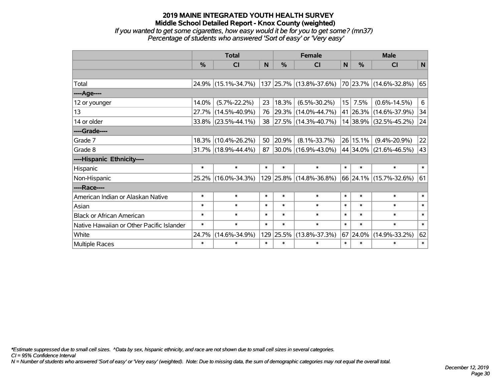*If you wanted to get some cigarettes, how easy would it be for you to get some? (mn37) Percentage of students who answered 'Sort of easy' or 'Very easy'*

|                                           | <b>Total</b> |                        |        |               | <b>Female</b>            | <b>Male</b> |          |                        |        |
|-------------------------------------------|--------------|------------------------|--------|---------------|--------------------------|-------------|----------|------------------------|--------|
|                                           | $\%$         | <b>CI</b>              | N      | $\frac{0}{0}$ | <b>CI</b>                | N           | $\%$     | <b>CI</b>              | N      |
|                                           |              |                        |        |               |                          |             |          |                        |        |
| Total                                     |              | 24.9% (15.1%-34.7%)    |        |               | 137 25.7% (13.8%-37.6%)  |             |          | 70 23.7% (14.6%-32.8%) | 65     |
| ----Age----                               |              |                        |        |               |                          |             |          |                        |        |
| 12 or younger                             | 14.0%        | $(5.7\% - 22.2\%)$     | 23     | 18.3%         | $(6.5\% - 30.2\%)$       | 15          | 7.5%     | $(0.6\% - 14.5\%)$     | 6      |
| 13                                        | 27.7%        | $(14.5\% - 40.9\%)$    | 76     |               | 29.3% (14.0%-44.7%)      |             |          | 41 26.3% (14.6%-37.9%) | 34     |
| 14 or older                               |              | $33.8\%$ (23.5%-44.1%) | 38     |               | $ 27.5\% $ (14.3%-40.7%) |             |          | 14 38.9% (32.5%-45.2%) | 24     |
| ----Grade----                             |              |                        |        |               |                          |             |          |                        |        |
| Grade 7                                   | 18.3%        | $(10.4\% - 26.2\%)$    | 50     | 20.9%         | $(8.1\% - 33.7\%)$       |             | 26 15.1% | $(9.4\% - 20.9\%)$     | 22     |
| Grade 8                                   |              | $31.7\%$ (18.9%-44.4%) | 87     |               | $ 30.0\% $ (16.9%-43.0%) |             | 44 34.0% | $(21.6\% - 46.5\%)$    | 43     |
| ----Hispanic Ethnicity----                |              |                        |        |               |                          |             |          |                        |        |
| Hispanic                                  | $\ast$       | $\ast$                 | $\ast$ | $\ast$        | $\ast$                   | $\ast$      | $\ast$   | $\ast$                 | $\ast$ |
| Non-Hispanic                              | 25.2%        | $(16.0\% - 34.3\%)$    |        |               | 129 25.8% (14.8%-36.8%)  |             |          | 66 24.1% (15.7%-32.6%) | 61     |
| ----Race----                              |              |                        |        |               |                          |             |          |                        |        |
| American Indian or Alaskan Native         | $\ast$       | $\ast$                 | $\ast$ | $\ast$        | $\ast$                   | $\ast$      | $\ast$   | $\ast$                 | $\ast$ |
| Asian                                     | $\ast$       | $\ast$                 | $\ast$ | $\ast$        | $\ast$                   | $\ast$      | $\ast$   | $\ast$                 | $\ast$ |
| <b>Black or African American</b>          | $\ast$       | $\ast$                 | $\ast$ | $\ast$        | $\ast$                   | $\ast$      | $\ast$   | $\ast$                 | $\ast$ |
| Native Hawaiian or Other Pacific Islander | $\ast$       | $\ast$                 | $\ast$ | $\ast$        | $\ast$                   | $\ast$      | $\ast$   | $\ast$                 | $\ast$ |
| White                                     | 24.7%        | $(14.6\% - 34.9\%)$    | 129    | 25.5%         | $(13.8\% - 37.3\%)$      | 67          | 24.0%    | $(14.9\% - 33.2\%)$    | 62     |
| Multiple Races                            | $\ast$       | $\ast$                 | $\ast$ | $\ast$        | $\ast$                   | $\ast$      | $\ast$   | $\ast$                 | $\ast$ |

*\*Estimate suppressed due to small cell sizes. ^Data by sex, hispanic ethnicity, and race are not shown due to small cell sizes in several categories.*

*CI = 95% Confidence Interval*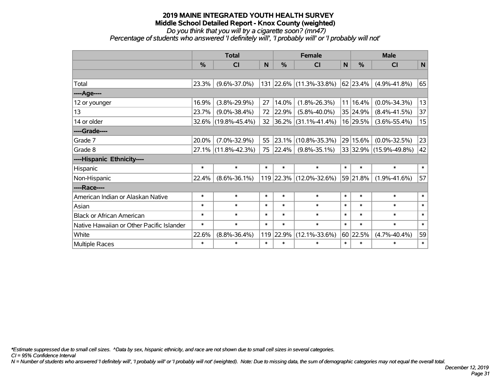*Do you think that you will try a cigarette soon? (mn47)*

*Percentage of students who answered 'I definitely will', 'I probably will' or 'I probably will not'*

|                                           | <b>Total</b>  |                     |        |        | <b>Female</b>            | <b>Male</b> |               |                        |              |
|-------------------------------------------|---------------|---------------------|--------|--------|--------------------------|-------------|---------------|------------------------|--------------|
|                                           | $\frac{0}{0}$ | CI                  | N      | %      | CI                       | $\mathbf N$ | $\frac{0}{0}$ | CI                     | $\mathsf{N}$ |
|                                           |               |                     |        |        |                          |             |               |                        |              |
| Total                                     | 23.3%         | $(9.6\% - 37.0\%)$  |        |        | 131 22.6% (11.3%-33.8%)  |             | $62$ 23.4%    | $(4.9\% - 41.8\%)$     | 65           |
| ----Age----                               |               |                     |        |        |                          |             |               |                        |              |
| 12 or younger                             | 16.9%         | $(3.8\% - 29.9\%)$  | 27     | 14.0%  | $(1.8\% - 26.3\%)$       |             | 11 16.4%      | $(0.0\% - 34.3\%)$     | 13           |
| 13                                        | 23.7%         | $(9.0\% - 38.4\%)$  | 72     | 22.9%  | $(5.8\% - 40.0\%)$       |             | 35 24.9%      | $(8.4\% - 41.5\%)$     | 37           |
| 14 or older                               |               | 32.6% (19.8%-45.4%) | 32     |        | $ 36.2\% $ (31.1%-41.4%) |             | 16 29.5%      | $(3.6\% - 55.4\%)$     | 15           |
| ----Grade----                             |               |                     |        |        |                          |             |               |                        |              |
| Grade 7                                   | 20.0%         | $(7.0\% - 32.9\%)$  | 55     | 23.1%  | $(10.8\% - 35.3\%)$      |             | 29 15.6%      | $(0.0\% - 32.5\%)$     | 23           |
| Grade 8                                   |               | 27.1% (11.8%-42.3%) | 75     | 22.4%  | $(9.8\% - 35.1\%)$       |             |               | 33 32.9% (15.9%-49.8%) | 42           |
| ----Hispanic Ethnicity----                |               |                     |        |        |                          |             |               |                        |              |
| Hispanic                                  | $\ast$        | $\ast$              | $\ast$ | $\ast$ | $\ast$                   | $\ast$      | $\ast$        | $\ast$                 | $\ast$       |
| Non-Hispanic                              | 22.4%         | $(8.6\% - 36.1\%)$  |        |        | 119 22.3% (12.0%-32.6%)  |             | 59 21.8%      | $(1.9\% - 41.6\%)$     | 57           |
| ----Race----                              |               |                     |        |        |                          |             |               |                        |              |
| American Indian or Alaskan Native         | $\ast$        | $\ast$              | $\ast$ | $\ast$ | $\ast$                   | $\ast$      | $\ast$        | $\ast$                 | $\ast$       |
| Asian                                     | $\ast$        | $\ast$              | $\ast$ | $\ast$ | $\ast$                   | $\ast$      | $\ast$        | $\ast$                 | $\ast$       |
| <b>Black or African American</b>          | $\ast$        | $\ast$              | $\ast$ | $\ast$ | $\ast$                   | $\ast$      | $\ast$        | $\ast$                 | $\ast$       |
| Native Hawaiian or Other Pacific Islander | $\ast$        | $\ast$              | $\ast$ | $\ast$ | $\ast$                   | $\ast$      | $\ast$        | $\ast$                 | $\ast$       |
| White                                     | 22.6%         | $(8.8\% - 36.4\%)$  | 119    | 22.9%  | $(12.1\% - 33.6\%)$      |             | 60 22.5%      | $(4.7\% - 40.4\%)$     | 59           |
| Multiple Races                            | $\ast$        | $\ast$              | $\ast$ | $\ast$ | $\ast$                   | $\ast$      | $\ast$        | $\ast$                 | $\ast$       |

*\*Estimate suppressed due to small cell sizes. ^Data by sex, hispanic ethnicity, and race are not shown due to small cell sizes in several categories.*

*CI = 95% Confidence Interval*

*N = Number of students who answered 'I definitely will', 'I probably will' or 'I probably will not' (weighted). Note: Due to missing data, the sum of demographic categories may not equal the overall total.*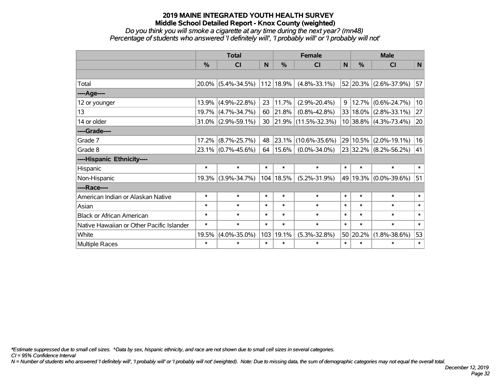*Do you think you will smoke a cigarette at any time during the next year? (mn48) Percentage of students who answered 'I definitely will', 'I probably will' or 'I probably will not'*

|                                           | <b>Total</b> |                       |        |             | <b>Female</b>            |        |          | <b>Male</b>               |        |  |  |
|-------------------------------------------|--------------|-----------------------|--------|-------------|--------------------------|--------|----------|---------------------------|--------|--|--|
|                                           | %            | <b>CI</b>             | N      | %           | <b>CI</b>                | N      | %        | <b>CI</b>                 | N      |  |  |
|                                           |              |                       |        |             |                          |        |          |                           |        |  |  |
| Total                                     | $20.0\%$     | $(5.4\% - 34.5\%)$    |        | 112 18.9%   | $(4.8\% - 33.1\%)$       |        |          | 52 20.3% (2.6%-37.9%)     | 57     |  |  |
| ----Age----                               |              |                       |        |             |                          |        |          |                           |        |  |  |
| 12 or younger                             | 13.9%        | $(4.9\% - 22.8\%)$    | 23     | 11.7%       | $(2.9\% - 20.4\%)$       | 9      | 12.7%    | $(0.6\% - 24.7\%)$        | 10     |  |  |
| 13                                        | 19.7%        | $(4.7\% - 34.7\%)$    | 60     | 21.8%       | $(0.8\% - 42.8\%)$       |        |          | 33   18.0%   (2.8%-33.1%) | 27     |  |  |
| 14 or older                               | $31.0\%$     | $(2.9\% - 59.1\%)$    | 30     |             | $ 21.9\% $ (11.5%-32.3%) |        |          | 10 38.8% (4.3%-73.4%)     | 20     |  |  |
| ----Grade----                             |              |                       |        |             |                          |        |          |                           |        |  |  |
| Grade 7                                   | 17.2%        | $(8.7\% - 25.7\%)$    | 48     | $ 23.1\% $  | $(10.6\% - 35.6\%)$      |        |          | 29 10.5% (2.0%-19.1%)     | 16     |  |  |
| Grade 8                                   |              | $23.1\%$ (0.7%-45.6%) | 64     | $ 15.6\% $  | $(0.0\% - 34.0\%)$       |        |          | 23 32.2% (8.2%-56.2%)     | 41     |  |  |
| ----Hispanic Ethnicity----                |              |                       |        |             |                          |        |          |                           |        |  |  |
| Hispanic                                  | $\ast$       | $\ast$                | $\ast$ | $\ast$      | $\ast$                   | $\ast$ | $\ast$   | $\ast$                    | $\ast$ |  |  |
| Non-Hispanic                              | 19.3%        | $(3.9\% - 34.7\%)$    |        | 104   18.5% | $(5.2\% - 31.9\%)$       |        |          | 49 19.3% (0.0%-39.6%)     | 51     |  |  |
| ----Race----                              |              |                       |        |             |                          |        |          |                           |        |  |  |
| American Indian or Alaskan Native         | $\ast$       | $\ast$                | $\ast$ | $\ast$      | $\ast$                   | $\ast$ | $\ast$   | $\ast$                    | $\ast$ |  |  |
| Asian                                     | $\ast$       | $\ast$                | $\ast$ | $\ast$      | $\ast$                   | $\ast$ | $\ast$   | $\ast$                    | $\ast$ |  |  |
| <b>Black or African American</b>          | $\ast$       | $\ast$                | $\ast$ | $\ast$      | $\ast$                   | $\ast$ | $\ast$   | $\ast$                    | $\ast$ |  |  |
| Native Hawaiian or Other Pacific Islander | $\ast$       | $\ast$                | $\ast$ | $\ast$      | $\ast$                   | $\ast$ | $\ast$   | $\ast$                    | $\ast$ |  |  |
| White                                     | 19.5%        | $(4.0\% - 35.0\%)$    | 103    | 19.1%       | $(5.3\% - 32.8\%)$       |        | 50 20.2% | $(1.8\% - 38.6\%)$        | 53     |  |  |
| Multiple Races                            | $\ast$       | $\ast$                | $\ast$ | $\ast$      | $\ast$                   | $\ast$ | $\ast$   | $\ast$                    | $\ast$ |  |  |

*\*Estimate suppressed due to small cell sizes. ^Data by sex, hispanic ethnicity, and race are not shown due to small cell sizes in several categories.*

*CI = 95% Confidence Interval*

*N = Number of students who answered 'I definitely will', 'I probably will' or 'I probably will not' (weighted). Note: Due to missing data, the sum of demographic categories may not equal the overall total.*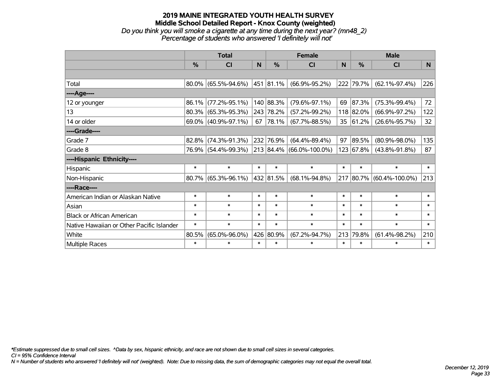#### **2019 MAINE INTEGRATED YOUTH HEALTH SURVEY Middle School Detailed Report - Knox County (weighted)** *Do you think you will smoke a cigarette at any time during the next year? (mn48\_2) Percentage of students who answered 'I definitely will not'*

|                                           | <b>Total</b>  |                        |        |                | <b>Female</b>                     |        | <b>Male</b>   |                           |        |  |
|-------------------------------------------|---------------|------------------------|--------|----------------|-----------------------------------|--------|---------------|---------------------------|--------|--|
|                                           | $\frac{0}{0}$ | CI                     | N      | $\frac{0}{0}$  | CI                                | N      | $\frac{9}{6}$ | <b>CI</b>                 | N      |  |
|                                           |               |                        |        |                |                                   |        |               |                           |        |  |
| Total                                     |               | $80.0\%$ (65.5%-94.6%) |        | $ 451 81.1\% $ | $(66.9\% - 95.2\%)$               |        | 222 79.7%     | $(62.1\% - 97.4\%)$       | 226    |  |
| ----Age----                               |               |                        |        |                |                                   |        |               |                           |        |  |
| 12 or younger                             | $86.1\%$      | $(77.2\% - 95.1\%)$    |        | 140 88.3%      | $(79.6\% - 97.1\%)$               | 69     | 87.3%         | $(75.3\% - 99.4\%)$       | 72     |  |
| 13                                        |               | $80.3\%$ (65.3%-95.3%) |        | 243 78.2%      | $(57.2\% - 99.2\%)$               |        | 118 82.0%     | $(66.9\% - 97.2\%)$       | 122    |  |
| 14 or older                               |               | $69.0\%$ (40.9%-97.1%) | 67     | 78.1%          | $(67.7\% - 88.5\%)$               | 35     | 61.2%         | $(26.6\% - 95.7\%)$       | 32     |  |
| ----Grade----                             |               |                        |        |                |                                   |        |               |                           |        |  |
| Grade 7                                   | 82.8%         | $(74.3\% - 91.3\%)$    |        | 232 76.9%      | $(64.4\% - 89.4\%)$               | 97     | 89.5%         | $(80.9\% - 98.0\%)$       | 135    |  |
| Grade 8                                   |               | 76.9% (54.4%-99.3%)    |        |                | $ 213 84.4\%  (66.0\% - 100.0\%)$ |        | 123 67.8%     | $(43.8\% - 91.8\%)$       | 87     |  |
| ----Hispanic Ethnicity----                |               |                        |        |                |                                   |        |               |                           |        |  |
| Hispanic                                  | $\ast$        | $\ast$                 | $\ast$ | $\ast$         | $\ast$                            | $\ast$ | $\ast$        | $\ast$                    | $\ast$ |  |
| Non-Hispanic                              |               | $80.7\%$ (65.3%-96.1%) |        | 432 81.5%      | $(68.1\% - 94.8\%)$               | 217    |               | $ 80.7\% $ (60.4%-100.0%) | 213    |  |
| ----Race----                              |               |                        |        |                |                                   |        |               |                           |        |  |
| American Indian or Alaskan Native         | $\ast$        | $\ast$                 | $\ast$ | $\ast$         | $\ast$                            | $\ast$ | $\ast$        | $\ast$                    | $\ast$ |  |
| Asian                                     | $\ast$        | $\ast$                 | $\ast$ | $\ast$         | $\ast$                            | $\ast$ | $\ast$        | $\ast$                    | $\ast$ |  |
| <b>Black or African American</b>          | $\ast$        | $\ast$                 | $\ast$ | $\ast$         | $\ast$                            | $\ast$ | $\ast$        | $\ast$                    | $\ast$ |  |
| Native Hawaiian or Other Pacific Islander | $\ast$        | $\ast$                 | $\ast$ | $\ast$         | $\ast$                            | $\ast$ | $\ast$        | $\ast$                    | $\ast$ |  |
| White                                     | 80.5%         | $(65.0\% - 96.0\%)$    |        | 426 80.9%      | $(67.2\% - 94.7\%)$               | 213    | 79.8%         | $(61.4\% - 98.2\%)$       | 210    |  |
| <b>Multiple Races</b>                     | $\ast$        | $\ast$                 | $\ast$ | $\ast$         | $\ast$                            | $\ast$ | $\ast$        | $\ast$                    | $\ast$ |  |

*\*Estimate suppressed due to small cell sizes. ^Data by sex, hispanic ethnicity, and race are not shown due to small cell sizes in several categories.*

*CI = 95% Confidence Interval*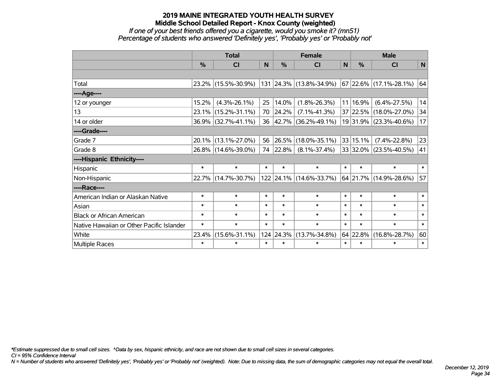#### *If one of your best friends offered you a cigarette, would you smoke it? (mn51) Percentage of students who answered 'Definitely yes', 'Probably yes' or 'Probably not'*

|                                           | <b>Total</b>  |                     |        |               | <b>Female</b>            | <b>Male</b> |          |                          |        |
|-------------------------------------------|---------------|---------------------|--------|---------------|--------------------------|-------------|----------|--------------------------|--------|
|                                           | $\frac{0}{0}$ | CI                  | N      | $\frac{0}{0}$ | CI                       | N           | %        | <b>CI</b>                | N      |
|                                           |               |                     |        |               |                          |             |          |                          |        |
| Total                                     |               | 23.2% (15.5%-30.9%) |        |               | 131 24.3% (13.8%-34.9%)  |             |          | $67$ 22.6% (17.1%-28.1%) | 64     |
| ----Age----                               |               |                     |        |               |                          |             |          |                          |        |
| 12 or younger                             | 15.2%         | $(4.3\% - 26.1\%)$  | 25     | 14.0%         | $(1.8\% - 26.3\%)$       |             | 11 16.9% | $(6.4\% - 27.5\%)$       | 14     |
| 13                                        |               | 23.1% (15.2%-31.1%) | 70     | 24.2%         | $(7.1\% - 41.3\%)$       |             |          | 37 22.5% (18.0%-27.0%)   | 34     |
| 14 or older                               |               | 36.9% (32.7%-41.1%) | 36     |               | $ 42.7\% $ (36.2%-49.1%) |             |          | 19 31.9% (23.3%-40.6%)   | 17     |
| ----Grade----                             |               |                     |        |               |                          |             |          |                          |        |
| Grade 7                                   |               | 20.1% (13.1%-27.0%) | 56     | 26.5%         | $(18.0\% - 35.1\%)$      |             | 33 15.1% | $(7.4\% - 22.8\%)$       | 23     |
| Grade 8                                   |               | 26.8% (14.6%-39.0%) |        | 74 22.8%      | $(8.1\% - 37.4\%)$       |             |          | 33 32.0% (23.5%-40.5%)   | 41     |
| ----Hispanic Ethnicity----                |               |                     |        |               |                          |             |          |                          |        |
| Hispanic                                  | $\ast$        | $\ast$              | $\ast$ | $\ast$        | $\ast$                   | $\ast$      | $\ast$   | $\ast$                   | $\ast$ |
| Non-Hispanic                              |               | 22.7% (14.7%-30.7%) |        |               | 122 24.1% (14.6%-33.7%)  |             |          | 64 21.7% (14.9%-28.6%)   | 57     |
| ----Race----                              |               |                     |        |               |                          |             |          |                          |        |
| American Indian or Alaskan Native         | $\ast$        | $\ast$              | $\ast$ | $\ast$        | $\ast$                   | $\ast$      | $\ast$   | $\ast$                   | $\ast$ |
| Asian                                     | $\ast$        | $\ast$              | $\ast$ | $\ast$        | $\ast$                   | $\ast$      | $\ast$   | $\ast$                   | $\ast$ |
| <b>Black or African American</b>          | $\ast$        | $\ast$              | $\ast$ | $\ast$        | $\ast$                   | $\ast$      | $\ast$   | $\ast$                   | $\ast$ |
| Native Hawaiian or Other Pacific Islander | $\ast$        | $\ast$              | $\ast$ | $\ast$        | $\ast$                   | $\ast$      | $\ast$   | $\ast$                   | $\ast$ |
| White                                     | 23.4%         | $(15.6\% - 31.1\%)$ |        | 124 24.3%     | $(13.7\% - 34.8\%)$      |             | 64 22.8% | $(16.8\% - 28.7\%)$      | 60     |
| <b>Multiple Races</b>                     | $\ast$        | $\ast$              | $\ast$ | $\ast$        | $\ast$                   | $\ast$      | $\ast$   | $\ast$                   | $\ast$ |

*\*Estimate suppressed due to small cell sizes. ^Data by sex, hispanic ethnicity, and race are not shown due to small cell sizes in several categories.*

*CI = 95% Confidence Interval*

*N = Number of students who answered 'Definitely yes', 'Probably yes' or 'Probably not' (weighted). Note: Due to missing data, the sum of demographic categories may not equal the overall total.*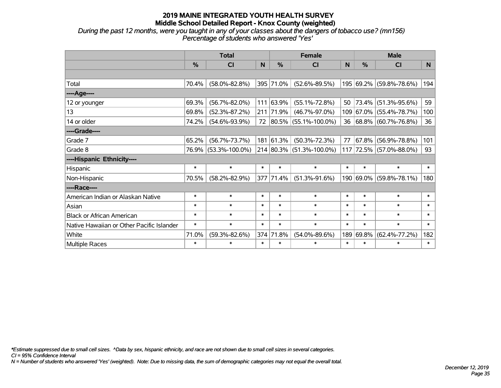*During the past 12 months, were you taught in any of your classes about the dangers of tobacco use? (mn156) Percentage of students who answered 'Yes'*

|                                           | <b>Total</b> |                      |        |           | <b>Female</b>                | <b>Male</b> |           |                         |        |
|-------------------------------------------|--------------|----------------------|--------|-----------|------------------------------|-------------|-----------|-------------------------|--------|
|                                           | %            | <b>CI</b>            | N      | %         | <b>CI</b>                    | N           | %         | <b>CI</b>               | N      |
|                                           |              |                      |        |           |                              |             |           |                         |        |
| Total                                     | 70.4%        | $(58.0\% - 82.8\%)$  |        | 395 71.0% | $(52.6\% - 89.5\%)$          |             |           | 195 69.2% (59.8%-78.6%) | 194    |
| ----Age----                               |              |                      |        |           |                              |             |           |                         |        |
| 12 or younger                             | 69.3%        | $(56.7\% - 82.0\%)$  | 111    | 63.9%     | $(55.1\% - 72.8\%)$          | 50          | 73.4%     | $(51.3\% - 95.6\%)$     | 59     |
| 13                                        | 69.8%        | $(52.3\% - 87.2\%)$  |        | 211 71.9% | $(46.7\% - 97.0\%)$          |             |           | 109 67.0% (55.4%-78.7%) | 100    |
| 14 or older                               | 74.2%        | $(54.6\% - 93.9\%)$  |        |           | 72 80.5% (55.1%-100.0%)      |             |           | 36 68.8% (60.7%-76.8%)  | 36     |
| ----Grade----                             |              |                      |        |           |                              |             |           |                         |        |
| Grade 7                                   | 65.2%        | $(56.7\% - 73.7\%)$  |        | 181 61.3% | $(50.3\% - 72.3\%)$          | 77          | 67.8%     | $(56.9\% - 78.8\%)$     | 101    |
| Grade 8                                   |              | 76.9% (53.3%-100.0%) |        |           | $214 80.3\% $ (51.3%-100.0%) |             |           | 117 72.5% (57.0%-88.0%) | 93     |
| ----Hispanic Ethnicity----                |              |                      |        |           |                              |             |           |                         |        |
| Hispanic                                  | $\ast$       | $\ast$               | $\ast$ | $\ast$    | $\ast$                       | $\ast$      | $\ast$    | $\ast$                  | $\ast$ |
| Non-Hispanic                              | 70.5%        | $(58.2\% - 82.9\%)$  |        | 377 71.4% | $(51.3\% - 91.6\%)$          |             | 190 69.0% | $(59.8\% - 78.1\%)$     | 180    |
| ----Race----                              |              |                      |        |           |                              |             |           |                         |        |
| American Indian or Alaskan Native         | $\ast$       | $\ast$               | $\ast$ | $\ast$    | $\ast$                       | $\ast$      | $\ast$    | $\ast$                  | $\ast$ |
| Asian                                     | $\ast$       | $\ast$               | $\ast$ | $\ast$    | $\ast$                       | $\ast$      | $\ast$    | $\ast$                  | $\ast$ |
| <b>Black or African American</b>          | $\ast$       | $\ast$               | $\ast$ | $\ast$    | $\ast$                       | $\ast$      | $\ast$    | $\ast$                  | $\ast$ |
| Native Hawaiian or Other Pacific Islander | $\ast$       | $\ast$               | $\ast$ | $\ast$    | $\ast$                       | $\ast$      | $\ast$    | $\ast$                  | $\ast$ |
| White                                     | 71.0%        | $(59.3\% - 82.6\%)$  |        | 374 71.8% | $(54.0\% - 89.6\%)$          | 189         | 69.8%     | $(62.4\% - 77.2\%)$     | 182    |
| Multiple Races                            | $\ast$       | $\ast$               | $\ast$ | $\ast$    | $\ast$                       | $\ast$      | $\ast$    | $\ast$                  | $\ast$ |

*\*Estimate suppressed due to small cell sizes. ^Data by sex, hispanic ethnicity, and race are not shown due to small cell sizes in several categories.*

*CI = 95% Confidence Interval*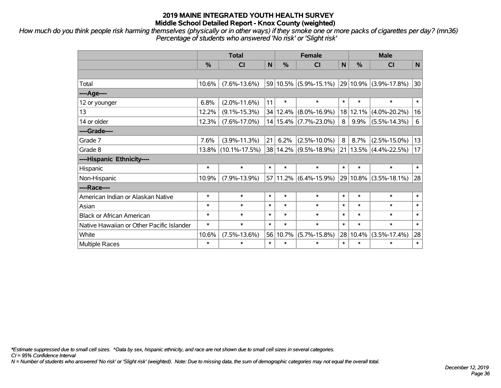*How much do you think people risk harming themselves (physically or in other ways) if they smoke one or more packs of cigarettes per day? (mn36) Percentage of students who answered 'No risk' or 'Slight risk'*

|                                           |          | <b>Total</b>        |        | <b>Female</b> | <b>Male</b>               |              |          |                           |                 |
|-------------------------------------------|----------|---------------------|--------|---------------|---------------------------|--------------|----------|---------------------------|-----------------|
|                                           | %        | <b>CI</b>           | N      | $\frac{0}{0}$ | <b>CI</b>                 | $\mathsf{N}$ | %        | <b>CI</b>                 | N               |
|                                           |          |                     |        |               |                           |              |          |                           |                 |
| Total                                     | 10.6%    | $(7.6\% - 13.6\%)$  |        |               | 59 10.5% (5.9%-15.1%)     |              |          | 29 10.9% (3.9%-17.8%)     | 30              |
| ----Age----                               |          |                     |        |               |                           |              |          |                           |                 |
| 12 or younger                             | 6.8%     | $(2.0\% - 11.6\%)$  | 11     | $\ast$        | $\ast$                    | $\ast$       | $\ast$   | $\ast$                    | $\ast$          |
| 13                                        | 12.2%    | $(9.1\% - 15.3\%)$  |        | 34 12.4%      | $(8.0\% - 16.9\%)$        | 18           | 12.1%    | $(4.0\% - 20.2\%)$        | 16              |
| 14 or older                               | 12.3%    | $(7.6\% - 17.0\%)$  |        |               | 14   15.4%   (7.7%-23.0%) | 8            | $9.9\%$  | $(5.5\% - 14.3\%)$        | $6\phantom{1}6$ |
| ----Grade----                             |          |                     |        |               |                           |              |          |                           |                 |
| Grade 7                                   | 7.6%     | $(3.9\% - 11.3\%)$  | 21     | 6.2%          | $(2.5\% - 10.0\%)$        | 8            | 8.7%     | $(2.5\% - 15.0\%)$        | 13              |
| Grade 8                                   | $13.8\%$ | $(10.1\% - 17.5\%)$ |        |               | 38   14.2%   (9.5%-18.9%) |              |          | $21 13.5\% $ (4.4%-22.5%) | 17              |
| ----Hispanic Ethnicity----                |          |                     |        |               |                           |              |          |                           |                 |
| Hispanic                                  | $\ast$   | $\ast$              | $\ast$ | $\ast$        | $\ast$                    | $\ast$       | $\ast$   | $\ast$                    | $\ast$          |
| Non-Hispanic                              | 10.9%    | $(7.9\% - 13.9\%)$  |        |               | 57 11.2% (6.4%-15.9%)     |              | 29 10.8% | $(3.5\% - 18.1\%)$        | 28              |
| ----Race----                              |          |                     |        |               |                           |              |          |                           |                 |
| American Indian or Alaskan Native         | $\ast$   | $\ast$              | $\ast$ | $\ast$        | $\ast$                    | $\ast$       | $\ast$   | $\ast$                    | $\ast$          |
| Asian                                     | $\ast$   | $\ast$              | $\ast$ | $\ast$        | $\ast$                    | $\ast$       | $\ast$   | $\ast$                    | $\ast$          |
| <b>Black or African American</b>          | $\ast$   | $\ast$              | $\ast$ | $\ast$        | $\ast$                    | $\ast$       | $\ast$   | $\ast$                    | $\ast$          |
| Native Hawaiian or Other Pacific Islander | $\ast$   | $\ast$              | $\ast$ | $\ast$        | $\ast$                    | $\ast$       | $\ast$   | $\ast$                    | $\ast$          |
| White                                     | 10.6%    | $(7.5\% - 13.6\%)$  |        | 56 10.7%      | $(5.7\% - 15.8\%)$        | 28           | 10.4%    | $(3.5\% - 17.4\%)$        | 28              |
| <b>Multiple Races</b>                     | $\ast$   | $\ast$              | $\ast$ | $\ast$        | $\ast$                    | $\ast$       | $\ast$   | $\ast$                    | $\ast$          |

*\*Estimate suppressed due to small cell sizes. ^Data by sex, hispanic ethnicity, and race are not shown due to small cell sizes in several categories.*

*CI = 95% Confidence Interval*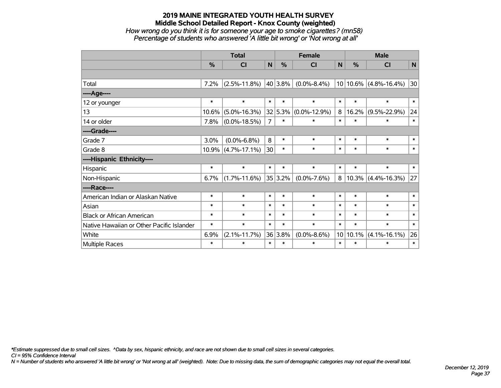## **2019 MAINE INTEGRATED YOUTH HEALTH SURVEY Middle School Detailed Report - Knox County (weighted)** *How wrong do you think it is for someone your age to smoke cigarettes? (mn58) Percentage of students who answered 'A little bit wrong' or 'Not wrong at all'*

|                                           | <b>Total</b>  |                    |                |              | <b>Female</b>      |        | <b>Male</b> |                           |        |  |
|-------------------------------------------|---------------|--------------------|----------------|--------------|--------------------|--------|-------------|---------------------------|--------|--|
|                                           | $\frac{0}{0}$ | CI                 | N              | %            | CI                 | N      | %           | CI                        | N      |  |
|                                           |               |                    |                |              |                    |        |             |                           |        |  |
| Total                                     | 7.2%          | $(2.5\% - 11.8\%)$ |                | $ 40 3.8\% $ | $(0.0\% - 8.4\%)$  |        |             | $10 10.6\% $ (4.8%-16.4%) | 30     |  |
| ---- Age----                              |               |                    |                |              |                    |        |             |                           |        |  |
| 12 or younger                             | $\ast$        | $\ast$             | $\ast$         | $\ast$       | $\ast$             | $\ast$ | $\ast$      | $\ast$                    | $\ast$ |  |
| 13                                        | 10.6%         | $(5.0\% - 16.3\%)$ |                | 32 5.3%      | $(0.0\% - 12.9\%)$ | 8      | 16.2%       | $(9.5\% - 22.9\%)$        | 24     |  |
| 14 or older                               | 7.8%          | $(0.0\% - 18.5\%)$ | $\overline{7}$ | $\ast$       | $\ast$             | $\ast$ | $\ast$      | $\ast$                    | $\ast$ |  |
| ----Grade----                             |               |                    |                |              |                    |        |             |                           |        |  |
| Grade 7                                   | 3.0%          | $(0.0\% - 6.8\%)$  | 8              | $\ast$       | $\ast$             | $\ast$ | $\ast$      | $\ast$                    | $\ast$ |  |
| Grade 8                                   | 10.9%         | $(4.7\% - 17.1\%)$ | 30             | $\ast$       | $\ast$             | $\ast$ | $\ast$      | $\ast$                    | $\ast$ |  |
| ----Hispanic Ethnicity----                |               |                    |                |              |                    |        |             |                           |        |  |
| Hispanic                                  | $\ast$        | $\ast$             | $\ast$         | $\ast$       | $\ast$             | $\ast$ | $\ast$      | $\ast$                    | $\ast$ |  |
| Non-Hispanic                              | 6.7%          | $(1.7\% - 11.6\%)$ |                | $ 35 3.2\% $ | $(0.0\% - 7.6\%)$  | 8      |             | $10.3\%$ (4.4%-16.3%)     | 27     |  |
| ----Race----                              |               |                    |                |              |                    |        |             |                           |        |  |
| American Indian or Alaskan Native         | $\ast$        | $\ast$             | $\ast$         | $\ast$       | $\ast$             | $\ast$ | $\ast$      | $\ast$                    | $\ast$ |  |
| Asian                                     | $\ast$        | $\ast$             | $\ast$         | $\ast$       | $\ast$             | $\ast$ | $\ast$      | $\ast$                    | $\ast$ |  |
| <b>Black or African American</b>          | $\ast$        | $\ast$             | $\ast$         | $\ast$       | $\ast$             | $\ast$ | $\ast$      | $\ast$                    | $\ast$ |  |
| Native Hawaiian or Other Pacific Islander | $\ast$        | $\ast$             | $\ast$         | $\ast$       | $\ast$             | $\ast$ | $\ast$      | $\ast$                    | $\ast$ |  |
| White                                     | 6.9%          | $(2.1\% - 11.7\%)$ |                | 36 3.8%      | $(0.0\% - 8.6\%)$  | 10     | 10.1%       | $(4.1\% - 16.1\%)$        | 26     |  |
| Multiple Races                            | $\ast$        | $\ast$             | $\ast$         | $\ast$       | $\ast$             | $\ast$ | $\ast$      | $\ast$                    | $\ast$ |  |

*\*Estimate suppressed due to small cell sizes. ^Data by sex, hispanic ethnicity, and race are not shown due to small cell sizes in several categories.*

*CI = 95% Confidence Interval*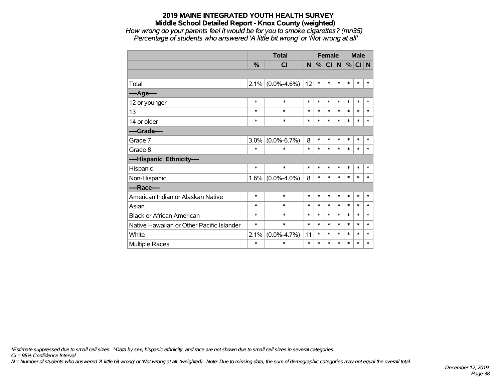*How wrong do your parents feel it would be for you to smoke cigarettes? (mn35) Percentage of students who answered 'A little bit wrong' or 'Not wrong at all'*

|                                           |         | <b>Total</b>      |        | <b>Female</b> |        |        |        | <b>Male</b> |        |  |
|-------------------------------------------|---------|-------------------|--------|---------------|--------|--------|--------|-------------|--------|--|
|                                           | $\%$    | <b>CI</b>         | N      | %             | CI     | N      | %      | $CI$ N      |        |  |
|                                           |         |                   |        |               |        |        |        |             |        |  |
| Total                                     | 2.1%    | $(0.0\% - 4.6\%)$ | 12     | $\ast$        | $\ast$ | $\ast$ | *      | $\ast$      | $\ast$ |  |
| ----Age----                               |         |                   |        |               |        |        |        |             |        |  |
| 12 or younger                             | $\ast$  | $\ast$            | $\ast$ | $\ast$        | $\ast$ | $\ast$ | $\ast$ | $\ast$      | $\ast$ |  |
| 13                                        | $\ast$  | $\ast$            | $\ast$ | $\ast$        | $\ast$ | $\ast$ | $\ast$ | $\ast$      | $\ast$ |  |
| 14 or older                               | $\ast$  | $\ast$            | $\ast$ | $\ast$        | $\ast$ | $\ast$ | $\ast$ | $\ast$      | $\ast$ |  |
| ----Grade----                             |         |                   |        |               |        |        |        |             |        |  |
| Grade 7                                   | 3.0%    | $(0.0\% - 6.7\%)$ | 8      | $\ast$        | $\ast$ | $\ast$ | $\ast$ | $\ast$      | $\ast$ |  |
| Grade 8                                   | $\ast$  | $\ast$            | $\ast$ | $\ast$        | $\ast$ | $\ast$ | $\ast$ | $\ast$      | $\ast$ |  |
| ----Hispanic Ethnicity----                |         |                   |        |               |        |        |        |             |        |  |
| Hispanic                                  | $\ast$  | $\ast$            | $\ast$ | $\ast$        | $\ast$ | $\ast$ | *      | $\ast$      | ∗      |  |
| Non-Hispanic                              | $1.6\%$ | $(0.0\% - 4.0\%)$ | 8      | $\ast$        | *      | $\ast$ | $\ast$ | $\ast$      | $\ast$ |  |
| ----Race----                              |         |                   |        |               |        |        |        |             |        |  |
| American Indian or Alaskan Native         | $\ast$  | $\ast$            | $\ast$ | $\ast$        | $\ast$ | $\ast$ | $\ast$ | $\ast$      | $\ast$ |  |
| Asian                                     | $\ast$  | $\ast$            | $\ast$ | $\ast$        | $\ast$ | $\ast$ | $\ast$ | $\ast$      | $\ast$ |  |
| <b>Black or African American</b>          | $\ast$  | $\ast$            | $\ast$ | $\ast$        | $\ast$ | $\ast$ | $\ast$ | $\ast$      | $\ast$ |  |
| Native Hawaiian or Other Pacific Islander | $\ast$  | $\ast$            | $\ast$ | $\ast$        | $\ast$ | $\ast$ | $\ast$ | $\ast$      | $\ast$ |  |
| White                                     | 2.1%    | $(0.0\% - 4.7\%)$ | 11     | $\ast$        | $\ast$ | $\ast$ | $\ast$ | $\ast$      | $\ast$ |  |
| Multiple Races                            | $\ast$  | $\ast$            | $\ast$ | $\ast$        | $\ast$ | $\ast$ | $\ast$ | $\ast$      | $\ast$ |  |

*\*Estimate suppressed due to small cell sizes. ^Data by sex, hispanic ethnicity, and race are not shown due to small cell sizes in several categories.*

*CI = 95% Confidence Interval*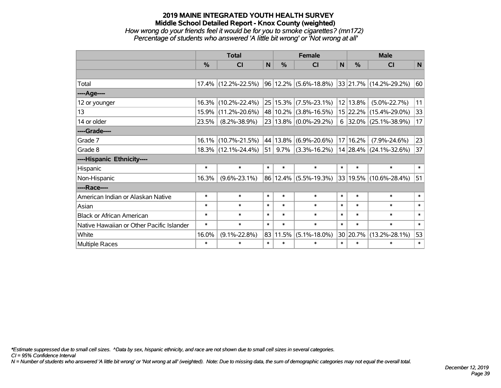### **2019 MAINE INTEGRATED YOUTH HEALTH SURVEY Middle School Detailed Report - Knox County (weighted)** *How wrong do your friends feel it would be for you to smoke cigarettes? (mn172) Percentage of students who answered 'A little bit wrong' or 'Not wrong at all'*

|                                           | <b>Total</b> |                     |              |               | <b>Female</b>             |                 | <b>Male</b>   |                                                   |        |  |
|-------------------------------------------|--------------|---------------------|--------------|---------------|---------------------------|-----------------|---------------|---------------------------------------------------|--------|--|
|                                           | $\%$         | CI                  | $\mathsf{N}$ | $\frac{0}{0}$ | CI                        | N               | $\frac{0}{0}$ | CI                                                | N      |  |
|                                           |              |                     |              |               |                           |                 |               |                                                   |        |  |
| Total                                     | $17.4\%$     | $(12.2\% - 22.5\%)$ |              |               |                           |                 |               | $ 96 12.2\% $ (5.6%-18.8%) 33 21.7% (14.2%-29.2%) | 60     |  |
| ----Age----                               |              |                     |              |               |                           |                 |               |                                                   |        |  |
| 12 or younger                             | 16.3%        | $(10.2\% - 22.4\%)$ |              |               | $25 15.3\% $ (7.5%-23.1%) |                 | 12 13.8%      | $(5.0\% - 22.7\%)$                                | 11     |  |
| 13                                        | 15.9%        | $(11.2\% - 20.6\%)$ |              |               | 48 10.2% (3.8%-16.5%)     |                 |               | 15 22.2% (15.4%-29.0%)                            | 33     |  |
| 14 or older                               | 23.5%        | $(8.2\% - 38.9\%)$  |              |               | 23 13.8% (0.0%-29.2%)     |                 |               | $6$ 32.0% (25.1%-38.9%)                           | 17     |  |
| ----Grade----                             |              |                     |              |               |                           |                 |               |                                                   |        |  |
| Grade 7                                   | 16.1%        | $(10.7\% - 21.5\%)$ |              | 44 13.8%      | $(6.9\% - 20.6\%)$        | 17 <sup>1</sup> | 16.2%         | $(7.9\% - 24.6\%)$                                | 23     |  |
| Grade 8                                   |              | 18.3% (12.1%-24.4%) | 51           | $9.7\%$       | $(3.3\% - 16.2\%)$        |                 |               | 14 28.4% (24.1%-32.6%)                            | 37     |  |
| ----Hispanic Ethnicity----                |              |                     |              |               |                           |                 |               |                                                   |        |  |
| Hispanic                                  | $\ast$       | $\ast$              | $\ast$       | $\ast$        | $\ast$                    | $\ast$          | $\ast$        | $\ast$                                            | $\ast$ |  |
| Non-Hispanic                              | 16.3%        | $(9.6\% - 23.1\%)$  |              |               | 86 12.4% (5.5%-19.3%)     |                 |               | $ 33 19.5\% $ (10.6%-28.4%)                       | 51     |  |
| ----Race----                              |              |                     |              |               |                           |                 |               |                                                   |        |  |
| American Indian or Alaskan Native         | $\ast$       | $\ast$              | $\ast$       | $\ast$        | $\ast$                    | $\ast$          | $\ast$        | $\ast$                                            | $\ast$ |  |
| Asian                                     | $\ast$       | $\ast$              | $\ast$       | $\ast$        | $\ast$                    | $\ast$          | $\ast$        | $\ast$                                            | $\ast$ |  |
| <b>Black or African American</b>          | $\ast$       | $\ast$              | $\ast$       | $\ast$        | $\ast$                    | $\ast$          | $\ast$        | $\ast$                                            | $\ast$ |  |
| Native Hawaiian or Other Pacific Islander | $\ast$       | $\ast$              | $\ast$       | $\ast$        | $\ast$                    | $\ast$          | $\ast$        | $\ast$                                            | $\ast$ |  |
| White                                     | 16.0%        | $(9.1\% - 22.8\%)$  | 83           | 11.5%         | $(5.1\% - 18.0\%)$        |                 | 30 20.7%      | $(13.2\% - 28.1\%)$                               | 53     |  |
| Multiple Races                            | $\ast$       | $\ast$              | $\ast$       | $\ast$        | $\ast$                    | $\ast$          | $\ast$        | $\ast$                                            | $\ast$ |  |

*\*Estimate suppressed due to small cell sizes. ^Data by sex, hispanic ethnicity, and race are not shown due to small cell sizes in several categories.*

*CI = 95% Confidence Interval*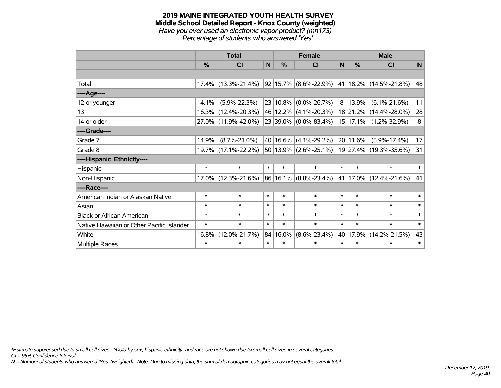#### **2019 MAINE INTEGRATED YOUTH HEALTH SURVEY Middle School Detailed Report - Knox County (weighted)** *Have you ever used an electronic vapor product? (mn173) Percentage of students who answered 'Yes'*

|                                           | <b>Total</b> |                     |        |        | <b>Female</b>             |              | <b>Male</b> |                                              |        |  |
|-------------------------------------------|--------------|---------------------|--------|--------|---------------------------|--------------|-------------|----------------------------------------------|--------|--|
|                                           | %            | <b>CI</b>           | N      | %      | <b>CI</b>                 | $\mathsf{N}$ | %           | <b>CI</b>                                    | N      |  |
|                                           |              |                     |        |        |                           |              |             |                                              |        |  |
| Total                                     | 17.4%        | $(13.3\% - 21.4\%)$ |        |        | 92 15.7% (8.6%-22.9%)     |              |             | 41   18.2%   (14.5%-21.8%)                   | 48     |  |
| ----Age----                               |              |                     |        |        |                           |              |             |                                              |        |  |
| 12 or younger                             | 14.1%        | $(5.9\% - 22.3\%)$  |        |        | 23 10.8% (0.0%-26.7%)     | 8            | 13.9%       | $(6.1\% - 21.6\%)$                           | 11     |  |
| 13                                        | 16.3%        | $(12.4\% - 20.3\%)$ |        |        | 46 12.2% (4.1%-20.3%)     |              |             | 18 21.2% (14.4%-28.0%)                       | 28     |  |
| 14 or older                               | 27.0%        | $(11.9\% - 42.0\%)$ |        |        | 23 39.0% (0.0%-83.4%)     |              | 15 17.1%    | $(1.2\% - 32.9\%)$                           | 8      |  |
| ----Grade----                             |              |                     |        |        |                           |              |             |                                              |        |  |
| Grade 7                                   | 14.9%        | $(8.7\% - 21.0\%)$  |        |        | $40 16.6\% $ (4.1%-29.2%) |              | 20 11.6%    | $(5.9\% - 17.4\%)$                           | 17     |  |
| Grade 8                                   |              | 19.7% (17.1%-22.2%) |        |        |                           |              |             | 50 13.9% (2.6%-25.1%) 19 27.4% (19.3%-35.6%) | 31     |  |
| ----Hispanic Ethnicity----                |              |                     |        |        |                           |              |             |                                              |        |  |
| Hispanic                                  | $\ast$       | $\ast$              | $\ast$ | $\ast$ | $\ast$                    | $\ast$       | $\ast$      | $\ast$                                       | $\ast$ |  |
| Non-Hispanic                              | 17.0%        | $(12.3\% - 21.6\%)$ |        |        | $86 16.1\% $ (8.8%-23.4%) |              |             | 41   17.0%   (12.4%-21.6%)                   | 41     |  |
| ----Race----                              |              |                     |        |        |                           |              |             |                                              |        |  |
| American Indian or Alaskan Native         | $\ast$       | $\ast$              | $\ast$ | $\ast$ | $\ast$                    | $\ast$       | $\ast$      | $\ast$                                       | $\ast$ |  |
| Asian                                     | $\ast$       | $\ast$              | $\ast$ | $\ast$ | $\ast$                    | $\ast$       | $\ast$      | $\ast$                                       | $\ast$ |  |
| <b>Black or African American</b>          | $\ast$       | $\ast$              | $\ast$ | $\ast$ | $\ast$                    | $\ast$       | $\ast$      | $\ast$                                       | $\ast$ |  |
| Native Hawaiian or Other Pacific Islander | $\ast$       | $\ast$              | $\ast$ | $\ast$ | $\ast$                    | $\ast$       | $\ast$      | $\ast$                                       | $\ast$ |  |
| White                                     | 16.8%        | $(12.0\% - 21.7\%)$ | 84     | 16.0%  | $(8.6\% - 23.4\%)$        |              | 40 17.9%    | $(14.2\% - 21.5\%)$                          | 43     |  |
| <b>Multiple Races</b>                     | $\ast$       | $\ast$              | $\ast$ | $\ast$ | $\ast$                    | $\ast$       | $\ast$      | $\ast$                                       | $\ast$ |  |

*\*Estimate suppressed due to small cell sizes. ^Data by sex, hispanic ethnicity, and race are not shown due to small cell sizes in several categories.*

*CI = 95% Confidence Interval*

*N = Number of students who answered 'Yes' (weighted). Note: Due to missing data, the sum of demographic categories may not equal the overall total.*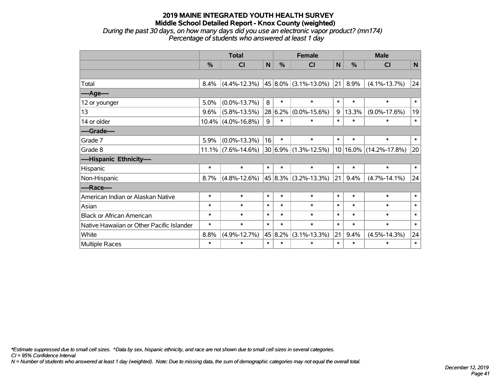*During the past 30 days, on how many days did you use an electronic vapor product? (mn174) Percentage of students who answered at least 1 day*

|                                           | <b>Total</b> |                       |              |         | <b>Female</b>               |        | <b>Male</b>  |                     |             |  |
|-------------------------------------------|--------------|-----------------------|--------------|---------|-----------------------------|--------|--------------|---------------------|-------------|--|
|                                           | %            | CI                    | $\mathsf{N}$ | %       | <b>CI</b>                   | N      | %            | <b>CI</b>           | $\mathbf N$ |  |
|                                           |              |                       |              |         |                             |        |              |                     |             |  |
| Total                                     | 8.4%         | $(4.4\% - 12.3\%)$    |              |         | 45   8.0%   (3.1%-13.0%)    | 21     | 8.9%         | $(4.1\% - 13.7\%)$  | 24          |  |
| ---- Age----                              |              |                       |              |         |                             |        |              |                     |             |  |
| 12 or younger                             | 5.0%         | $(0.0\% - 13.7\%)$    | 8            | $\ast$  | $\ast$                      | $\ast$ | $\ast$       | $\ast$              | $\ast$      |  |
| 13                                        | 9.6%         | $(5.8\% - 13.5\%)$    |              | 28 6.2% | $(0.0\% - 15.6\%)$          | 9      | 13.3%        | $(9.0\% - 17.6\%)$  | 19          |  |
| 14 or older                               |              | $10.4\%$ (4.0%-16.8%) | 9            | $\ast$  | $\ast$                      | $\ast$ | $\ast$       | $\ast$              | $\ast$      |  |
| ----Grade----                             |              |                       |              |         |                             |        |              |                     |             |  |
| Grade 7                                   | 5.9%         | $(0.0\% - 13.3\%)$    | 16           | $\ast$  | $\ast$                      | $\ast$ | $\ast$       | $\ast$              | $\ast$      |  |
| Grade 8                                   |              | $11.1\%$ (7.6%-14.6%) |              |         | $30 6.9\% (1.3\% - 12.5\%)$ |        | $10 16.0\% $ | $(14.2\% - 17.8\%)$ | 20          |  |
| ----Hispanic Ethnicity----                |              |                       |              |         |                             |        |              |                     |             |  |
| Hispanic                                  | $\ast$       | $\ast$                | $\ast$       | $\ast$  | $\ast$                      | $\ast$ | $\ast$       | $\ast$              | $\ast$      |  |
| Non-Hispanic                              | 8.7%         | $(4.8\% - 12.6\%)$    |              |         | 45 8.3% (3.2%-13.3%)        | 21     | 9.4%         | $(4.7\% - 14.1\%)$  | 24          |  |
| ----Race----                              |              |                       |              |         |                             |        |              |                     |             |  |
| American Indian or Alaskan Native         | $\ast$       | $\ast$                | $\ast$       | $\ast$  | $\ast$                      | $\ast$ | $\ast$       | $\ast$              | $\ast$      |  |
| Asian                                     | $\ast$       | $\ast$                | $\ast$       | $\ast$  | $\ast$                      | $\ast$ | $\ast$       | $\ast$              | $\ast$      |  |
| <b>Black or African American</b>          | $\ast$       | $\ast$                | $\ast$       | $\ast$  | $\ast$                      | $\ast$ | $\ast$       | $\ast$              | $\ast$      |  |
| Native Hawaiian or Other Pacific Islander | $\ast$       | $\ast$                | $\ast$       | $\ast$  | $\ast$                      | $\ast$ | $\ast$       | $\ast$              | $\ast$      |  |
| White                                     | 8.8%         | $(4.9\% - 12.7\%)$    |              | 45 8.2% | $(3.1\% - 13.3\%)$          | 21     | 9.4%         | $(4.5\% - 14.3\%)$  | 24          |  |
| Multiple Races                            | $\ast$       | $\ast$                | $\ast$       | $\ast$  | $\ast$                      | $\ast$ | $\ast$       | $\ast$              | $\ast$      |  |

*\*Estimate suppressed due to small cell sizes. ^Data by sex, hispanic ethnicity, and race are not shown due to small cell sizes in several categories.*

*CI = 95% Confidence Interval*

*N = Number of students who answered at least 1 day (weighted). Note: Due to missing data, the sum of demographic categories may not equal the overall total.*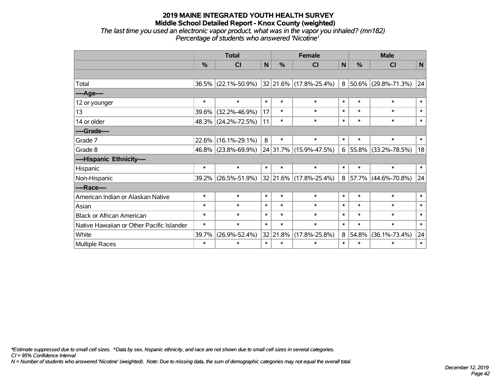*The last time you used an electronic vapor product, what was in the vapor you inhaled? (mn182) Percentage of students who answered 'Nicotine'*

|                                           | <b>Total</b>  |                     |        | <b>Female</b> | <b>Male</b>            |        |               |                     |                 |
|-------------------------------------------|---------------|---------------------|--------|---------------|------------------------|--------|---------------|---------------------|-----------------|
|                                           | $\frac{0}{0}$ | CI                  | N      | $\frac{0}{0}$ | <b>CI</b>              | N      | $\frac{0}{0}$ | CI                  | $\mathbf N$     |
|                                           |               |                     |        |               |                        |        |               |                     |                 |
| Total                                     |               | 36.5% (22.1%-50.9%) |        |               | 32 21.6% (17.8%-25.4%) | 8      |               | 50.6% (29.8%-71.3%) | $\overline{24}$ |
| ----Age----                               |               |                     |        |               |                        |        |               |                     |                 |
| 12 or younger                             | $\ast$        | $\ast$              | $\ast$ | $\ast$        | $\ast$                 | $\ast$ | $\ast$        | $\ast$              | $\ast$          |
| 13                                        | 39.6%         | $(32.2\% - 46.9\%)$ | 17     | $\ast$        | $\ast$                 | $\ast$ | $\ast$        | $\ast$              | $\ast$          |
| 14 or older                               |               | 48.3% (24.2%-72.5%) | 11     | $\ast$        | $\ast$                 | $\ast$ | $\ast$        | $\ast$              | $\ast$          |
| ----Grade----                             |               |                     |        |               |                        |        |               |                     |                 |
| Grade 7                                   | 22.6%         | $(16.1\% - 29.1\%)$ | 8      | $\ast$        | $\ast$                 | $\ast$ | $\ast$        | $\ast$              | $\ast$          |
| Grade 8                                   |               | 46.8% (23.8%-69.9%) |        | 24 31.7%      | $(15.9\% - 47.5\%)$    | 6      | 55.8%         | $(33.2\% - 78.5\%)$ | 18              |
| ----Hispanic Ethnicity----                |               |                     |        |               |                        |        |               |                     |                 |
| Hispanic                                  | $\ast$        | $\ast$              | $\ast$ | $\ast$        | $\ast$                 | $\ast$ | $\ast$        | $\ast$              | $\ast$          |
| Non-Hispanic                              |               | 39.2% (26.5%-51.9%) |        | $ 32 21.6\% $ | $(17.8\% - 25.4\%)$    | 8      |               | 57.7% (44.6%-70.8%) | 24              |
| ----Race----                              |               |                     |        |               |                        |        |               |                     |                 |
| American Indian or Alaskan Native         | $\ast$        | $\ast$              | $\ast$ | $\ast$        | $\ast$                 | $\ast$ | $\ast$        | $\ast$              | $\ast$          |
| Asian                                     | $\ast$        | $\ast$              | $\ast$ | $\ast$        | $\ast$                 | $\ast$ | $\ast$        | $\ast$              | $\ast$          |
| <b>Black or African American</b>          | $\ast$        | $\ast$              | $\ast$ | $\ast$        | $\ast$                 | $\ast$ | $\ast$        | $\ast$              | $\ast$          |
| Native Hawaiian or Other Pacific Islander | $\ast$        | $\ast$              | $\ast$ | $\ast$        | $\ast$                 | $\ast$ | $\ast$        | $\ast$              | $\ast$          |
| White                                     | 39.7%         | $(26.9\% - 52.4\%)$ |        | 32 21.8%      | $(17.8\% - 25.8\%)$    | 8      | 54.8%         | $(36.1\% - 73.4\%)$ | 24              |
| <b>Multiple Races</b>                     | $\ast$        | $\ast$              | $\ast$ | $\ast$        | $\ast$                 | $\ast$ | $\ast$        | $\ast$              | $\ast$          |

*\*Estimate suppressed due to small cell sizes. ^Data by sex, hispanic ethnicity, and race are not shown due to small cell sizes in several categories.*

*CI = 95% Confidence Interval*

*N = Number of students who answered 'Nicotine' (weighted). Note: Due to missing data, the sum of demographic categories may not equal the overall total.*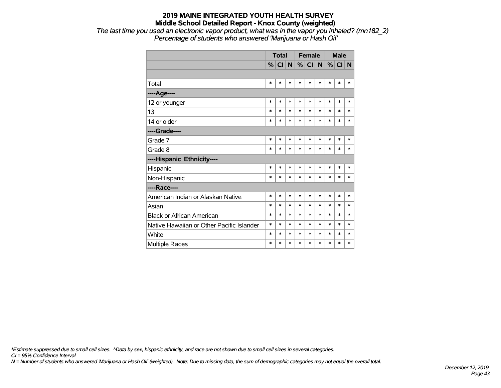*The last time you used an electronic vapor product, what was in the vapor you inhaled? (mn182\_2) Percentage of students who answered 'Marijuana or Hash Oil'*

|                                           | <b>Total</b> |        |        |        | <b>Female</b> |        | <b>Male</b> |        |        |
|-------------------------------------------|--------------|--------|--------|--------|---------------|--------|-------------|--------|--------|
|                                           | %            | CI N   |        |        | $%$ CI N      |        | %           | CI N   |        |
|                                           |              |        |        |        |               |        |             |        |        |
| Total                                     | $\ast$       | $\ast$ | *      | $\ast$ | $\ast$        | $\ast$ | $\ast$      | $\ast$ | $\ast$ |
| ---- Age----                              |              |        |        |        |               |        |             |        |        |
| 12 or younger                             | $\ast$       | $\ast$ | *      | $\ast$ | $\ast$        | $\ast$ | $\ast$      | $\ast$ | $\ast$ |
| 13                                        | $\ast$       | $\ast$ | $\ast$ | $\ast$ | $\ast$        | $\ast$ | $\ast$      | $\ast$ | $\ast$ |
| 14 or older                               | $\ast$       | *      | $\ast$ | $\ast$ | $\ast$        | $\ast$ | $\ast$      | $\ast$ | $\ast$ |
| ----Grade----                             |              |        |        |        |               |        |             |        |        |
| Grade 7                                   | $\ast$       | $\ast$ | $\ast$ | $\ast$ | $\ast$        | $\ast$ | $\ast$      | $\ast$ | $\ast$ |
| Grade 8                                   | $\ast$       | $\ast$ | *      | $\ast$ | $\ast$        | $\ast$ | $\ast$      | $\ast$ | $\ast$ |
| ----Hispanic Ethnicity----                |              |        |        |        |               |        |             |        |        |
| Hispanic                                  | $\ast$       | *      | $\ast$ | $\ast$ | *             | $\ast$ | *           | *      | *      |
| Non-Hispanic                              | $\ast$       | $\ast$ | $\ast$ | $\ast$ | *             | $\ast$ | $\ast$      | *      | $\ast$ |
| ----Race----                              |              |        |        |        |               |        |             |        |        |
| American Indian or Alaskan Native         | $\ast$       | *      | $\ast$ | $\ast$ | *             | $\ast$ | $\ast$      | $\ast$ | $\ast$ |
| Asian                                     | $\ast$       | $\ast$ | $\ast$ | $\ast$ | *             | $\ast$ | *           | $\ast$ | $\ast$ |
| <b>Black or African American</b>          | $\ast$       | $\ast$ | *      | $\ast$ | $\ast$        | $\ast$ | $\ast$      | $\ast$ | $\ast$ |
| Native Hawaiian or Other Pacific Islander | $\ast$       | $\ast$ | *      | $\ast$ | $\ast$        | $\ast$ | $\ast$      | $\ast$ | $\ast$ |
| White                                     | $\ast$       | $\ast$ | *      | *      | $\ast$        | $\ast$ | $\ast$      | $\ast$ | $\ast$ |
| <b>Multiple Races</b>                     | $\ast$       | $\ast$ | *      | $\ast$ | $\ast$        | $\ast$ | $\ast$      | $\ast$ | $\ast$ |

*\*Estimate suppressed due to small cell sizes. ^Data by sex, hispanic ethnicity, and race are not shown due to small cell sizes in several categories.*

*CI = 95% Confidence Interval*

*N = Number of students who answered 'Marijuana or Hash Oil' (weighted). Note: Due to missing data, the sum of demographic categories may not equal the overall total.*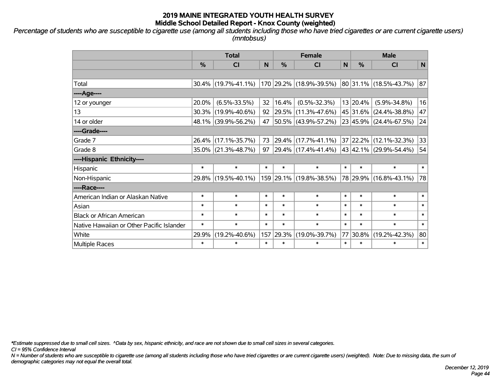*Percentage of students who are susceptible to cigarette use (among all students including those who have tried cigarettes or are current cigarette users) (mntobsus)*

|                                           | <b>Total</b>  |                     |        | <b>Female</b> | <b>Male</b>             |        |          |                            |              |
|-------------------------------------------|---------------|---------------------|--------|---------------|-------------------------|--------|----------|----------------------------|--------------|
|                                           | $\frac{0}{0}$ | CI                  | N      | %             | <b>CI</b>               | N      | %        | <b>CI</b>                  | $\mathsf{N}$ |
|                                           |               |                     |        |               |                         |        |          |                            |              |
| Total                                     |               | 30.4% (19.7%-41.1%) |        |               | 170 29.2% (18.9%-39.5%) |        |          | 80 31.1% (18.5%-43.7%)     | 87           |
| ----Age----                               |               |                     |        |               |                         |        |          |                            |              |
| 12 or younger                             | 20.0%         | $(6.5\% - 33.5\%)$  | 32     | 16.4%         | $(0.5\% - 32.3\%)$      |        | 13 20.4% | $(5.9\% - 34.8\%)$         | 16           |
| 13                                        |               | 30.3% (19.9%-40.6%) | 92     | $ 29.5\% $    | $(11.3\% - 47.6\%)$     |        |          | 45 31.6% (24.4%-38.8%)     | 47           |
| 14 or older                               |               | 48.1% (39.9%-56.2%) | 47     |               | 50.5% (43.9%-57.2%)     |        |          | 23 45.9% (24.4%-67.5%)     | 24           |
| ----Grade----                             |               |                     |        |               |                         |        |          |                            |              |
| Grade 7                                   |               | 26.4% (17.1%-35.7%) | 73     |               | 29.4% (17.7%-41.1%)     |        |          | 37 22.2% (12.1%-32.3%)     | 33           |
| Grade 8                                   |               | 35.0% (21.3%-48.7%) | 97     |               | 29.4% (17.4%-41.4%)     |        |          | 43   42.1%   (29.9%-54.4%) | 54           |
| ----Hispanic Ethnicity----                |               |                     |        |               |                         |        |          |                            |              |
| Hispanic                                  | $\ast$        | $\ast$              | $\ast$ | $\ast$        | $\ast$                  | $\ast$ | $\ast$   | $\ast$                     | $\ast$       |
| Non-Hispanic                              |               | 29.8% (19.5%-40.1%) |        |               | 159 29.1% (19.8%-38.5%) |        |          | 78 29.9% (16.8%-43.1%)     | 78           |
| ----Race----                              |               |                     |        |               |                         |        |          |                            |              |
| American Indian or Alaskan Native         | $\ast$        | $\ast$              | $\ast$ | $\ast$        | $\ast$                  | $\ast$ | $\ast$   | $\ast$                     | $\ast$       |
| Asian                                     | $\ast$        | $\ast$              | $\ast$ | $\ast$        | $\ast$                  | $\ast$ | $\ast$   | $\ast$                     | $\ast$       |
| <b>Black or African American</b>          | $\ast$        | $\ast$              | $\ast$ | $\ast$        | $\ast$                  | $\ast$ | $\ast$   | $\ast$                     | $\ast$       |
| Native Hawaiian or Other Pacific Islander | $\ast$        | $\ast$              | $\ast$ | $\ast$        | $\ast$                  | $\ast$ | $\ast$   | $\ast$                     | $\ast$       |
| White                                     | 29.9%         | $(19.2\% - 40.6\%)$ | 157    | 29.3%         | $(19.0\% - 39.7\%)$     | 77     | 30.8%    | $(19.2\% - 42.3\%)$        | 80           |
| <b>Multiple Races</b>                     | $\ast$        | $\ast$              | $\ast$ | $\ast$        | $\ast$                  | $\ast$ | $\ast$   | $\ast$                     | $\ast$       |

*\*Estimate suppressed due to small cell sizes. ^Data by sex, hispanic ethnicity, and race are not shown due to small cell sizes in several categories.*

*CI = 95% Confidence Interval*

*N = Number of students who are susceptible to cigarette use (among all students including those who have tried cigarettes or are current cigarette users) (weighted). Note: Due to missing data, the sum of demographic categories may not equal the overall total.*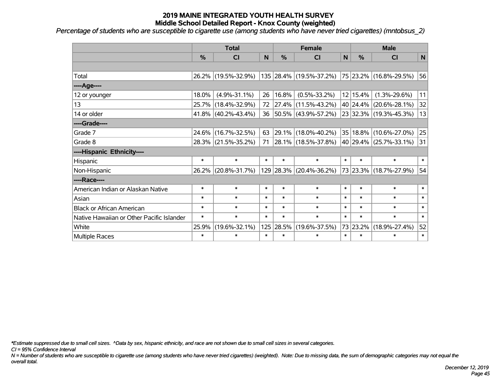*Percentage of students who are susceptible to cigarette use (among students who have never tried cigarettes) (mntobsus\_2)*

|                                           | <b>Total</b>  |                        |        |        | <b>Female</b>            |        | <b>Male</b> |                            |        |  |
|-------------------------------------------|---------------|------------------------|--------|--------|--------------------------|--------|-------------|----------------------------|--------|--|
|                                           | $\frac{0}{0}$ | <b>CI</b>              | N      | %      | <b>CI</b>                | N      | %           | <b>CI</b>                  | N      |  |
|                                           |               |                        |        |        |                          |        |             |                            |        |  |
| Total                                     |               | 26.2% (19.5%-32.9%)    |        |        | 135 28.4% (19.5%-37.2%)  |        |             | 75 23.2% (16.8%-29.5%)     | 56     |  |
| ---- Age----                              |               |                        |        |        |                          |        |             |                            |        |  |
| 12 or younger                             | 18.0%         | $(4.9\% - 31.1\%)$     | 26     | 16.8%  | $(0.5\% - 33.2\%)$       |        | 12 15.4%    | $(1.3\% - 29.6\%)$         | 11     |  |
| 13                                        | 25.7%         | $(18.4\% - 32.9\%)$    | 72     |        | $ 27.4\% $ (11.5%-43.2%) |        |             | 40 24.4% (20.6%-28.1%)     | 32     |  |
| 14 or older                               |               | $41.8\%$ (40.2%-43.4%) |        |        | 36 50.5% (43.9%-57.2%)   |        |             | 23 32.3% (19.3%-45.3%)     | 13     |  |
| ----Grade----                             |               |                        |        |        |                          |        |             |                            |        |  |
| Grade 7                                   | 24.6%         | $(16.7\% - 32.5\%)$    | 63     |        | 29.1% (18.0%-40.2%)      |        |             | 35   18.8%   (10.6%-27.0%) | 25     |  |
| Grade 8                                   |               | 28.3% (21.5%-35.2%)    | 71     |        | 28.1% (18.5%-37.8%)      |        |             | 40 29.4% (25.7%-33.1%)     | 31     |  |
| ----Hispanic Ethnicity----                |               |                        |        |        |                          |        |             |                            |        |  |
| Hispanic                                  | $\ast$        | $\ast$                 | $\ast$ | $\ast$ | $\ast$                   | $\ast$ | $\ast$      | $\ast$                     | $\ast$ |  |
| Non-Hispanic                              | $26.2\%$      | $(20.8\% - 31.7\%)$    |        |        | 129 28.3% (20.4%-36.2%)  |        |             | 73 23.3% (18.7%-27.9%)     | 54     |  |
| ----Race----                              |               |                        |        |        |                          |        |             |                            |        |  |
| American Indian or Alaskan Native         | $\ast$        | $\ast$                 | $\ast$ | $\ast$ | $\ast$                   | $\ast$ | $\ast$      | $\ast$                     | $\ast$ |  |
| Asian                                     | $\ast$        | $\ast$                 | $\ast$ | $\ast$ | $\ast$                   | $\ast$ | $\ast$      | $\ast$                     | $\ast$ |  |
| <b>Black or African American</b>          | $\ast$        | $\ast$                 | $\ast$ | $\ast$ | $\ast$                   | $\ast$ | $\ast$      | $\ast$                     | $\ast$ |  |
| Native Hawaiian or Other Pacific Islander | $\ast$        | $\ast$                 | $\ast$ | $\ast$ | $\ast$                   | $\ast$ | $\ast$      | $\ast$                     | $\ast$ |  |
| White                                     | 25.9%         | $(19.6\% - 32.1\%)$    | 125    | 28.5%  | $(19.6\% - 37.5\%)$      |        | 73 23.2%    | $(18.9\% - 27.4\%)$        | 52     |  |
| Multiple Races                            | $\ast$        | $\ast$                 | $\ast$ | $\ast$ | $\ast$                   | $\ast$ | $\ast$      | $\ast$                     | $\ast$ |  |

*\*Estimate suppressed due to small cell sizes. ^Data by sex, hispanic ethnicity, and race are not shown due to small cell sizes in several categories.*

*CI = 95% Confidence Interval*

*N = Number of students who are susceptible to cigarette use (among students who have never tried cigarettes) (weighted). Note: Due to missing data, the sum of demographic categories may not equal the overall total.*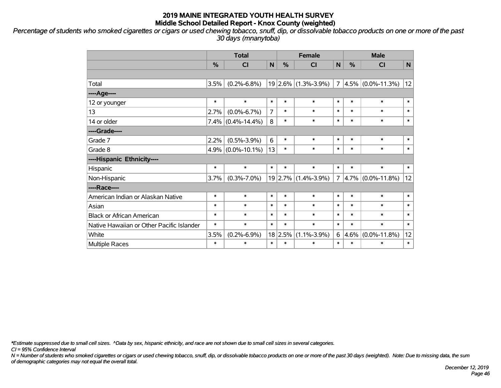*Percentage of students who smoked cigarettes or cigars or used chewing tobacco, snuff, dip, or dissolvable tobacco products on one or more of the past 30 days (mnanytoba)*

|                                           | <b>Total</b> |                      |                |               | <b>Female</b>           |                | <b>Male</b> |                      |        |  |
|-------------------------------------------|--------------|----------------------|----------------|---------------|-------------------------|----------------|-------------|----------------------|--------|--|
|                                           | %            | CI                   | N              | $\frac{0}{0}$ | <b>CI</b>               | N              | %           | <b>CI</b>            | N      |  |
|                                           |              |                      |                |               |                         |                |             |                      |        |  |
| Total                                     | 3.5%         | $(0.2\% - 6.8\%)$    |                |               | $19 2.6\% $ (1.3%-3.9%) | $\overline{7}$ |             | $4.5\%$ (0.0%-11.3%) | 12     |  |
| ----Age----                               |              |                      |                |               |                         |                |             |                      |        |  |
| 12 or younger                             | $\ast$       | $\ast$               | $\ast$         | $\ast$        | $\ast$                  | $\ast$         | $\ast$      | $\ast$               | $\ast$ |  |
| 13                                        | 2.7%         | $(0.0\% - 6.7\%)$    | $\overline{7}$ | $\ast$        | $\ast$                  | $\ast$         | $\ast$      | $\ast$               | $\ast$ |  |
| 14 or older                               |              | $7.4\%$ (0.4%-14.4%) | 8              | $\ast$        | $\ast$                  | $\ast$         | $\ast$      | $\ast$               | $\ast$ |  |
| ----Grade----                             |              |                      |                |               |                         |                |             |                      |        |  |
| Grade 7                                   | 2.2%         | $(0.5\% - 3.9\%)$    | 6              | $\ast$        | $\ast$                  | $\ast$         | $\ast$      | $\ast$               | $\ast$ |  |
| Grade 8                                   |              | $4.9\%$ (0.0%-10.1%) | 13             | $\ast$        | $\ast$                  | $\ast$         | $\ast$      | $\ast$               | $\ast$ |  |
| ----Hispanic Ethnicity----                |              |                      |                |               |                         |                |             |                      |        |  |
| Hispanic                                  | $\ast$       | $\ast$               | $\ast$         | $\ast$        | $\ast$                  | $\ast$         | $\ast$      | $\ast$               | $\ast$ |  |
| Non-Hispanic                              | 3.7%         | $(0.3\% - 7.0\%)$    |                |               | $19$ 2.7% (1.4%-3.9%)   | $\overline{7}$ |             | $4.7\%$ (0.0%-11.8%) | 12     |  |
| ----Race----                              |              |                      |                |               |                         |                |             |                      |        |  |
| American Indian or Alaskan Native         | $\ast$       | $\ast$               | $\ast$         | $\ast$        | $\ast$                  | $\ast$         | $\ast$      | $\ast$               | $\ast$ |  |
| Asian                                     | $\ast$       | $\ast$               | $\ast$         | $\ast$        | $\ast$                  | $\ast$         | $\ast$      | $\ast$               | $\ast$ |  |
| <b>Black or African American</b>          | $\ast$       | $\ast$               | $\ast$         | $\ast$        | $\ast$                  | $\ast$         | $\ast$      | $\ast$               | $\ast$ |  |
| Native Hawaiian or Other Pacific Islander | $\ast$       | $\ast$               | $\ast$         | $\ast$        | $\ast$                  | $\ast$         | $\ast$      | $\ast$               | $\ast$ |  |
| White                                     | 3.5%         | $(0.2\% - 6.9\%)$    | 18             | 2.5%          | $(1.1\% - 3.9\%)$       | 6              | 4.6%        | $(0.0\% - 11.8\%)$   | 12     |  |
| Multiple Races                            | $\ast$       | $\ast$               | $\ast$         | $\ast$        | $\ast$                  | $\ast$         | $\ast$      | $\ast$               | $\ast$ |  |

*\*Estimate suppressed due to small cell sizes. ^Data by sex, hispanic ethnicity, and race are not shown due to small cell sizes in several categories.*

*CI = 95% Confidence Interval*

*N = Number of students who smoked cigarettes or cigars or used chewing tobacco, snuff, dip, or dissolvable tobacco products on one or more of the past 30 days (weighted). Note: Due to missing data, the sum of demographic categories may not equal the overall total.*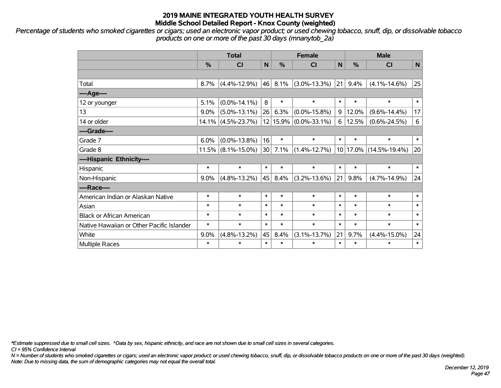*Percentage of students who smoked cigarettes or cigars; used an electronic vapor product; or used chewing tobacco, snuff, dip, or dissolvable tobacco products on one or more of the past 30 days (mnanytob\_2a)*

|                                           | <b>Total</b> |                    |              |        | <b>Female</b>         |        | <b>Male</b> |                        |              |  |
|-------------------------------------------|--------------|--------------------|--------------|--------|-----------------------|--------|-------------|------------------------|--------------|--|
|                                           | %            | CI                 | $\mathsf{N}$ | %      | <b>CI</b>             | N      | %           | <b>CI</b>              | $\mathsf{N}$ |  |
|                                           |              |                    |              |        |                       |        |             |                        |              |  |
| Total                                     | 8.7%         | $(4.4\% - 12.9\%)$ | 46           | 8.1%   | $(3.0\% - 13.3\%)$    | 21     | 9.4%        | $(4.1\% - 14.6\%)$     | 25           |  |
| ---- Age----                              |              |                    |              |        |                       |        |             |                        |              |  |
| 12 or younger                             | 5.1%         | $(0.0\% - 14.1\%)$ | 8            | $\ast$ | $\ast$                | $\ast$ | $\ast$      | $\ast$                 | $\ast$       |  |
| 13                                        | 9.0%         | $(5.0\% - 13.1\%)$ | 26           | 6.3%   | $(0.0\% - 15.8\%)$    | 9      | 12.0%       | $(9.6\% - 14.4\%)$     | 17           |  |
| 14 or older                               | 14.1%        | $(4.5\% - 23.7\%)$ |              |        | 12 15.9% (0.0%-33.1%) | 6      | 12.5%       | $(0.6\% - 24.5\%)$     | $\,6$        |  |
| ----Grade----                             |              |                    |              |        |                       |        |             |                        |              |  |
| Grade 7                                   | 6.0%         | $(0.0\% - 13.8\%)$ | 16           | $\ast$ | $\ast$                | $\ast$ | $\ast$      | $\ast$                 | $\ast$       |  |
| Grade 8                                   | 11.5%        | $(8.1\% - 15.0\%)$ | 30           | 7.1%   | $(1.4\% - 12.7\%)$    |        |             | 10 17.0% (14.5%-19.4%) | 20           |  |
| ----Hispanic Ethnicity----                |              |                    |              |        |                       |        |             |                        |              |  |
| Hispanic                                  | $\ast$       | $\ast$             | $\ast$       | $\ast$ | $\ast$                | $\ast$ | $\ast$      | $\ast$                 | $\ast$       |  |
| Non-Hispanic                              | 9.0%         | $(4.8\% - 13.2\%)$ | 45           | 8.4%   | $(3.2\% - 13.6\%)$    | 21     | 9.8%        | $(4.7\% - 14.9\%)$     | 24           |  |
| ----Race----                              |              |                    |              |        |                       |        |             |                        |              |  |
| American Indian or Alaskan Native         | $\ast$       | $\ast$             | $\ast$       | $\ast$ | $\ast$                | $\ast$ | $\ast$      | $\ast$                 | $\ast$       |  |
| Asian                                     | $\ast$       | $\ast$             | $\ast$       | $\ast$ | $\ast$                | $\ast$ | $\ast$      | $\ast$                 | $\ast$       |  |
| <b>Black or African American</b>          | $\ast$       | $\ast$             | $\ast$       | $\ast$ | $\ast$                | $\ast$ | $\ast$      | $\ast$                 | $\ast$       |  |
| Native Hawaiian or Other Pacific Islander | $\ast$       | $\ast$             | $\ast$       | $\ast$ | $\ast$                | $\ast$ | $\ast$      | $\ast$                 | $\ast$       |  |
| White                                     | 9.0%         | $(4.8\% - 13.2\%)$ | 45           | 8.4%   | $(3.1\% - 13.7\%)$    | 21     | 9.7%        | $(4.4\% - 15.0\%)$     | 24           |  |
| <b>Multiple Races</b>                     | $\ast$       | $\ast$             | $\ast$       | $\ast$ | $\ast$                | $\ast$ | $\ast$      | $\ast$                 | $\ast$       |  |

*\*Estimate suppressed due to small cell sizes. ^Data by sex, hispanic ethnicity, and race are not shown due to small cell sizes in several categories.*

*CI = 95% Confidence Interval*

*N = Number of students who smoked cigarettes or cigars; used an electronic vapor product; or used chewing tobacco, snuff, dip, or dissolvable tobacco products on one or more of the past 30 days (weighted). Note: Due to missing data, the sum of demographic categories may not equal the overall total.*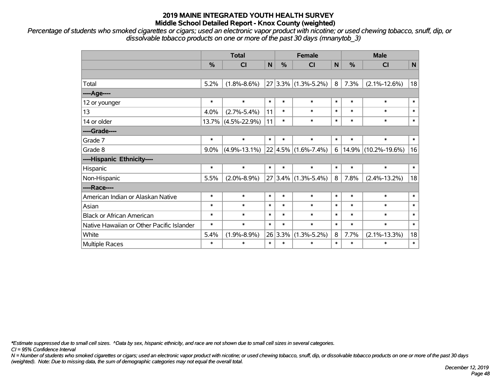*Percentage of students who smoked cigarettes or cigars; used an electronic vapor product with nicotine; or used chewing tobacco, snuff, dip, or dissolvable tobacco products on one or more of the past 30 days (mnanytob\_3)*

|                                           | <b>Total</b>  |                       |        |         | <b>Female</b>                  |              | <b>Male</b> |                     |              |  |
|-------------------------------------------|---------------|-----------------------|--------|---------|--------------------------------|--------------|-------------|---------------------|--------------|--|
|                                           | $\frac{0}{2}$ | <b>CI</b>             | N      | $\%$    | <b>CI</b>                      | $\mathsf{N}$ | %           | <b>CI</b>           | $\mathsf{N}$ |  |
|                                           |               |                       |        |         |                                |              |             |                     |              |  |
| Total                                     | 5.2%          | $(1.8\% - 8.6\%)$     |        |         | $27 3.3\% $ (1.3%-5.2%)        | 8            | 7.3%        | $(2.1\% - 12.6\%)$  | 18           |  |
| ---- Age----                              |               |                       |        |         |                                |              |             |                     |              |  |
| 12 or younger                             | $\ast$        | $\ast$                | $\ast$ | $\ast$  | $\ast$                         | $\ast$       | $\ast$      | $\ast$              | $\pmb{\ast}$ |  |
| 13                                        | 4.0%          | $(2.7\% - 5.4\%)$     | 11     | $\ast$  | $\ast$                         | $\ast$       | $\ast$      | $\ast$              | $\ast$       |  |
| 14 or older                               |               | $13.7\%$ (4.5%-22.9%) | 11     | $\ast$  | $\ast$                         | $\ast$       | $\ast$      | $\ast$              | $\ast$       |  |
| ----Grade----                             |               |                       |        |         |                                |              |             |                     |              |  |
| Grade 7                                   | $\ast$        | $\ast$                | $\ast$ | $\ast$  | $\ast$                         | $\ast$       | $\ast$      | $\ast$              | $\ast$       |  |
| Grade 8                                   | $9.0\%$       | $(4.9\% - 13.1\%)$    |        |         | $22   4.5\%   (1.6\% - 7.4\%)$ | 6            | 14.9%       | $(10.2\% - 19.6\%)$ | 16           |  |
| ----Hispanic Ethnicity----                |               |                       |        |         |                                |              |             |                     |              |  |
| Hispanic                                  | $\ast$        | $\ast$                | $\ast$ | $\ast$  | $\ast$                         | $\ast$       | $\ast$      | $\ast$              | $\ast$       |  |
| Non-Hispanic                              | 5.5%          | $(2.0\% - 8.9\%)$     |        |         | $27 3.4\% $ (1.3%-5.4%)        | 8            | 7.8%        | $(2.4\% - 13.2\%)$  | 18           |  |
| ----Race----                              |               |                       |        |         |                                |              |             |                     |              |  |
| American Indian or Alaskan Native         | $\ast$        | $\ast$                | $\ast$ | $\ast$  | $\ast$                         | $\ast$       | $\ast$      | $\ast$              | $\ast$       |  |
| Asian                                     | $\ast$        | $\ast$                | $\ast$ | $\ast$  | $\ast$                         | $\ast$       | $\ast$      | $\ast$              | $\ast$       |  |
| <b>Black or African American</b>          | $\ast$        | $\ast$                | $\ast$ | $\ast$  | $\ast$                         | $\ast$       | $\ast$      | $\ast$              | $\ast$       |  |
| Native Hawaiian or Other Pacific Islander | $\ast$        | $\ast$                | $\ast$ | $\ast$  | $\ast$                         | $\ast$       | $\ast$      | $\ast$              | $\ast$       |  |
| White                                     | 5.4%          | $(1.9\% - 8.9\%)$     |        | 26 3.3% | $(1.3\% - 5.2\%)$              | 8            | 7.7%        | $(2.1\% - 13.3\%)$  | 18           |  |
| Multiple Races                            | $\ast$        | $\ast$                | $\ast$ | $\ast$  | $\ast$                         | $\ast$       | $\ast$      | $\ast$              | $\ast$       |  |

*\*Estimate suppressed due to small cell sizes. ^Data by sex, hispanic ethnicity, and race are not shown due to small cell sizes in several categories.*

*CI = 95% Confidence Interval*

*N = Number of students who smoked cigarettes or cigars; used an electronic vapor product with nicotine; or used chewing tobacco, snuff, dip, or dissolvable tobacco products on one or more of the past 30 days (weighted). Note: Due to missing data, the sum of demographic categories may not equal the overall total.*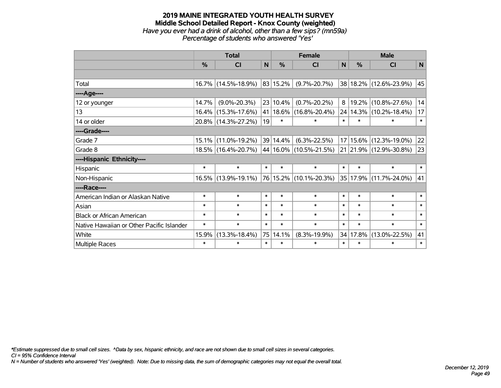#### **2019 MAINE INTEGRATED YOUTH HEALTH SURVEY Middle School Detailed Report - Knox County (weighted)** *Have you ever had a drink of alcohol, other than a few sips? (mn59a) Percentage of students who answered 'Yes'*

|                                           | <b>Total</b> |                     |                |               | <b>Female</b>               | <b>Male</b>  |               |                            |              |
|-------------------------------------------|--------------|---------------------|----------------|---------------|-----------------------------|--------------|---------------|----------------------------|--------------|
|                                           | $\%$         | CI                  | N <sub>1</sub> | $\frac{0}{0}$ | <b>CI</b>                   | $\mathsf{N}$ | $\frac{0}{0}$ | <b>CI</b>                  | $\mathsf{N}$ |
|                                           |              |                     |                |               |                             |              |               |                            |              |
| Total                                     |              | 16.7% (14.5%-18.9%) |                | 83 15.2%      | $(9.7\% - 20.7\%)$          |              |               | 38 18.2% (12.6%-23.9%)     | 45           |
| ----Age----                               |              |                     |                |               |                             |              |               |                            |              |
| 12 or younger                             | 14.7%        | $(9.0\% - 20.3\%)$  |                | 23 10.4%      | $(0.7\% - 20.2\%)$          | 8            |               | 19.2% (10.8%-27.6%)        | 14           |
| 13                                        |              | 16.4% (15.3%-17.6%) |                | 41 18.6%      | $(16.8\% - 20.4\%)$         |              |               | 24   14.3%   (10.2%-18.4%) | 17           |
| 14 or older                               |              | 20.8% (14.3%-27.2%) | 19             | $\ast$        | $\ast$                      | $\ast$       | $\ast$        | $\ast$                     | $\ast$       |
| ----Grade----                             |              |                     |                |               |                             |              |               |                            |              |
| Grade 7                                   |              | 15.1% (11.0%-19.2%) |                | 39 14.4%      | $(6.3\% - 22.5\%)$          |              |               | 17 15.6% (12.3%-19.0%)     | 22           |
| Grade 8                                   |              | 18.5% (16.4%-20.7%) |                |               | $ 44 16.0\% $ (10.5%-21.5%) |              |               | 21 21.9% (12.9%-30.8%)     | 23           |
| ----Hispanic Ethnicity----                |              |                     |                |               |                             |              |               |                            |              |
| Hispanic                                  | $\ast$       | $\ast$              | $\ast$         | $\ast$        | $\ast$                      | $\ast$       | $\ast$        | $\ast$                     | $\ast$       |
| Non-Hispanic                              |              | 16.5% (13.9%-19.1%) |                |               | 76 15.2% (10.1%-20.3%)      |              |               | 35 17.9% (11.7%-24.0%)     | 41           |
| ----Race----                              |              |                     |                |               |                             |              |               |                            |              |
| American Indian or Alaskan Native         | $\ast$       | $\ast$              | $\ast$         | $\ast$        | $\ast$                      | $\ast$       | $\ast$        | $\ast$                     | $\ast$       |
| Asian                                     | $\ast$       | $\ast$              | $\ast$         | $\ast$        | $\ast$                      | $\ast$       | $\ast$        | $\ast$                     | $\ast$       |
| <b>Black or African American</b>          | $\ast$       | $\ast$              | $\ast$         | $\ast$        | $\ast$                      | $\ast$       | $\ast$        | $\ast$                     | $\ast$       |
| Native Hawaiian or Other Pacific Islander | $\ast$       | $\ast$              | $\ast$         | $\ast$        | $\ast$                      | $\ast$       | $\ast$        | $\ast$                     | $\ast$       |
| White                                     | 15.9%        | $(13.3\% - 18.4\%)$ | 75             | 14.1%         | $(8.3\% - 19.9\%)$          |              | 34 17.8%      | $(13.0\% - 22.5\%)$        | 41           |
| <b>Multiple Races</b>                     | $\ast$       | $\ast$              | $\ast$         | $\ast$        | $\ast$                      | $\ast$       | $\ast$        | $\ast$                     | $\ast$       |

*\*Estimate suppressed due to small cell sizes. ^Data by sex, hispanic ethnicity, and race are not shown due to small cell sizes in several categories.*

*CI = 95% Confidence Interval*

*N = Number of students who answered 'Yes' (weighted). Note: Due to missing data, the sum of demographic categories may not equal the overall total.*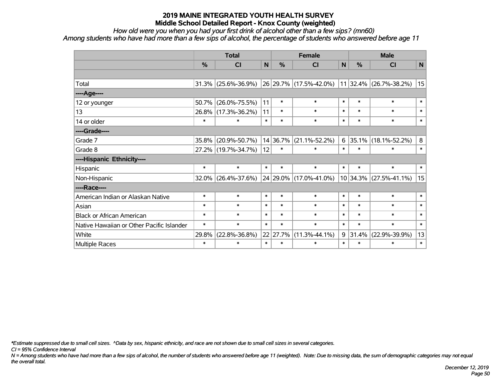*How old were you when you had your first drink of alcohol other than a few sips? (mn60) Among students who have had more than a few sips of alcohol, the percentage of students who answered before age 11*

|                                           | <b>Total</b> |                     |        |          | <b>Female</b>               | <b>Male</b> |          |                          |        |
|-------------------------------------------|--------------|---------------------|--------|----------|-----------------------------|-------------|----------|--------------------------|--------|
|                                           | $\%$         | <b>CI</b>           | N      | %        | <b>CI</b>                   | N           | $\%$     | <b>CI</b>                | N      |
|                                           |              |                     |        |          |                             |             |          |                          |        |
| Total                                     | 31.3%        | $(25.6\% - 36.9\%)$ |        |          | $ 26 29.7\% $ (17.5%-42.0%) |             |          | 11 32.4% (26.7%-38.2%)   | 15     |
| ---- Age----                              |              |                     |        |          |                             |             |          |                          |        |
| 12 or younger                             | 50.7%        | $(26.0\% - 75.5\%)$ | 11     | $\ast$   | $\ast$                      | $\ast$      | $\ast$   | $\ast$                   | $\ast$ |
| 13                                        | $26.8\%$     | $(17.3\% - 36.2\%)$ | 11     | $\ast$   | $\ast$                      | $\ast$      | $\ast$   | $\ast$                   | $\ast$ |
| 14 or older                               | $\ast$       | $\ast$              | $\ast$ | $\ast$   | $\ast$                      | $\ast$      | $\ast$   | $\ast$                   | $\ast$ |
| ----Grade----                             |              |                     |        |          |                             |             |          |                          |        |
| Grade 7                                   | 35.8%        | $(20.9\% - 50.7\%)$ |        | 14 36.7% | $(21.1\% - 52.2\%)$         | 6           | $35.1\%$ | $(18.1\% - 52.2\%)$      | 8      |
| Grade 8                                   |              | 27.2% (19.7%-34.7%) | 12     | $\ast$   | $\ast$                      | $\ast$      | $\ast$   | $\ast$                   | $\ast$ |
| ----Hispanic Ethnicity----                |              |                     |        |          |                             |             |          |                          |        |
| Hispanic                                  | $\ast$       | $\ast$              | $\ast$ | $\ast$   | $\ast$                      | $\ast$      | $\ast$   | $\ast$                   | $\ast$ |
| Non-Hispanic                              | 32.0%        | $(26.4\% - 37.6\%)$ |        |          | 24 29.0% (17.0%-41.0%)      |             |          | $10$ 34.3% (27.5%-41.1%) | 15     |
| ----Race----                              |              |                     |        |          |                             |             |          |                          |        |
| American Indian or Alaskan Native         | $\ast$       | $\ast$              | $\ast$ | $\ast$   | $\ast$                      | $\ast$      | $\ast$   | $\ast$                   | $\ast$ |
| Asian                                     | $\ast$       | $\ast$              | $\ast$ | $\ast$   | $\ast$                      | $\ast$      | $\ast$   | $\ast$                   | $\ast$ |
| <b>Black or African American</b>          | $\ast$       | $\ast$              | $\ast$ | $\ast$   | $\ast$                      | $\ast$      | $\ast$   | $\ast$                   | $\ast$ |
| Native Hawaiian or Other Pacific Islander | $\ast$       | $\ast$              | $\ast$ | $\ast$   | $\ast$                      | $\ast$      | $\ast$   | $\ast$                   | $\ast$ |
| White                                     | 29.8%        | $(22.8\% - 36.8\%)$ |        | 22 27.7% | $(11.3\% - 44.1\%)$         | 9           | 31.4%    | $(22.9\% - 39.9\%)$      | 13     |
| <b>Multiple Races</b>                     | $\ast$       | $\ast$              | $\ast$ | $\ast$   | $\ast$                      | $\ast$      | $\ast$   | $\ast$                   | $\ast$ |

*\*Estimate suppressed due to small cell sizes. ^Data by sex, hispanic ethnicity, and race are not shown due to small cell sizes in several categories.*

*CI = 95% Confidence Interval*

*N = Among students who have had more than a few sips of alcohol, the number of students who answered before age 11 (weighted). Note: Due to missing data, the sum of demographic categories may not equal the overall total.*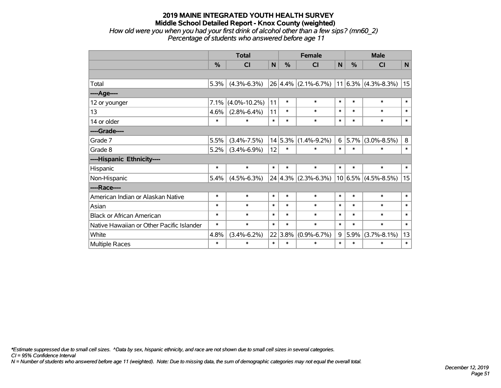*How old were you when you had your first drink of alcohol other than a few sips? (mn60\_2) Percentage of students who answered before age 11*

|                                           | <b>Total</b> |                    |        |         | <b>Female</b>                               | <b>Male</b> |               |                   |              |
|-------------------------------------------|--------------|--------------------|--------|---------|---------------------------------------------|-------------|---------------|-------------------|--------------|
|                                           | %            | CI                 | N      | %       | $\overline{\mathsf{C}}$                     | N           | $\frac{0}{0}$ | CI                | $\mathsf{N}$ |
|                                           |              |                    |        |         |                                             |             |               |                   |              |
| Total                                     | 5.3%         | $(4.3\% - 6.3\%)$  |        |         | $26 4.4\% $ (2.1%-6.7%) 11 6.3% (4.3%-8.3%) |             |               |                   | 15           |
| ----Age----                               |              |                    |        |         |                                             |             |               |                   |              |
| 12 or younger                             | 7.1%         | $(4.0\% - 10.2\%)$ | 11     | $\ast$  | $\ast$                                      | $\ast$      | $\ast$        | $\ast$            | $\ast$       |
| 13                                        | 4.6%         | $(2.8\% - 6.4\%)$  | 11     | $\ast$  | $\ast$                                      | $\ast$      | $\ast$        | $\ast$            | $\ast$       |
| 14 or older                               | $\ast$       | $\ast$             | $\ast$ | $\ast$  | $\ast$                                      | $\ast$      | $\ast$        | $\ast$            | $\ast$       |
| ----Grade----                             |              |                    |        |         |                                             |             |               |                   |              |
| Grade 7                                   | 5.5%         | $(3.4\% - 7.5\%)$  |        | 14 5.3% | $(1.4\% - 9.2\%)$                           | 6           | 5.7%          | $(3.0\% - 8.5\%)$ | 8            |
| Grade 8                                   | 5.2%         | $(3.4\% - 6.9\%)$  | 12     | $\ast$  | $\ast$                                      | $\ast$      | $\ast$        | $\ast$            | $\ast$       |
| ----Hispanic Ethnicity----                |              |                    |        |         |                                             |             |               |                   |              |
| Hispanic                                  | $\ast$       | $\ast$             | $\ast$ | $\ast$  | $\ast$                                      | $\ast$      | $\ast$        | $\ast$            | $\ast$       |
| Non-Hispanic                              | 5.4%         | $(4.5\% - 6.3\%)$  |        |         | $24 4.3\% $ (2.3%-6.3%)                     |             | $10 6.5\% $   | $(4.5\% - 8.5\%)$ | 15           |
| ----Race----                              |              |                    |        |         |                                             |             |               |                   |              |
| American Indian or Alaskan Native         | $\ast$       | $\ast$             | $\ast$ | $\ast$  | $\ast$                                      | $\ast$      | $\ast$        | $\ast$            | $\ast$       |
| Asian                                     | $\ast$       | $\ast$             | $\ast$ | $\ast$  | $\ast$                                      | $\ast$      | $\ast$        | $\ast$            | $\ast$       |
| <b>Black or African American</b>          | $\ast$       | $\ast$             | $\ast$ | $\ast$  | $\ast$                                      | $\ast$      | $\ast$        | $\ast$            | $\ast$       |
| Native Hawaiian or Other Pacific Islander | $\ast$       | $\ast$             | $\ast$ | $\ast$  | $\ast$                                      | $\ast$      | $\ast$        | $\ast$            | $\ast$       |
| White                                     | 4.8%         | $(3.4\% - 6.2\%)$  |        | 22 3.8% | $(0.9\% - 6.7\%)$                           | 9           | 5.9%          | $(3.7\% - 8.1\%)$ | 13           |
| Multiple Races                            | $\ast$       | $\ast$             | $\ast$ | $\ast$  | $\ast$                                      | $\ast$      | $\ast$        | $\ast$            | $\ast$       |

*\*Estimate suppressed due to small cell sizes. ^Data by sex, hispanic ethnicity, and race are not shown due to small cell sizes in several categories.*

*CI = 95% Confidence Interval*

*N = Number of students who answered before age 11 (weighted). Note: Due to missing data, the sum of demographic categories may not equal the overall total.*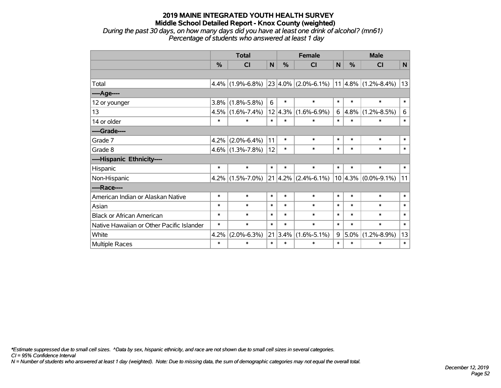*During the past 30 days, on how many days did you have at least one drink of alcohol? (mn61) Percentage of students who answered at least 1 day*

|                                           | <b>Total</b> |                         |        |         | <b>Female</b>                           | <b>Male</b> |        |                         |              |
|-------------------------------------------|--------------|-------------------------|--------|---------|-----------------------------------------|-------------|--------|-------------------------|--------------|
|                                           | %            | $\overline{\mathsf{C}}$ | N      | %       | CI                                      | N           | %      | CI                      | $\mathsf{N}$ |
|                                           |              |                         |        |         |                                         |             |        |                         |              |
| Total                                     | 4.4%         | $(1.9\% - 6.8\%)$       |        |         | 23 4.0% (2.0%-6.1%) 11 4.8% (1.2%-8.4%) |             |        |                         | 13           |
| ----Age----                               |              |                         |        |         |                                         |             |        |                         |              |
| 12 or younger                             | 3.8%         | $(1.8\% - 5.8\%)$       | 6      | $\ast$  | $\ast$                                  | $\ast$      | $\ast$ | $\ast$                  | $\ast$       |
| 13                                        | 4.5%         | $(1.6\% - 7.4\%)$       |        | 12 4.3% | $(1.6\% - 6.9\%)$                       | 6           | 4.8%   | $(1.2\% - 8.5\%)$       | 6            |
| 14 or older                               | $\ast$       | $\ast$                  | $\ast$ | $\ast$  | $\ast$                                  | $\ast$      | $\ast$ | $\ast$                  | $\ast$       |
| ----Grade----                             |              |                         |        |         |                                         |             |        |                         |              |
| Grade 7                                   | 4.2%         | $(2.0\% - 6.4\%)$       | 11     | $\ast$  | $\ast$                                  | $\ast$      | $\ast$ | $\ast$                  | $\ast$       |
| Grade 8                                   |              | $4.6\%$ (1.3%-7.8%)     | 12     | $\ast$  | $\ast$                                  | $\ast$      | $\ast$ | $\ast$                  | $\ast$       |
| ----Hispanic Ethnicity----                |              |                         |        |         |                                         |             |        |                         |              |
| Hispanic                                  | $\ast$       | $\ast$                  | $\ast$ | $\ast$  | $\ast$                                  | $\ast$      | $\ast$ | $\ast$                  | $\ast$       |
| Non-Hispanic                              | 4.2%         | $(1.5\% - 7.0\%)$       |        |         | $21 \mid 4.2\% \mid (2.4\% - 6.1\%)$    |             |        | $10 4.3\% $ (0.0%-9.1%) | 11           |
| ----Race----                              |              |                         |        |         |                                         |             |        |                         |              |
| American Indian or Alaskan Native         | $\ast$       | $\ast$                  | $\ast$ | $\ast$  | $\ast$                                  | $\ast$      | $\ast$ | $\ast$                  | $\ast$       |
| Asian                                     | $\ast$       | $\ast$                  | $\ast$ | $\ast$  | $\ast$                                  | $\ast$      | $\ast$ | $\ast$                  | $\ast$       |
| <b>Black or African American</b>          | $\ast$       | $\ast$                  | $\ast$ | $\ast$  | $\ast$                                  | $\ast$      | $\ast$ | $\ast$                  | $\ast$       |
| Native Hawaiian or Other Pacific Islander | $\ast$       | $\ast$                  | $\ast$ | $\ast$  | $\ast$                                  | $\ast$      | $\ast$ | $\ast$                  | $\ast$       |
| White                                     | 4.2%         | $(2.0\% - 6.3\%)$       | 21     | $3.4\%$ | $(1.6\% - 5.1\%)$                       | 9           | 5.0%   | $(1.2\% - 8.9\%)$       | 13           |
| Multiple Races                            | $\ast$       | $\ast$                  | $\ast$ | $\ast$  | $\ast$                                  | $\ast$      | $\ast$ | $\ast$                  | $\ast$       |

*\*Estimate suppressed due to small cell sizes. ^Data by sex, hispanic ethnicity, and race are not shown due to small cell sizes in several categories.*

*CI = 95% Confidence Interval*

*N = Number of students who answered at least 1 day (weighted). Note: Due to missing data, the sum of demographic categories may not equal the overall total.*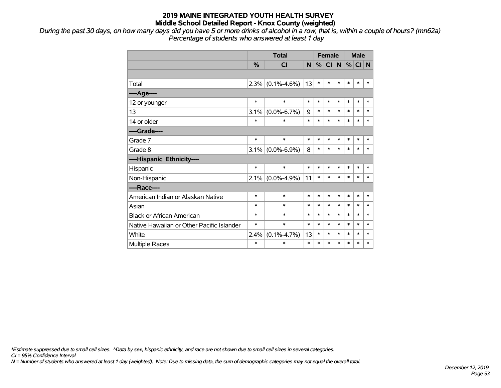*During the past 30 days, on how many days did you have 5 or more drinks of alcohol in a row, that is, within a couple of hours? (mn62a) Percentage of students who answered at least 1 day*

|                                           |               | <b>Total</b>        | <b>Female</b> |        |        |        |        | <b>Male</b> |        |
|-------------------------------------------|---------------|---------------------|---------------|--------|--------|--------|--------|-------------|--------|
|                                           | $\frac{0}{2}$ | CI                  | <b>N</b>      | %      | CI N   |        |        | $%$ CI N    |        |
|                                           |               |                     |               |        |        |        |        |             |        |
| Total                                     |               | $2.3\%$ (0.1%-4.6%) | 13            | $\ast$ | $\ast$ | $\ast$ | $\ast$ | $\ast$      | $\ast$ |
| ---- Age----                              |               |                     |               |        |        |        |        |             |        |
| 12 or younger                             | $\ast$        | $\ast$              | $\ast$        | $\ast$ | $\ast$ | $\ast$ | $\ast$ | $\ast$      | $\ast$ |
| 13                                        | 3.1%          | $(0.0\% - 6.7\%)$   | 9             | $\ast$ | $\ast$ | $\ast$ | $\ast$ | $\ast$      | $\ast$ |
| 14 or older                               | $\ast$        | $\ast$              | $\ast$        | $\ast$ | $\ast$ | $\ast$ | $\ast$ | $\ast$      | $\ast$ |
| ----Grade----                             |               |                     |               |        |        |        |        |             |        |
| Grade 7                                   | $\ast$        | $\ast$              | $\ast$        | $\ast$ | $\ast$ | $\ast$ | $\ast$ | $\ast$      | $\ast$ |
| Grade 8                                   |               | $3.1\%$ (0.0%-6.9%) | 8             | $\ast$ | $\ast$ | $\ast$ | $\ast$ | $\ast$      | $\ast$ |
| ----Hispanic Ethnicity----                |               |                     |               |        |        |        |        |             |        |
| Hispanic                                  | $\ast$        | $\ast$              | $\ast$        | $\ast$ | *      | $\ast$ | $\ast$ | $\ast$      | *      |
| Non-Hispanic                              |               | $2.1\%$ (0.0%-4.9%) | 11            | $\ast$ | *      | $\ast$ | $\ast$ | $\ast$      | $\ast$ |
| ----Race----                              |               |                     |               |        |        |        |        |             |        |
| American Indian or Alaskan Native         | $\ast$        | $\ast$              | $\ast$        | $\ast$ | *      | $\ast$ | $\ast$ | $\ast$      | $\ast$ |
| Asian                                     | $\ast$        | $\ast$              | $\ast$        | $\ast$ | $\ast$ | $\ast$ | $\ast$ | $\ast$      | $\ast$ |
| <b>Black or African American</b>          | $\ast$        | $\ast$              | $\ast$        | $\ast$ | $\ast$ | $\ast$ | $\ast$ | $\ast$      | $\ast$ |
| Native Hawaiian or Other Pacific Islander | $\ast$        | $\ast$              | $\ast$        | $\ast$ | $\ast$ | $\ast$ | $\ast$ | $\ast$      | $\ast$ |
| White                                     | 2.4%          | $(0.1\% - 4.7\%)$   | 13            | $\ast$ | $\ast$ | $\ast$ | $\ast$ | $\ast$      | $\ast$ |
| <b>Multiple Races</b>                     | $\ast$        | $\ast$              | $\ast$        | $\ast$ | $\ast$ | $\ast$ | $\ast$ | $\ast$      | $\ast$ |

*\*Estimate suppressed due to small cell sizes. ^Data by sex, hispanic ethnicity, and race are not shown due to small cell sizes in several categories.*

*CI = 95% Confidence Interval*

*N = Number of students who answered at least 1 day (weighted). Note: Due to missing data, the sum of demographic categories may not equal the overall total.*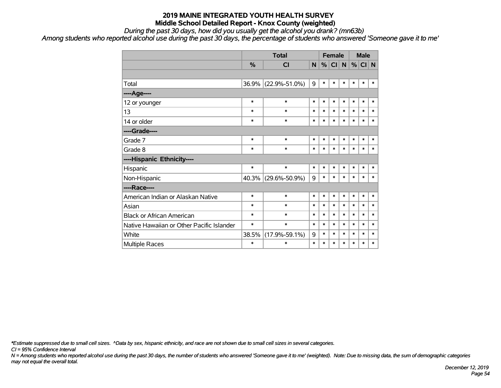*During the past 30 days, how did you usually get the alcohol you drank? (mn63b)*

*Among students who reported alcohol use during the past 30 days, the percentage of students who answered 'Someone gave it to me'*

|                                           |        | <b>Total</b>        |        | <b>Female</b> |        |              | <b>Male</b> |        |        |
|-------------------------------------------|--------|---------------------|--------|---------------|--------|--------------|-------------|--------|--------|
|                                           | %      | CI                  | N      | %             | CI     | $\mathsf{N}$ | %           | CI N   |        |
|                                           |        |                     |        |               |        |              |             |        |        |
| Total                                     | 36.9%  | $(22.9\% - 51.0\%)$ | 9      | $\ast$        | $\ast$ | $\ast$       | $\ast$      | $\ast$ | $\ast$ |
| ----Age----                               |        |                     |        |               |        |              |             |        |        |
| 12 or younger                             | $\ast$ | $\ast$              | $\ast$ | $\ast$        | $\ast$ | $\ast$       | $\ast$      | $\ast$ | $\ast$ |
| 13                                        | $\ast$ | $\ast$              | $\ast$ | $\ast$        | $\ast$ | $\ast$       | $\ast$      | $\ast$ | $\ast$ |
| 14 or older                               | $\ast$ | $\ast$              | $\ast$ | $\ast$        | $\ast$ | $\ast$       | $\ast$      | $\ast$ | $\ast$ |
| ----Grade----                             |        |                     |        |               |        |              |             |        |        |
| Grade 7                                   | $\ast$ | $\ast$              | $\ast$ | $\ast$        | $\ast$ | $\ast$       | $\ast$      | $\ast$ | $\ast$ |
| Grade 8                                   | $\ast$ | $\ast$              | $\ast$ | $\ast$        | $\ast$ | $\ast$       | $\ast$      | $\ast$ | $\ast$ |
| ----Hispanic Ethnicity----                |        |                     |        |               |        |              |             |        |        |
| Hispanic                                  | $\ast$ | $\ast$              | $\ast$ | $\ast$        | $\ast$ | $\ast$       | $\ast$      | $\ast$ | $\ast$ |
| Non-Hispanic                              | 40.3%  | $(29.6\% - 50.9\%)$ | 9      | $\ast$        | $\ast$ | $\ast$       | $\ast$      | $\ast$ | $\ast$ |
| ----Race----                              |        |                     |        |               |        |              |             |        |        |
| American Indian or Alaskan Native         | $\ast$ | $\ast$              | $\ast$ | $\ast$        | $\ast$ | $\ast$       | $\ast$      | $\ast$ | $\ast$ |
| Asian                                     | $\ast$ | $\ast$              | $\ast$ | $\ast$        | $\ast$ | $\ast$       | $\ast$      | $\ast$ | $\ast$ |
| <b>Black or African American</b>          | $\ast$ | $\ast$              | $\ast$ | $\ast$        | $\ast$ | $\ast$       | $\ast$      | $\ast$ | $\ast$ |
| Native Hawaiian or Other Pacific Islander | $\ast$ | $\ast$              | $\ast$ | $\ast$        | $\ast$ | $\ast$       | *           | $\ast$ | $\ast$ |
| White                                     | 38.5%  | $(17.9\% - 59.1\%)$ | 9      | $\ast$        | $\ast$ | $\ast$       | $\ast$      | $\ast$ | $\ast$ |
| Multiple Races                            | $\ast$ | $\ast$              | $\ast$ | $\ast$        | $\ast$ | $\ast$       | *           | $\ast$ | $\ast$ |

*\*Estimate suppressed due to small cell sizes. ^Data by sex, hispanic ethnicity, and race are not shown due to small cell sizes in several categories.*

*CI = 95% Confidence Interval*

*N = Among students who reported alcohol use during the past 30 days, the number of students who answered 'Someone gave it to me' (weighted). Note: Due to missing data, the sum of demographic categories may not equal the overall total.*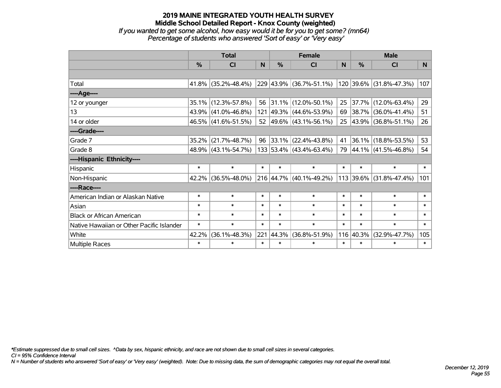*If you wanted to get some alcohol, how easy would it be for you to get some? (mn64) Percentage of students who answered 'Sort of easy' or 'Very easy'*

|                                           | <b>Total</b>  |                        |        | <b>Female</b> | <b>Male</b>                        |        |           |                         |        |
|-------------------------------------------|---------------|------------------------|--------|---------------|------------------------------------|--------|-----------|-------------------------|--------|
|                                           | $\frac{0}{0}$ | CI                     | N      | %             | <b>CI</b>                          | N      | %         | <b>CI</b>               | N      |
|                                           |               |                        |        |               |                                    |        |           |                         |        |
| Total                                     |               | $41.8\%$ (35.2%-48.4%) |        |               | 229 43.9% (36.7%-51.1%)            |        |           | 120 39.6% (31.8%-47.3%) | 107    |
| ----Age----                               |               |                        |        |               |                                    |        |           |                         |        |
| 12 or younger                             | $35.1\%$      | $(12.3\% - 57.8\%)$    |        |               | 56 31.1% (12.0%-50.1%)             | 25     | 37.7%     | $(12.0\% - 63.4\%)$     | 29     |
| 13                                        |               | 43.9% (41.0%-46.8%)    |        |               | 121 49.3% (44.6%-53.9%)            | 69     |           | 38.7% (36.0%-41.4%)     | 51     |
| 14 or older                               |               | 46.5% (41.6%-51.5%)    |        |               | 52 $ 49.6\% $ (43.1%-56.1%)        | 25     |           | 43.9% (36.8%-51.1%)     | 26     |
| ----Grade----                             |               |                        |        |               |                                    |        |           |                         |        |
| Grade 7                                   | 35.2%         | $(21.7\% - 48.7\%)$    | 96     |               | $ 33.1\% $ (22.4%-43.8%)           | 41     |           | 36.1% (18.8%-53.5%)     | 53     |
| Grade 8                                   |               | 48.9% (43.1%-54.7%)    |        |               | $133   53.4\%   (43.4\% - 63.4\%)$ | 79     |           | 44.1% (41.5%-46.8%)     | 54     |
| ----Hispanic Ethnicity----                |               |                        |        |               |                                    |        |           |                         |        |
| Hispanic                                  | $\ast$        | $\ast$                 | $\ast$ | $\ast$        | $\ast$                             | $\ast$ | $\ast$    | $\ast$                  | $\ast$ |
| Non-Hispanic                              |               | 42.2% (36.5%-48.0%)    |        |               | 216 44.7% (40.1%-49.2%)            |        | 113 39.6% | $(31.8\% - 47.4\%)$     | 101    |
| ----Race----                              |               |                        |        |               |                                    |        |           |                         |        |
| American Indian or Alaskan Native         | $\ast$        | $\ast$                 | $\ast$ | $\ast$        | $\ast$                             | $\ast$ | $\ast$    | $\ast$                  | $\ast$ |
| Asian                                     | $\ast$        | $\ast$                 | $\ast$ | $\ast$        | $\ast$                             | $\ast$ | $\ast$    | $\ast$                  | $\ast$ |
| <b>Black or African American</b>          | $\ast$        | $\ast$                 | $\ast$ | $\ast$        | $\ast$                             | $\ast$ | $\ast$    | $\ast$                  | $\ast$ |
| Native Hawaiian or Other Pacific Islander | $\ast$        | $\ast$                 | $\ast$ | $\ast$        | $\ast$                             | $\ast$ | $\ast$    | $\ast$                  | $\ast$ |
| White                                     | 42.2%         | $(36.1\% - 48.3\%)$    | 221    | $ 44.3\% $    | $(36.8\% - 51.9\%)$                | 116    | 40.3%     | $(32.9\% - 47.7\%)$     | 105    |
| Multiple Races                            | $\ast$        | $\ast$                 | $\ast$ | $\ast$        | $\ast$                             | $\ast$ | $\ast$    | $\ast$                  | $\ast$ |

*\*Estimate suppressed due to small cell sizes. ^Data by sex, hispanic ethnicity, and race are not shown due to small cell sizes in several categories.*

*CI = 95% Confidence Interval*

*N = Number of students who answered 'Sort of easy' or 'Very easy' (weighted). Note: Due to missing data, the sum of demographic categories may not equal the overall total.*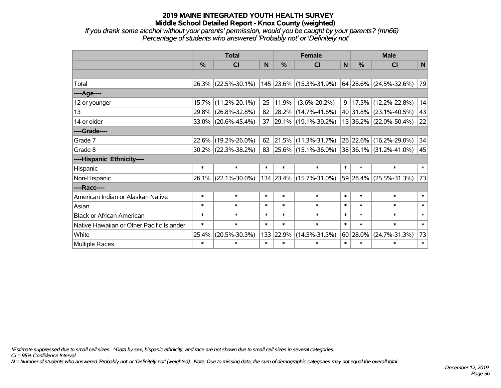*If you drank some alcohol without your parents' permission, would you be caught by your parents? (mn66) Percentage of students who answered 'Probably not' or 'Definitely not'*

|                                           | <b>Total</b>  |                        |        |        | <b>Female</b>             | <b>Male</b> |          |                                 |        |
|-------------------------------------------|---------------|------------------------|--------|--------|---------------------------|-------------|----------|---------------------------------|--------|
|                                           | $\frac{0}{0}$ | <b>CI</b>              | N      | $\%$   | <b>CI</b>                 | N           | $\%$     | <b>CI</b>                       | N      |
|                                           |               |                        |        |        |                           |             |          |                                 |        |
| Total                                     |               | 26.3% (22.5%-30.1%)    |        |        | 145  23.6%  (15.3%-31.9%) |             |          | $64$ 28.6% (24.5%-32.6%)        | 79     |
| ----Age----                               |               |                        |        |        |                           |             |          |                                 |        |
| 12 or younger                             | 15.7%         | $(11.2\% - 20.1\%)$    | 25     | 11.9%  | $(3.6\% - 20.2\%)$        | 9           |          | $ 17.5\% $ (12.2%-22.8%)        | 14     |
| 13                                        | 29.8%         | $(26.8\% - 32.8\%)$    | 82     |        | $ 28.2\% $ (14.7%-41.6%)  |             |          | 40 31.8% (23.1%-40.5%)          | 43     |
| 14 or older                               |               | 33.0% (20.6%-45.4%)    | 37     |        | 29.1% (19.1%-39.2%)       |             |          | 15 36.2% (22.0%-50.4%)          | 22     |
| ----Grade----                             |               |                        |        |        |                           |             |          |                                 |        |
| Grade 7                                   |               | 22.6% (19.2%-26.0%)    | 62     |        | 21.5% (11.3%-31.7%)       |             |          | 26 22.6% (16.2%-29.0%)          | 34     |
| Grade 8                                   |               | $30.2\%$ (22.3%-38.2%) | 83     |        | $ 25.6\% $ (15.1%-36.0%)  |             |          | $ 38 36.1\%  (31.2\% - 41.0\%)$ | 45     |
| ----Hispanic Ethnicity----                |               |                        |        |        |                           |             |          |                                 |        |
| <b>Hispanic</b>                           | $\ast$        | $\ast$                 | $\ast$ | $\ast$ | $\ast$                    | $\ast$      | $\ast$   | $\ast$                          | $\ast$ |
| Non-Hispanic                              |               | 26.1% (22.1%-30.0%)    |        |        | 134 23.4% (15.7%-31.0%)   |             | 59 28.4% | $(25.5\% - 31.3\%)$             | 73     |
| ----Race----                              |               |                        |        |        |                           |             |          |                                 |        |
| American Indian or Alaskan Native         | $\ast$        | $\ast$                 | $\ast$ | $\ast$ | $\ast$                    | $\ast$      | $\ast$   | $\ast$                          | $\ast$ |
| Asian                                     | $\ast$        | $\ast$                 | $\ast$ | $\ast$ | $\ast$                    | $\ast$      | $\ast$   | $\ast$                          | $\ast$ |
| <b>Black or African American</b>          | $\ast$        | $\ast$                 | $\ast$ | $\ast$ | $\ast$                    | $\ast$      | $\ast$   | $\ast$                          | $\ast$ |
| Native Hawaiian or Other Pacific Islander | $\ast$        | $\ast$                 | $\ast$ | $\ast$ | $\ast$                    | $\ast$      | $\ast$   | $\ast$                          | $\ast$ |
| White                                     | 25.4%         | $(20.5\% - 30.3\%)$    | 133    | 22.9%  | $(14.5\% - 31.3\%)$       |             | 60 28.0% | $(24.7\% - 31.3\%)$             | 73     |
| Multiple Races                            | $\ast$        | $\ast$                 | $\ast$ | $\ast$ | $\ast$                    | $\ast$      | $\ast$   | $\ast$                          | $\ast$ |

*\*Estimate suppressed due to small cell sizes. ^Data by sex, hispanic ethnicity, and race are not shown due to small cell sizes in several categories.*

*CI = 95% Confidence Interval*

*N = Number of students who answered 'Probably not' or 'Definitely not' (weighted). Note: Due to missing data, the sum of demographic categories may not equal the overall total.*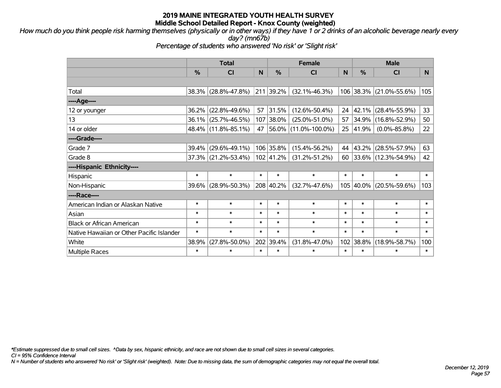*How much do you think people risk harming themselves (physically or in other ways) if they have 1 or 2 drinks of an alcoholic beverage nearly every day? (mn67b)*

*Percentage of students who answered 'No risk' or 'Slight risk'*

|                                           | <b>Total</b>  |                     |        | <b>Female</b> | <b>Male</b>             |        |               |                         |                 |
|-------------------------------------------|---------------|---------------------|--------|---------------|-------------------------|--------|---------------|-------------------------|-----------------|
|                                           | $\frac{0}{0}$ | <b>CI</b>           | N      | %             | <b>CI</b>               | N      | $\frac{0}{0}$ | <b>CI</b>               | N <sub>1</sub>  |
|                                           |               |                     |        |               |                         |        |               |                         |                 |
| Total                                     |               | 38.3% (28.8%-47.8%) |        | 211 39.2%     | $(32.1\% - 46.3\%)$     |        |               | 106 38.3% (21.0%-55.6%) | 105             |
| ----Age----                               |               |                     |        |               |                         |        |               |                         |                 |
| 12 or younger                             | $36.2\%$      | $(22.8\% - 49.6\%)$ | 57     | 31.5%         | $(12.6\% - 50.4\%)$     | 24     |               | 42.1% (28.4%-55.9%)     | 33 <sup>2</sup> |
| 13                                        |               | 36.1% (25.7%-46.5%) | 107    | 38.0%         | $(25.0\% - 51.0\%)$     | 57     |               | 34.9% (16.8%-52.9%)     | 50              |
| 14 or older                               |               | 48.4% (11.8%-85.1%) |        |               | 47 56.0% (11.0%-100.0%) | 25     | $ 41.9\% $    | $(0.0\% - 85.8\%)$      | 22              |
| ----Grade----                             |               |                     |        |               |                         |        |               |                         |                 |
| Grade 7                                   | $39.4\%$      | $(29.6\% - 49.1\%)$ |        | 106 35.8%     | $(15.4\% - 56.2\%)$     | 44     |               | 43.2% (28.5%-57.9%)     | 63              |
| Grade 8                                   |               | 37.3% (21.2%-53.4%) |        | 102 41.2%     | $(31.2\% - 51.2\%)$     | 60     |               | 33.6% (12.3%-54.9%)     | 42              |
| ----Hispanic Ethnicity----                |               |                     |        |               |                         |        |               |                         |                 |
| Hispanic                                  | $\ast$        | $\ast$              | $\ast$ | $\ast$        | $\ast$                  | $\ast$ | $\ast$        | $\ast$                  | $\ast$          |
| Non-Hispanic                              | 39.6%         | $(28.9\% - 50.3\%)$ |        | 208 40.2%     | $(32.7\% - 47.6\%)$     |        |               | 105 40.0% (20.5%-59.6%) | 103             |
| ----Race----                              |               |                     |        |               |                         |        |               |                         |                 |
| American Indian or Alaskan Native         | $\ast$        | $\ast$              | $\ast$ | $\ast$        | $\ast$                  | $\ast$ | $\ast$        | $\ast$                  | $\ast$          |
| Asian                                     | $\ast$        | $\ast$              | $\ast$ | $\ast$        | $\ast$                  | $\ast$ | $\ast$        | $\ast$                  | $\ast$          |
| <b>Black or African American</b>          | $\ast$        | $\ast$              | $\ast$ | $\ast$        | $\ast$                  | $\ast$ | $\ast$        | $\ast$                  | $\ast$          |
| Native Hawaiian or Other Pacific Islander | $\ast$        | $\ast$              | $\ast$ | $\ast$        | $\ast$                  | $\ast$ | $\ast$        | $\ast$                  | $\ast$          |
| White                                     | 38.9%         | $(27.8\% - 50.0\%)$ | 202    | 39.4%         | $(31.8\% - 47.0\%)$     | 102    | 38.8%         | $(18.9\% - 58.7\%)$     | 100             |
| <b>Multiple Races</b>                     | $\ast$        | $\ast$              | $\ast$ | $\ast$        | $\ast$                  | $\ast$ | $\ast$        | $\ast$                  | $\ast$          |

*\*Estimate suppressed due to small cell sizes. ^Data by sex, hispanic ethnicity, and race are not shown due to small cell sizes in several categories.*

*CI = 95% Confidence Interval*

*N = Number of students who answered 'No risk' or 'Slight risk' (weighted). Note: Due to missing data, the sum of demographic categories may not equal the overall total.*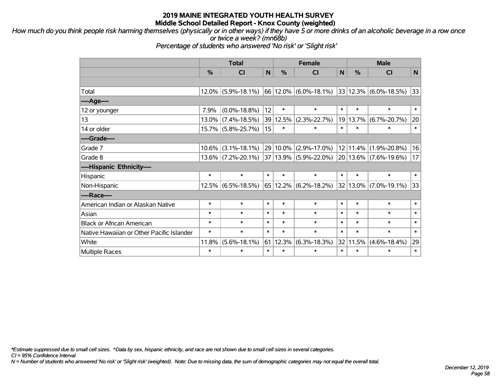*How much do you think people risk harming themselves (physically or in other ways) if they have 5 or more drinks of an alcoholic beverage in a row once or twice a week? (mn68b)*

*Percentage of students who answered 'No risk' or 'Slight risk'*

|                                           | <b>Total</b> |                       |              |               | <b>Female</b>                 |        | <b>Male</b> |                    |        |  |
|-------------------------------------------|--------------|-----------------------|--------------|---------------|-------------------------------|--------|-------------|--------------------|--------|--|
|                                           | %            | CI                    | $\mathsf{N}$ | $\frac{0}{0}$ | <b>CI</b>                     | N      | %           | <b>CI</b>          | N      |  |
|                                           |              |                       |              |               |                               |        |             |                    |        |  |
| Total                                     |              | $12.0\%$ (5.9%-18.1%) |              |               | 66 12.0% (6.0%-18.1%)         |        | 33 12.3%    | $(6.0\% - 18.5\%)$ | 33     |  |
| ---- Age----                              |              |                       |              |               |                               |        |             |                    |        |  |
| 12 or younger                             | 7.9%         | $(0.0\% - 18.8\%)$    | 12           | $\ast$        | $\ast$                        | $\ast$ | $\ast$      | $\ast$             | $\ast$ |  |
| 13                                        |              | $13.0\%$ (7.4%-18.5%) | 39           | 12.5%         | $(2.3\% - 22.7\%)$            | 19     | 13.7%       | $(6.7\% - 20.7\%)$ | 20     |  |
| 14 or older                               |              | 15.7% (5.8%-25.7%)    | 15           | $\ast$        | $\ast$                        | $\ast$ | $\ast$      | $\ast$             | $\ast$ |  |
| ----Grade----                             |              |                       |              |               |                               |        |             |                    |        |  |
| Grade 7                                   | 10.6%        | $(3.1\% - 18.1\%)$    |              | 29 10.0%      | $(2.9\% - 17.0\%)$            |        | 12 11.4%    | $(1.9\% - 20.8\%)$ | 16     |  |
| Grade 8                                   |              | $13.6\%$ (7.2%-20.1%) |              |               | 37 13.9% (5.9%-22.0%)         |        | 20 13.6%    | $(7.6\% - 19.6\%)$ | 17     |  |
| ----Hispanic Ethnicity----                |              |                       |              |               |                               |        |             |                    |        |  |
| Hispanic                                  | $\ast$       | $\ast$                | $\ast$       | $\ast$        | $\ast$                        | $\ast$ | $\ast$      | $\ast$             | $\ast$ |  |
| Non-Hispanic                              |              | $12.5\%$ (6.5%-18.5%) |              |               | $65 12.2\%  (6.2\% - 18.2\%)$ |        | 32 13.0%    | $(7.0\% - 19.1\%)$ | 33     |  |
| ----Race----                              |              |                       |              |               |                               |        |             |                    |        |  |
| American Indian or Alaskan Native         | $\ast$       | $\ast$                | $\ast$       | $\ast$        | $\ast$                        | $\ast$ | $\ast$      | $\ast$             | $\ast$ |  |
| Asian                                     | $\ast$       | $\ast$                | $\ast$       | $\ast$        | $\ast$                        | $\ast$ | $\ast$      | $\ast$             | $\ast$ |  |
| <b>Black or African American</b>          | $\ast$       | $\ast$                | $\ast$       | $\ast$        | $\ast$                        | $\ast$ | $\ast$      | $\ast$             | $\ast$ |  |
| Native Hawaiian or Other Pacific Islander | $\ast$       | $\ast$                | $\ast$       | $\ast$        | $\ast$                        | $\ast$ | $\ast$      | $\ast$             | $\ast$ |  |
| White                                     | 11.8%        | $(5.6\% - 18.1\%)$    | 61           | $ 12.3\% $    | $(6.3\% - 18.3\%)$            | 32     | 11.5%       | $(4.6\% - 18.4\%)$ | 29     |  |
| <b>Multiple Races</b>                     | $\ast$       | $\ast$                | $\ast$       | $\ast$        | $\ast$                        | $\ast$ | $\ast$      | $\ast$             | $\ast$ |  |

*\*Estimate suppressed due to small cell sizes. ^Data by sex, hispanic ethnicity, and race are not shown due to small cell sizes in several categories.*

*CI = 95% Confidence Interval*

*N = Number of students who answered 'No risk' or 'Slight risk' (weighted). Note: Due to missing data, the sum of demographic categories may not equal the overall total.*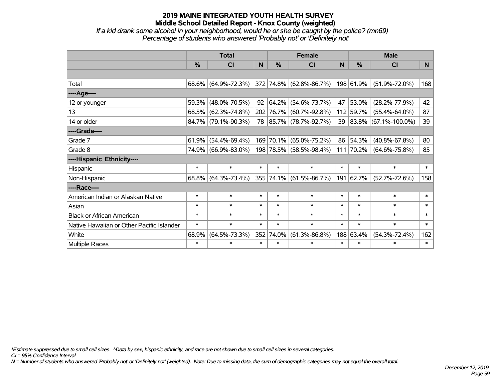*If a kid drank some alcohol in your neighborhood, would he or she be caught by the police? (mn69) Percentage of students who answered 'Probably not' or 'Definitely not'*

|                                           | <b>Total</b> |                        |        | <b>Female</b> |                                  | <b>Male</b> |               |                         |        |
|-------------------------------------------|--------------|------------------------|--------|---------------|----------------------------------|-------------|---------------|-------------------------|--------|
|                                           | %            | <b>CI</b>              | N      | $\frac{0}{0}$ | <b>CI</b>                        | N           | $\frac{0}{0}$ | <b>CI</b>               | N.     |
|                                           |              |                        |        |               |                                  |             |               |                         |        |
| Total                                     |              | $68.6\%$ (64.9%-72.3%) |        |               | $ 372 74.8\%  (62.8\% - 86.7\%)$ |             | 198 61.9%     | $(51.9\% - 72.0\%)$     | 168    |
| ----Age----                               |              |                        |        |               |                                  |             |               |                         |        |
| 12 or younger                             |              | 59.3% (48.0%-70.5%)    |        | 92 64.2%      | $(54.6\% - 73.7\%)$              | 47          | 53.0%         | $(28.2\% - 77.9\%)$     | 42     |
| 13                                        |              | 68.5% (62.3%-74.8%)    |        |               | 202 76.7% (60.7%-92.8%)          |             | 112 59.7%     | $(55.4\% - 64.0\%)$     | 87     |
| 14 or older                               |              | 84.7% (79.1%-90.3%)    |        |               | 78 85.7% (78.7%-92.7%)           |             |               | 39 83.8% (67.1%-100.0%) | 39     |
| ----Grade----                             |              |                        |        |               |                                  |             |               |                         |        |
| Grade 7                                   | $61.9\%$     | $(54.4\% - 69.4\%)$    |        | 169 70.1%     | $(65.0\% - 75.2\%)$              | 86          | $ 54.3\% $    | $(40.8\% - 67.8\%)$     | 80     |
| Grade 8                                   |              | 74.9% (66.9%-83.0%)    |        |               | 198 78.5% (58.5%-98.4%)          |             | 111 70.2%     | $(64.6\% - 75.8\%)$     | 85     |
| ----Hispanic Ethnicity----                |              |                        |        |               |                                  |             |               |                         |        |
| Hispanic                                  | $\ast$       | $\ast$                 | $\ast$ | $\ast$        | $\ast$                           | $\ast$      | $\ast$        | $\ast$                  | $\ast$ |
| Non-Hispanic                              |              | $68.8\%$ (64.3%-73.4%) |        |               | 355 74.1% (61.5%-86.7%)          |             | 191 62.7%     | $(52.7\% - 72.6\%)$     | 158    |
| ----Race----                              |              |                        |        |               |                                  |             |               |                         |        |
| American Indian or Alaskan Native         | $\ast$       | $\ast$                 | $\ast$ | $\ast$        | $\ast$                           | $\ast$      | $\ast$        | $\ast$                  | $\ast$ |
| Asian                                     | $\ast$       | $\ast$                 | $\ast$ | $\ast$        | $\ast$                           | $\ast$      | $\ast$        | $\ast$                  | $\ast$ |
| <b>Black or African American</b>          | $\ast$       | $\ast$                 | $\ast$ | $\ast$        | $\ast$                           | $\ast$      | $\ast$        | $\ast$                  | $\ast$ |
| Native Hawaiian or Other Pacific Islander | $\ast$       | $\ast$                 | $\ast$ | $\ast$        | $\ast$                           | $\ast$      | $\ast$        | $\ast$                  | $\ast$ |
| White                                     | 68.9%        | $(64.5\% - 73.3\%)$    | 352    | 74.0%         | $(61.3\% - 86.8\%)$              |             | 188 63.4%     | $(54.3\% - 72.4\%)$     | 162    |
| Multiple Races                            | $\ast$       | $\ast$                 | $\ast$ | $\ast$        | $\ast$                           | $\ast$      | $\ast$        | $\ast$                  | $\ast$ |

*\*Estimate suppressed due to small cell sizes. ^Data by sex, hispanic ethnicity, and race are not shown due to small cell sizes in several categories.*

*CI = 95% Confidence Interval*

*N = Number of students who answered 'Probably not' or 'Definitely not' (weighted). Note: Due to missing data, the sum of demographic categories may not equal the overall total.*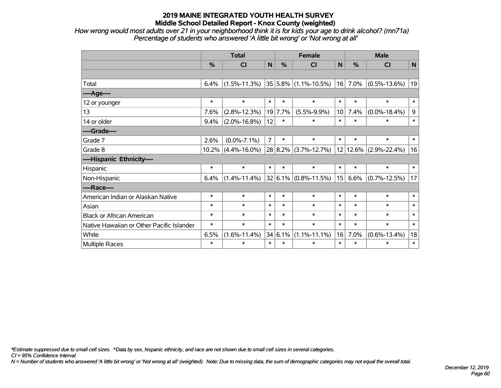*How wrong would most adults over 21 in your neighborhood think it is for kids your age to drink alcohol? (mn71a) Percentage of students who answered 'A little bit wrong' or 'Not wrong at all'*

|                                           | <b>Total</b> |                       |                |         | <b>Female</b>                 |             | <b>Male</b>   |                    |        |  |
|-------------------------------------------|--------------|-----------------------|----------------|---------|-------------------------------|-------------|---------------|--------------------|--------|--|
|                                           | %            | C <sub>l</sub>        | N <sub>1</sub> | $\%$    | CI                            | $\mathbf N$ | $\frac{0}{0}$ | <b>CI</b>          | N      |  |
|                                           |              |                       |                |         |                               |             |               |                    |        |  |
| Total                                     | 6.4%         | $(1.5\% - 11.3\%)$    |                |         | $ 35 5.8\%  (1.1\% - 10.5\%)$ | 16          | 7.0%          | $(0.5\% - 13.6\%)$ | 19     |  |
| ---- Age----                              |              |                       |                |         |                               |             |               |                    |        |  |
| 12 or younger                             | $\ast$       | $\ast$                | $\ast$         | $\ast$  | $\ast$                        | $\ast$      | $\ast$        | $\ast$             | $\ast$ |  |
| 13                                        | 7.6%         | $(2.8\% - 12.3\%)$    |                | 19 7.7% | $(5.5\% - 9.9\%)$             | 10          | 7.4%          | $(0.0\% - 18.4\%)$ | 9      |  |
| 14 or older                               | 9.4%         | $(2.0\% - 16.8\%)$    | 12             | $\ast$  | $\ast$                        | $\ast$      | $\ast$        | $\ast$             | $\ast$ |  |
| ----Grade----                             |              |                       |                |         |                               |             |               |                    |        |  |
| Grade 7                                   | 2.6%         | $(0.0\% - 7.1\%)$     | $\overline{7}$ | $\ast$  | $\ast$                        | $\ast$      | $\ast$        | $\ast$             | $\ast$ |  |
| Grade 8                                   |              | $10.2\%$ (4.4%-16.0%) |                |         | 28 8.2% (3.7%-12.7%)          |             | 12 12.6%      | $(2.9\% - 22.4\%)$ | 16     |  |
| ----Hispanic Ethnicity----                |              |                       |                |         |                               |             |               |                    |        |  |
| Hispanic                                  | $\ast$       | $\ast$                | $\ast$         | $\ast$  | $\ast$                        | $\ast$      | $\ast$        | $\ast$             | $\ast$ |  |
| Non-Hispanic                              | 6.4%         | $(1.4\% - 11.4\%)$    |                |         | $ 32 6.1\%  (0.8\% - 11.5\%)$ | 15          | 6.6%          | $(0.7\% - 12.5\%)$ | 17     |  |
| ----Race----                              |              |                       |                |         |                               |             |               |                    |        |  |
| American Indian or Alaskan Native         | $\ast$       | $\ast$                | $\ast$         | $\ast$  | $\ast$                        | $\ast$      | $\ast$        | $\ast$             | $\ast$ |  |
| Asian                                     | $\ast$       | $\ast$                | $\ast$         | $\ast$  | $\ast$                        | $\ast$      | $\ast$        | $\ast$             | $\ast$ |  |
| <b>Black or African American</b>          | $\ast$       | $\ast$                | $\ast$         | $\ast$  | $\ast$                        | $\ast$      | $\ast$        | $\ast$             | $\ast$ |  |
| Native Hawaiian or Other Pacific Islander | $\ast$       | $\ast$                | $\ast$         | $\ast$  | $\ast$                        | $\ast$      | $\ast$        | $\ast$             | $\ast$ |  |
| White                                     | 6.5%         | $(1.6\% - 11.4\%)$    |                | 34 6.1% | $(1.1\% - 11.1\%)$            | 16          | 7.0%          | $(0.6\% - 13.4\%)$ | 18     |  |
| Multiple Races                            | $\ast$       | $\ast$                | $\ast$         | $\ast$  | $\ast$                        | $\ast$      | $\ast$        | $\ast$             | $\ast$ |  |

*\*Estimate suppressed due to small cell sizes. ^Data by sex, hispanic ethnicity, and race are not shown due to small cell sizes in several categories.*

*CI = 95% Confidence Interval*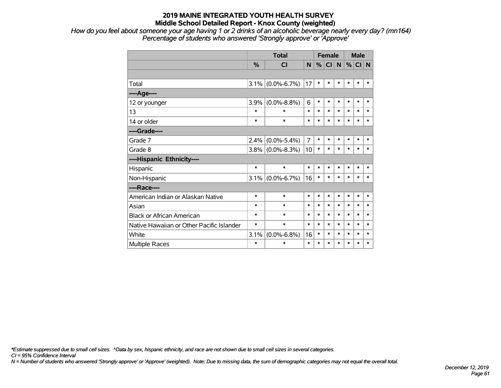*How do you feel about someone your age having 1 or 2 drinks of an alcoholic beverage nearly every day? (mn164) Percentage of students who answered 'Strongly approve' or 'Approve'*

|                                           |               | <b>Total</b>        |                |        | <b>Female</b> |        |        | <b>Male</b> |        |  |
|-------------------------------------------|---------------|---------------------|----------------|--------|---------------|--------|--------|-------------|--------|--|
|                                           | $\frac{0}{0}$ | CI                  | N              | %      | CI N          |        | %      | CI N        |        |  |
|                                           |               |                     |                |        |               |        |        |             |        |  |
| Total                                     | 3.1%          | $(0.0\% - 6.7\%)$   | 17             | $\ast$ | $\ast$        | $\ast$ | $\ast$ | $\ast$      | $\ast$ |  |
| ----Age----                               |               |                     |                |        |               |        |        |             |        |  |
| 12 or younger                             | 3.9%          | $(0.0\% - 8.8\%)$   | 6              | $\ast$ | $\ast$        | $\ast$ | $\ast$ | $\ast$      | *      |  |
| 13                                        | $\ast$        | $\ast$              | $\ast$         | $\ast$ | $\ast$        | $\ast$ | $\ast$ | $\ast$      | $\ast$ |  |
| 14 or older                               | $\ast$        | $\ast$              | $\ast$         | $\ast$ | $\ast$        | $\ast$ | $\ast$ | $\ast$      | $\ast$ |  |
| ----Grade----                             |               |                     |                |        |               |        |        |             |        |  |
| Grade 7                                   | 2.4%          | $(0.0\% - 5.4\%)$   | $\overline{7}$ | $\ast$ | $\ast$        | $\ast$ | $\ast$ | $\ast$      | $\ast$ |  |
| Grade 8                                   |               | $3.8\%$ (0.0%-8.3%) | 10             | $\ast$ | $\ast$        | $\ast$ | *      | $\ast$      | $\ast$ |  |
| ----Hispanic Ethnicity----                |               |                     |                |        |               |        |        |             |        |  |
| Hispanic                                  | $\ast$        | $\ast$              | $\ast$         | $\ast$ | $\ast$        | $\ast$ | $\ast$ | $\ast$      | $\ast$ |  |
| Non-Hispanic                              |               | $3.1\%$ (0.0%-6.7%) | 16             | $\ast$ | $\ast$        | $\ast$ | $\ast$ | $\ast$      | *      |  |
| ----Race----                              |               |                     |                |        |               |        |        |             |        |  |
| American Indian or Alaskan Native         | $\ast$        | $\ast$              | $\ast$         | $\ast$ | $\ast$        | $\ast$ | *      | $\ast$      | $\ast$ |  |
| Asian                                     | $\ast$        | $\ast$              | $\ast$         | $\ast$ | $\ast$        | *      | $\ast$ | $\ast$      | $\ast$ |  |
| <b>Black or African American</b>          | $\ast$        | $\ast$              | $\ast$         | $\ast$ | $\ast$        | *      | $\ast$ | $\ast$      | $\ast$ |  |
| Native Hawaiian or Other Pacific Islander | $\ast$        | $\ast$              | $\ast$         | $\ast$ | $\ast$        | *      | $\ast$ | $\ast$      | $\ast$ |  |
| White                                     | 3.1%          | $(0.0\% - 6.8\%)$   | 16             | $\ast$ | $\ast$        | *      | $\ast$ | *           | *      |  |
| <b>Multiple Races</b>                     | $\ast$        | $\ast$              | $\ast$         | $\ast$ | *             | $\ast$ | $\ast$ | $\ast$      | *      |  |

*\*Estimate suppressed due to small cell sizes. ^Data by sex, hispanic ethnicity, and race are not shown due to small cell sizes in several categories.*

*CI = 95% Confidence Interval*

*N = Number of students who answered 'Strongly approve' or 'Approve' (weighted). Note: Due to missing data, the sum of demographic categories may not equal the overall total.*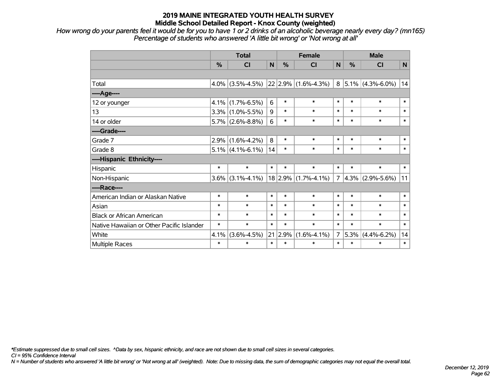*How wrong do your parents feel it would be for you to have 1 or 2 drinks of an alcoholic beverage nearly every day? (mn165) Percentage of students who answered 'A little bit wrong' or 'Not wrong at all'*

|                                           | <b>Total</b> |                     |             | <b>Female</b> | <b>Male</b>              |                |               |                                     |              |
|-------------------------------------------|--------------|---------------------|-------------|---------------|--------------------------|----------------|---------------|-------------------------------------|--------------|
|                                           | %            | <b>CI</b>           | $\mathbf N$ | %             | <b>CI</b>                | N              | $\frac{0}{0}$ | <b>CI</b>                           | $\mathsf{N}$ |
|                                           |              |                     |             |               |                          |                |               |                                     |              |
| Total                                     |              | $4.0\%$ (3.5%-4.5%) |             |               | $ 22 2.9\% $ (1.6%-4.3%) |                |               | $8 \mid 5.1\% \mid (4.3\% - 6.0\%)$ | 14           |
| ---- Age----                              |              |                     |             |               |                          |                |               |                                     |              |
| 12 or younger                             | $4.1\%$      | $(1.7\% - 6.5\%)$   | 6           | $\ast$        | $\ast$                   | $\ast$         | $\ast$        | $\ast$                              | $\ast$       |
| 13                                        |              | $3.3\%$ (1.0%-5.5%) | 9           | $\ast$        | $\ast$                   | $\ast$         | $\ast$        | $\ast$                              | $\ast$       |
| 14 or older                               |              | $5.7\%$ (2.6%-8.8%) | 6           | $\ast$        | $\ast$                   | $\ast$         | $\ast$        | $\ast$                              | $\ast$       |
| ----Grade----                             |              |                     |             |               |                          |                |               |                                     |              |
| Grade 7                                   | 2.9%         | $(1.6\% - 4.2\%)$   | 8           | $\ast$        | $\ast$                   | $\ast$         | $\ast$        | $\ast$                              | $\ast$       |
| Grade 8                                   |              | $5.1\%$ (4.1%-6.1%) | 14          | $\ast$        | $\ast$                   | $\ast$         | $\ast$        | $\ast$                              | $\ast$       |
| ----Hispanic Ethnicity----                |              |                     |             |               |                          |                |               |                                     |              |
| Hispanic                                  | $\ast$       | $\ast$              | $\ast$      | $\ast$        | $\ast$                   | $\ast$         | $\ast$        | $\ast$                              | $\ast$       |
| Non-Hispanic                              | $3.6\%$      | $(3.1\% - 4.1\%)$   |             |               | $18$ 2.9% (1.7%-4.1%)    | 7 <sup>1</sup> |               | $4.3\%$ (2.9%-5.6%)                 | 11           |
| ----Race----                              |              |                     |             |               |                          |                |               |                                     |              |
| American Indian or Alaskan Native         | $\ast$       | $\ast$              | $\ast$      | $\ast$        | $\ast$                   | $\ast$         | $\ast$        | $\ast$                              | $\ast$       |
| Asian                                     | $\ast$       | $\ast$              | $\ast$      | $\ast$        | $\ast$                   | $\ast$         | $\ast$        | $\ast$                              | $\ast$       |
| <b>Black or African American</b>          | $\ast$       | $\ast$              | $\ast$      | $\ast$        | $\ast$                   | $\ast$         | $\ast$        | $\ast$                              | $\ast$       |
| Native Hawaiian or Other Pacific Islander | $\ast$       | $\ast$              | $\ast$      | $\ast$        | $\ast$                   | $\ast$         | $\ast$        | $\ast$                              | $\ast$       |
| White                                     | 4.1%         | $(3.6\% - 4.5\%)$   | 21          | 2.9%          | $(1.6\% - 4.1\%)$        | 7 <sup>1</sup> | 5.3%          | $(4.4\% - 6.2\%)$                   | 14           |
| Multiple Races                            | $\ast$       | $\ast$              | $\ast$      | $\ast$        | $\ast$                   | $\ast$         | $\ast$        | $\ast$                              | $\ast$       |

*\*Estimate suppressed due to small cell sizes. ^Data by sex, hispanic ethnicity, and race are not shown due to small cell sizes in several categories.*

*CI = 95% Confidence Interval*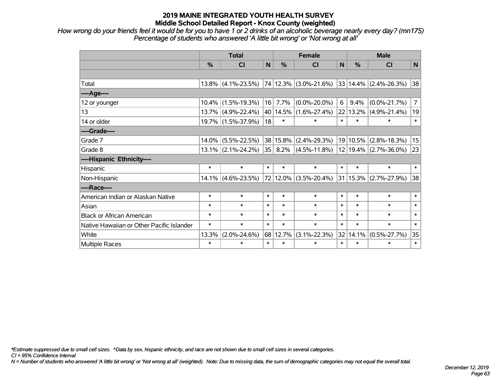*How wrong do your friends feel it would be for you to have 1 or 2 drinks of an alcoholic beverage nearly every day? (mn175) Percentage of students who answered 'A little bit wrong' or 'Not wrong at all'*

|                                           |               | <b>Total</b>          |        |               | <b>Female</b>                                  |        | <b>Male</b>   |                           |                |  |
|-------------------------------------------|---------------|-----------------------|--------|---------------|------------------------------------------------|--------|---------------|---------------------------|----------------|--|
|                                           | $\frac{0}{0}$ | CI                    | N      | $\frac{0}{0}$ | <b>CI</b>                                      | N      | $\frac{0}{0}$ | <b>CI</b>                 | N              |  |
|                                           |               |                       |        |               |                                                |        |               |                           |                |  |
| Total                                     |               | $13.8\%$ (4.1%-23.5%) |        | 74 12.3%      | $(3.0\% - 21.6\%)$                             |        |               | $33 14.4\% $ (2.4%-26.3%) | 38             |  |
| ---- Age----                              |               |                       |        |               |                                                |        |               |                           |                |  |
| 12 or younger                             |               | $10.4\%$ (1.5%-19.3%) | 16     | 7.7%          | $(0.0\% - 20.0\%)$                             | 6      | 9.4%          | $(0.0\% - 21.7\%)$        | $\overline{7}$ |  |
| 13                                        |               | 13.7% (4.9%-22.4%)    | 40     | 14.5%         | $(1.6\% - 27.4\%)$                             |        | 22 13.2%      | $(4.9\% - 21.4\%)$        | 19             |  |
| 14 or older                               |               | 19.7% (1.5%-37.9%)    | 18     | $\ast$        | $\ast$                                         | $\ast$ | $\ast$        | $\ast$                    | $\ast$         |  |
| ----Grade----                             |               |                       |        |               |                                                |        |               |                           |                |  |
| Grade 7                                   |               | $14.0\%$ (5.5%-22.5%) | 38     | 15.8%         | $(2.4\% - 29.3\%)$                             |        | 19 10.5%      | $(2.8\% - 18.3\%)$        | 15             |  |
| Grade 8                                   |               | $13.1\%$ (2.1%-24.2%) | 35     | $8.2\%$       | $(4.5\% - 11.8\%)$   12   19.4%   (2.7%-36.0%) |        |               |                           | 23             |  |
| ----Hispanic Ethnicity----                |               |                       |        |               |                                                |        |               |                           |                |  |
| Hispanic                                  | $\ast$        | $\ast$                | $\ast$ | $\ast$        | $\ast$                                         | $\ast$ | $\ast$        | $\ast$                    | $\ast$         |  |
| Non-Hispanic                              |               | $14.1\%$ (4.6%-23.5%) |        | 72 12.0%      | $(3.5\% - 20.4\%)$                             |        | 31 15.3%      | $(2.7\% - 27.9\%)$        | 38             |  |
| ----Race----                              |               |                       |        |               |                                                |        |               |                           |                |  |
| American Indian or Alaskan Native         | $\ast$        | $\ast$                | $\ast$ | $\ast$        | $\ast$                                         | $\ast$ | $\ast$        | $\ast$                    | $\ast$         |  |
| Asian                                     | $\ast$        | $\ast$                | $\ast$ | $\ast$        | $\ast$                                         | $\ast$ | $\ast$        | $\ast$                    | $\ast$         |  |
| <b>Black or African American</b>          | $\ast$        | $\ast$                | $\ast$ | $\ast$        | $\ast$                                         | $\ast$ | $\ast$        | $\ast$                    | $\ast$         |  |
| Native Hawaiian or Other Pacific Islander | $\ast$        | $\ast$                | $\ast$ | $\ast$        | $\ast$                                         | $\ast$ | $\ast$        | $\ast$                    | $\ast$         |  |
| White                                     | 13.3%         | $(2.0\% - 24.6\%)$    | 68     | 12.7%         | $(3.1\% - 22.3\%)$                             | 32     | 14.1%         | $(0.5\% - 27.7\%)$        | 35             |  |
| <b>Multiple Races</b>                     | $\ast$        | $\ast$                | $\ast$ | $\ast$        | $\ast$                                         | $\ast$ | $\ast$        | $\ast$                    | $\ast$         |  |

*\*Estimate suppressed due to small cell sizes. ^Data by sex, hispanic ethnicity, and race are not shown due to small cell sizes in several categories.*

*CI = 95% Confidence Interval*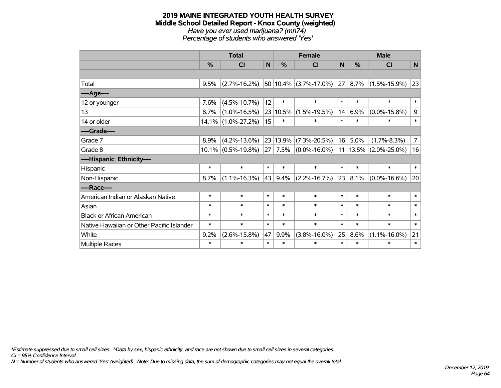#### **2019 MAINE INTEGRATED YOUTH HEALTH SURVEY Middle School Detailed Report - Knox County (weighted)** *Have you ever used marijuana? (mn74) Percentage of students who answered 'Yes'*

|                                           | <b>Total</b> |                       |        |          | <b>Female</b>                   |        | <b>Male</b> |                    |                 |  |
|-------------------------------------------|--------------|-----------------------|--------|----------|---------------------------------|--------|-------------|--------------------|-----------------|--|
|                                           | %            | <b>CI</b>             | N      | %        | <b>CI</b>                       | N      | %           | <b>CI</b>          | N               |  |
|                                           |              |                       |        |          |                                 |        |             |                    |                 |  |
| Total                                     | 9.5%         | $(2.7\% - 16.2\%)$    |        |          | $50 10.4\% $ (3.7%-17.0%)       | 27     | 8.7%        | $(1.5\% - 15.9\%)$ | 23              |  |
| ----Age----                               |              |                       |        |          |                                 |        |             |                    |                 |  |
| 12 or younger                             | 7.6%         | $(4.5\% - 10.7\%)$    | 12     | $\ast$   | $\ast$                          | $\ast$ | $\ast$      | $\ast$             | $\ast$          |  |
| 13                                        | 8.7%         | $(1.0\% - 16.5\%)$    |        | 23 10.5% | $(1.5\% - 19.5\%)$              | 14     | 6.9%        | $(0.0\% - 15.8\%)$ | 9               |  |
| 14 or older                               |              | 14.1% (1.0%-27.2%)    | 15     | $\ast$   | $\ast$                          | $\ast$ | $\ast$      | $\ast$             | $\ast$          |  |
| ----Grade----                             |              |                       |        |          |                                 |        |             |                    |                 |  |
| Grade 7                                   | 8.9%         | $(4.2\% - 13.6\%)$    | 23     | 13.9%    | $(7.3\% - 20.5\%)$              | 16     | 5.0%        | $(1.7\% - 8.3\%)$  | $\overline{7}$  |  |
| Grade 8                                   |              | $10.1\%$ (0.5%-19.8%) |        | 27 7.5%  | $(0.0\% - 16.0\%)$   11   13.5% |        |             | $(2.0\% - 25.0\%)$ | 16              |  |
| ----Hispanic Ethnicity----                |              |                       |        |          |                                 |        |             |                    |                 |  |
| Hispanic                                  | $\ast$       | $\ast$                | $\ast$ | $\ast$   | $\ast$                          | $\ast$ | $\ast$      | $\ast$             | $\ast$          |  |
| Non-Hispanic                              | 8.7%         | $(1.1\% - 16.3\%)$    | 43     | 9.4%     | $(2.2\% - 16.7\%)$              |        | 23 8.1%     | $(0.0\% - 16.6\%)$ | 20 <sup>1</sup> |  |
| ----Race----                              |              |                       |        |          |                                 |        |             |                    |                 |  |
| American Indian or Alaskan Native         | $\ast$       | $\ast$                | $\ast$ | $\ast$   | $\ast$                          | $\ast$ | $\ast$      | $\ast$             | $\ast$          |  |
| Asian                                     | $\ast$       | $\ast$                | $\ast$ | $\ast$   | $\ast$                          | $\ast$ | $\ast$      | $\ast$             | $\ast$          |  |
| <b>Black or African American</b>          | $\ast$       | $\ast$                | $\ast$ | $\ast$   | $\ast$                          | $\ast$ | $\ast$      | $\ast$             | $\ast$          |  |
| Native Hawaiian or Other Pacific Islander | $\ast$       | $\ast$                | $\ast$ | $\ast$   | $\ast$                          | $\ast$ | $\ast$      | $\ast$             | $\ast$          |  |
| White                                     | 9.2%         | $(2.6\% - 15.8\%)$    | 47     | 9.9%     | $(3.8\% - 16.0\%)$              | 25     | 8.6%        | $(1.1\% - 16.0\%)$ | 21              |  |
| <b>Multiple Races</b>                     | $\ast$       | $\ast$                | $\ast$ | $\ast$   | $\ast$                          | $\ast$ | $\ast$      | $\ast$             | $\ast$          |  |

*\*Estimate suppressed due to small cell sizes. ^Data by sex, hispanic ethnicity, and race are not shown due to small cell sizes in several categories.*

*CI = 95% Confidence Interval*

*N = Number of students who answered 'Yes' (weighted). Note: Due to missing data, the sum of demographic categories may not equal the overall total.*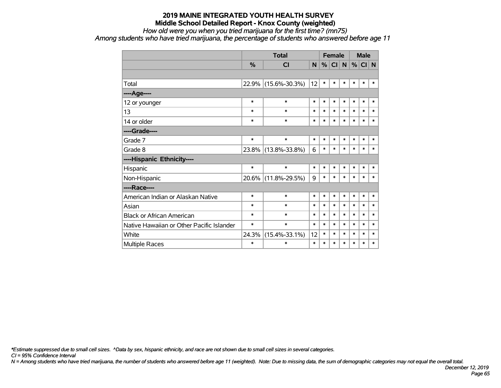## *How old were you when you tried marijuana for the first time? (mn75)*

*Among students who have tried marijuana, the percentage of students who answered before age 11*

|                                           |               | <b>Total</b>        | <b>Female</b> |        |        |        |        | <b>Male</b> |        |
|-------------------------------------------|---------------|---------------------|---------------|--------|--------|--------|--------|-------------|--------|
|                                           | $\frac{0}{0}$ | <b>CI</b>           | N             | %      | CI     | N      | %      | CI N        |        |
|                                           |               |                     |               |        |        |        |        |             |        |
| Total                                     | 22.9%         | $(15.6\% - 30.3\%)$ | 12            | $\ast$ | $\ast$ | $\ast$ | $\ast$ | $\ast$      | $\ast$ |
| ----Age----                               |               |                     |               |        |        |        |        |             |        |
| 12 or younger                             | $\ast$        | $\ast$              | $\ast$        | $\ast$ | $\ast$ | $\ast$ | $\ast$ | $\ast$      | $\ast$ |
| 13                                        | $\ast$        | $\ast$              | $\ast$        | $\ast$ | $\ast$ | $\ast$ | $\ast$ | $\ast$      | $\ast$ |
| 14 or older                               | $\ast$        | $\ast$              | $\ast$        | $\ast$ | $\ast$ | $\ast$ | $\ast$ | $\ast$      | $\ast$ |
| ----Grade----                             |               |                     |               |        |        |        |        |             |        |
| Grade 7                                   | $\ast$        | $\ast$              | $\ast$        | $\ast$ | $\ast$ | $\ast$ | $\ast$ | $\ast$      | $\ast$ |
| Grade 8                                   |               | 23.8% (13.8%-33.8%) | 6             | $\ast$ | $\ast$ | $\ast$ | $\ast$ | $\ast$      | $\ast$ |
| ----Hispanic Ethnicity----                |               |                     |               |        |        |        |        |             |        |
| Hispanic                                  | $\ast$        | $\ast$              | $\ast$        | $\ast$ | $\ast$ | $\ast$ | $\ast$ | $\ast$      | $\ast$ |
| Non-Hispanic                              | $20.6\%$      | $(11.8\% - 29.5\%)$ | 9             | $\ast$ | $\ast$ | $\ast$ | $\ast$ | $\ast$      | $\ast$ |
| ----Race----                              |               |                     |               |        |        |        |        |             |        |
| American Indian or Alaskan Native         | $\ast$        | $\ast$              | $\ast$        | $\ast$ | $\ast$ | $\ast$ | $\ast$ | $\ast$      | $\ast$ |
| Asian                                     | $\ast$        | $\ast$              | $\ast$        | $\ast$ | $\ast$ | $\ast$ | $\ast$ | $\ast$      | $\ast$ |
| <b>Black or African American</b>          | $\ast$        | $\ast$              | $\ast$        | $\ast$ | $\ast$ | $\ast$ | $\ast$ | $\ast$      | $\ast$ |
| Native Hawaiian or Other Pacific Islander | $\ast$        | $\ast$              | $\ast$        | $\ast$ | $\ast$ | $\ast$ | $\ast$ | $\ast$      | $\ast$ |
| White                                     | 24.3%         | $(15.4\% - 33.1\%)$ | 12            | $\ast$ | $\ast$ | $\ast$ | $\ast$ | $\ast$      | $\ast$ |
| <b>Multiple Races</b>                     | $\ast$        | $\ast$              | $\ast$        | $\ast$ | $\ast$ | $\ast$ | $\ast$ | $\ast$      | $\ast$ |

*\*Estimate suppressed due to small cell sizes. ^Data by sex, hispanic ethnicity, and race are not shown due to small cell sizes in several categories.*

*CI = 95% Confidence Interval*

*N = Among students who have tried marijuana, the number of students who answered before age 11 (weighted). Note: Due to missing data, the sum of demographic categories may not equal the overall total.*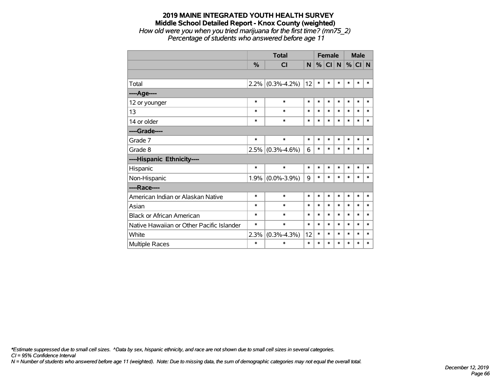#### **2019 MAINE INTEGRATED YOUTH HEALTH SURVEY Middle School Detailed Report - Knox County (weighted)** *How old were you when you tried marijuana for the first time? (mn75\_2)*

*Percentage of students who answered before age 11*

|                                           |        | <b>Total</b>      |        |        |           | <b>Female</b> |        | <b>Male</b> |        |
|-------------------------------------------|--------|-------------------|--------|--------|-----------|---------------|--------|-------------|--------|
|                                           | $\%$   | <b>CI</b>         | N.     | %      | <b>CI</b> | $\mathsf{N}$  |        | $%$ CI N    |        |
|                                           |        |                   |        |        |           |               |        |             |        |
| Total                                     | 2.2%   | $(0.3\% - 4.2\%)$ | 12     | $\ast$ | $\ast$    | $\ast$        | *      | $\ast$      | *      |
| ----Age----                               |        |                   |        |        |           |               |        |             |        |
| 12 or younger                             | $\ast$ | $\ast$            | $\ast$ | $\ast$ | $\ast$    | $\ast$        | $\ast$ | $\ast$      | $\ast$ |
| 13                                        | *      | $\ast$            | $\ast$ | *      | $\ast$    | $\ast$        | $\ast$ | *           | $\ast$ |
| 14 or older                               | $\ast$ | $\ast$            | $\ast$ | $\ast$ | $\ast$    | $\ast$        | $\ast$ | $\ast$      | $\ast$ |
| ----Grade----                             |        |                   |        |        |           |               |        |             |        |
| Grade 7                                   | $\ast$ | $\ast$            | $\ast$ | $\ast$ | $\ast$    | $\ast$        | $\ast$ | $\ast$      | $\ast$ |
| Grade 8                                   | 2.5%   | $(0.3\% - 4.6\%)$ | 6      | $\ast$ | $\ast$    | $\ast$        | $\ast$ | $\ast$      | $\ast$ |
| ----Hispanic Ethnicity----                |        |                   |        |        |           |               |        |             |        |
| Hispanic                                  | $\ast$ | $\ast$            | *      | $\ast$ | $\ast$    | $\ast$        | *      | $\ast$      | ∗      |
| Non-Hispanic                              | 1.9%   | $(0.0\% - 3.9\%)$ | 9      | $\ast$ | $\ast$    | $\ast$        | $\ast$ | *           | $\ast$ |
| ----Race----                              |        |                   |        |        |           |               |        |             |        |
| American Indian or Alaskan Native         | $\ast$ | $\ast$            | *      | *      | $\ast$    | $\ast$        | $\ast$ | $\ast$      | $\ast$ |
| Asian                                     | *      | $\ast$            | *      | *      | $\ast$    | $\ast$        | $\ast$ | *           | *      |
| <b>Black or African American</b>          | *      | $\ast$            | $\ast$ | $\ast$ | $\ast$    | $\ast$        | $\ast$ | $\ast$      | $\ast$ |
| Native Hawaiian or Other Pacific Islander | *      | $\ast$            | *      | *      | $\ast$    | $\ast$        | $\ast$ | *           | $\ast$ |
| White                                     | 2.3%   | $(0.3\% - 4.3\%)$ | 12     | $\ast$ | $\ast$    | $\ast$        | $\ast$ | $\ast$      | $\ast$ |
| <b>Multiple Races</b>                     | $\ast$ | $\ast$            | $\ast$ | $\ast$ | $\ast$    | $\ast$        | $\ast$ | $\ast$      | $\ast$ |

*\*Estimate suppressed due to small cell sizes. ^Data by sex, hispanic ethnicity, and race are not shown due to small cell sizes in several categories.*

*CI = 95% Confidence Interval*

*N = Number of students who answered before age 11 (weighted). Note: Due to missing data, the sum of demographic categories may not equal the overall total.*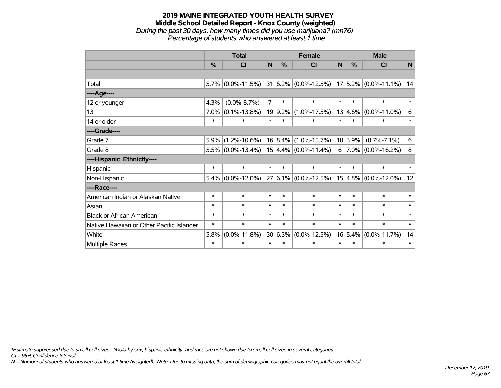#### **2019 MAINE INTEGRATED YOUTH HEALTH SURVEY Middle School Detailed Report - Knox County (weighted)** *During the past 30 days, how many times did you use marijuana? (mn76)*

*Percentage of students who answered at least 1 time*

|                                           | <b>Total</b>  |                      |                |               | <b>Female</b>                                       |        | <b>Male</b> |                          |        |  |
|-------------------------------------------|---------------|----------------------|----------------|---------------|-----------------------------------------------------|--------|-------------|--------------------------|--------|--|
|                                           | $\frac{0}{2}$ | <b>CI</b>            | N              | $\frac{0}{0}$ | <b>CI</b>                                           | N      | $\%$        | <b>CI</b>                | N      |  |
|                                           |               |                      |                |               |                                                     |        |             |                          |        |  |
| Total                                     |               | $5.7\%$ (0.0%-11.5%) |                |               | $ 31 6.2\% $ (0.0%-12.5%) $ 17 5.2\% $ (0.0%-11.1%) |        |             |                          | 14     |  |
| ----Age----                               |               |                      |                |               |                                                     |        |             |                          |        |  |
| 12 or younger                             | 4.3%          | $(0.0\% - 8.7\%)$    | $\overline{7}$ | $\ast$        | $\ast$                                              | $\ast$ | $\ast$      | $\ast$                   | $\ast$ |  |
| 13                                        | 7.0%          | $(0.1\% - 13.8\%)$   |                |               | 19 9.2% (1.0%-17.5%)                                |        | 13 4.6%     | $(0.0\% - 11.0\%)$       | 6      |  |
| 14 or older                               | $\ast$        | $\ast$               | $\ast$         | $\ast$        | $\ast$                                              | $\ast$ | $\ast$      | $\ast$                   | $\ast$ |  |
| ----Grade----                             |               |                      |                |               |                                                     |        |             |                          |        |  |
| Grade 7                                   | 5.9%          | $(1.2\% - 10.6\%)$   |                |               | $16 8.4\% $ (1.0%-15.7%)                            |        | 10 3.9%     | $(0.7\% - 7.1\%)$        | 6      |  |
| Grade 8                                   |               |                      |                |               | $5.5\%$ (0.0%-13.4%)   15 4.4% (0.0%-11.4%)         | 6      |             | $7.0\%$ (0.0%-16.2%)     | 8      |  |
| ----Hispanic Ethnicity----                |               |                      |                |               |                                                     |        |             |                          |        |  |
| Hispanic                                  | $\ast$        | $\ast$               | $\ast$         | $\ast$        | $\ast$                                              | $\ast$ | $\ast$      | $\ast$                   | $\ast$ |  |
| Non-Hispanic                              |               | $5.4\%$ (0.0%-12.0%) |                |               | 27 6.1% (0.0%-12.5%)                                |        |             | $15 4.8\% $ (0.0%-12.0%) | 12     |  |
| ----Race----                              |               |                      |                |               |                                                     |        |             |                          |        |  |
| American Indian or Alaskan Native         | $\ast$        | $\ast$               | $\ast$         | $\ast$        | $\ast$                                              | $\ast$ | $\ast$      | $\ast$                   | $\ast$ |  |
| Asian                                     | $\ast$        | $\ast$               | $\ast$         | $\ast$        | $\ast$                                              | $\ast$ | $\ast$      | $\ast$                   | $\ast$ |  |
| <b>Black or African American</b>          | $\ast$        | $\ast$               | $\ast$         | $\ast$        | $\ast$                                              | $\ast$ | $\ast$      | $\ast$                   | $\ast$ |  |
| Native Hawaiian or Other Pacific Islander | $\ast$        | $\ast$               | $\ast$         | $\ast$        | $\ast$                                              | $\ast$ | $\ast$      | $\ast$                   | $\ast$ |  |
| White                                     | 5.8%          | $(0.0\% - 11.8\%)$   |                | 30 6.3%       | $(0.0\% - 12.5\%)$                                  |        | 16 5.4%     | $(0.0\% - 11.7\%)$       | 14     |  |
| Multiple Races                            | $\ast$        | $\ast$               | $\ast$         | $\ast$        | $\ast$                                              | $\ast$ | $\ast$      | $\ast$                   | $\ast$ |  |

*\*Estimate suppressed due to small cell sizes. ^Data by sex, hispanic ethnicity, and race are not shown due to small cell sizes in several categories.*

*CI = 95% Confidence Interval*

*N = Number of students who answered at least 1 time (weighted). Note: Due to missing data, the sum of demographic categories may not equal the overall total.*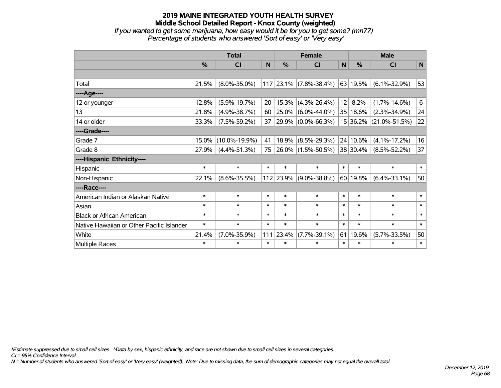*If you wanted to get some marijuana, how easy would it be for you to get some? (mn77) Percentage of students who answered 'Sort of easy' or 'Very easy'*

|                                           |               | <b>Total</b>        |        |           | <b>Female</b>            |        | <b>Male</b>   |                     |                |  |
|-------------------------------------------|---------------|---------------------|--------|-----------|--------------------------|--------|---------------|---------------------|----------------|--|
|                                           | $\frac{0}{0}$ | <b>CI</b>           | N      | $\%$      | <b>CI</b>                | N      | $\frac{0}{0}$ | <b>CI</b>           | $\mathsf{N}$   |  |
|                                           |               |                     |        |           |                          |        |               |                     |                |  |
| Total                                     | 21.5%         | $(8.0\% - 35.0\%)$  |        |           | $117$ 23.1% (7.8%-38.4%) |        | $ 63 19.5\% $ | $(6.1\% - 32.9\%)$  | 53             |  |
| ----Age----                               |               |                     |        |           |                          |        |               |                     |                |  |
| 12 or younger                             | 12.8%         | $(5.9\% - 19.7\%)$  | 20     | 15.3%     | $(4.3\% - 26.4\%)$       | 12     | 8.2%          | $(1.7\% - 14.6\%)$  | 6 <sup>1</sup> |  |
| 13                                        | 21.8%         | $(4.9\% - 38.7\%)$  | 60     | 25.0%     | $(6.0\% - 44.0\%)$       |        | 35   18.6%    | $(2.3\% - 34.9\%)$  | 24             |  |
| 14 or older                               | 33.3%         | $(7.5\% - 59.2\%)$  | 37     |           | 29.9% (0.0%-66.3%)       |        | 15 36.2%      | $(21.0\% - 51.5\%)$ | 22             |  |
| ----Grade----                             |               |                     |        |           |                          |        |               |                     |                |  |
| Grade 7                                   | 15.0%         | $(10.0\% - 19.9\%)$ | 41     | 18.9%     | $(8.5\% - 29.3\%)$       |        | 24 10.6%      | $(4.1\% - 17.2\%)$  | 16             |  |
| Grade 8                                   | 27.9%         | $(4.4\% - 51.3\%)$  | 75     |           | 26.0% (1.5%-50.5%)       |        | 38 30.4%      | $(8.5\% - 52.2\%)$  | 37             |  |
| ----Hispanic Ethnicity----                |               |                     |        |           |                          |        |               |                     |                |  |
| Hispanic                                  | $\ast$        | $\ast$              | $\ast$ | $\ast$    | $\ast$                   | $\ast$ | $\ast$        | $\ast$              | $\ast$         |  |
| Non-Hispanic                              | 22.1%         | $(8.6\% - 35.5\%)$  |        | 112 23.9% | $(9.0\% - 38.8\%)$       |        | 60 19.8%      | $(6.4\% - 33.1\%)$  | 50             |  |
| ----Race----                              |               |                     |        |           |                          |        |               |                     |                |  |
| American Indian or Alaskan Native         | $\ast$        | $\ast$              | $\ast$ | $\ast$    | $\ast$                   | $\ast$ | $\ast$        | $\ast$              | $\ast$         |  |
| Asian                                     | $\ast$        | $\ast$              | $\ast$ | $\ast$    | $\ast$                   | $\ast$ | $\ast$        | $\ast$              | $\ast$         |  |
| <b>Black or African American</b>          | $\ast$        | $\ast$              | $\ast$ | $\ast$    | $\ast$                   | $\ast$ | $\ast$        | $\ast$              | $\ast$         |  |
| Native Hawaiian or Other Pacific Islander | $\ast$        | $\ast$              | $\ast$ | $\ast$    | $\ast$                   | $\ast$ | $\ast$        | $\ast$              | $\ast$         |  |
| White                                     | 21.4%         | $(7.0\% - 35.9\%)$  | 111    | 23.4%     | $(7.7\% - 39.1\%)$       | 61     | 19.6%         | $(5.7\% - 33.5\%)$  | 50             |  |
| Multiple Races                            | $\ast$        | $\ast$              | $\ast$ | $\ast$    | $\ast$                   | $\ast$ | $\ast$        | $\ast$              | $\ast$         |  |

*\*Estimate suppressed due to small cell sizes. ^Data by sex, hispanic ethnicity, and race are not shown due to small cell sizes in several categories.*

*CI = 95% Confidence Interval*

*N = Number of students who answered 'Sort of easy' or 'Very easy' (weighted). Note: Due to missing data, the sum of demographic categories may not equal the overall total.*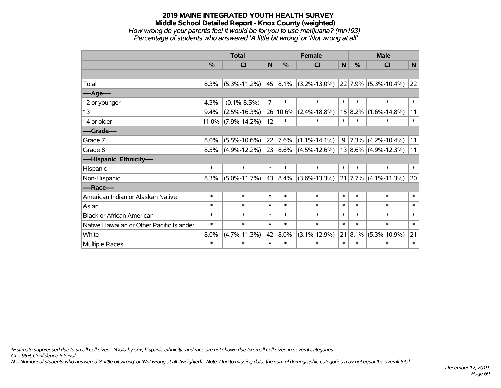*How wrong do your parents feel it would be for you to use marijuana? (mn193) Percentage of students who answered 'A little bit wrong' or 'Not wrong at all'*

|                                           |        | <b>Total</b>          |                |        | <b>Female</b>                           | <b>Male</b>  |             |                            |              |
|-------------------------------------------|--------|-----------------------|----------------|--------|-----------------------------------------|--------------|-------------|----------------------------|--------------|
|                                           | %      | CI                    | N              | %      | <b>CI</b>                               | $\mathsf{N}$ | %           | CI                         | $\mathsf{N}$ |
|                                           |        |                       |                |        |                                         |              |             |                            |              |
| Total                                     | 8.3%   | $(5.3\% - 11.2\%)$    | 45             | 8.1%   | $(3.2\% - 13.0\%)$ 22 7.9% (5.3%-10.4%) |              |             |                            | 22           |
| ----Age----                               |        |                       |                |        |                                         |              |             |                            |              |
| 12 or younger                             | 4.3%   | $(0.1\% - 8.5\%)$     | $\overline{7}$ | $\ast$ | $\ast$                                  | $\ast$       | $\ast$      | $\ast$                     | $\ast$       |
| 13                                        | 9.4%   | $(2.5\% - 16.3\%)$    | 26             | 10.6%  | $(2.4\% - 18.8\%)$                      |              | 15 8.2%     | $(1.6\% - 14.8\%)$         | 11           |
| 14 or older                               |        | $11.0\%$ (7.9%-14.2%) | 12             | $\ast$ | $\ast$                                  | $\ast$       | $\ast$      | $\ast$                     | $\ast$       |
| ----Grade----                             |        |                       |                |        |                                         |              |             |                            |              |
| Grade 7                                   | 8.0%   | $(5.5\% - 10.6\%)$    | 22             | 7.6%   | $(1.1\% - 14.1\%)$                      | 9            |             | $ 7.3\% $ (4.2%-10.4%)     | 11           |
| Grade 8                                   | 8.5%   | $(4.9\% - 12.2\%)$    | 23             | 8.6%   | $(4.5\% - 12.6\%)$                      |              |             | $13 8.6\% $ (4.9%-12.3%)   | 11           |
| ----Hispanic Ethnicity----                |        |                       |                |        |                                         |              |             |                            |              |
| Hispanic                                  | $\ast$ | $\ast$                | $\ast$         | $\ast$ | $\ast$                                  | $\ast$       | $\ast$      | $\ast$                     | $\ast$       |
| Non-Hispanic                              | 8.3%   | $(5.0\% - 11.7\%)$    | 43             | 8.4%   | $(3.6\% - 13.3\%)$                      |              |             | $21$   7.7%   (4.1%-11.3%) | 20           |
| ----Race----                              |        |                       |                |        |                                         |              |             |                            |              |
| American Indian or Alaskan Native         | $\ast$ | $\ast$                | $\ast$         | $\ast$ | $\ast$                                  | $\ast$       | $\ast$      | $\ast$                     | $\ast$       |
| Asian                                     | $\ast$ | $\ast$                | $\ast$         | $\ast$ | $\ast$                                  | $\ast$       | $\ast$      | $\ast$                     | $\ast$       |
| <b>Black or African American</b>          | $\ast$ | $\ast$                | $\ast$         | $\ast$ | $\ast$                                  | $\ast$       | $\ast$      | $\ast$                     | $\ast$       |
| Native Hawaiian or Other Pacific Islander | $\ast$ | $\ast$                | $\ast$         | $\ast$ | $\ast$                                  | $\ast$       | $\ast$      | $\ast$                     | $\ast$       |
| White                                     | 8.0%   | $(4.7\% - 11.3\%)$    | 42             | 8.0%   | $(3.1\% - 12.9\%)$                      |              | $21 8.1\% $ | $(5.3\% - 10.9\%)$         | 21           |
| Multiple Races                            | $\ast$ | $\ast$                | $\ast$         | $\ast$ | $\ast$                                  | $\ast$       | $\ast$      | $\ast$                     | $\ast$       |

*\*Estimate suppressed due to small cell sizes. ^Data by sex, hispanic ethnicity, and race are not shown due to small cell sizes in several categories.*

*CI = 95% Confidence Interval*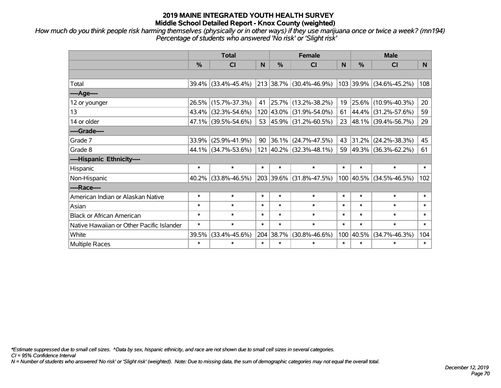*How much do you think people risk harming themselves (physically or in other ways) if they use marijuana once or twice a week? (mn194) Percentage of students who answered 'No risk' or 'Slight risk'*

|                                           | <b>Total</b> |                     |        |               | <b>Female</b>           |        | <b>Male</b>   |                         |                |  |  |
|-------------------------------------------|--------------|---------------------|--------|---------------|-------------------------|--------|---------------|-------------------------|----------------|--|--|
|                                           | %            | <b>CI</b>           | N      | $\frac{0}{0}$ | <b>CI</b>               | N      | $\frac{0}{0}$ | <b>CI</b>               | N <sub>1</sub> |  |  |
|                                           |              |                     |        |               |                         |        |               |                         |                |  |  |
| Total                                     |              | 39.4% (33.4%-45.4%) |        |               | 213 38.7% (30.4%-46.9%) |        |               | 103 39.9% (34.6%-45.2%) | 108            |  |  |
| ----Age----                               |              |                     |        |               |                         |        |               |                         |                |  |  |
| 12 or younger                             | 26.5%        | $(15.7\% - 37.3\%)$ | 41     | 25.7%         | $(13.2\% - 38.2\%)$     | 19     | $25.6\%$      | $(10.9\% - 40.3\%)$     | 20             |  |  |
| 13                                        |              | 43.4% (32.3%-54.6%) |        |               | 120 43.0% (31.9%-54.0%) | 61     | $ 44.4\% $    | $(31.2\% - 57.6\%)$     | 59             |  |  |
| 14 or older                               |              | 47.1% (39.5%-54.6%) |        |               | 53 45.9% (31.2%-60.5%)  |        |               | 23 48.1% (39.4%-56.7%)  | 29             |  |  |
| ----Grade----                             |              |                     |        |               |                         |        |               |                         |                |  |  |
| Grade 7                                   | 33.9%        | $(25.9\% - 41.9\%)$ | 90     | 36.1%         | $(24.7\% - 47.5\%)$     | 43     | 31.2%         | $(24.2\% - 38.3\%)$     | 45             |  |  |
| Grade 8                                   |              | 44.1% (34.7%-53.6%) |        |               | 121 40.2% (32.3%-48.1%) |        |               | 59 49.3% (36.3%-62.2%)  | 61             |  |  |
| ----Hispanic Ethnicity----                |              |                     |        |               |                         |        |               |                         |                |  |  |
| Hispanic                                  | $\ast$       | $\ast$              | $\ast$ | $\ast$        | $\ast$                  | $\ast$ | $\ast$        | $\ast$                  | $\ast$         |  |  |
| Non-Hispanic                              | 40.2%        | $(33.8\% - 46.5\%)$ |        |               | 203 39.6% (31.8%-47.5%) |        | 100 40.5%     | $(34.5\% - 46.5\%)$     | 102            |  |  |
| ----Race----                              |              |                     |        |               |                         |        |               |                         |                |  |  |
| American Indian or Alaskan Native         | $\ast$       | $\ast$              | $\ast$ | $\ast$        | $\ast$                  | $\ast$ | $\ast$        | $\ast$                  | $\ast$         |  |  |
| Asian                                     | $\ast$       | $\ast$              | $\ast$ | $\ast$        | $\ast$                  | $\ast$ | $\ast$        | $\ast$                  | $\ast$         |  |  |
| <b>Black or African American</b>          | $\ast$       | $\ast$              | $\ast$ | $\ast$        | $\ast$                  | $\ast$ | $\ast$        | $\ast$                  | $\ast$         |  |  |
| Native Hawaiian or Other Pacific Islander | $\ast$       | $\ast$              | $\ast$ | $\ast$        | $\ast$                  | $\ast$ | $\ast$        | $\ast$                  | $\ast$         |  |  |
| White                                     | 39.5%        | $(33.4\% - 45.6\%)$ |        | 204 38.7%     | $(30.8\% - 46.6\%)$     | 100    | 40.5%         | $(34.7\% - 46.3\%)$     | 104            |  |  |
| Multiple Races                            | $\ast$       | $\ast$              | $\ast$ | $\ast$        | $\ast$                  | $\ast$ | $\ast$        | $\ast$                  | $\ast$         |  |  |

*\*Estimate suppressed due to small cell sizes. ^Data by sex, hispanic ethnicity, and race are not shown due to small cell sizes in several categories.*

*CI = 95% Confidence Interval*

*N = Number of students who answered 'No risk' or 'Slight risk' (weighted). Note: Due to missing data, the sum of demographic categories may not equal the overall total.*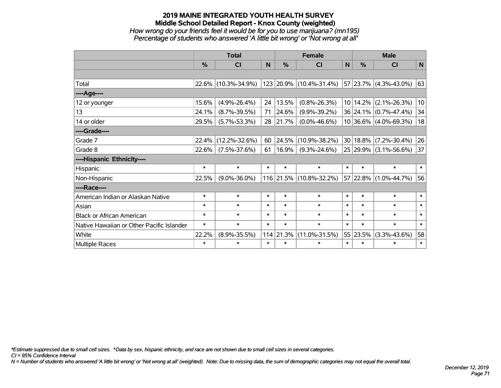## **2019 MAINE INTEGRATED YOUTH HEALTH SURVEY Middle School Detailed Report - Knox County (weighted)** *How wrong do your friends feel it would be for you to use marijuana? (mn195) Percentage of students who answered 'A little bit wrong' or 'Not wrong at all'*

|                                           |               | <b>Total</b>        |        |            | <b>Female</b>             |              |               | <b>Male</b>                |        |  |  |
|-------------------------------------------|---------------|---------------------|--------|------------|---------------------------|--------------|---------------|----------------------------|--------|--|--|
|                                           | $\frac{0}{0}$ | <b>CI</b>           | N      | %          | CI                        | $\mathsf{N}$ | $\frac{0}{0}$ | <b>CI</b>                  | N      |  |  |
|                                           |               |                     |        |            |                           |              |               |                            |        |  |  |
| Total                                     | 22.6%         | $(10.3\% - 34.9\%)$ |        |            | 123  20.9%  (10.4%-31.4%) |              |               | $ 57 23.7\% $ (4.3%-43.0%) | 63     |  |  |
| ---- Age----                              |               |                     |        |            |                           |              |               |                            |        |  |  |
| 12 or younger                             | 15.6%         | $(4.9\% - 26.4\%)$  | 24     | 13.5%      | $(0.8\% - 26.3\%)$        |              | 10 14.2%      | $(2.1\% - 26.3\%)$         | 10     |  |  |
| 13                                        | 24.1%         | $(8.7\% - 39.5\%)$  | 71     | 24.6%      | $(9.9\% - 39.2\%)$        |              |               | 36 24.1% (0.7%-47.4%)      | 34     |  |  |
| 14 or older                               | 29.5%         | $(5.7\% - 53.3\%)$  | 28     | 21.7%      | $(0.0\% - 46.6\%)$        |              |               | 10 36.6% (4.0%-69.3%)      | 18     |  |  |
| ----Grade----                             |               |                     |        |            |                           |              |               |                            |        |  |  |
| Grade 7                                   | 22.4%         | $(12.2\% - 32.6\%)$ | 60     | 24.5%      | $(10.9\% - 38.2\%)$       |              | 30 18.8%      | $(7.2\% - 30.4\%)$         | 26     |  |  |
| Grade 8                                   | 22.6%         | $(7.5\% - 37.6\%)$  | 61     | $ 16.9\% $ | $(9.3\% - 24.6\%)$        |              |               | 25 29.9% (3.1%-56.6%)      | 37     |  |  |
| ----Hispanic Ethnicity----                |               |                     |        |            |                           |              |               |                            |        |  |  |
| Hispanic                                  | $\ast$        | $\ast$              | $\ast$ | $\ast$     | $\ast$                    | $\ast$       | $\ast$        | $\ast$                     | $\ast$ |  |  |
| Non-Hispanic                              | 22.5%         | $(9.0\% - 36.0\%)$  |        |            | 116 21.5% (10.8%-32.2%)   |              | 57 22.8%      | $(1.0\% - 44.7\%)$         | 56     |  |  |
| ----Race----                              |               |                     |        |            |                           |              |               |                            |        |  |  |
| American Indian or Alaskan Native         | $\ast$        | $\ast$              | $\ast$ | $\ast$     | $\ast$                    | $\ast$       | $\ast$        | $\ast$                     | $\ast$ |  |  |
| Asian                                     | $\ast$        | $\ast$              | $\ast$ | $\ast$     | $\ast$                    | $\ast$       | $\ast$        | $\ast$                     | $\ast$ |  |  |
| <b>Black or African American</b>          | *             | $\ast$              | $\ast$ | $\ast$     | $\ast$                    | $\ast$       | $\ast$        | $\ast$                     | $\ast$ |  |  |
| Native Hawaiian or Other Pacific Islander | $\ast$        | $\ast$              | $\ast$ | $\ast$     | $\ast$                    | $\ast$       | $\ast$        | $\ast$                     | $\ast$ |  |  |
| White                                     | 22.2%         | $(8.9\% - 35.5\%)$  |        | 114 21.3%  | $(11.0\% - 31.5\%)$       |              | 55 23.5%      | $(3.3\% - 43.6\%)$         | 58     |  |  |
| Multiple Races                            | $\ast$        | $\ast$              | $\ast$ | $\ast$     | $\ast$                    | $\ast$       | $\ast$        | $\ast$                     | $\ast$ |  |  |

*\*Estimate suppressed due to small cell sizes. ^Data by sex, hispanic ethnicity, and race are not shown due to small cell sizes in several categories.*

*CI = 95% Confidence Interval*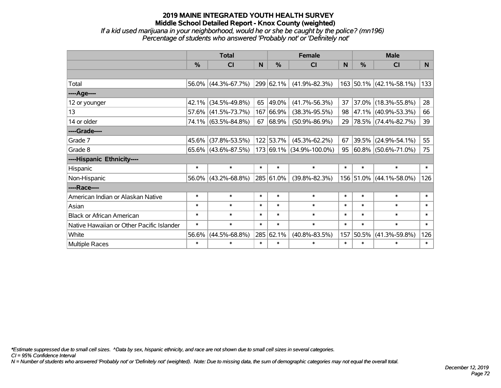*If a kid used marijuana in your neighborhood, would he or she be caught by the police? (mn196) Percentage of students who answered 'Probably not' or 'Definitely not'*

|                                           |        | <b>Total</b>           |              |                | <b>Female</b>                 |        | <b>Male</b>   |                          |        |  |
|-------------------------------------------|--------|------------------------|--------------|----------------|-------------------------------|--------|---------------|--------------------------|--------|--|
|                                           | %      | <b>CI</b>              | <sub>N</sub> | %              | <b>CI</b>                     | N      | $\frac{0}{0}$ | <b>CI</b>                | N.     |  |
|                                           |        |                        |              |                |                               |        |               |                          |        |  |
| Total                                     |        | $56.0\%$ (44.3%-67.7%) |              | $ 299 62.1\% $ | $(41.9\% - 82.3\%)$           |        |               | 163 50.1% (42.1%-58.1%)  | 133    |  |
| ----Age----                               |        |                        |              |                |                               |        |               |                          |        |  |
| 12 or younger                             | 42.1%  | $(34.5\% - 49.8\%)$    |              | 65 49.0%       | $(41.7\% - 56.3\%)$           | 37     |               | 37.0% (18.3%-55.8%)      | 28     |  |
| 13                                        |        | 57.6% (41.5%-73.7%)    |              | 167 66.9%      | $(38.3\% - 95.5\%)$           | 98     |               | 47.1% (40.9%-53.3%)      | 66     |  |
| 14 or older                               |        | 74.1% (63.5%-84.8%)    |              | 67 68.9%       | $(50.9\% - 86.9\%)$           | 29     |               | $ 78.5\% $ (74.4%-82.7%) | 39     |  |
| ----Grade----                             |        |                        |              |                |                               |        |               |                          |        |  |
| Grade 7                                   | 45.6%  | $(37.8\% - 53.5\%)$    |              | 122 53.7%      | $(45.3\% - 62.2\%)$           | 67     |               | 39.5% (24.9%-54.1%)      | 55     |  |
| Grade 8                                   |        | $65.6\%$ (43.6%-87.5%) |              |                | $ 173 69.1\% $ (34.9%-100.0%) | 95     |               | $ 60.8\% $ (50.6%-71.0%) | 75     |  |
| ----Hispanic Ethnicity----                |        |                        |              |                |                               |        |               |                          |        |  |
| Hispanic                                  | $\ast$ | $\ast$                 | $\ast$       | $\ast$         | $\ast$                        | $\ast$ | $\ast$        | $\ast$                   | $\ast$ |  |
| Non-Hispanic                              |        | $56.0\%$ (43.2%-68.8%) |              | 285 61.0%      | $(39.8\% - 82.3\%)$           |        |               | 156 51.0% (44.1%-58.0%)  | 126    |  |
| ----Race----                              |        |                        |              |                |                               |        |               |                          |        |  |
| American Indian or Alaskan Native         | $\ast$ | $\ast$                 | $\ast$       | $\ast$         | $\ast$                        | $\ast$ | $\ast$        | $\ast$                   | $\ast$ |  |
| Asian                                     | $\ast$ | $\ast$                 | $\ast$       | $\ast$         | $\ast$                        | $\ast$ | $\ast$        | $\ast$                   | $\ast$ |  |
| <b>Black or African American</b>          | $\ast$ | $\ast$                 | $\ast$       | $\ast$         | $\ast$                        | $\ast$ | $\ast$        | $\ast$                   | $\ast$ |  |
| Native Hawaiian or Other Pacific Islander | $\ast$ | $\ast$                 | $\ast$       | $\ast$         | $\ast$                        | $\ast$ | $\ast$        | $\ast$                   | $\ast$ |  |
| White                                     | 56.6%  | $(44.5\% - 68.8\%)$    |              | 285 62.1%      | $(40.8\% - 83.5\%)$           | 157    | 50.5%         | $(41.3\% - 59.8\%)$      | 126    |  |
| Multiple Races                            | $\ast$ | $\ast$                 | $\ast$       | $\ast$         | $\ast$                        | $\ast$ | $\ast$        | $\ast$                   | $\ast$ |  |

*\*Estimate suppressed due to small cell sizes. ^Data by sex, hispanic ethnicity, and race are not shown due to small cell sizes in several categories.*

*CI = 95% Confidence Interval*

*N = Number of students who answered 'Probably not' or 'Definitely not' (weighted). Note: Due to missing data, the sum of demographic categories may not equal the overall total.*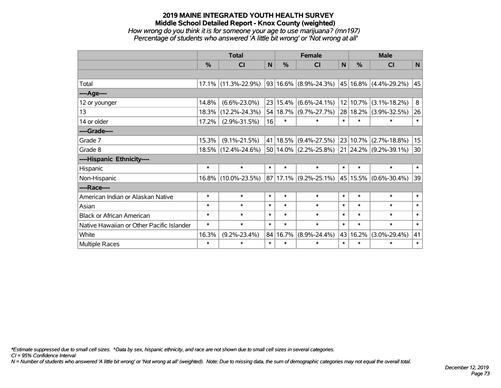*How wrong do you think it is for someone your age to use marijuana? (mn197) Percentage of students who answered 'A little bit wrong' or 'Not wrong at all'*

|                                           | <b>Total</b> |                        |              |            | <b>Female</b>                  | <b>Male</b>  |          |                       |        |
|-------------------------------------------|--------------|------------------------|--------------|------------|--------------------------------|--------------|----------|-----------------------|--------|
|                                           | %            | <b>CI</b>              | $\mathsf{N}$ | %          | <b>CI</b>                      | $\mathsf{N}$ | %        | <b>CI</b>             | N      |
|                                           |              |                        |              |            |                                |              |          |                       |        |
| Total                                     |              | $17.1\%$ (11.3%-22.9%) |              |            | $93 16.6\% $ (8.9%-24.3%)      |              |          | 45 16.8% (4.4%-29.2%) | 45     |
| ----Age----                               |              |                        |              |            |                                |              |          |                       |        |
| 12 or younger                             | 14.8%        | $(6.6\% - 23.0\%)$     |              | 23 15.4%   | $(6.6\% - 24.1\%)$             |              | 12 10.7% | $(3.1\% - 18.2\%)$    | 8      |
| 13                                        | 18.3%        | $(12.2\% - 24.3\%)$    |              | 54 18.7%   | $(9.7\% - 27.7\%)$             |              | 28 18.2% | $(3.9\% - 32.5\%)$    | 26     |
| 14 or older                               | 17.2%        | $(2.9\% - 31.5\%)$     | 16           | $\ast$     | $\ast$                         | $\ast$       | $\ast$   | $\ast$                | $\ast$ |
| ----Grade----                             |              |                        |              |            |                                |              |          |                       |        |
| Grade 7                                   | 15.3%        | $(9.1\% - 21.5\%)$     |              | 41   18.5% | $(9.4\% - 27.5\%)$             |              | 23 10.7% | $(2.7\% - 18.8\%)$    | 15     |
| Grade 8                                   |              | 18.5% (12.4%-24.6%)    |              |            | 50 14.0% (2.2%-25.8%) 21 24.2% |              |          | $(9.2\% - 39.1\%)$    | 30     |
| ----Hispanic Ethnicity----                |              |                        |              |            |                                |              |          |                       |        |
| Hispanic                                  | $\ast$       | $\ast$                 | $\ast$       | $\ast$     | $\ast$                         | $\ast$       | $\ast$   | $\ast$                | $\ast$ |
| Non-Hispanic                              |              | 16.8% (10.0%-23.5%)    |              |            | $ 87 17.1\% $ (9.2%-25.1%)     |              | 45 15.5% | $(0.6\% - 30.4\%)$    | 39     |
| ----Race----                              |              |                        |              |            |                                |              |          |                       |        |
| American Indian or Alaskan Native         | $\ast$       | $\ast$                 | $\ast$       | $\ast$     | $\ast$                         | $\ast$       | $\ast$   | $\ast$                | $\ast$ |
| Asian                                     | $\ast$       | $\ast$                 | $\ast$       | $\ast$     | $\ast$                         | $\ast$       | $\ast$   | $\ast$                | $\ast$ |
| <b>Black or African American</b>          | $\ast$       | $\ast$                 | $\ast$       | $\ast$     | $\ast$                         | $\ast$       | $\ast$   | $\ast$                | $\ast$ |
| Native Hawaiian or Other Pacific Islander | $\ast$       | $\ast$                 | $\ast$       | $\ast$     | $\ast$                         | $\ast$       | $\ast$   | $\ast$                | $\ast$ |
| White                                     | 16.3%        | $(9.2\% - 23.4\%)$     |              | 84 16.7%   | $(8.9\% - 24.4\%)$             |              | 43 16.2% | $(3.0\% - 29.4\%)$    | 41     |
| <b>Multiple Races</b>                     | $\ast$       | $\ast$                 | $\ast$       | $\ast$     | $\ast$                         | $\ast$       | $\ast$   | $\ast$                | $\ast$ |

*\*Estimate suppressed due to small cell sizes. ^Data by sex, hispanic ethnicity, and race are not shown due to small cell sizes in several categories.*

*CI = 95% Confidence Interval*

*N = Number of students who answered 'A little bit wrong' or 'Not wrong at all' (weighted). Note: Due to missing data, the sum of demographic categories may not equal the overall total.*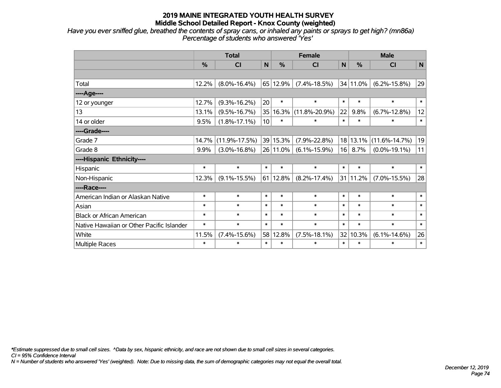*Have you ever sniffed glue, breathed the contents of spray cans, or inhaled any paints or sprays to get high? (mn86a) Percentage of students who answered 'Yes'*

|                                           | <b>Total</b> |                     |                 | <b>Female</b> | <b>Male</b>         |                 |               |                     |              |
|-------------------------------------------|--------------|---------------------|-----------------|---------------|---------------------|-----------------|---------------|---------------------|--------------|
|                                           | %            | <b>CI</b>           | $\mathsf{N}$    | $\frac{0}{0}$ | <b>CI</b>           | $\mathsf{N}$    | $\frac{0}{0}$ | <b>CI</b>           | $\mathsf{N}$ |
|                                           |              |                     |                 |               |                     |                 |               |                     |              |
| Total                                     | 12.2%        | $(8.0\% - 16.4\%)$  |                 | 65 12.9%      | $(7.4\% - 18.5\%)$  |                 | 34 11.0%      | $(6.2\% - 15.8\%)$  | 29           |
| ----Age----                               |              |                     |                 |               |                     |                 |               |                     |              |
| 12 or younger                             | 12.7%        | $(9.3\% - 16.2\%)$  | 20              | $\ast$        | $\ast$              | $\ast$          | $\ast$        | $\ast$              | $\ast$       |
| 13                                        | 13.1%        | $(9.5\% - 16.7\%)$  | 35              | 16.3%         | $(11.8\% - 20.9\%)$ | 22              | 9.8%          | $(6.7\% - 12.8\%)$  | 12           |
| 14 or older                               | 9.5%         | $(1.8\% - 17.1\%)$  | 10 <sup>1</sup> | $\ast$        | $\ast$              | $\ast$          | $\ast$        | $\ast$              | $\ast$       |
| ----Grade----                             |              |                     |                 |               |                     |                 |               |                     |              |
| Grade 7                                   | 14.7%        | $(11.9\% - 17.5\%)$ |                 | 39 15.3%      | $(7.9\% - 22.8\%)$  | 18 <sup>1</sup> | 13.1%         | $(11.6\% - 14.7\%)$ | 19           |
| Grade 8                                   | 9.9%         | $(3.0\% - 16.8\%)$  |                 | 26 11.0%      | $(6.1\% - 15.9\%)$  | 16              | 8.7%          | $(0.0\% - 19.1\%)$  | 11           |
| ----Hispanic Ethnicity----                |              |                     |                 |               |                     |                 |               |                     |              |
| Hispanic                                  | $\ast$       | $\ast$              | $\ast$          | $\ast$        | $\ast$              | $\ast$          | $\ast$        | $\ast$              | $\ast$       |
| Non-Hispanic                              | 12.3%        | $(9.1\% - 15.5\%)$  | 61              | 12.8%         | $(8.2\% - 17.4\%)$  |                 | 31 11.2%      | $(7.0\% - 15.5\%)$  | 28           |
| ----Race----                              |              |                     |                 |               |                     |                 |               |                     |              |
| American Indian or Alaskan Native         | $\ast$       | $\ast$              | $\ast$          | $\ast$        | $\ast$              | $\ast$          | $\ast$        | $\ast$              | $\ast$       |
| Asian                                     | $\ast$       | $\ast$              | $\ast$          | $\ast$        | $\ast$              | $\ast$          | $\ast$        | $\ast$              | $\ast$       |
| <b>Black or African American</b>          | $\ast$       | $\ast$              | $\ast$          | $\ast$        | $\ast$              | $\ast$          | $\ast$        | $\ast$              | $\ast$       |
| Native Hawaiian or Other Pacific Islander | $\ast$       | $\ast$              | $\ast$          | $\ast$        | $\ast$              | $\ast$          | $\ast$        | $\ast$              | $\ast$       |
| White                                     | 11.5%        | $(7.4\% - 15.6\%)$  | 58              | 12.8%         | $(7.5\% - 18.1\%)$  | 32              | 10.3%         | $(6.1\% - 14.6\%)$  | 26           |
| Multiple Races                            | $\ast$       | $\ast$              | $\ast$          | $\ast$        | $\ast$              | $\ast$          | $\ast$        | $\ast$              | $\ast$       |

*\*Estimate suppressed due to small cell sizes. ^Data by sex, hispanic ethnicity, and race are not shown due to small cell sizes in several categories.*

*CI = 95% Confidence Interval*

*N = Number of students who answered 'Yes' (weighted). Note: Due to missing data, the sum of demographic categories may not equal the overall total.*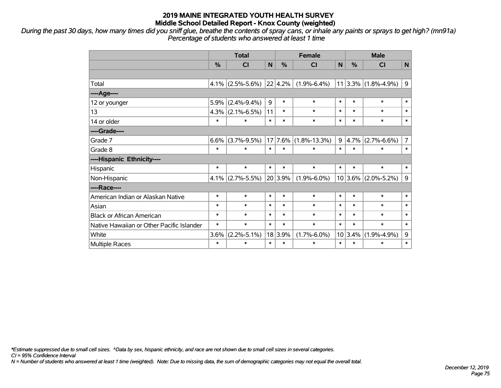*During the past 30 days, how many times did you sniff glue, breathe the contents of spray cans, or inhale any paints or sprays to get high? (mn91a) Percentage of students who answered at least 1 time*

|                                           | <b>Total</b> |                                   |        |           | <b>Female</b>      | <b>Male</b> |         |                         |                |
|-------------------------------------------|--------------|-----------------------------------|--------|-----------|--------------------|-------------|---------|-------------------------|----------------|
|                                           | $\%$         | <b>CI</b>                         | N      | $\%$      | CI                 | N           | $\%$    | <b>CI</b>               | N              |
|                                           |              |                                   |        |           |                    |             |         |                         |                |
| Total                                     |              | 4.1% $ (2.5\% - 5.6\%) 22 4.2\% $ |        |           | $(1.9\% - 6.4\%)$  |             |         | $11 3.3\% $ (1.8%-4.9%) | 9              |
| ----Age----                               |              |                                   |        |           |                    |             |         |                         |                |
| 12 or younger                             | 5.9%         | $(2.4\% - 9.4\%)$                 | 9      | $\ast$    | $\ast$             | $\ast$      | $\ast$  | $\ast$                  | $\ast$         |
| 13                                        |              | $4.3\%$ (2.1%-6.5%)               | 11     | $\ast$    | $\ast$             | $\ast$      | $\ast$  | $\ast$                  | $\ast$         |
| 14 or older                               | $\ast$       | $\ast$                            | $\ast$ | $\ast$    | $\ast$             | $\ast$      | $\ast$  | $\ast$                  | $\ast$         |
| ----Grade----                             |              |                                   |        |           |                    |             |         |                         |                |
| Grade 7                                   | $6.6\%$      | $(3.7\% - 9.5\%)$                 |        | $17$ 7.6% | $(1.8\% - 13.3\%)$ | 9           | 4.7%    | $(2.7\% - 6.6\%)$       | $\overline{7}$ |
| Grade 8                                   | $\ast$       | $\ast$                            | $\ast$ | $\ast$    | $\ast$             | $\ast$      | $\ast$  | $\ast$                  | $\ast$         |
| ----Hispanic Ethnicity----                |              |                                   |        |           |                    |             |         |                         |                |
| Hispanic                                  | $\ast$       | $\ast$                            | $\ast$ | $\ast$    | $\ast$             | $\ast$      | $\ast$  | $\ast$                  | $\ast$         |
| Non-Hispanic                              |              | $4.1\%$ (2.7%-5.5%)               |        | 20 3.9%   | $(1.9\% - 6.0\%)$  |             |         | $10 3.6\% $ (2.0%-5.2%) | 9              |
| ----Race----                              |              |                                   |        |           |                    |             |         |                         |                |
| American Indian or Alaskan Native         | $\ast$       | $\ast$                            | $\ast$ | $\ast$    | $\ast$             | $\ast$      | $\ast$  | $\ast$                  | $\ast$         |
| Asian                                     | $\ast$       | $\ast$                            | $\ast$ | $\ast$    | $\ast$             | $\ast$      | $\ast$  | $\ast$                  | $\ast$         |
| <b>Black or African American</b>          | $\ast$       | $\ast$                            | $\ast$ | $\ast$    | $\ast$             | $\ast$      | $\ast$  | $\ast$                  | $\ast$         |
| Native Hawaiian or Other Pacific Islander | $\ast$       | $\ast$                            | $\ast$ | $\ast$    | $\ast$             | $\ast$      | $\ast$  | $\ast$                  | $\ast$         |
| White                                     | 3.6%         | $(2.2\% - 5.1\%)$                 |        | 18 3.9%   | $(1.7\% - 6.0\%)$  |             | 10 3.4% | $(1.9\% - 4.9\%)$       | 9              |
| Multiple Races                            | $\ast$       | $\ast$                            | $\ast$ | $\ast$    | $\ast$             | $\ast$      | $\ast$  | $\ast$                  | $\ast$         |

*\*Estimate suppressed due to small cell sizes. ^Data by sex, hispanic ethnicity, and race are not shown due to small cell sizes in several categories.*

*CI = 95% Confidence Interval*

*N = Number of students who answered at least 1 time (weighted). Note: Due to missing data, the sum of demographic categories may not equal the overall total.*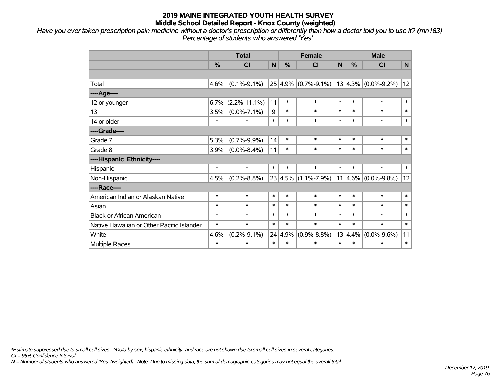*Have you ever taken prescription pain medicine without a doctor's prescription or differently than how a doctor told you to use it? (mn183) Percentage of students who answered 'Yes'*

|                                           | <b>Total</b> |                    |        | <b>Female</b> |                                                 |        | <b>Male</b>   |                          |              |  |
|-------------------------------------------|--------------|--------------------|--------|---------------|-------------------------------------------------|--------|---------------|--------------------------|--------------|--|
|                                           | %            | CI                 | N      | %             | <b>CI</b>                                       | N      | $\frac{0}{0}$ | CI                       | $\mathsf{N}$ |  |
|                                           |              |                    |        |               |                                                 |        |               |                          |              |  |
| Total                                     | 4.6%         | $(0.1\% - 9.1\%)$  |        |               | $25 4.9\% $ (0.7%-9.1%)   13 4.3%   (0.0%-9.2%) |        |               |                          | 12           |  |
| ----Age----                               |              |                    |        |               |                                                 |        |               |                          |              |  |
| 12 or younger                             | 6.7%         | $(2.2\% - 11.1\%)$ | 11     | $\ast$        | $\ast$                                          | $\ast$ | $\ast$        | $\ast$                   | $\ast$       |  |
| 13                                        | 3.5%         | $(0.0\% - 7.1\%)$  | 9      | $\ast$        | $\ast$                                          | $\ast$ | $\ast$        | $\ast$                   | $\ast$       |  |
| 14 or older                               | *            | $\ast$             | $\ast$ | $\ast$        | $\ast$                                          | $\ast$ | $\ast$        | $\ast$                   | $\ast$       |  |
| ----Grade----                             |              |                    |        |               |                                                 |        |               |                          |              |  |
| Grade 7                                   | 5.3%         | $(0.7\% - 9.9\%)$  | 14     | $\ast$        | $\ast$                                          | $\ast$ | $\ast$        | $\ast$                   | $\ast$       |  |
| Grade 8                                   | 3.9%         | $(0.0\% - 8.4\%)$  | 11     | $\ast$        | $\ast$                                          | $\ast$ | $\ast$        | $\ast$                   | $\ast$       |  |
| ----Hispanic Ethnicity----                |              |                    |        |               |                                                 |        |               |                          |              |  |
| Hispanic                                  | *            | $\ast$             | $\ast$ | $\ast$        | $\ast$                                          | $\ast$ | $\ast$        | $\ast$                   | $\ast$       |  |
| Non-Hispanic                              | 4.5%         | $(0.2\% - 8.8\%)$  |        |               | $23 4.5\% $ (1.1%-7.9%)                         |        |               | 11 $ 4.6\% $ (0.0%-9.8%) | 12           |  |
| ----Race----                              |              |                    |        |               |                                                 |        |               |                          |              |  |
| American Indian or Alaskan Native         | $\ast$       | $\ast$             | $\ast$ | $\ast$        | $\ast$                                          | $\ast$ | $\ast$        | $\ast$                   | $\ast$       |  |
| Asian                                     | $\ast$       | $\ast$             | $\ast$ | $\ast$        | $\ast$                                          | $\ast$ | $\ast$        | $\ast$                   | $\ast$       |  |
| <b>Black or African American</b>          | $\ast$       | $\ast$             | $\ast$ | $\ast$        | $\ast$                                          | $\ast$ | $\ast$        | $\ast$                   | $\ast$       |  |
| Native Hawaiian or Other Pacific Islander | $\ast$       | $\ast$             | $\ast$ | $\ast$        | $\ast$                                          | $\ast$ | $\ast$        | $\ast$                   | $\ast$       |  |
| White                                     | 4.6%         | $(0.2\% - 9.1\%)$  |        | 24 4.9%       | $(0.9\% - 8.8\%)$                               |        | 13 4.4%       | $(0.0\% - 9.6\%)$        | 11           |  |
| Multiple Races                            | $\ast$       | $\ast$             | $\ast$ | $\ast$        | $\ast$                                          | $\ast$ | $\ast$        | $\ast$                   | $\ast$       |  |

*\*Estimate suppressed due to small cell sizes. ^Data by sex, hispanic ethnicity, and race are not shown due to small cell sizes in several categories.*

*CI = 95% Confidence Interval*

*N = Number of students who answered 'Yes' (weighted). Note: Due to missing data, the sum of demographic categories may not equal the overall total.*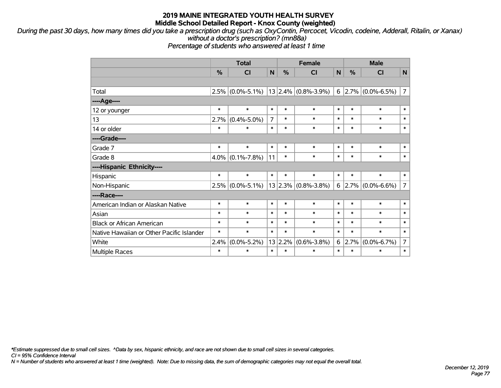*During the past 30 days, how many times did you take a prescription drug (such as OxyContin, Percocet, Vicodin, codeine, Adderall, Ritalin, or Xanax) without a doctor's prescription? (mn88a)*

*Percentage of students who answered at least 1 time*

|                                           | <b>Total</b> |                   |                |        | <b>Female</b>           | <b>Male</b> |        |                          |                |
|-------------------------------------------|--------------|-------------------|----------------|--------|-------------------------|-------------|--------|--------------------------|----------------|
|                                           | %            | CI                | N              | %      | CI                      | N           | %      | <b>CI</b>                | N              |
|                                           |              |                   |                |        |                         |             |        |                          |                |
| Total                                     | 2.5%         | $(0.0\% - 5.1\%)$ |                |        | $13 2.4\% $ (0.8%-3.9%) |             |        | $6$   2.7%   (0.0%-6.5%) | $\overline{7}$ |
| ----Age----                               |              |                   |                |        |                         |             |        |                          |                |
| 12 or younger                             | $\ast$       | $\ast$            | $\ast$         | $\ast$ | $\ast$                  | $\ast$      | $\ast$ | $\ast$                   | $\ast$         |
| 13                                        | 2.7%         | $(0.4\% - 5.0\%)$ | $\overline{7}$ | $\ast$ | $\ast$                  | $\ast$      | $\ast$ | $\ast$                   | $\ast$         |
| 14 or older                               | $\ast$       | $\ast$            | $\ast$         | $\ast$ | $\ast$                  | $\ast$      | $\ast$ | $\ast$                   | $\ast$         |
| ----Grade----                             |              |                   |                |        |                         |             |        |                          |                |
| Grade 7                                   | $\ast$       | $\ast$            | $\ast$         | $\ast$ | $\ast$                  | $\ast$      | $\ast$ | $\ast$                   | $\ast$         |
| Grade 8                                   | 4.0%         | $(0.1\% - 7.8\%)$ | 11             | $\ast$ | $\ast$                  | $\ast$      | $\ast$ | $\ast$                   | $\ast$         |
| ----Hispanic Ethnicity----                |              |                   |                |        |                         |             |        |                          |                |
| Hispanic                                  | $\ast$       | $\ast$            | $\ast$         | $\ast$ | $\ast$                  | $\ast$      | $\ast$ | $\ast$                   | $\ast$         |
| Non-Hispanic                              | 2.5%         | $(0.0\% - 5.1\%)$ |                |        | $13 2.3\% $ (0.8%-3.8%) |             | 6 2.7% | $(0.0\% - 6.6\%)$        | $\overline{7}$ |
| ----Race----                              |              |                   |                |        |                         |             |        |                          |                |
| American Indian or Alaskan Native         | $\ast$       | $\ast$            | $\ast$         | $\ast$ | $\ast$                  | $\ast$      | $\ast$ | $\ast$                   | $\ast$         |
| Asian                                     | $\ast$       | $\ast$            | $\ast$         | $\ast$ | $\ast$                  | $\ast$      | $\ast$ | $\ast$                   | $\ast$         |
| <b>Black or African American</b>          | $\ast$       | $\ast$            | $\ast$         | $\ast$ | $\ast$                  | $\ast$      | $\ast$ | $\ast$                   | $\ast$         |
| Native Hawaiian or Other Pacific Islander | $\ast$       | $\ast$            | $\ast$         | $\ast$ | $\ast$                  | $\ast$      | $\ast$ | $\ast$                   | $\ast$         |
| White                                     | 2.4%         | $(0.0\% - 5.2\%)$ | 13             | 2.2%   | $(0.6\% - 3.8\%)$       | 6           | 2.7%   | $(0.0\% - 6.7\%)$        | 7              |
| <b>Multiple Races</b>                     | $\ast$       | $\ast$            | $\ast$         | $\ast$ | $\ast$                  | $\ast$      | $\ast$ | $\ast$                   | $\ast$         |

*\*Estimate suppressed due to small cell sizes. ^Data by sex, hispanic ethnicity, and race are not shown due to small cell sizes in several categories.*

*CI = 95% Confidence Interval*

*N = Number of students who answered at least 1 time (weighted). Note: Due to missing data, the sum of demographic categories may not equal the overall total.*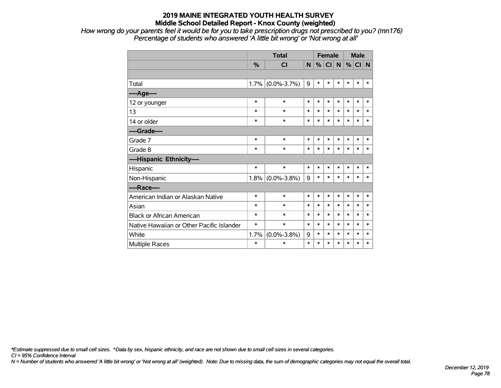*How wrong do your parents feel it would be for you to take prescription drugs not prescribed to you? (mn176) Percentage of students who answered 'A little bit wrong' or 'Not wrong at all'*

|                                           |               | <b>Total</b>        |        |        | <b>Female</b> |        |        | <b>Male</b> |        |  |
|-------------------------------------------|---------------|---------------------|--------|--------|---------------|--------|--------|-------------|--------|--|
|                                           | $\frac{0}{0}$ | <b>CI</b>           | N      | %      | CI N          |        | %      | CI N        |        |  |
|                                           |               |                     |        |        |               |        |        |             |        |  |
| Total                                     |               | $1.7\%$ (0.0%-3.7%) | 9      | $\ast$ | $\ast$        | $\ast$ | $\ast$ | $\ast$      | $\ast$ |  |
| ---- Age----                              |               |                     |        |        |               |        |        |             |        |  |
| 12 or younger                             | $\ast$        | $\ast$              | $\ast$ | $\ast$ | $\ast$        | $\ast$ | $\ast$ | $\ast$      | $\ast$ |  |
| 13                                        | $\ast$        | $\ast$              | $\ast$ | $\ast$ | $\ast$        | $\ast$ | $\ast$ | $\ast$      | $\ast$ |  |
| 14 or older                               | *             | $\ast$              | $\ast$ | $\ast$ | $\ast$        | $\ast$ | $\ast$ | $\ast$      | $\ast$ |  |
| ----Grade----                             |               |                     |        |        |               |        |        |             |        |  |
| Grade 7                                   | $\ast$        | $\ast$              | $\ast$ | $\ast$ | $\ast$        | $\ast$ | $\ast$ | $\ast$      | $\ast$ |  |
| Grade 8                                   | ∗             | $\ast$              | $\ast$ | $\ast$ | $\ast$        | $\ast$ | *      | $\ast$      | $\ast$ |  |
| ----Hispanic Ethnicity----                |               |                     |        |        |               |        |        |             |        |  |
| Hispanic                                  | $\ast$        | $\ast$              | $\ast$ | $\ast$ | $\ast$        | $\ast$ | $\ast$ | $\ast$      | $\ast$ |  |
| Non-Hispanic                              |               | 1.8% (0.0%-3.8%)    | 9      | $\ast$ | $\ast$        | $\ast$ | $\ast$ | *           | $\ast$ |  |
| ----Race----                              |               |                     |        |        |               |        |        |             |        |  |
| American Indian or Alaskan Native         | $\ast$        | $\ast$              | $\ast$ | $\ast$ | $\ast$        | $\ast$ | $\ast$ | $\ast$      | $\ast$ |  |
| Asian                                     | *             | *                   | $\ast$ | $\ast$ | $\ast$        | $\ast$ | $\ast$ | $\ast$      | $\ast$ |  |
| <b>Black or African American</b>          | $\ast$        | $\ast$              | $\ast$ | *      | $\ast$        | $\ast$ | $\ast$ | $\ast$      | $\ast$ |  |
| Native Hawaiian or Other Pacific Islander | $\ast$        | $\ast$              | $\ast$ | $\ast$ | $\ast$        | $\ast$ | $\ast$ | $\ast$      | $\ast$ |  |
| White                                     | 1.7%          | $(0.0\% - 3.8\%)$   | 9      | *      | $\ast$        | $\ast$ | *      | $\ast$      | $\ast$ |  |
| <b>Multiple Races</b>                     | *             | *                   | $\ast$ | *      | $\ast$        | $\ast$ | *      | *           | $\ast$ |  |

*\*Estimate suppressed due to small cell sizes. ^Data by sex, hispanic ethnicity, and race are not shown due to small cell sizes in several categories.*

*CI = 95% Confidence Interval*

*N = Number of students who answered 'A little bit wrong' or 'Not wrong at all' (weighted). Note: Due to missing data, the sum of demographic categories may not equal the overall total.*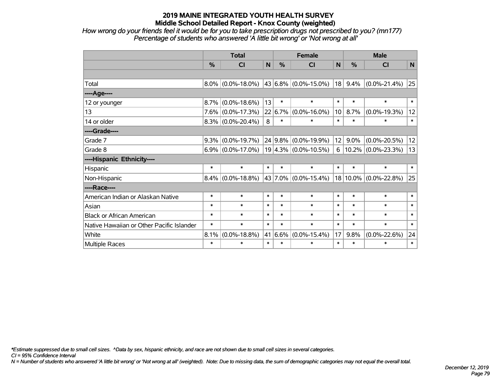*How wrong do your friends feel it would be for you to take prescription drugs not prescribed to you? (mn177) Percentage of students who answered 'A little bit wrong' or 'Not wrong at all'*

|                                           | <b>Total</b>  |                                           |        |               | <b>Female</b>               |        | <b>Male</b> |                       |        |  |
|-------------------------------------------|---------------|-------------------------------------------|--------|---------------|-----------------------------|--------|-------------|-----------------------|--------|--|
|                                           | $\frac{0}{0}$ | <b>CI</b>                                 | N      | $\frac{0}{0}$ | <b>CI</b>                   | N      | %           | <b>CI</b>             | N      |  |
|                                           |               |                                           |        |               |                             |        |             |                       |        |  |
| Total                                     |               | $8.0\%$ (0.0%-18.0%)                      |        |               | $ 43 6.8\%  (0.0\%$ -15.0%) | 18     | 9.4%        | $(0.0\% - 21.4\%)$    | 25     |  |
| ----Age----                               |               |                                           |        |               |                             |        |             |                       |        |  |
| 12 or younger                             | $8.7\%$       | $(0.0\% - 18.6\%)$                        | 13     | $\ast$        | $\ast$                      | $\ast$ | $\ast$      | $\ast$                | $\ast$ |  |
| 13                                        |               | $7.6\%$ (0.0%-17.3%)                      |        |               | $22 6.7\% $ (0.0%-16.0%)    | 10     | 8.7%        | $(0.0\% - 19.3\%)$    | 12     |  |
| 14 or older                               |               | $8.3\%$ (0.0%-20.4%)                      | 8      | $\ast$        | $\ast$                      | $\ast$ | $\ast$      | $\ast$                | $\ast$ |  |
| ----Grade----                             |               |                                           |        |               |                             |        |             |                       |        |  |
| Grade 7                                   |               | $9.3\%$ (0.0%-19.7%)                      |        |               | $24 9.8\% $ (0.0%-19.9%)    | 12     | 9.0%        | $(0.0\% - 20.5\%)$    | 12     |  |
| Grade 8                                   |               | $6.9\%$ (0.0%-17.0%) 19 4.3% (0.0%-10.5%) |        |               |                             | 6      |             | $10.2\%$ (0.0%-23.3%) | 13     |  |
| ----Hispanic Ethnicity----                |               |                                           |        |               |                             |        |             |                       |        |  |
| Hispanic                                  | $\ast$        | $\ast$                                    | $\ast$ | $\ast$        | $\ast$                      | $\ast$ | $\ast$      | $\ast$                | $\ast$ |  |
| Non-Hispanic                              |               | $8.4\%$ (0.0%-18.8%)                      |        |               | 43 7.0% (0.0%-15.4%)        |        |             | 18 10.0% (0.0%-22.8%) | 25     |  |
| ----Race----                              |               |                                           |        |               |                             |        |             |                       |        |  |
| American Indian or Alaskan Native         | $\ast$        | $\ast$                                    | $\ast$ | $\ast$        | $\ast$                      | $\ast$ | $\ast$      | $\ast$                | $\ast$ |  |
| Asian                                     | $\ast$        | $\ast$                                    | $\ast$ | $\ast$        | $\ast$                      | $\ast$ | $\ast$      | $\ast$                | $\ast$ |  |
| <b>Black or African American</b>          | $\ast$        | $\ast$                                    | $\ast$ | $\ast$        | $\ast$                      | $\ast$ | $\ast$      | $\ast$                | $\ast$ |  |
| Native Hawaiian or Other Pacific Islander | $\ast$        | $\ast$                                    | $\ast$ | $\ast$        | $\ast$                      | $\ast$ | $\ast$      | $\ast$                | $\ast$ |  |
| White                                     | 8.1%          | $(0.0\% - 18.8\%)$                        | 41     | 6.6%          | $(0.0\% - 15.4\%)$          | 17     | 9.8%        | $(0.0\% - 22.6\%)$    | 24     |  |
| Multiple Races                            | $\ast$        | $\ast$                                    | $\ast$ | $\ast$        | $\ast$                      | $\ast$ | $\ast$      | $\ast$                | $\ast$ |  |

*\*Estimate suppressed due to small cell sizes. ^Data by sex, hispanic ethnicity, and race are not shown due to small cell sizes in several categories.*

*CI = 95% Confidence Interval*

*N = Number of students who answered 'A little bit wrong' or 'Not wrong at all' (weighted). Note: Due to missing data, the sum of demographic categories may not equal the overall total.*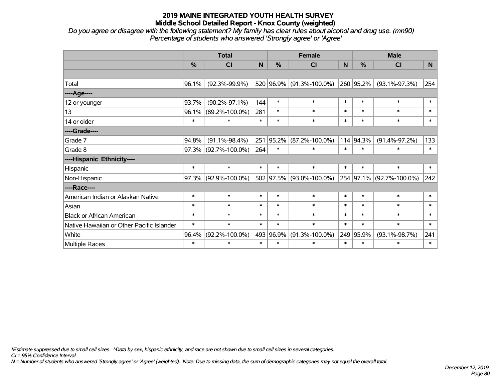*Do you agree or disagree with the following statement? My family has clear rules about alcohol and drug use. (mn90) Percentage of students who answered 'Strongly agree' or 'Agree'*

|                                           |               | <b>Total</b>         |        |           | <b>Female</b>            | <b>Male</b> |               |                      |                |
|-------------------------------------------|---------------|----------------------|--------|-----------|--------------------------|-------------|---------------|----------------------|----------------|
|                                           | $\frac{0}{0}$ | <b>CI</b>            | N      | %         | <b>CI</b>                | N           | $\frac{0}{0}$ | <b>CI</b>            | N <sub>1</sub> |
|                                           |               |                      |        |           |                          |             |               |                      |                |
| Total                                     | 96.1%         | $(92.3\% - 99.9\%)$  |        |           | 520 96.9% (91.3%-100.0%) |             | 260 95.2%     | $(93.1\% - 97.3\%)$  | 254            |
| ----Age----                               |               |                      |        |           |                          |             |               |                      |                |
| 12 or younger                             | 93.7%         | $(90.2\% - 97.1\%)$  | 144    | $\ast$    | $\ast$                   | $\ast$      | $\ast$        | $\ast$               | $\ast$         |
| 13                                        | 96.1%         | $(89.2\% - 100.0\%)$ | 281    | $\ast$    | $\ast$                   | $\ast$      | $\ast$        | $\ast$               | $\ast$         |
| 14 or older                               | $\ast$        | $\ast$               | $\ast$ | $\ast$    | $\ast$                   | $\ast$      | $\ast$        | $\ast$               | $\ast$         |
| ----Grade----                             |               |                      |        |           |                          |             |               |                      |                |
| Grade 7                                   | 94.8%         | $(91.1\% - 98.4\%)$  |        | 251 95.2% | $(87.2\% - 100.0\%)$     |             | 114 94.3%     | $(91.4\% - 97.2\%)$  | 133            |
| Grade 8                                   | 97.3%         | $(92.7\% - 100.0\%)$ | 264    | $\ast$    | $\ast$                   | $\ast$      | $\ast$        | $\ast$               | $\ast$         |
| ----Hispanic Ethnicity----                |               |                      |        |           |                          |             |               |                      |                |
| Hispanic                                  | $\ast$        | $\ast$               | $\ast$ | $\ast$    | $\ast$                   | $\ast$      | $\ast$        | $\ast$               | $\ast$         |
| Non-Hispanic                              | 97.3%         | $(92.9\% - 100.0\%)$ |        | 502 97.5% | $(93.0\% - 100.0\%)$     |             | 254 97.1%     | $(92.7\% - 100.0\%)$ | 242            |
| ----Race----                              |               |                      |        |           |                          |             |               |                      |                |
| American Indian or Alaskan Native         | $\ast$        | $\ast$               | $\ast$ | $\ast$    | $\ast$                   | $\ast$      | $\ast$        | $\ast$               | $\ast$         |
| Asian                                     | $\ast$        | $\ast$               | $\ast$ | $\ast$    | $\ast$                   | $\ast$      | $\ast$        | $\ast$               | $\ast$         |
| <b>Black or African American</b>          | $\ast$        | $\ast$               | $\ast$ | $\ast$    | $\ast$                   | $\ast$      | $\ast$        | $\ast$               | $\ast$         |
| Native Hawaiian or Other Pacific Islander | $\ast$        | $\ast$               | $\ast$ | $\ast$    | $\ast$                   | $\ast$      | $\ast$        | $\ast$               | $\ast$         |
| White                                     | 96.4%         | $(92.2\% - 100.0\%)$ |        | 493 96.9% | $(91.3\% - 100.0\%)$     |             | 249 95.9%     | $(93.1\% - 98.7\%)$  | 241            |
| Multiple Races                            | $\ast$        | $\ast$               | $\ast$ | $\ast$    | $\ast$                   | $\ast$      | $\ast$        | $\ast$               | $\ast$         |

*\*Estimate suppressed due to small cell sizes. ^Data by sex, hispanic ethnicity, and race are not shown due to small cell sizes in several categories.*

*CI = 95% Confidence Interval*

*N = Number of students who answered 'Strongly agree' or 'Agree' (weighted). Note: Due to missing data, the sum of demographic categories may not equal the overall total.*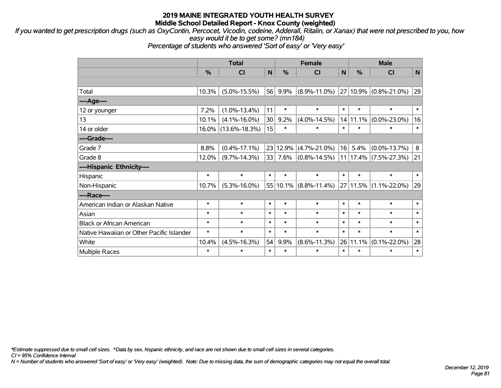*If you wanted to get prescription drugs (such as OxyContin, Percocet, Vicodin, codeine, Adderall, Ritalin, or Xanax) that were not prescribed to you, how easy would it be to get some? (mn184)*

*Percentage of students who answered 'Sort of easy' or 'Very easy'*

|                                           | <b>Total</b> |                        |        |          | <b>Female</b>             |              | <b>Male</b>  |                    |        |  |
|-------------------------------------------|--------------|------------------------|--------|----------|---------------------------|--------------|--------------|--------------------|--------|--|
|                                           | %            | CI                     | N      | %        | CI                        | $\mathsf{N}$ | %            | <b>CI</b>          | N      |  |
|                                           |              |                        |        |          |                           |              |              |                    |        |  |
| Total                                     | 10.3%        | $(5.0\% - 15.5\%)$     | 56     | $9.9\%$  | $(8.9\% - 11.0\%)$        |              | 27 10.9%     | $(0.8\% - 21.0\%)$ | 29     |  |
| ---- Age----                              |              |                        |        |          |                           |              |              |                    |        |  |
| 12 or younger                             | 7.2%         | $(1.0\% - 13.4\%)$     | 11     | $\ast$   | $\ast$                    | $\ast$       | $\ast$       | $\ast$             | $\ast$ |  |
| 13                                        | 10.1%        | $(4.1\% - 16.0\%)$     | 30     | 9.2%     | $(4.0\% - 14.5\%)$        |              | 14 11.1%     | $(0.0\% - 23.0\%)$ | 16     |  |
| 14 or older                               |              | $16.0\%$ (13.6%-18.3%) | 15     | $\ast$   | $\ast$                    | $\ast$       | $\ast$       | $\ast$             | $\ast$ |  |
| ----Grade----                             |              |                        |        |          |                           |              |              |                    |        |  |
| Grade 7                                   | 8.8%         | $(0.4\% - 17.1\%)$     |        | 23 12.9% | $(4.7\% - 21.0\%)$        | 16           | 5.4%         | $(0.0\% - 13.7\%)$ | 8      |  |
| Grade 8                                   | 12.0%        | $(9.7\% - 14.3\%)$     |        | 33 7.6%  | $(0.8\% - 14.5\%)$        |              | $11$   17.4% | $(7.5\% - 27.3\%)$ | 21     |  |
| ----Hispanic Ethnicity----                |              |                        |        |          |                           |              |              |                    |        |  |
| Hispanic                                  | $\ast$       | $\ast$                 | $\ast$ | $\ast$   | $\ast$                    | $\ast$       | $\ast$       | $\ast$             | $\ast$ |  |
| Non-Hispanic                              | 10.7%        | $(5.3\% - 16.0\%)$     |        |          | $55 10.1\% $ (8.8%-11.4%) |              | 27 11.5%     | $(1.1\% - 22.0\%)$ | 29     |  |
| ----Race----                              |              |                        |        |          |                           |              |              |                    |        |  |
| American Indian or Alaskan Native         | $\ast$       | $\ast$                 | $\ast$ | $\ast$   | $\ast$                    | $\ast$       | $\ast$       | $\ast$             | $\ast$ |  |
| Asian                                     | $\ast$       | $\ast$                 | $\ast$ | $\ast$   | $\ast$                    | $\ast$       | $\ast$       | $\ast$             | $\ast$ |  |
| <b>Black or African American</b>          | $\ast$       | $\ast$                 | $\ast$ | $\ast$   | $\ast$                    | $\ast$       | $\ast$       | $\ast$             | $\ast$ |  |
| Native Hawaiian or Other Pacific Islander | $\ast$       | $\ast$                 | $\ast$ | $\ast$   | $\ast$                    | $\ast$       | $\ast$       | $\ast$             | $\ast$ |  |
| White                                     | 10.4%        | $(4.5\% - 16.3\%)$     | 54     | 9.9%     | $(8.6\% - 11.3\%)$        |              | 26 11.1%     | $(0.1\% - 22.0\%)$ | 28     |  |
| <b>Multiple Races</b>                     | $\ast$       | $\ast$                 | $\ast$ | $\ast$   | $\ast$                    | $\ast$       | $\ast$       | $\ast$             | $\ast$ |  |

*\*Estimate suppressed due to small cell sizes. ^Data by sex, hispanic ethnicity, and race are not shown due to small cell sizes in several categories.*

*CI = 95% Confidence Interval*

*N = Number of students who answered 'Sort of easy' or 'Very easy' (weighted). Note: Due to missing data, the sum of demographic categories may not equal the overall total.*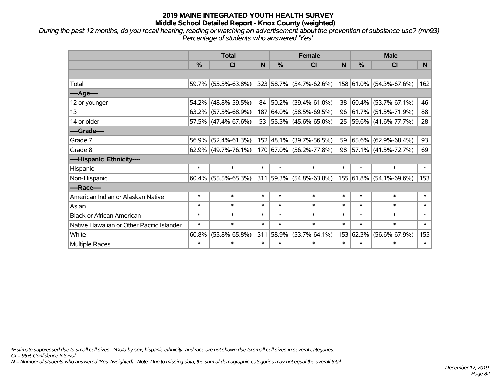*During the past 12 months, do you recall hearing, reading or watching an advertisement about the prevention of substance use? (mn93) Percentage of students who answered 'Yes'*

|                                           | <b>Total</b>  |                        |        | <b>Female</b> |                          |        |           | <b>Male</b>                |          |  |  |
|-------------------------------------------|---------------|------------------------|--------|---------------|--------------------------|--------|-----------|----------------------------|----------|--|--|
|                                           | $\frac{0}{0}$ | CI                     | N      | $\frac{9}{6}$ | CI                       | N      | %         | <b>CI</b>                  | <b>N</b> |  |  |
|                                           |               |                        |        |               |                          |        |           |                            |          |  |  |
| Total                                     |               | 59.7% (55.5%-63.8%)    |        |               | 323 58.7% (54.7%-62.6%)  |        |           | 158 61.0% (54.3%-67.6%)    | 162      |  |  |
| ----Age----                               |               |                        |        |               |                          |        |           |                            |          |  |  |
| 12 or younger                             | $54.2\%$      | $(48.8\% - 59.5\%)$    | 84     |               | 50.2% (39.4%-61.0%)      | 38     | 60.4%     | $(53.7\% - 67.1\%)$        | 46       |  |  |
| 13                                        |               | $63.2\%$ (57.5%-68.9%) | 187    |               | $ 64.0\% $ (58.5%-69.5%) |        | 96 61.7%  | $(51.5\% - 71.9\%)$        | 88       |  |  |
| 14 or older                               |               | 57.5% (47.4%-67.6%)    |        |               | 53 55.3% (45.6%-65.0%)   |        |           | 25   59.6%   (41.6%-77.7%) | 28       |  |  |
| ----Grade----                             |               |                        |        |               |                          |        |           |                            |          |  |  |
| Grade 7                                   | 56.9%         | $(52.4\% - 61.3\%)$    |        |               | 152 48.1% (39.7%-56.5%)  | 59     | 65.6%     | $(62.9\% - 68.4\%)$        | 93       |  |  |
| Grade 8                                   |               | $62.9\%$ (49.7%-76.1%) |        |               | 170 67.0% (56.2%-77.8%)  |        |           | 98 57.1% (41.5%-72.7%)     | 69       |  |  |
| ----Hispanic Ethnicity----                |               |                        |        |               |                          |        |           |                            |          |  |  |
| Hispanic                                  | $\ast$        | $\ast$                 | $\ast$ | $\ast$        | $\ast$                   | $\ast$ | $\ast$    | $\ast$                     | $\ast$   |  |  |
| Non-Hispanic                              |               | $60.4\%$ (55.5%-65.3%) |        |               | 311 59.3% (54.8%-63.8%)  |        | 155 61.8% | $(54.1\% - 69.6\%)$        | 153      |  |  |
| ----Race----                              |               |                        |        |               |                          |        |           |                            |          |  |  |
| American Indian or Alaskan Native         | $\ast$        | $\ast$                 | $\ast$ | $\ast$        | $\ast$                   | $\ast$ | $\ast$    | $\ast$                     | $\ast$   |  |  |
| Asian                                     | $\ast$        | $\ast$                 | $\ast$ | $\ast$        | $\ast$                   | $\ast$ | $\ast$    | $\ast$                     | $\ast$   |  |  |
| <b>Black or African American</b>          | $\ast$        | $\ast$                 | $\ast$ | $\ast$        | $\ast$                   | $\ast$ | $\ast$    | $\ast$                     | $\ast$   |  |  |
| Native Hawaiian or Other Pacific Islander | $\ast$        | $\ast$                 | $\ast$ | $\ast$        | $\ast$                   | $\ast$ | $\ast$    | $\ast$                     | $\ast$   |  |  |
| White                                     | 60.8%         | $(55.8\% - 65.8\%)$    | 311    | 58.9%         | $(53.7\% - 64.1\%)$      | 153    | 62.3%     | $(56.6\% - 67.9\%)$        | 155      |  |  |
| Multiple Races                            | $\ast$        | $\ast$                 | $\ast$ | $\ast$        | $\ast$                   | $\ast$ | $\ast$    | $\ast$                     | $\ast$   |  |  |

*\*Estimate suppressed due to small cell sizes. ^Data by sex, hispanic ethnicity, and race are not shown due to small cell sizes in several categories.*

*CI = 95% Confidence Interval*

*N = Number of students who answered 'Yes' (weighted). Note: Due to missing data, the sum of demographic categories may not equal the overall total.*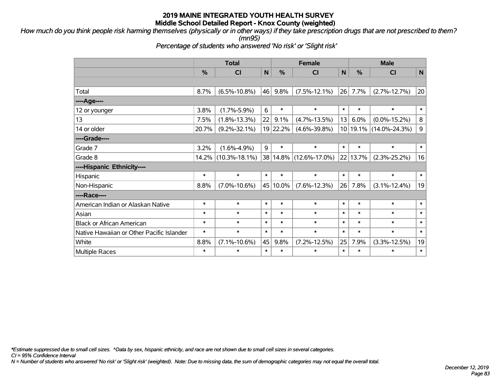*How much do you think people risk harming themselves (physically or in other ways) if they take prescription drugs that are not prescribed to them? (mn95)*

*Percentage of students who answered 'No risk' or 'Slight risk'*

|                                           | <b>Total</b>  |                     |        | <b>Female</b> | <b>Male</b>         |             |               |                            |             |
|-------------------------------------------|---------------|---------------------|--------|---------------|---------------------|-------------|---------------|----------------------------|-------------|
|                                           | $\frac{0}{0}$ | CI                  | N      | $\frac{9}{6}$ | <b>CI</b>           | $\mathbf N$ | $\frac{0}{0}$ | CI                         | $\mathbf N$ |
|                                           |               |                     |        |               |                     |             |               |                            |             |
| Total                                     | 8.7%          | $(6.5\% - 10.8\%)$  | 46     | 9.8%          | $(7.5\% - 12.1\%)$  | 26          | 7.7%          | $(2.7\% - 12.7\%)$         | 20          |
| ----Age----                               |               |                     |        |               |                     |             |               |                            |             |
| 12 or younger                             | 3.8%          | $(1.7\% - 5.9\%)$   | 6      | $\ast$        | $\ast$              | $\ast$      | $\ast$        | $\ast$                     | $\ast$      |
| 13                                        | 7.5%          | $(1.8\% - 13.3\%)$  | 22     | 9.1%          | $(4.7\% - 13.5\%)$  | 13          | 6.0%          | $(0.0\% - 15.2\%)$         | 8           |
| 14 or older                               | 20.7%         | $(9.2\% - 32.1\%)$  |        | 19 22.2%      | $(4.6\% - 39.8\%)$  |             |               | 10   19.1%   (14.0%-24.3%) | $\mathsf g$ |
| ----Grade----                             |               |                     |        |               |                     |             |               |                            |             |
| Grade 7                                   | 3.2%          | $(1.6\% - 4.9\%)$   | 9      | $\ast$        | $\ast$              | $\ast$      | $\ast$        | $\ast$                     | $\ast$      |
| Grade 8                                   | 14.2%         | $(10.3\% - 18.1\%)$ |        | 38 14.8%      | $(12.6\% - 17.0\%)$ | 22          | 13.7%         | $(2.3\% - 25.2\%)$         | 16          |
| ----Hispanic Ethnicity----                |               |                     |        |               |                     |             |               |                            |             |
| Hispanic                                  | $\ast$        | $\ast$              | $\ast$ | $\ast$        | $\ast$              | $\ast$      | $\ast$        | $\ast$                     | $\ast$      |
| Non-Hispanic                              | 8.8%          | $(7.0\% - 10.6\%)$  |        | 45 10.0%      | $(7.6\% - 12.3\%)$  | 26          | 7.8%          | $(3.1\% - 12.4\%)$         | 19          |
| ----Race----                              |               |                     |        |               |                     |             |               |                            |             |
| American Indian or Alaskan Native         | $\ast$        | $\ast$              | $\ast$ | $\ast$        | $\ast$              | $\ast$      | $\ast$        | $\ast$                     | $\ast$      |
| Asian                                     | $\ast$        | $\ast$              | $\ast$ | $\ast$        | $\ast$              | $\ast$      | $\ast$        | $\ast$                     | $\ast$      |
| <b>Black or African American</b>          | $\ast$        | $\ast$              | $\ast$ | $\ast$        | $\ast$              | $\ast$      | $\ast$        | $\ast$                     | $\ast$      |
| Native Hawaiian or Other Pacific Islander | $\ast$        | $\ast$              | $\ast$ | $\ast$        | $\ast$              | $\ast$      | $\ast$        | $\ast$                     | $\ast$      |
| White                                     | 8.8%          | $(7.1\% - 10.6\%)$  | 45     | 9.8%          | $(7.2\% - 12.5\%)$  | 25          | 7.9%          | $(3.3\% - 12.5\%)$         | 19          |
| <b>Multiple Races</b>                     | $\ast$        | $\ast$              | $\ast$ | $\ast$        | $\ast$              | $\ast$      | $\ast$        | $\ast$                     | $\ast$      |

*\*Estimate suppressed due to small cell sizes. ^Data by sex, hispanic ethnicity, and race are not shown due to small cell sizes in several categories.*

*CI = 95% Confidence Interval*

*N = Number of students who answered 'No risk' or 'Slight risk' (weighted). Note: Due to missing data, the sum of demographic categories may not equal the overall total.*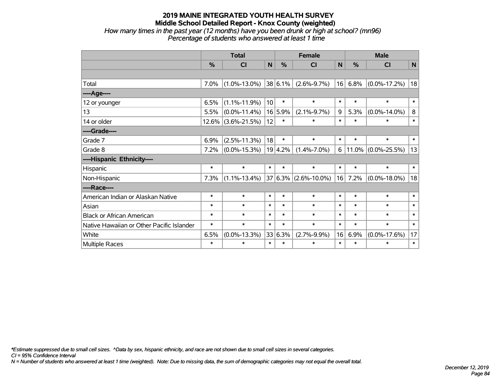*How many times in the past year (12 months) have you been drunk or high at school? (mn96) Percentage of students who answered at least 1 time*

|                                           | <b>Total</b> |                    |                 |               | <b>Female</b>             |              | <b>Male</b> |                       |              |  |
|-------------------------------------------|--------------|--------------------|-----------------|---------------|---------------------------|--------------|-------------|-----------------------|--------------|--|
|                                           | $\%$         | C <sub>l</sub>     | N               | $\frac{0}{0}$ | <b>CI</b>                 | $\mathsf{N}$ | $\%$        | <b>CI</b>             | N            |  |
|                                           |              |                    |                 |               |                           |              |             |                       |              |  |
| Total                                     | 7.0%         | $(1.0\% - 13.0\%)$ |                 | $ 38 6.1\% $  | $(2.6\% - 9.7\%)$         | 16           | 6.8%        | $(0.0\% - 17.2\%)$    | 18           |  |
| ---- Age----                              |              |                    |                 |               |                           |              |             |                       |              |  |
| 12 or younger                             | 6.5%         | $(1.1\% - 11.9\%)$ | 10 <sup>1</sup> | $\ast$        | $\ast$                    | $\ast$       | $\ast$      | $\ast$                | $\ast$       |  |
| 13                                        | 5.5%         | $(0.0\% - 11.4\%)$ |                 | 16 5.9%       | $(2.1\% - 9.7\%)$         | 9            | 5.3%        | $(0.0\% - 14.0\%)$    | 8            |  |
| 14 or older                               | 12.6%        | $(3.6\% - 21.5\%)$ | 12              | $\ast$        | $\ast$                    | $\ast$       | $\ast$      | $\ast$                | $\ast$       |  |
| ----Grade----                             |              |                    |                 |               |                           |              |             |                       |              |  |
| Grade 7                                   | 6.9%         | $(2.5\% - 11.3\%)$ | 18              | $\ast$        | $\ast$                    | $\ast$       | $\ast$      | $\ast$                | $\pmb{\ast}$ |  |
| Grade 8                                   | 7.2%         | $(0.0\% - 15.3\%)$ |                 | 19 4.2%       | $(1.4\% - 7.0\%)$         | 6            |             | $11.0\%$ (0.0%-25.5%) | 13           |  |
| ----Hispanic Ethnicity----                |              |                    |                 |               |                           |              |             |                       |              |  |
| Hispanic                                  | $\ast$       | $\ast$             | $\ast$          | $\ast$        | $\ast$                    | $\ast$       | $\ast$      | $\ast$                | $\ast$       |  |
| Non-Hispanic                              | 7.3%         | $(1.1\% - 13.4\%)$ |                 |               | $ 37 6.3\% $ (2.6%-10.0%) | 16           | 7.2%        | $(0.0\% - 18.0\%)$    | 18           |  |
| ----Race----                              |              |                    |                 |               |                           |              |             |                       |              |  |
| American Indian or Alaskan Native         | $\ast$       | $\ast$             | $\ast$          | $\ast$        | $\ast$                    | $\ast$       | $\ast$      | $\ast$                | $\ast$       |  |
| Asian                                     | $\ast$       | $\ast$             | $\ast$          | $\ast$        | $\ast$                    | $\ast$       | $\ast$      | $\ast$                | $\ast$       |  |
| <b>Black or African American</b>          | $\ast$       | $\ast$             | $\ast$          | $\ast$        | $\ast$                    | $\ast$       | $\ast$      | $\ast$                | $\ast$       |  |
| Native Hawaiian or Other Pacific Islander | $\ast$       | $\ast$             | $\ast$          | $\ast$        | $\ast$                    | $\ast$       | $\ast$      | $\ast$                | $\ast$       |  |
| White                                     | 6.5%         | $(0.0\% - 13.3\%)$ |                 | 33 6.3%       | $(2.7\% - 9.9\%)$         | 16           | 6.9%        | $(0.0\% - 17.6\%)$    | 17           |  |
| Multiple Races                            | $\ast$       | $\ast$             | $\ast$          | $\ast$        | $\ast$                    | $\ast$       | $\ast$      | $\ast$                | $\ast$       |  |

*\*Estimate suppressed due to small cell sizes. ^Data by sex, hispanic ethnicity, and race are not shown due to small cell sizes in several categories.*

*CI = 95% Confidence Interval*

*N = Number of students who answered at least 1 time (weighted). Note: Due to missing data, the sum of demographic categories may not equal the overall total.*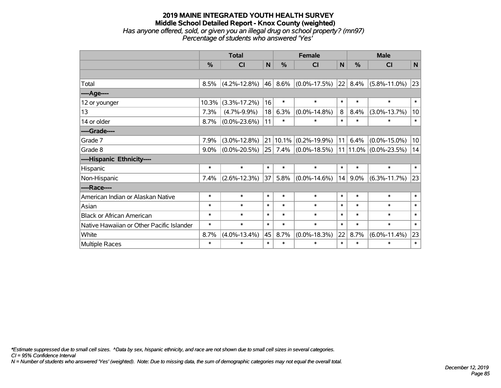## **2019 MAINE INTEGRATED YOUTH HEALTH SURVEY Middle School Detailed Report - Knox County (weighted)** *Has anyone offered, sold, or given you an illegal drug on school property? (mn97) Percentage of students who answered 'Yes'*

|                                           | <b>Total</b> |                    |        |               | <b>Female</b>                 | <b>Male</b>  |         |                    |              |
|-------------------------------------------|--------------|--------------------|--------|---------------|-------------------------------|--------------|---------|--------------------|--------------|
|                                           | %            | CI                 | N      | $\frac{0}{0}$ | <b>CI</b>                     | $\mathsf{N}$ | %       | <b>CI</b>          | N            |
|                                           |              |                    |        |               |                               |              |         |                    |              |
| Total                                     | 8.5%         | $(4.2\% - 12.8\%)$ | 46     | $8.6\%$       | $(0.0\% - 17.5\%)$            | 22           | 8.4%    | $(5.8\% - 11.0\%)$ | 23           |
| ----Age----                               |              |                    |        |               |                               |              |         |                    |              |
| 12 or younger                             | 10.3%        | $(3.3\% - 17.2\%)$ | 16     | $\ast$        | $\ast$                        | $\ast$       | $\ast$  | $\ast$             | $\ast$       |
| 13                                        | 7.3%         | $(4.7\% - 9.9\%)$  | 18     | 6.3%          | $(0.0\% - 14.8\%)$            | 8            | 8.4%    | $(3.0\% - 13.7\%)$ | 10           |
| 14 or older                               | 8.7%         | $(0.0\% - 23.6\%)$ | 11     | $\ast$        | $\ast$                        | $\ast$       | $\ast$  | $\ast$             | $\ast$       |
| ----Grade----                             |              |                    |        |               |                               |              |         |                    |              |
| Grade 7                                   | 7.9%         | $(3.0\% - 12.8\%)$ | 21     |               | $10.1\%$ (0.2%-19.9%)         | 11           | 6.4%    | $(0.0\% - 15.0\%)$ | 10           |
| Grade 8                                   | 9.0%         | $(0.0\% - 20.5\%)$ | 25     |               | $7.4\%$ (0.0%-18.5%) 11 11.0% |              |         | $(0.0\% - 23.5\%)$ | 14           |
| ----Hispanic Ethnicity----                |              |                    |        |               |                               |              |         |                    |              |
| Hispanic                                  | $\ast$       | $\ast$             | $\ast$ | $\ast$        | $\ast$                        | $\ast$       | $\ast$  | $\ast$             | $\ast$       |
| Non-Hispanic                              | 7.4%         | $(2.6\% - 12.3\%)$ | 37     | 5.8%          | $(0.0\% - 14.6\%)$            | 14           | $9.0\%$ | $(6.3\% - 11.7\%)$ | 23           |
| ----Race----                              |              |                    |        |               |                               |              |         |                    |              |
| American Indian or Alaskan Native         | $\ast$       | $\ast$             | $\ast$ | $\ast$        | $\ast$                        | $\ast$       | $\ast$  | $\ast$             | $\ast$       |
| Asian                                     | $\ast$       | $\ast$             | $\ast$ | $\ast$        | $\ast$                        | $\ast$       | $\ast$  | $\ast$             | $\ast$       |
| <b>Black or African American</b>          | $\ast$       | $\ast$             | $\ast$ | $\ast$        | $\ast$                        | $\ast$       | $\ast$  | $\ast$             | $\ast$       |
| Native Hawaiian or Other Pacific Islander | $\ast$       | $\ast$             | $\ast$ | $\ast$        | $\ast$                        | $\ast$       | $\ast$  | $\ast$             | $\pmb{\ast}$ |
| White                                     | 8.7%         | $(4.0\% - 13.4\%)$ | 45     | 8.7%          | $(0.0\% - 18.3\%)$            | 22           | 8.7%    | $(6.0\% - 11.4\%)$ | 23           |
| <b>Multiple Races</b>                     | $\ast$       | $\ast$             | $\ast$ | $\ast$        | $\ast$                        | $\ast$       | $\ast$  | $\ast$             | $\ast$       |

*\*Estimate suppressed due to small cell sizes. ^Data by sex, hispanic ethnicity, and race are not shown due to small cell sizes in several categories.*

*CI = 95% Confidence Interval*

*N = Number of students who answered 'Yes' (weighted). Note: Due to missing data, the sum of demographic categories may not equal the overall total.*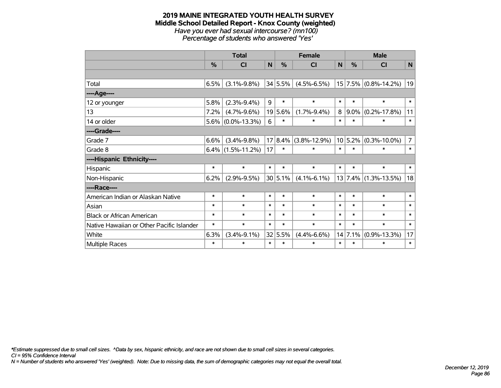#### **2019 MAINE INTEGRATED YOUTH HEALTH SURVEY Middle School Detailed Report - Knox County (weighted)** *Have you ever had sexual intercourse? (mn100) Percentage of students who answered 'Yes'*

|                                           | <b>Total</b> |                      |              |               | <b>Female</b>            |              |             | <b>Male</b>              |                |  |  |
|-------------------------------------------|--------------|----------------------|--------------|---------------|--------------------------|--------------|-------------|--------------------------|----------------|--|--|
|                                           | %            | <b>CI</b>            | $\mathsf{N}$ | $\frac{0}{0}$ | CI                       | $\mathsf{N}$ | %           | <b>CI</b>                | N              |  |  |
|                                           |              |                      |              |               |                          |              |             |                          |                |  |  |
| Total                                     | 6.5%         | $(3.1\% - 9.8\%)$    |              | 34 5.5%       | $(4.5\% - 6.5\%)$        |              |             | $15 7.5\% $ (0.8%-14.2%) | 19             |  |  |
| ---- Age----                              |              |                      |              |               |                          |              |             |                          |                |  |  |
| 12 or younger                             | 5.8%         | $(2.3\% - 9.4\%)$    | 9            | $\ast$        | $\ast$                   | $\ast$       | $\ast$      | $\ast$                   | $\ast$         |  |  |
| 13                                        | 7.2%         | $(4.7\% - 9.6\%)$    |              | 19 5.6%       | $(1.7\% - 9.4\%)$        | 8            | $9.0\%$     | $(0.2\% - 17.8\%)$       | 11             |  |  |
| 14 or older                               |              | $5.6\%$ (0.0%-13.3%) | 6            | $\ast$        | $\ast$                   | $\ast$       | $\ast$      | $\ast$                   | $\ast$         |  |  |
| ----Grade----                             |              |                      |              |               |                          |              |             |                          |                |  |  |
| Grade 7                                   | 6.6%         | $(3.4\% - 9.8\%)$    |              |               | $17 8.4\% $ (3.8%-12.9%) |              | $10 5.2\% $ | $(0.3\% - 10.0\%)$       | $\overline{7}$ |  |  |
| Grade 8                                   |              | $6.4\%$ (1.5%-11.2%) | 17           | ∗             | $\ast$                   | $\ast$       | $\ast$      | $\ast$                   | $\ast$         |  |  |
| ----Hispanic Ethnicity----                |              |                      |              |               |                          |              |             |                          |                |  |  |
| Hispanic                                  | $\ast$       | $\ast$               | $\ast$       | $\ast$        | $\ast$                   | $\ast$       | *           | $\ast$                   | $\ast$         |  |  |
| Non-Hispanic                              | 6.2%         | $(2.9\% - 9.5\%)$    |              | 30 5.1%       | $(4.1\% - 6.1\%)$        |              | 13 7.4%     | $(1.3\% - 13.5\%)$       | 18             |  |  |
| ----Race----                              |              |                      |              |               |                          |              |             |                          |                |  |  |
| American Indian or Alaskan Native         | $\ast$       | $\ast$               | $\ast$       | $\ast$        | $\ast$                   | $\ast$       | $\ast$      | $\ast$                   | $\ast$         |  |  |
| Asian                                     | $\ast$       | $\ast$               | $\ast$       | $\ast$        | $\ast$                   | $\ast$       | $\ast$      | $\ast$                   | $\ast$         |  |  |
| <b>Black or African American</b>          | $\ast$       | $\ast$               | $\ast$       | $\ast$        | $\ast$                   | $\ast$       | $\ast$      | $\ast$                   | $\ast$         |  |  |
| Native Hawaiian or Other Pacific Islander | $\ast$       | $\ast$               | $\ast$       | $\ast$        | $\ast$                   | $\ast$       | $\ast$      | $\ast$                   | $\ast$         |  |  |
| White                                     | 6.3%         | $(3.4\% - 9.1\%)$    |              | 32 5.5%       | $(4.4\% - 6.6\%)$        |              | 14 7.1%     | $(0.9\% - 13.3\%)$       | 17             |  |  |
| Multiple Races                            | $\ast$       | $\ast$               | $\ast$       | $\ast$        | $\ast$                   | $\ast$       | $\ast$      | $\ast$                   | $\pmb{\ast}$   |  |  |

*\*Estimate suppressed due to small cell sizes. ^Data by sex, hispanic ethnicity, and race are not shown due to small cell sizes in several categories.*

*CI = 95% Confidence Interval*

*N = Number of students who answered 'Yes' (weighted). Note: Due to missing data, the sum of demographic categories may not equal the overall total.*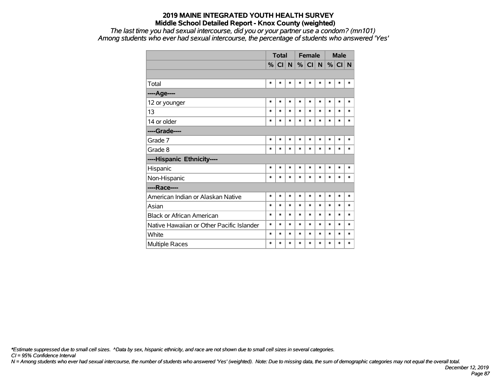*The last time you had sexual intercourse, did you or your partner use a condom? (mn101) Among students who ever had sexual intercourse, the percentage of students who answered 'Yes'*

|                                           | <b>Total</b>  |        |        |        | <b>Female</b> |        |        | <b>Male</b> |        |  |
|-------------------------------------------|---------------|--------|--------|--------|---------------|--------|--------|-------------|--------|--|
|                                           | $\frac{9}{6}$ | CI N   |        |        | $\%$ CI       | N      | %      | CI          | N      |  |
|                                           |               |        |        |        |               |        |        |             |        |  |
| Total                                     | $\ast$        | $\ast$ | *      | $\ast$ | *             | $\ast$ | $\ast$ | $\ast$      | $\ast$ |  |
| ----Age----                               |               |        |        |        |               |        |        |             |        |  |
| 12 or younger                             | $\ast$        | *      | *      | $\ast$ | $\ast$        | $\ast$ | $\ast$ | $\ast$      | $\ast$ |  |
| 13                                        | $\ast$        | $\ast$ | $\ast$ | $\ast$ | $\ast$        | $\ast$ | $\ast$ | $\ast$      | $\ast$ |  |
| 14 or older                               | $\ast$        | $\ast$ | $\ast$ | $\ast$ | $\ast$        | $\ast$ | $\ast$ | $\ast$      | $\ast$ |  |
| ----Grade----                             |               |        |        |        |               |        |        |             |        |  |
| Grade 7                                   | $\ast$        | $\ast$ | $\ast$ | $\ast$ | $\ast$        | $\ast$ | $\ast$ | $\ast$      | $\ast$ |  |
| Grade 8                                   | $\ast$        | *      | *      | $\ast$ | $\ast$        | *      | $\ast$ | $\ast$      | $\ast$ |  |
| ----Hispanic Ethnicity----                |               |        |        |        |               |        |        |             |        |  |
| Hispanic                                  | $\ast$        | $\ast$ | $\ast$ | $\ast$ | $\ast$        | $\ast$ | $\ast$ | $\ast$      | ∗      |  |
| Non-Hispanic                              | $\ast$        | $\ast$ | $\ast$ | $\ast$ | $\ast$        | $\ast$ | $\ast$ | $\ast$      | $\ast$ |  |
| ----Race----                              |               |        |        |        |               |        |        |             |        |  |
| American Indian or Alaskan Native         | $\ast$        | $\ast$ | $\ast$ | $\ast$ | $\ast$        | $\ast$ | $\ast$ | $\ast$      | $\ast$ |  |
| Asian                                     | $\ast$        | $\ast$ | $\ast$ | $\ast$ | $\ast$        | $\ast$ | $\ast$ | $\ast$      | $\ast$ |  |
| <b>Black or African American</b>          | $\ast$        | $\ast$ | *      | $\ast$ | $\ast$        | $\ast$ | $\ast$ | $\ast$      | $\ast$ |  |
| Native Hawaiian or Other Pacific Islander | $\ast$        | $\ast$ | $\ast$ | $\ast$ | $\ast$        | $\ast$ | $\ast$ | $\ast$      | $\ast$ |  |
| White                                     | $\ast$        | $\ast$ | *      | $\ast$ | $\ast$        | $\ast$ | $\ast$ | $\ast$      | $\ast$ |  |
| <b>Multiple Races</b>                     | $\ast$        | $\ast$ | *      | $\ast$ | $\ast$        | *      | $\ast$ | $\ast$      | *      |  |

*\*Estimate suppressed due to small cell sizes. ^Data by sex, hispanic ethnicity, and race are not shown due to small cell sizes in several categories.*

*CI = 95% Confidence Interval*

*N = Among students who ever had sexual intercourse, the number of students who answered 'Yes' (weighted). Note: Due to missing data, the sum of demographic categories may not equal the overall total.*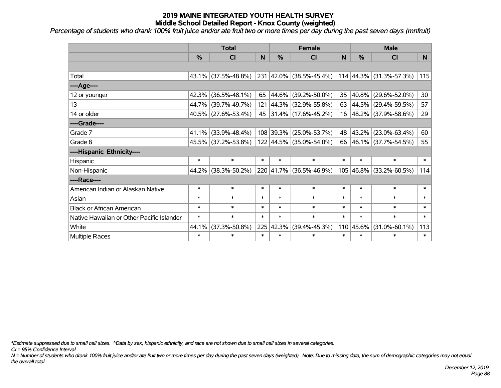*Percentage of students who drank 100% fruit juice and/or ate fruit two or more times per day during the past seven days (mnfruit)*

|                                           | <b>Total</b>  |                        |                |               | <b>Female</b>            |        | <b>Male</b> |                         |                |  |
|-------------------------------------------|---------------|------------------------|----------------|---------------|--------------------------|--------|-------------|-------------------------|----------------|--|
|                                           | $\frac{0}{0}$ | CI                     | N <sub>1</sub> | $\frac{9}{6}$ | <b>CI</b>                | N      | %           | <b>CI</b>               | N <sub>1</sub> |  |
|                                           |               |                        |                |               |                          |        |             |                         |                |  |
| Total                                     |               | $43.1\%$ (37.5%-48.8%) |                |               | 231 42.0% (38.5%-45.4%)  |        |             | 114 44.3% (31.3%-57.3%) | 115            |  |
| ----Age----                               |               |                        |                |               |                          |        |             |                         |                |  |
| 12 or younger                             | 42.3%         | $(36.5\% - 48.1\%)$    | 65             |               | 44.6% (39.2%-50.0%)      | 35     | 40.8%       | $(29.6\% - 52.0\%)$     | 30             |  |
| 13                                        |               | 44.7% (39.7%-49.7%)    | 121            |               | $ 44.3\% $ (32.9%-55.8%) |        |             | 63 44.5% (29.4%-59.5%)  | 57             |  |
| 14 or older                               |               | $40.5\%$ (27.6%-53.4%) |                |               | 45 31.4% (17.6%-45.2%)   |        |             | 16 48.2% (37.9%-58.6%)  | 29             |  |
| ----Grade----                             |               |                        |                |               |                          |        |             |                         |                |  |
| Grade 7                                   | $41.1\%$      | $(33.9\% - 48.4\%)$    |                |               | 108 39.3% (25.0%-53.7%)  |        | 48 43.2%    | $(23.0\% - 63.4\%)$     | 60             |  |
| Grade 8                                   |               | 45.5% (37.2%-53.8%)    |                |               | 122 44.5% (35.0%-54.0%)  |        |             | 66 46.1% (37.7%-54.5%)  | 55             |  |
| ----Hispanic Ethnicity----                |               |                        |                |               |                          |        |             |                         |                |  |
| Hispanic                                  | $\ast$        | $\ast$                 | $\ast$         | $\ast$        | $\ast$                   | $\ast$ | $\ast$      | $\ast$                  | $\ast$         |  |
| Non-Hispanic                              |               | 44.2% (38.3%-50.2%)    |                | 220 41.7%     | $(36.5\% - 46.9\%)$      |        | 105 46.8%   | $(33.2\% - 60.5\%)$     | 114            |  |
| ----Race----                              |               |                        |                |               |                          |        |             |                         |                |  |
| American Indian or Alaskan Native         | $\ast$        | $\ast$                 | $\ast$         | $\ast$        | $\ast$                   | $\ast$ | $\ast$      | $\ast$                  | $\ast$         |  |
| Asian                                     | $\ast$        | $\ast$                 | $\ast$         | $\ast$        | $\ast$                   | $\ast$ | $\ast$      | $\ast$                  | $\ast$         |  |
| <b>Black or African American</b>          | $\ast$        | $\ast$                 | $\ast$         | $\ast$        | $\ast$                   | $\ast$ | $\ast$      | $\ast$                  | $\ast$         |  |
| Native Hawaiian or Other Pacific Islander | $\ast$        | $\ast$                 | $\ast$         | $\ast$        | $\ast$                   | $\ast$ | $\ast$      | $\ast$                  | $\ast$         |  |
| White                                     | 44.1%         | $(37.3\% - 50.8\%)$    | 225            | 42.3%         | $(39.4\% - 45.3\%)$      |        | 110 45.6%   | $(31.0\% - 60.1\%)$     | 113            |  |
| Multiple Races                            | $\ast$        | $\ast$                 | $\ast$         | $\ast$        | $\ast$                   | $\ast$ | $\ast$      | $\ast$                  | $\ast$         |  |

*\*Estimate suppressed due to small cell sizes. ^Data by sex, hispanic ethnicity, and race are not shown due to small cell sizes in several categories.*

*CI = 95% Confidence Interval*

*N = Number of students who drank 100% fruit juice and/or ate fruit two or more times per day during the past seven days (weighted). Note: Due to missing data, the sum of demographic categories may not equal the overall total.*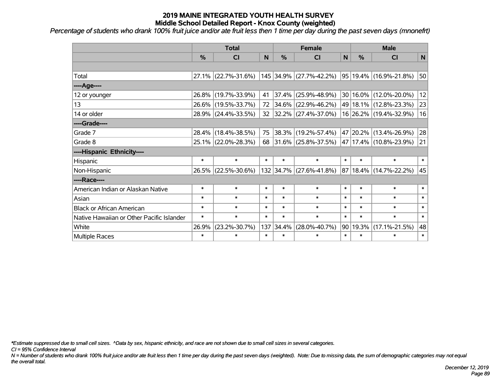*Percentage of students who drank 100% fruit juice and/or ate fruit less then 1 time per day during the past seven days (mnonefrt)*

|                                           | <b>Total</b>  |                        |        |               | <b>Female</b>            | <b>Male</b> |        |                            |        |
|-------------------------------------------|---------------|------------------------|--------|---------------|--------------------------|-------------|--------|----------------------------|--------|
|                                           | $\frac{0}{0}$ | <b>CI</b>              | N      | $\frac{0}{0}$ | CI                       | N           | %      | <b>CI</b>                  | N      |
|                                           |               |                        |        |               |                          |             |        |                            |        |
| Total                                     |               | $27.1\%$ (22.7%-31.6%) |        |               | 145 34.9% (27.7%-42.2%)  |             |        | 95 19.4% (16.9%-21.8%)     | 50     |
| ---- Age----                              |               |                        |        |               |                          |             |        |                            |        |
| 12 or younger                             | 26.8%         | $(19.7\% - 33.9\%)$    | 41     | 37.4%         | $(25.9\% - 48.9\%)$      |             |        | 30 16.0% (12.0%-20.0%)     | 12     |
| 13                                        |               | 26.6% (19.5%-33.7%)    | 72     |               | 34.6% (22.9%-46.2%)      |             |        | 49 18.1% (12.8%-23.3%)     | 23     |
| 14 or older                               |               | 28.9% (24.4%-33.5%)    | 32     |               | $ 32.2\% $ (27.4%-37.0%) |             |        | 16 26.2% (19.4%-32.9%)     | 16     |
| ----Grade----                             |               |                        |        |               |                          |             |        |                            |        |
| Grade 7                                   | 28.4%         | $(18.4\% - 38.5\%)$    | 75     | 38.3%         | $(19.2\% - 57.4\%)$      |             |        | 47 20.2% (13.4%-26.9%)     | 28     |
| Grade 8                                   |               | 25.1% (22.0%-28.3%)    | 68     |               | $ 31.6\% $ (25.8%-37.5%) |             |        | 47   17.4%   (10.8%-23.9%) | 21     |
| ----Hispanic Ethnicity----                |               |                        |        |               |                          |             |        |                            |        |
| Hispanic                                  | $\ast$        | $\ast$                 | $\ast$ | $\ast$        | $\ast$                   | $\ast$      | $\ast$ | $\ast$                     | $\ast$ |
| Non-Hispanic                              |               | 26.5% (22.5%-30.6%)    |        |               | 132 34.7% (27.6%-41.8%)  | 87          |        | 18.4% (14.7%-22.2%)        | 45     |
| ----Race----                              |               |                        |        |               |                          |             |        |                            |        |
| American Indian or Alaskan Native         | $\ast$        | $\ast$                 | $\ast$ | $\ast$        | $\ast$                   | $\ast$      | $\ast$ | $\ast$                     | $\ast$ |
| Asian                                     | $\ast$        | $\ast$                 | $\ast$ | $\ast$        | $\ast$                   | $\ast$      | $\ast$ | $\ast$                     | $\ast$ |
| <b>Black or African American</b>          | $\ast$        | $\ast$                 | $\ast$ | $\ast$        | $\ast$                   | $\ast$      | $\ast$ | $\ast$                     | $\ast$ |
| Native Hawaiian or Other Pacific Islander | $\ast$        | $\ast$                 | $\ast$ | $\ast$        | $\ast$                   | $\ast$      | $\ast$ | $\ast$                     | $\ast$ |
| White                                     | 26.9%         | $(23.2\% - 30.7\%)$    | 137    | 34.4%         | $(28.0\% - 40.7\%)$      | 90          | 19.3%  | $(17.1\% - 21.5\%)$        | 48     |
| Multiple Races                            | $\ast$        | $\ast$                 | $\ast$ | $\ast$        | $\ast$                   | $\ast$      | $\ast$ | $\ast$                     | $\ast$ |

*\*Estimate suppressed due to small cell sizes. ^Data by sex, hispanic ethnicity, and race are not shown due to small cell sizes in several categories.*

*CI = 95% Confidence Interval*

*N = Number of students who drank 100% fruit juice and/or ate fruit less then 1 time per day during the past seven days (weighted). Note: Due to missing data, the sum of demographic categories may not equal the overall total.*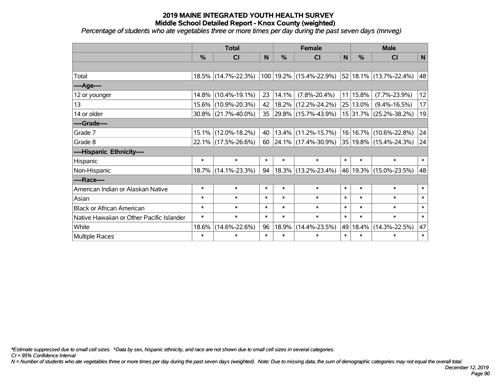*Percentage of students who ate vegetables three or more times per day during the past seven days (mnveg)*

|                                           | <b>Total</b>  |                        |        |        | <b>Female</b>            | <b>Male</b>  |             |                                 |              |
|-------------------------------------------|---------------|------------------------|--------|--------|--------------------------|--------------|-------------|---------------------------------|--------------|
|                                           | $\frac{0}{0}$ | <b>CI</b>              | N      | %      | <b>CI</b>                | $\mathsf{N}$ | %           | <b>CI</b>                       | $\mathsf{N}$ |
|                                           |               |                        |        |        |                          |              |             |                                 |              |
| Total                                     |               | 18.5% (14.7%-22.3%)    |        |        | 100 19.2% (15.4%-22.9%)  |              |             | $52 18.1\% $ (13.7%-22.4%)      | 48           |
| ----Age----                               |               |                        |        |        |                          |              |             |                                 |              |
| 12 or younger                             | 14.8%         | $(10.4\% - 19.1\%)$    | 23     | 14.1%  | $(7.8\% - 20.4\%)$       |              | $11 15.8\%$ | $(7.7\% - 23.9\%)$              | 12           |
| 13                                        |               | 15.6% (10.9%-20.3%)    | 42     |        | 18.2% (12.2%-24.2%)      |              | 25 13.0%    | $(9.4\% - 16.5\%)$              | 17           |
| 14 or older                               |               | $30.8\%$ (21.7%-40.0%) | 35     |        | 29.8% (15.7%-43.9%)      |              |             | 15 31.7% (25.2%-38.2%)          | 19           |
| ----Grade----                             |               |                        |        |        |                          |              |             |                                 |              |
| Grade 7                                   | 15.1%         | $(12.0\% - 18.2\%)$    | 40     | 13.4%  | $(11.2\% - 15.7\%)$      |              | 16 16.7%    | $(10.6\% - 22.8\%)$             | 24           |
| Grade 8                                   |               | $22.1\%$ (17.5%-26.6%) | 60     |        | $ 24.1\% $ (17.4%-30.9%) |              |             | $ 35 19.8\%  (15.4\% - 24.3\%)$ | 24           |
| ----Hispanic Ethnicity----                |               |                        |        |        |                          |              |             |                                 |              |
| Hispanic                                  | $\ast$        | $\ast$                 | $\ast$ | $\ast$ | $\ast$                   | $\ast$       | $\ast$      | $\ast$                          | $\ast$       |
| Non-Hispanic                              |               | 18.7% (14.1%-23.3%)    | 94     |        | 18.3% (13.2%-23.4%)      |              |             | 46   19.3%   (15.0%-23.5%)      | 48           |
| ----Race----                              |               |                        |        |        |                          |              |             |                                 |              |
| American Indian or Alaskan Native         | $\ast$        | $\ast$                 | $\ast$ | $\ast$ | $\ast$                   | $\ast$       | $\ast$      | $\ast$                          | $\ast$       |
| Asian                                     | $\ast$        | $\ast$                 | $\ast$ | $\ast$ | $\ast$                   | $\ast$       | $\ast$      | $\ast$                          | $\ast$       |
| <b>Black or African American</b>          | $\ast$        | $\ast$                 | $\ast$ | $\ast$ | $\ast$                   | $\ast$       | $\ast$      | $\ast$                          | $\ast$       |
| Native Hawaiian or Other Pacific Islander | $\ast$        | $\ast$                 | $\ast$ | $\ast$ | $\ast$                   | $\ast$       | $\ast$      | $\ast$                          | $\ast$       |
| White                                     | 18.6%         | $(14.6\% - 22.6\%)$    | 96     | 18.9%  | $(14.4\% - 23.5\%)$      | 49           | 18.4%       | $(14.3\% - 22.5\%)$             | 47           |
| Multiple Races                            | $\ast$        | $\ast$                 | $\ast$ | $\ast$ | $\ast$                   | $\ast$       | $\ast$      | $\ast$                          | $\ast$       |

*\*Estimate suppressed due to small cell sizes. ^Data by sex, hispanic ethnicity, and race are not shown due to small cell sizes in several categories.*

*CI = 95% Confidence Interval*

*N = Number of students who ate vegetables three or more times per day during the past seven days (weighted). Note: Due to missing data, the sum of demographic categories may not equal the overall total.*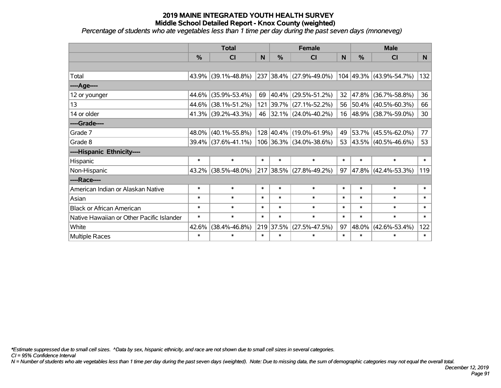*Percentage of students who ate vegetables less than 1 time per day during the past seven days (mnoneveg)*

|                                           | <b>Total</b> |                        |        |                | <b>Female</b>           |              | <b>Male</b> |                         |                |  |
|-------------------------------------------|--------------|------------------------|--------|----------------|-------------------------|--------------|-------------|-------------------------|----------------|--|
|                                           | %            | <b>CI</b>              | N      | $\frac{0}{0}$  | <b>CI</b>               | <sub>N</sub> | %           | <b>CI</b>               | N <sub>1</sub> |  |
|                                           |              |                        |        |                |                         |              |             |                         |                |  |
| Total                                     |              | $43.9\%$ (39.1%-48.8%) |        |                | 237 38.4% (27.9%-49.0%) |              |             | 104 49.3% (43.9%-54.7%) | 132            |  |
| ----Age----                               |              |                        |        |                |                         |              |             |                         |                |  |
| 12 or younger                             | 44.6%        | $(35.9\% - 53.4\%)$    | 69     |                | 40.4% (29.5%-51.2%)     | 32           | 47.8%       | $(36.7\% - 58.8\%)$     | 36             |  |
| 13                                        |              | 44.6% (38.1%-51.2%)    |        |                | 121 39.7% (27.1%-52.2%) |              |             | 56 50.4% (40.5%-60.3%)  | 66             |  |
| 14 or older                               |              | 41.3% (39.2%-43.3%)    |        |                | 46 32.1% (24.0%-40.2%)  |              |             | 16 48.9% (38.7%-59.0%)  | 30             |  |
| ----Grade----                             |              |                        |        |                |                         |              |             |                         |                |  |
| Grade 7                                   | 48.0%        | $(40.1\% - 55.8\%)$    |        |                | 128 40.4% (19.0%-61.9%) | 49           | 53.7%       | $(45.5\% - 62.0\%)$     | 77             |  |
| Grade 8                                   |              | $39.4\%$ (37.6%-41.1%) |        |                | 106 36.3% (34.0%-38.6%) |              |             | 53 43.5% (40.5%-46.6%)  | 53             |  |
| ----Hispanic Ethnicity----                |              |                        |        |                |                         |              |             |                         |                |  |
| Hispanic                                  | $\ast$       | $\ast$                 | $\ast$ | $\ast$         | $\ast$                  | $\ast$       | $\ast$      | $\ast$                  | $\ast$         |  |
| Non-Hispanic                              | $43.2\%$     | $(38.5\% - 48.0\%)$    |        | $ 217 38.5\% $ | $(27.8\% - 49.2\%)$     | 97           | 47.8%       | $(42.4\% - 53.3\%)$     | 119            |  |
| ----Race----                              |              |                        |        |                |                         |              |             |                         |                |  |
| American Indian or Alaskan Native         | $\ast$       | $\ast$                 | $\ast$ | $\ast$         | $\ast$                  | $\ast$       | $\ast$      | $\ast$                  | $\ast$         |  |
| Asian                                     | $\ast$       | $\ast$                 | $\ast$ | $\ast$         | $\ast$                  | $\ast$       | $\ast$      | $\ast$                  | $\ast$         |  |
| <b>Black or African American</b>          | $\ast$       | $\ast$                 | $\ast$ | $\ast$         | $\ast$                  | $\ast$       | $\ast$      | $\ast$                  | $\ast$         |  |
| Native Hawaiian or Other Pacific Islander | $\ast$       | $\ast$                 | $\ast$ | $\ast$         | $\ast$                  | $\ast$       | $\ast$      | $\ast$                  | $\ast$         |  |
| White                                     | 42.6%        | $(38.4\% - 46.8\%)$    |        | 219 37.5%      | $(27.5\% - 47.5\%)$     | 97           | 48.0%       | $(42.6\% - 53.4\%)$     | 122            |  |
| <b>Multiple Races</b>                     | $\ast$       | $\ast$                 | $\ast$ | $\ast$         | $\ast$                  | $\ast$       | $\ast$      | $\ast$                  | $\ast$         |  |

*\*Estimate suppressed due to small cell sizes. ^Data by sex, hispanic ethnicity, and race are not shown due to small cell sizes in several categories.*

*CI = 95% Confidence Interval*

*N = Number of students who ate vegetables less than 1 time per day during the past seven days (weighted). Note: Due to missing data, the sum of demographic categories may not equal the overall total.*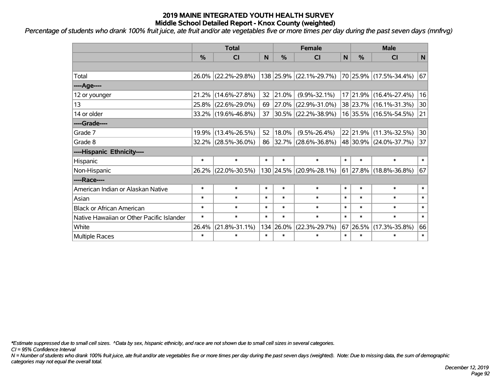*Percentage of students who drank 100% fruit juice, ate fruit and/or ate vegetables five or more times per day during the past seven days (mnfrvg)*

|                                           | <b>Total</b>  |                     |        |            | <b>Female</b>            | <b>Male</b>  |          |                        |        |
|-------------------------------------------|---------------|---------------------|--------|------------|--------------------------|--------------|----------|------------------------|--------|
|                                           | $\frac{0}{0}$ | CI                  | N      | %          | CI                       | $\mathsf{N}$ | %        | <b>CI</b>              | N      |
|                                           |               |                     |        |            |                          |              |          |                        |        |
| Total                                     |               | 26.0% (22.2%-29.8%) |        |            | 138 25.9% (22.1%-29.7%)  |              |          | 70 25.9% (17.5%-34.4%) | 67     |
| ----Age----                               |               |                     |        |            |                          |              |          |                        |        |
| 12 or younger                             | 21.2%         | $(14.6\% - 27.8\%)$ | 32     | 21.0%      | $(9.9\% - 32.1\%)$       |              | 17 21.9% | $(16.4\% - 27.4\%)$    | 16     |
| 13                                        | 25.8%         | $(22.6\% - 29.0\%)$ | 69     | $ 27.0\% $ | $(22.9\% - 31.0\%)$      |              |          | 38 23.7% (16.1%-31.3%) | 30     |
| 14 or older                               |               | 33.2% (19.6%-46.8%) | 37     |            | $ 30.5\% $ (22.2%-38.9%) |              |          | 16 35.5% (16.5%-54.5%) | 21     |
| ----Grade----                             |               |                     |        |            |                          |              |          |                        |        |
| Grade 7                                   | 19.9%         | $(13.4\% - 26.5\%)$ | 52     | 18.0%      | $(9.5\% - 26.4\%)$       |              |          | 22 21.9% (11.3%-32.5%) | 30     |
| Grade 8                                   |               | 32.2% (28.5%-36.0%) | 86     |            | $ 32.7\% $ (28.6%-36.8%) |              |          | 48 30.9% (24.0%-37.7%) | 37     |
| ----Hispanic Ethnicity----                |               |                     |        |            |                          |              |          |                        |        |
| Hispanic                                  | $\ast$        | $\ast$              | $\ast$ | $\ast$     | $\ast$                   | $\ast$       | $\ast$   | $\ast$                 | $\ast$ |
| Non-Hispanic                              |               | 26.2% (22.0%-30.5%) |        | 130 24.5%  | $(20.9\% - 28.1\%)$      |              |          | 61 27.8% (18.8%-36.8%) | 67     |
| ----Race----                              |               |                     |        |            |                          |              |          |                        |        |
| American Indian or Alaskan Native         | $\ast$        | $\ast$              | $\ast$ | $\ast$     | $\ast$                   | $\ast$       | $\ast$   | $\ast$                 | $\ast$ |
| Asian                                     | $\ast$        | $\ast$              | $\ast$ | $\ast$     | $\ast$                   | $\ast$       | $\ast$   | $\ast$                 | $\ast$ |
| <b>Black or African American</b>          | $\ast$        | $\ast$              | $\ast$ | $\ast$     | $\ast$                   | $\ast$       | $\ast$   | $\ast$                 | $\ast$ |
| Native Hawaiian or Other Pacific Islander | $\ast$        | $\ast$              | $\ast$ | $\ast$     | $\ast$                   | $\ast$       | $\ast$   | $\ast$                 | $\ast$ |
| White                                     | 26.4%         | $(21.8\% - 31.1\%)$ |        | 134 26.0%  | $(22.3\% - 29.7\%)$      | 67           | 26.5%    | $(17.3\% - 35.8\%)$    | 66     |
| Multiple Races                            | $\ast$        | $\ast$              | $\ast$ | $\ast$     | $\ast$                   | $\ast$       | $\ast$   | $\ast$                 | $\ast$ |

*\*Estimate suppressed due to small cell sizes. ^Data by sex, hispanic ethnicity, and race are not shown due to small cell sizes in several categories.*

*CI = 95% Confidence Interval*

*N = Number of students who drank 100% fruit juice, ate fruit and/or ate vegetables five or more times per day during the past seven days (weighted). Note: Due to missing data, the sum of demographic categories may not equal the overall total.*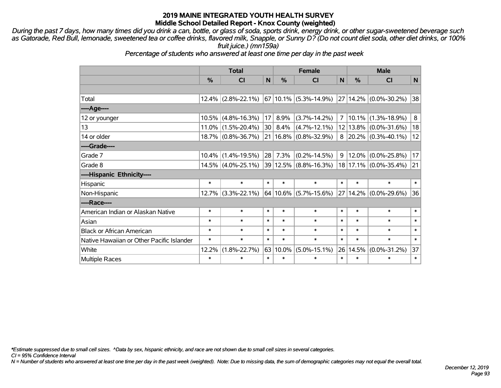*During the past 7 days, how many times did you drink a can, bottle, or glass of soda, sports drink, energy drink, or other sugar-sweetened beverage such as Gatorade, Red Bull, lemonade, sweetened tea or coffee drinks, flavored milk, Snapple, or Sunny D? (Do not count diet soda, other diet drinks, or 100% fruit juice.) (mn159a)*

*Percentage of students who answered at least one time per day in the past week*

|                                           | <b>Total</b> |                       |                 | <b>Female</b> |                           |                | <b>Male</b> |                             |        |  |
|-------------------------------------------|--------------|-----------------------|-----------------|---------------|---------------------------|----------------|-------------|-----------------------------|--------|--|
|                                           | %            | <b>CI</b>             | N               | $\frac{0}{0}$ | <b>CI</b>                 | N              | %           | <b>CI</b>                   | N      |  |
|                                           |              |                       |                 |               |                           |                |             |                             |        |  |
| Total                                     |              | $12.4\%$ (2.8%-22.1%) |                 |               | $67 10.1\% $ (5.3%-14.9%) |                |             | 27 14.2% (0.0%-30.2%)       | 38     |  |
| ----Age----                               |              |                       |                 |               |                           |                |             |                             |        |  |
| 12 or younger                             |              | $10.5\%$ (4.8%-16.3%) | 17              | 8.9%          | $(3.7\% - 14.2\%)$        | $\overline{7}$ | $10.1\%$    | $(1.3\% - 18.9\%)$          | 8      |  |
| 13                                        |              | $11.0\%$ (1.5%-20.4%) | 30              | $8.4\%$       | $(4.7\% - 12.1\%)$        |                |             | $12 13.8\% $ (0.0%-31.6%)   | 18     |  |
| 14 or older                               |              | 18.7% (0.8%-36.7%)    |                 |               | 21   16.8%   (0.8%-32.9%) |                |             | $8 20.2\% (0.3\% - 40.1\%)$ | 12     |  |
| ----Grade----                             |              |                       |                 |               |                           |                |             |                             |        |  |
| Grade 7                                   | $10.4\%$     | $(1.4\% - 19.5\%)$    | 28 <sub>1</sub> | 7.3%          | $(0.2\% - 14.5\%)$        | 9              |             | $12.0\%$ (0.0%-25.8%)       | 17     |  |
| Grade 8                                   |              | $14.5\%$ (4.0%-25.1%) |                 |               | 39 12.5% (8.8%-16.3%)     |                |             | $18 17.1\% $ (0.0%-35.4%)   | 21     |  |
| ----Hispanic Ethnicity----                |              |                       |                 |               |                           |                |             |                             |        |  |
| Hispanic                                  | $\ast$       | $\ast$                | $\ast$          | $\ast$        | $\ast$                    | $\ast$         | $\ast$      | $\ast$                      | $\ast$ |  |
| Non-Hispanic                              |              | 12.7% (3.3%-22.1%)    |                 |               | $64 10.6\% $ (5.7%-15.6%) |                | 27 14.2%    | $(0.0\% - 29.6\%)$          | 36     |  |
| ----Race----                              |              |                       |                 |               |                           |                |             |                             |        |  |
| American Indian or Alaskan Native         | $\ast$       | $\ast$                | $\ast$          | $\ast$        | $\ast$                    | $\ast$         | $\ast$      | $\ast$                      | $\ast$ |  |
| Asian                                     | $\ast$       | $\ast$                | $\ast$          | $\ast$        | $\ast$                    | $\ast$         | $\ast$      | $\ast$                      | $\ast$ |  |
| <b>Black or African American</b>          | $\ast$       | $\ast$                | $\ast$          | $\ast$        | $\ast$                    | $\ast$         | $\ast$      | $\ast$                      | $\ast$ |  |
| Native Hawaiian or Other Pacific Islander | $\ast$       | $\ast$                | $\ast$          | $\ast$        | $\ast$                    | $\ast$         | $\ast$      | $\ast$                      | $\ast$ |  |
| White                                     | 12.2%        | $(1.8\% - 22.7\%)$    | 63              | 10.0%         | $(5.0\% - 15.1\%)$        | 26             | 14.5%       | $(0.0\% - 31.2\%)$          | 37     |  |
| <b>Multiple Races</b>                     | $\ast$       | $\ast$                | $\ast$          | $\ast$        | $\ast$                    | $\ast$         | $\ast$      | $\ast$                      | $\ast$ |  |

*\*Estimate suppressed due to small cell sizes. ^Data by sex, hispanic ethnicity, and race are not shown due to small cell sizes in several categories.*

*CI = 95% Confidence Interval*

*N = Number of students who answered at least one time per day in the past week (weighted). Note: Due to missing data, the sum of demographic categories may not equal the overall total.*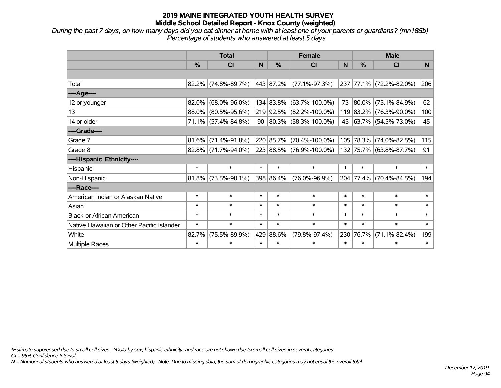*During the past 7 days, on how many days did you eat dinner at home with at least one of your parents or guardians? (mn185b) Percentage of students who answered at least 5 days*

|                                           | <b>Total</b> |                        |              |           | <b>Female</b>            |          | <b>Male</b>   |                         |        |  |
|-------------------------------------------|--------------|------------------------|--------------|-----------|--------------------------|----------|---------------|-------------------------|--------|--|
|                                           | %            | <b>CI</b>              | <sub>N</sub> | $\%$      | <b>CI</b>                | <b>N</b> | $\frac{0}{0}$ | <b>CI</b>               | N.     |  |
|                                           |              |                        |              |           |                          |          |               |                         |        |  |
| Total                                     |              | $82.2\%$ (74.8%-89.7%) |              | 443 87.2% | $(77.1\% - 97.3\%)$      |          |               | 237 77.1% (72.2%-82.0%) | 206    |  |
| ---- Age----                              |              |                        |              |           |                          |          |               |                         |        |  |
| 12 or younger                             | 82.0%        | $(68.0\% - 96.0\%)$    |              | 134 83.8% | $(63.7\% - 100.0\%)$     | 73       | $ 80.0\% $    | $(75.1\% - 84.9\%)$     | 62     |  |
| 13                                        |              | 88.0% (80.5%-95.6%)    |              | 219 92.5% | $(82.2\% - 100.0\%)$     |          |               | 119 83.2% (76.3%-90.0%) | 100    |  |
| 14 or older                               |              | $71.1\%$ (57.4%-84.8%) |              |           | 90 80.3% (58.3%-100.0%)  |          |               | 45 63.7% (54.5%-73.0%)  | 45     |  |
| ----Grade----                             |              |                        |              |           |                          |          |               |                         |        |  |
| Grade 7                                   | $81.6\%$     | $(71.4\% - 91.8\%)$    |              | 220 85.7% | $(70.4\% - 100.0\%)$     |          |               | 105 78.3% (74.0%-82.5%) | 115    |  |
| Grade 8                                   |              | 82.8% (71.7%-94.0%)    |              |           | 223 88.5% (76.9%-100.0%) |          |               | 132 75.7% (63.8%-87.7%) | 91     |  |
| ----Hispanic Ethnicity----                |              |                        |              |           |                          |          |               |                         |        |  |
| Hispanic                                  | $\ast$       | $\ast$                 | $\ast$       | $\ast$    | $\ast$                   | $\ast$   | $\ast$        | $\ast$                  | $\ast$ |  |
| Non-Hispanic                              |              | $81.8\%$ (73.5%-90.1%) |              | 398 86.4% | $(76.0\% - 96.9\%)$      |          |               | 204 77.4% (70.4%-84.5%) | 194    |  |
| ----Race----                              |              |                        |              |           |                          |          |               |                         |        |  |
| American Indian or Alaskan Native         | $\ast$       | $\ast$                 | $\ast$       | $\ast$    | $\ast$                   | $\ast$   | $\ast$        | $\ast$                  | $\ast$ |  |
| Asian                                     | $\ast$       | $\ast$                 | $\ast$       | $\ast$    | $\ast$                   | $\ast$   | $\ast$        | $\ast$                  | $\ast$ |  |
| <b>Black or African American</b>          | $\ast$       | $\ast$                 | $\ast$       | $\ast$    | $\ast$                   | $\ast$   | $\ast$        | $\ast$                  | $\ast$ |  |
| Native Hawaiian or Other Pacific Islander | $\ast$       | $\ast$                 | $\ast$       | $\ast$    | $\ast$                   | $\ast$   | $\ast$        | $\ast$                  | $\ast$ |  |
| White                                     | 82.7%        | $(75.5\% - 89.9\%)$    | 429          | 88.6%     | $(79.8\% - 97.4\%)$      | 230      | 76.7%         | $(71.1\% - 82.4\%)$     | 199    |  |
| <b>Multiple Races</b>                     | $\ast$       | $\ast$                 | $\ast$       | $\ast$    | $\ast$                   | $\ast$   | $\ast$        | $\ast$                  | $\ast$ |  |

*\*Estimate suppressed due to small cell sizes. ^Data by sex, hispanic ethnicity, and race are not shown due to small cell sizes in several categories.*

*CI = 95% Confidence Interval*

*N = Number of students who answered at least 5 days (weighted). Note: Due to missing data, the sum of demographic categories may not equal the overall total.*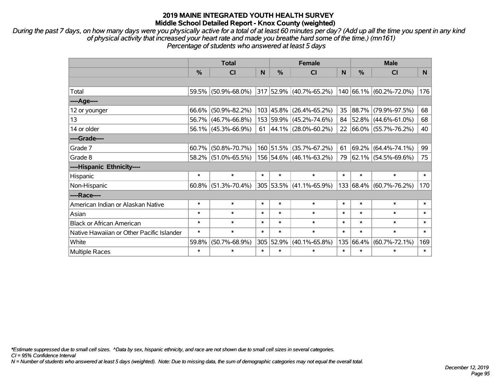*During the past 7 days, on how many days were you physically active for a total of at least 60 minutes per day? (Add up all the time you spent in any kind of physical activity that increased your heart rate and made you breathe hard some of the time.) (mn161) Percentage of students who answered at least 5 days*

|                                           | <b>Total</b> |                        |        |           | <b>Female</b>            |        | <b>Male</b>   |                         |        |  |
|-------------------------------------------|--------------|------------------------|--------|-----------|--------------------------|--------|---------------|-------------------------|--------|--|
|                                           | %            | CI                     | N      | %         | <b>CI</b>                | N      | $\frac{0}{0}$ | <b>CI</b>               | N      |  |
|                                           |              |                        |        |           |                          |        |               |                         |        |  |
| Total                                     |              | 59.5% (50.9%-68.0%)    |        |           | 317 52.9% (40.7%-65.2%)  |        |               | 140 66.1% (60.2%-72.0%) | 176    |  |
| ----Age----                               |              |                        |        |           |                          |        |               |                         |        |  |
| 12 or younger                             |              | $66.6\%$ (50.9%-82.2%) |        | 103 45.8% | $(26.4\% - 65.2\%)$      | 35     | 88.7%         | $(79.9\% - 97.5\%)$     | 68     |  |
| 13                                        |              | 56.7% (46.7%-66.8%)    |        | 153 59.9% | $(45.2\% - 74.6\%)$      | 84     |               | $52.8\%$ (44.6%-61.0%)  | 68     |  |
| 14 or older                               |              | $56.1\%$ (45.3%-66.9%) | 61     |           | $ 44.1\% $ (28.0%-60.2%) |        |               | 22 66.0% (55.7%-76.2%)  | 40     |  |
| ----Grade----                             |              |                        |        |           |                          |        |               |                         |        |  |
| Grade 7                                   |              | $60.7\%$ (50.8%-70.7%) |        | 160 51.5% | $(35.7\% - 67.2\%)$      | 61     | 69.2%         | $(64.4\% - 74.1\%)$     | 99     |  |
| Grade 8                                   |              | 58.2% (51.0%-65.5%)    |        |           | 156 54.6% (46.1%-63.2%)  | 79     |               | 62.1% (54.5%-69.6%)     | 75     |  |
| ----Hispanic Ethnicity----                |              |                        |        |           |                          |        |               |                         |        |  |
| Hispanic                                  | $\ast$       | $\ast$                 | $\ast$ | $\ast$    | $\ast$                   | $\ast$ | $\ast$        | $\ast$                  | $\ast$ |  |
| Non-Hispanic                              |              | $60.8\%$ (51.3%-70.4%) |        |           | 305 53.5% (41.1%-65.9%)  |        |               | 133 68.4% (60.7%-76.2%) | 170    |  |
| ----Race----                              |              |                        |        |           |                          |        |               |                         |        |  |
| American Indian or Alaskan Native         | $\ast$       | $\ast$                 | $\ast$ | $\ast$    | $\ast$                   | $\ast$ | $\ast$        | $\ast$                  | $\ast$ |  |
| Asian                                     | $\ast$       | $\ast$                 | $\ast$ | $\ast$    | $\ast$                   | $\ast$ | $\ast$        | $\ast$                  | $\ast$ |  |
| <b>Black or African American</b>          | $\ast$       | $\ast$                 | $\ast$ | $\ast$    | $\ast$                   | $\ast$ | $\ast$        | $\ast$                  | $\ast$ |  |
| Native Hawaiian or Other Pacific Islander | $\ast$       | $\ast$                 | $\ast$ | $\ast$    | $\ast$                   | $\ast$ | $\ast$        | $\ast$                  | $\ast$ |  |
| White                                     | 59.8%        | $(50.7\% - 68.9\%)$    | 305    | 52.9%     | $(40.1\% - 65.8\%)$      | 135    | 66.4%         | $(60.7\% - 72.1\%)$     | 169    |  |
| <b>Multiple Races</b>                     | *            | $\ast$                 | $\ast$ | $\ast$    | $\ast$                   | $\ast$ | $\ast$        | $\ast$                  | $\ast$ |  |

*\*Estimate suppressed due to small cell sizes. ^Data by sex, hispanic ethnicity, and race are not shown due to small cell sizes in several categories.*

*CI = 95% Confidence Interval*

*N = Number of students who answered at least 5 days (weighted). Note: Due to missing data, the sum of demographic categories may not equal the overall total.*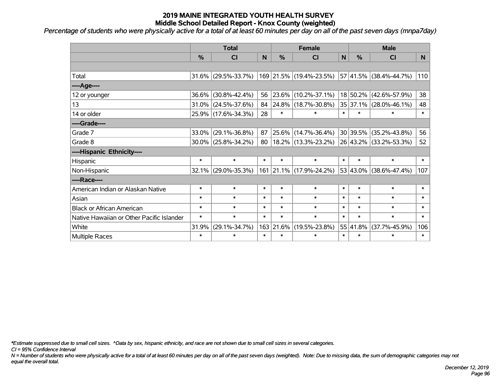*Percentage of students who were physically active for a total of at least 60 minutes per day on all of the past seven days (mnpa7day)*

|                                           | <b>Total</b> |                        |        |               | <b>Female</b>            |              | <b>Male</b>      |                        |          |  |
|-------------------------------------------|--------------|------------------------|--------|---------------|--------------------------|--------------|------------------|------------------------|----------|--|
|                                           | %            | CI                     | N      | $\frac{9}{6}$ | CI                       | $\mathsf{N}$ | $\frac{9}{6}$    | <b>CI</b>              | <b>N</b> |  |
|                                           |              |                        |        |               |                          |              |                  |                        |          |  |
| Total                                     | 31.6%        | $(29.5\% - 33.7\%)$    |        |               | 169 21.5% (19.4%-23.5%)  |              | 57 41.5%         | $(38.4\% - 44.7\%)$    | 110      |  |
| ----Age----                               |              |                        |        |               |                          |              |                  |                        |          |  |
| 12 or younger                             | 36.6%        | $(30.8\% - 42.4\%)$    | 56     | 23.6%         | $(10.2\% - 37.1\%)$      |              | 18 50.2%         | $(42.6\% - 57.9\%)$    | 38       |  |
| 13                                        | 31.0%        | $(24.5\% - 37.6\%)$    | 84     | 24.8%         | $(18.7\% - 30.8\%)$      |              | 35 37.1%         | $(28.0\% - 46.1\%)$    | 48       |  |
| 14 or older                               |              | 25.9% (17.6%-34.3%)    | 28     | $\ast$        | $\ast$                   | $\ast$       | $\ast$           | $\ast$                 | $\ast$   |  |
| ----Grade----                             |              |                        |        |               |                          |              |                  |                        |          |  |
| Grade 7                                   | 33.0%        | $(29.1\% - 36.8\%)$    | 87     | 25.6%         | $(14.7\% - 36.4\%)$      |              | 30 39.5%         | $(35.2\% - 43.8\%)$    | 56       |  |
| Grade 8                                   |              | $30.0\%$ (25.8%-34.2%) | 80     |               | $ 18.2\% $ (13.3%-23.2%) |              |                  | 26 43.2% (33.2%-53.3%) | 52       |  |
| ----Hispanic Ethnicity----                |              |                        |        |               |                          |              |                  |                        |          |  |
| Hispanic                                  | $\ast$       | $\ast$                 | $\ast$ | $\ast$        | $\ast$                   | $\ast$       | $\ast$           | $\ast$                 | $\ast$   |  |
| Non-Hispanic                              | 32.1%        | $(29.0\% - 35.3\%)$    |        | 161 21.1%     | $(17.9\% - 24.2\%)$      |              | 53 43.0%         | $(38.6\% - 47.4\%)$    | 107      |  |
| ----Race----                              |              |                        |        |               |                          |              |                  |                        |          |  |
| American Indian or Alaskan Native         | $\ast$       | $\ast$                 | $\ast$ | $\ast$        | $\ast$                   | $\ast$       | $\ast$           | $\ast$                 | $\ast$   |  |
| Asian                                     | $\ast$       | $\ast$                 | $\ast$ | $\ast$        | $\ast$                   | $\ast$       | $\ast$           | $\ast$                 | $\ast$   |  |
| <b>Black or African American</b>          | $\ast$       | $\ast$                 | $\ast$ | $\ast$        | $\ast$                   | $\ast$       | $\ast$           | $\ast$                 | $\ast$   |  |
| Native Hawaiian or Other Pacific Islander | $\ast$       | $\ast$                 | $\ast$ | $\ast$        | $\ast$                   | $\ast$       | $\ast$           | $\ast$                 | $\ast$   |  |
| White                                     | 31.9%        | $(29.1\% - 34.7\%)$    | 163    | 21.6%         | $(19.5\% - 23.8\%)$      |              | $55 \mid 41.8\%$ | $(37.7\% - 45.9\%)$    | 106      |  |
| <b>Multiple Races</b>                     | $\ast$       | $\ast$                 | $\ast$ | $\ast$        | $\ast$                   | $\ast$       | $\ast$           | $\ast$                 | $\ast$   |  |

*\*Estimate suppressed due to small cell sizes. ^Data by sex, hispanic ethnicity, and race are not shown due to small cell sizes in several categories.*

*CI = 95% Confidence Interval*

*N = Number of students who were physically active for a total of at least 60 minutes per day on all of the past seven days (weighted). Note: Due to missing data, the sum of demographic categories may not equal the overall total.*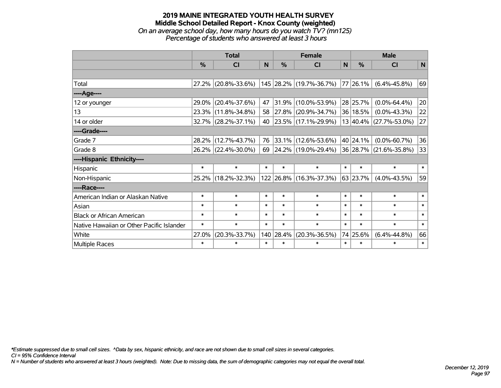### **2019 MAINE INTEGRATED YOUTH HEALTH SURVEY Middle School Detailed Report - Knox County (weighted)** *On an average school day, how many hours do you watch TV? (mn125) Percentage of students who answered at least 3 hours*

|                                           | <b>Total</b> |                        |        |        | <b>Female</b>           | <b>Male</b>  |               |                        |              |
|-------------------------------------------|--------------|------------------------|--------|--------|-------------------------|--------------|---------------|------------------------|--------------|
|                                           | %            | CI                     | N      | %      | C <sub>l</sub>          | $\mathsf{N}$ | $\frac{0}{0}$ | <b>CI</b>              | $\mathsf{N}$ |
|                                           |              |                        |        |        |                         |              |               |                        |              |
| Total                                     |              | 27.2% (20.8%-33.6%)    |        |        | 145 28.2% (19.7%-36.7%) |              | 77 26.1%      | $(6.4\% - 45.8\%)$     | 69           |
| ----Age----                               |              |                        |        |        |                         |              |               |                        |              |
| 12 or younger                             | 29.0%        | $(20.4\% - 37.6\%)$    | 47     | 31.9%  | $(10.0\% - 53.9\%)$     |              | 28 25.7%      | $(0.0\% - 64.4\%)$     | 20           |
| 13                                        | 23.3%        | $(11.8\% - 34.8\%)$    | 58     |        | 27.8% (20.9%-34.7%)     |              | 36 18.5%      | $(0.0\% - 43.3\%)$     | 22           |
| 14 or older                               |              | $32.7\%$ (28.2%-37.1%) | 40     |        | 23.5% (17.1%-29.9%)     |              |               | 13 40.4% (27.7%-53.0%) | 27           |
| ----Grade----                             |              |                        |        |        |                         |              |               |                        |              |
| Grade 7                                   | 28.2%        | $(12.7\% - 43.7\%)$    | 76     |        | 33.1% (12.6%-53.6%)     |              | 40 24.1%      | $(0.0\% - 60.7\%)$     | 36           |
| Grade 8                                   |              | 26.2% (22.4%-30.0%)    | 69     |        | 24.2% (19.0%-29.4%)     |              |               | 36 28.7% (21.6%-35.8%) | 33           |
| ----Hispanic Ethnicity----                |              |                        |        |        |                         |              |               |                        |              |
| Hispanic                                  | $\ast$       | $\ast$                 | $\ast$ | $\ast$ | $\ast$                  | $\ast$       | $\ast$        | $\ast$                 | $\ast$       |
| Non-Hispanic                              |              | 25.2% (18.2%-32.3%)    |        |        | 122 26.8% (16.3%-37.3%) |              | 63 23.7%      | $(4.0\% - 43.5\%)$     | 59           |
| ----Race----                              |              |                        |        |        |                         |              |               |                        |              |
| American Indian or Alaskan Native         | $\ast$       | $\ast$                 | $\ast$ | $\ast$ | $\ast$                  | $\ast$       | $\ast$        | $\ast$                 | $\ast$       |
| Asian                                     | $\ast$       | $\ast$                 | $\ast$ | $\ast$ | $\ast$                  | $\ast$       | $\ast$        | $\ast$                 | $\ast$       |
| <b>Black or African American</b>          | $\ast$       | $\ast$                 | $\ast$ | $\ast$ | $\ast$                  | $\ast$       | $\ast$        | $\ast$                 | $\ast$       |
| Native Hawaiian or Other Pacific Islander | $\ast$       | $\ast$                 | $\ast$ | $\ast$ | $\ast$                  | $\ast$       | $\ast$        | $\ast$                 | $\ast$       |
| White                                     | 27.0%        | $(20.3\% - 33.7\%)$    | 140    | 28.4%  | $(20.3\% - 36.5\%)$     |              | 74 25.6%      | $(6.4\% - 44.8\%)$     | 66           |
| <b>Multiple Races</b>                     | $\ast$       | $\ast$                 | $\ast$ | $\ast$ | $\ast$                  | $\ast$       | $\ast$        | $\ast$                 | $\ast$       |

*\*Estimate suppressed due to small cell sizes. ^Data by sex, hispanic ethnicity, and race are not shown due to small cell sizes in several categories.*

*CI = 95% Confidence Interval*

*N = Number of students who answered at least 3 hours (weighted). Note: Due to missing data, the sum of demographic categories may not equal the overall total.*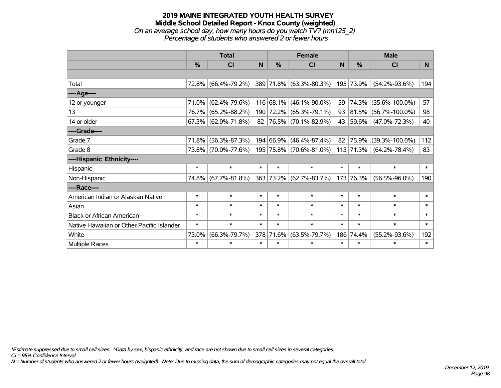## **2019 MAINE INTEGRATED YOUTH HEALTH SURVEY Middle School Detailed Report - Knox County (weighted)** *On an average school day, how many hours do you watch TV? (mn125\_2) Percentage of students who answered 2 or fewer hours*

|                                           | <b>Total</b> |                        |              |           | <b>Female</b>                    |        | <b>Male</b>    |                      |        |  |
|-------------------------------------------|--------------|------------------------|--------------|-----------|----------------------------------|--------|----------------|----------------------|--------|--|
|                                           | %            | CI                     | <sub>N</sub> | %         | CI                               | N      | %              | <b>CI</b>            | N      |  |
|                                           |              |                        |              |           |                                  |        |                |                      |        |  |
| Total                                     |              | 72.8% (66.4%-79.2%)    |              |           | $ 389 71.8\%  (63.3\% - 80.3\%)$ |        | 195 73.9%      | $(54.2\% - 93.6\%)$  | 194    |  |
| ----Age----                               |              |                        |              |           |                                  |        |                |                      |        |  |
| 12 or younger                             | 71.0%        | $(62.4\% - 79.6\%)$    |              | 116 68.1% | $(46.1\% - 90.0\%)$              | 59     | 74.3%          | $(35.6\% - 100.0\%)$ | 57     |  |
| 13                                        | 76.7%        | $(65.2\% - 88.2\%)$    |              | 190 72.2% | $(65.3\% - 79.1\%)$              | 93     | 81.5%          | $(56.7\% - 100.0\%)$ | 98     |  |
| 14 or older                               |              | $67.3\%$ (62.9%-71.8%) |              |           | 82 76.5% (70.1%-82.9%)           | 43     | 59.6%          | $(47.0\% - 72.3\%)$  | 40     |  |
| ----Grade----                             |              |                        |              |           |                                  |        |                |                      |        |  |
| Grade 7                                   | 71.8%        | $(56.3\% - 87.3\%)$    |              | 194 66.9% | $(46.4\% - 87.4\%)$              | 82     | 75.9%          | $(39.3\% - 100.0\%)$ | 112    |  |
| Grade 8                                   |              | 73.8% (70.0%-77.6%)    |              |           | 195 75.8% (70.6%-81.0%)          |        | $ 113 71.3\% $ | $(64.2\% - 78.4\%)$  | 83     |  |
| ----Hispanic Ethnicity----                |              |                        |              |           |                                  |        |                |                      |        |  |
| Hispanic                                  | $\ast$       | $\ast$                 | $\ast$       | $\ast$    | $\ast$                           | $\ast$ | $\ast$         | $\ast$               | $\ast$ |  |
| Non-Hispanic                              |              | 74.8% (67.7%-81.8%)    | 363          |           | 73.2% (62.7%-83.7%)              | 173    | 76.3%          | $(56.5\% - 96.0\%)$  | 190    |  |
| ----Race----                              |              |                        |              |           |                                  |        |                |                      |        |  |
| American Indian or Alaskan Native         | $\ast$       | $\ast$                 | $\ast$       | $\ast$    | $\ast$                           | $\ast$ | $\ast$         | $\ast$               | $\ast$ |  |
| Asian                                     | $\ast$       | $\ast$                 | $\ast$       | $\ast$    | $\ast$                           | $\ast$ | $\ast$         | $\ast$               | $\ast$ |  |
| <b>Black or African American</b>          | $\ast$       | $\ast$                 | $\ast$       | $\ast$    | $\ast$                           | $\ast$ | $\ast$         | $\ast$               | $\ast$ |  |
| Native Hawaiian or Other Pacific Islander | $\ast$       | $\ast$                 | $\ast$       | $\ast$    | $\ast$                           | $\ast$ | $\ast$         | $\ast$               | $\ast$ |  |
| White                                     | 73.0%        | $(66.3\% - 79.7\%)$    | 378          | 71.6%     | $(63.5\% - 79.7\%)$              | 186    | 74.4%          | $(55.2\% - 93.6\%)$  | 192    |  |
| Multiple Races                            | $\ast$       | $\ast$                 | $\ast$       | $\ast$    | $\ast$                           | $\ast$ | $\ast$         | $\ast$               | $\ast$ |  |

*\*Estimate suppressed due to small cell sizes. ^Data by sex, hispanic ethnicity, and race are not shown due to small cell sizes in several categories.*

*CI = 95% Confidence Interval*

*N = Number of students who answered 2 or fewer hours (weighted). Note: Due to missing data, the sum of demographic categories may not equal the overall total.*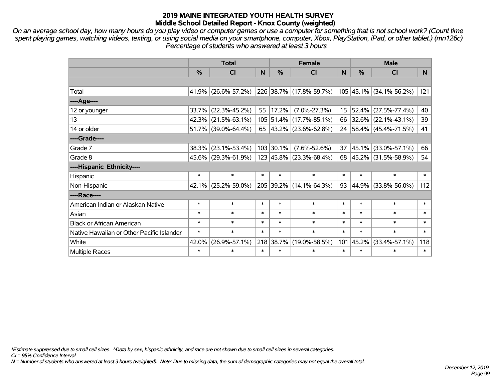*On an average school day, how many hours do you play video or computer games or use a computer for something that is not school work? (Count time spent playing games, watching videos, texting, or using social media on your smartphone, computer, Xbox, PlayStation, iPad, or other tablet.) (mn126c) Percentage of students who answered at least 3 hours*

|                                           | <b>Total</b>  |                        |        |           | <b>Female</b>                      | <b>Male</b> |        |                         |                |
|-------------------------------------------|---------------|------------------------|--------|-----------|------------------------------------|-------------|--------|-------------------------|----------------|
|                                           | $\frac{0}{0}$ | <b>CI</b>              | N      | $\%$      | <b>CI</b>                          | N           | %      | <b>CI</b>               | N <sub>1</sub> |
|                                           |               |                        |        |           |                                    |             |        |                         |                |
| Total                                     |               | 41.9% (26.6%-57.2%)    |        |           | 226 38.7% (17.8%-59.7%)            |             |        | 105 45.1% (34.1%-56.2%) | 121            |
| $---Age---$                               |               |                        |        |           |                                    |             |        |                         |                |
| 12 or younger                             |               | $33.7\%$ (22.3%-45.2%) | 55     | 17.2%     | $(7.0\% - 27.3\%)$                 | $15 \mid$   | 52.4%  | $(27.5\% - 77.4\%)$     | 40             |
| 13                                        |               | $42.3\%$ (21.5%-63.1%) |        |           | 105 51.4% (17.7%-85.1%)            | 66          |        | $32.6\%$ (22.1%-43.1%)  | 39             |
| 14 or older                               |               | $51.7\%$ (39.0%-64.4%) |        |           | 65 $ 43.2\% $ (23.6%-62.8%)        |             |        | 24 58.4% (45.4%-71.5%)  | 41             |
| ----Grade----                             |               |                        |        |           |                                    |             |        |                         |                |
| Grade 7                                   |               | 38.3% (23.1%-53.4%)    |        | 103 30.1% | $(7.6\% - 52.6\%)$                 | 37          | 45.1%  | $(33.0\% - 57.1\%)$     | 66             |
| Grade 8                                   |               | $45.6\%$ (29.3%-61.9%) |        |           | $123   45.8\%   (23.3\% - 68.4\%)$ |             |        | 68 45.2% (31.5%-58.9%)  | 54             |
| ----Hispanic Ethnicity----                |               |                        |        |           |                                    |             |        |                         |                |
| Hispanic                                  | $\ast$        | $\ast$                 | $\ast$ | $\ast$    | $\ast$                             | $\ast$      | $\ast$ | $\ast$                  | $\ast$         |
| Non-Hispanic                              |               | $42.1\%$ (25.2%-59.0%) |        |           | 205 39.2% (14.1%-64.3%)            | 93          | 44.9%  | $(33.8\% - 56.0\%)$     | 112            |
| ----Race----                              |               |                        |        |           |                                    |             |        |                         |                |
| American Indian or Alaskan Native         | $\ast$        | $\ast$                 | $\ast$ | $\ast$    | $\ast$                             | $\ast$      | $\ast$ | $\ast$                  | $\ast$         |
| Asian                                     | $\ast$        | $\ast$                 | $\ast$ | $\ast$    | $\ast$                             | $\ast$      | $\ast$ | $\ast$                  | $\ast$         |
| <b>Black or African American</b>          | $\ast$        | $\ast$                 | $\ast$ | $\ast$    | $\ast$                             | $\ast$      | $\ast$ | $\ast$                  | $\ast$         |
| Native Hawaiian or Other Pacific Islander | $\ast$        | $\ast$                 | $\ast$ | $\ast$    | $\ast$                             | $\ast$      | $\ast$ | $\ast$                  | $\ast$         |
| White                                     | 42.0%         | $(26.9\% - 57.1\%)$    |        | 218 38.7% | $(19.0\% - 58.5\%)$                | 101         | 45.2%  | $(33.4\% - 57.1\%)$     | 118            |
| Multiple Races                            | $\ast$        | $\ast$                 | $\ast$ | $\ast$    | $\ast$                             | $\ast$      | $\ast$ | $\ast$                  | $\ast$         |

*\*Estimate suppressed due to small cell sizes. ^Data by sex, hispanic ethnicity, and race are not shown due to small cell sizes in several categories.*

*CI = 95% Confidence Interval*

*N = Number of students who answered at least 3 hours (weighted). Note: Due to missing data, the sum of demographic categories may not equal the overall total.*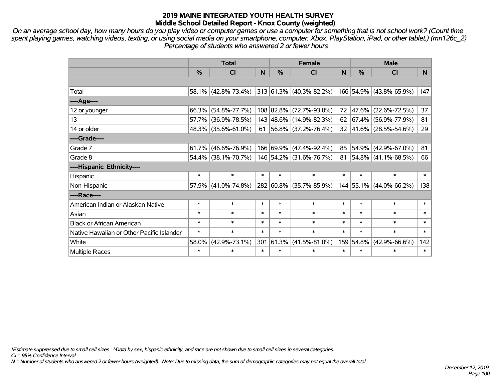*On an average school day, how many hours do you play video or computer games or use a computer for something that is not school work? (Count time spent playing games, watching videos, texting, or using social media on your smartphone, computer, Xbox, PlayStation, iPad, or other tablet.) (mn126c\_2) Percentage of students who answered 2 or fewer hours*

|                                           | <b>Total</b>  |                                                |              |               | <b>Female</b>            | <b>Male</b> |        |                                  |                |
|-------------------------------------------|---------------|------------------------------------------------|--------------|---------------|--------------------------|-------------|--------|----------------------------------|----------------|
|                                           | $\frac{0}{0}$ | <b>CI</b>                                      | $\mathsf{N}$ | $\frac{0}{0}$ | <b>CI</b>                | N           | %      | <b>CI</b>                        | N <sub>1</sub> |
|                                           |               |                                                |              |               |                          |             |        |                                  |                |
| Total                                     |               | $58.1\%$ (42.8%-73.4%) 313 61.3% (40.3%-82.2%) |              |               |                          |             |        | 166 54.9% (43.8%-65.9%)          | 147            |
| ----Age----                               |               |                                                |              |               |                          |             |        |                                  |                |
| 12 or younger                             |               | 66.3% (54.8%-77.7%)                            |              |               | 108 82.8% (72.7%-93.0%)  | 72          | 47.6%  | $(22.6\% - 72.5\%)$              | 37             |
| 13                                        |               | 57.7% (36.9%-78.5%)                            |              |               | 143 48.6% (14.9%-82.3%)  |             |        | 62 67.4% (56.9%-77.9%)           | 81             |
| 14 or older                               |               | 48.3% (35.6%-61.0%)                            | 61           |               | $ 56.8\% $ (37.2%-76.4%) |             |        | 32 41.6% (28.5%-54.6%)           | 29             |
| ----Grade----                             |               |                                                |              |               |                          |             |        |                                  |                |
| Grade 7                                   |               | $61.7\%$ (46.6%-76.9%)                         |              |               | 166 69.9% (47.4%-92.4%)  | 85          | 54.9%  | $(42.9\% - 67.0\%)$              | 81             |
| Grade 8                                   |               | 54.4% (38.1%-70.7%)                            |              |               | 146 54.2% (31.6%-76.7%)  |             |        | 81   54.8%   $(41.1\% - 68.5\%)$ | 66             |
| ----Hispanic Ethnicity----                |               |                                                |              |               |                          |             |        |                                  |                |
| Hispanic                                  | $\ast$        | $\ast$                                         | $\ast$       | $\ast$        | $\ast$                   | $\ast$      | $\ast$ | $\ast$                           | $\ast$         |
| Non-Hispanic                              |               | $57.9\%$ (41.0%-74.8%)                         |              |               | 282 60.8% (35.7%-85.9%)  |             |        | 144 55.1% (44.0%-66.2%)          | 138            |
| ----Race----                              |               |                                                |              |               |                          |             |        |                                  |                |
| American Indian or Alaskan Native         | $\ast$        | $\ast$                                         | $\ast$       | $\ast$        | $\ast$                   | $\ast$      | $\ast$ | $\ast$                           | $\ast$         |
| Asian                                     | $\ast$        | $\ast$                                         | $\ast$       | $\ast$        | $\ast$                   | $\ast$      | $\ast$ | $\ast$                           | $\ast$         |
| <b>Black or African American</b>          | $\ast$        | $\ast$                                         | $\ast$       | $\ast$        | $\ast$                   | $\ast$      | $\ast$ | $\ast$                           | $\ast$         |
| Native Hawaiian or Other Pacific Islander | $\ast$        | $\ast$                                         | $\ast$       | $\ast$        | $\ast$                   | $\ast$      | $\ast$ | $\ast$                           | $\ast$         |
| White                                     | 58.0%         | $(42.9\% - 73.1\%)$                            | 301          | 61.3%         | $(41.5\% - 81.0\%)$      | 159         | 54.8%  | $(42.9\% - 66.6\%)$              | 142            |
| Multiple Races                            | $\ast$        | $\ast$                                         | $\ast$       | $\ast$        | $\ast$                   | $\ast$      | $\ast$ | $\ast$                           | $\ast$         |

*\*Estimate suppressed due to small cell sizes. ^Data by sex, hispanic ethnicity, and race are not shown due to small cell sizes in several categories.*

*CI = 95% Confidence Interval*

*N = Number of students who answered 2 or fewer hours (weighted). Note: Due to missing data, the sum of demographic categories may not equal the overall total.*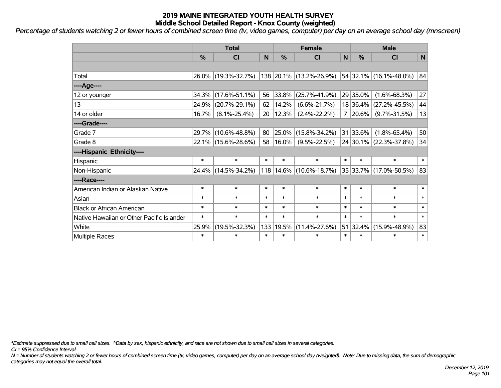*Percentage of students watching 2 or fewer hours of combined screen time (tv, video games, computer) per day on an average school day (mnscreen)*

|                                           | <b>Total</b>  |                     |        |        | <b>Female</b>           | <b>Male</b>  |            |                        |        |
|-------------------------------------------|---------------|---------------------|--------|--------|-------------------------|--------------|------------|------------------------|--------|
|                                           | $\frac{0}{0}$ | C <sub>l</sub>      | N      | %      | <b>CI</b>               | $\mathsf{N}$ | %          | <b>CI</b>              | N      |
|                                           |               |                     |        |        |                         |              |            |                        |        |
| Total                                     |               | 26.0% (19.3%-32.7%) |        |        | 138 20.1% (13.2%-26.9%) |              |            | 54 32.1% (16.1%-48.0%) | 84     |
| ----Age----                               |               |                     |        |        |                         |              |            |                        |        |
| 12 or younger                             | 34.3%         | $(17.6\% - 51.1\%)$ | 56     | 33.8%  | $(25.7\% - 41.9\%)$     |              | 29 35.0%   | $(1.6\% - 68.3\%)$     | 27     |
| 13                                        | 24.9%         | $(20.7\% - 29.1\%)$ | 62     | 14.2%  | $(6.6\% - 21.7\%)$      |              | 18 36.4%   | $(27.2\% - 45.5\%)$    | 44     |
| 14 or older                               | 16.7%         | $(8.1\% - 25.4\%)$  | 20     | 12.3%  | $(2.4\% - 22.2\%)$      | 7            | $ 20.6\% $ | $(9.7\% - 31.5\%)$     | 13     |
| ----Grade----                             |               |                     |        |        |                         |              |            |                        |        |
| Grade 7                                   | 29.7%         | $(10.6\% - 48.8\%)$ | 80     | 25.0%  | $(15.8\% - 34.2\%)$     |              | 31 33.6%   | $(1.8\% - 65.4\%)$     | 50     |
| Grade 8                                   |               | 22.1% (15.6%-28.6%) | 58     | 16.0%  | $(9.5\% - 22.5\%)$      |              |            | 24 30.1% (22.3%-37.8%) | 34     |
| ----Hispanic Ethnicity----                |               |                     |        |        |                         |              |            |                        |        |
| Hispanic                                  | $\ast$        | $\ast$              | $\ast$ | $\ast$ | $\ast$                  | $\ast$       | $\ast$     | $\ast$                 | $\ast$ |
| Non-Hispanic                              |               | 24.4% (14.5%-34.2%) |        |        | 118 14.6% (10.6%-18.7%) |              |            | 35 33.7% (17.0%-50.5%) | 83     |
| ----Race----                              |               |                     |        |        |                         |              |            |                        |        |
| American Indian or Alaskan Native         | $\ast$        | $\ast$              | $\ast$ | $\ast$ | $\ast$                  | $\ast$       | $\ast$     | $\ast$                 | $\ast$ |
| Asian                                     | $\ast$        | $\ast$              | $\ast$ | $\ast$ | $\ast$                  | $\ast$       | $\ast$     | $\ast$                 | $\ast$ |
| <b>Black or African American</b>          | $\ast$        | $\ast$              | $\ast$ | $\ast$ | $\ast$                  | $\ast$       | $\ast$     | $\ast$                 | $\ast$ |
| Native Hawaiian or Other Pacific Islander | $\ast$        | $\ast$              | $\ast$ | $\ast$ | $\ast$                  | $\ast$       | $\ast$     | $\ast$                 | $\ast$ |
| White                                     | 25.9%         | $(19.5\% - 32.3\%)$ | 133    | 19.5%  | $(11.4\% - 27.6\%)$     |              | 51 32.4%   | $(15.9\% - 48.9\%)$    | 83     |
| Multiple Races                            | $\ast$        | $\ast$              | $\ast$ | $\ast$ | $\ast$                  | $\ast$       | $\ast$     | $\ast$                 | $\ast$ |

*\*Estimate suppressed due to small cell sizes. ^Data by sex, hispanic ethnicity, and race are not shown due to small cell sizes in several categories.*

*CI = 95% Confidence Interval*

*N = Number of students watching 2 or fewer hours of combined screen time (tv, video games, computer) per day on an average school day (weighted). Note: Due to missing data, the sum of demographic categories may not equal the overall total.*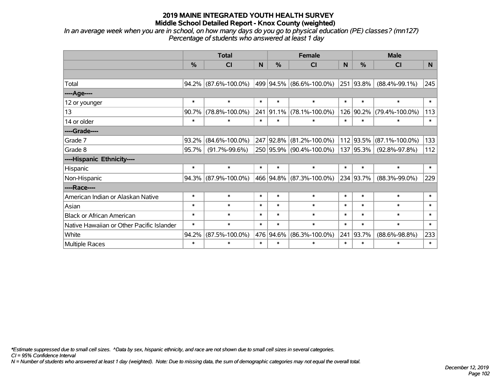*In an average week when you are in school, on how many days do you go to physical education (PE) classes? (mn127) Percentage of students who answered at least 1 day*

|                                           | <b>Total</b>  |                      |        |           | <b>Female</b>            | <b>Male</b> |               |                      |        |
|-------------------------------------------|---------------|----------------------|--------|-----------|--------------------------|-------------|---------------|----------------------|--------|
|                                           | $\frac{0}{0}$ | C <sub>l</sub>       | N      | %         | CI                       | N           | $\frac{0}{0}$ | <b>CI</b>            | N      |
|                                           |               |                      |        |           |                          |             |               |                      |        |
| Total                                     | 94.2%         | $(87.6\% - 100.0\%)$ |        |           | 499 94.5% (86.6%-100.0%) |             | 251 93.8%     | $(88.4\% - 99.1\%)$  | 245    |
| ----Age----                               |               |                      |        |           |                          |             |               |                      |        |
| 12 or younger                             | $\ast$        | $\ast$               | $\ast$ | $\ast$    | $\ast$                   | $\ast$      | $\ast$        | $\ast$               | $\ast$ |
| 13                                        | 90.7%         | $(78.8\% - 100.0\%)$ |        | 241 91.1% | $(78.1\% - 100.0\%)$     |             | 126 90.2%     | $(79.4\% - 100.0\%)$ | 113    |
| 14 or older                               | $\ast$        | $\ast$               | $\ast$ | $\ast$    | $\ast$                   | $\ast$      | $\ast$        | $\ast$               | $\ast$ |
| ----Grade----                             |               |                      |        |           |                          |             |               |                      |        |
| Grade 7                                   | 93.2%         | $(84.6\% - 100.0\%)$ |        | 247 92.8% | $(81.2\% - 100.0\%)$     |             | 112 93.5%     | $(87.1\% - 100.0\%)$ | 133    |
| Grade 8                                   | 95.7%         | $(91.7\% - 99.6\%)$  |        |           | 250 95.9% (90.4%-100.0%) |             | 137 95.3%     | $(92.8\% - 97.8\%)$  | 112    |
| ----Hispanic Ethnicity----                |               |                      |        |           |                          |             |               |                      |        |
| Hispanic                                  | $\ast$        | $\ast$               | $\ast$ | $\ast$    | $\ast$                   | $\ast$      | $\ast$        | $\ast$               | $\ast$ |
| Non-Hispanic                              | 94.3%         | $(87.9\% - 100.0\%)$ |        | 466 94.8% | $(87.3\% - 100.0\%)$     |             | 234 93.7%     | $(88.3\% - 99.0\%)$  | 229    |
| ----Race----                              |               |                      |        |           |                          |             |               |                      |        |
| American Indian or Alaskan Native         | $\ast$        | $\ast$               | $\ast$ | $\ast$    | $\ast$                   | $\ast$      | $\ast$        | $\ast$               | $\ast$ |
| Asian                                     | $\ast$        | $\ast$               | $\ast$ | $\ast$    | $\ast$                   | $\ast$      | $\ast$        | $\ast$               | $\ast$ |
| <b>Black or African American</b>          | $\ast$        | $\ast$               | $\ast$ | $\ast$    | $\ast$                   | $\ast$      | $\ast$        | $\ast$               | $\ast$ |
| Native Hawaiian or Other Pacific Islander | $\ast$        | $\ast$               | $\ast$ | $\ast$    | $\ast$                   | $\ast$      | $\ast$        | $\ast$               | $\ast$ |
| White                                     | 94.2%         | $(87.5\% - 100.0\%)$ |        | 476 94.6% | $(86.3\% - 100.0\%)$     | 241         | 93.7%         | $(88.6\% - 98.8\%)$  | 233    |
| Multiple Races                            | $\ast$        | $\ast$               | $\ast$ | $\ast$    | $\ast$                   | $\ast$      | $\ast$        | $\ast$               | $\ast$ |

*\*Estimate suppressed due to small cell sizes. ^Data by sex, hispanic ethnicity, and race are not shown due to small cell sizes in several categories.*

*CI = 95% Confidence Interval*

*N = Number of students who answered at least 1 day (weighted). Note: Due to missing data, the sum of demographic categories may not equal the overall total.*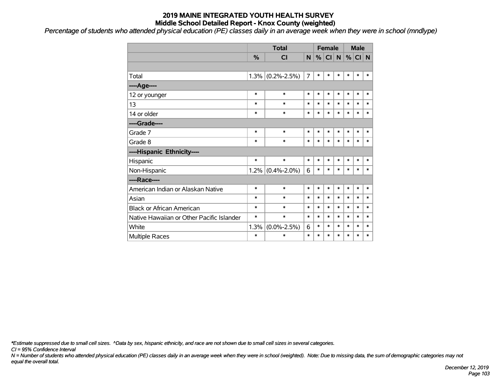*Percentage of students who attended physical education (PE) classes daily in an average week when they were in school (mndlype)*

|                                           |         | <b>Total</b>      |        | <b>Female</b> |           |           | <b>Male</b> |        |        |
|-------------------------------------------|---------|-------------------|--------|---------------|-----------|-----------|-------------|--------|--------|
|                                           | %       | CI                | N      | %             | <b>CI</b> | ${\sf N}$ |             | % CI N |        |
|                                           |         |                   |        |               |           |           |             |        |        |
| Total                                     | 1.3%    | $(0.2\% - 2.5\%)$ | 7      | $\ast$        | $\ast$    | $\ast$    | $\ast$      | $\ast$ | *      |
| ---- Age----                              |         |                   |        |               |           |           |             |        |        |
| 12 or younger                             | $\ast$  | $\ast$            | $\ast$ | $\ast$        | $\ast$    | $\ast$    | $\ast$      | $\ast$ | $\ast$ |
| 13                                        | *       | $\ast$            | $\ast$ | $\ast$        | $\ast$    | $\ast$    | $\ast$      | $\ast$ | $\ast$ |
| 14 or older                               | $\ast$  | $\ast$            | $\ast$ | $\ast$        | $\ast$    | $\ast$    | $\ast$      | $\ast$ | $\ast$ |
| ----Grade----                             |         |                   |        |               |           |           |             |        |        |
| Grade 7                                   | $\ast$  | $\ast$            | $\ast$ | $\ast$        | $\ast$    | $\ast$    | $\ast$      | $\ast$ | $\ast$ |
| Grade 8                                   | $\ast$  | $\ast$            | $\ast$ | $\ast$        | $\ast$    | $\ast$    | $\ast$      | $\ast$ | *      |
| ----Hispanic Ethnicity----                |         |                   |        |               |           |           |             |        |        |
| Hispanic                                  | $\ast$  | $\ast$            | $\ast$ | $\ast$        | $\ast$    | $\ast$    | $\ast$      | $\ast$ | *      |
| Non-Hispanic                              | $1.2\%$ | $(0.4\% - 2.0\%)$ | 6      | $\ast$        | $\ast$    | $\ast$    | $\ast$      | $\ast$ | $\ast$ |
| ----Race----                              |         |                   |        |               |           |           |             |        |        |
| American Indian or Alaskan Native         | $\ast$  | $\ast$            | $\ast$ | $\ast$        | $\ast$    | $\ast$    | *           | $\ast$ | $\ast$ |
| Asian                                     | $\ast$  | $\ast$            | $\ast$ | $\ast$        | $\ast$    | *         | $\ast$      | $\ast$ | $\ast$ |
| <b>Black or African American</b>          | $\ast$  | $\ast$            | $\ast$ | $\ast$        | $\ast$    | $\ast$    | $\ast$      | $\ast$ | *      |
| Native Hawaiian or Other Pacific Islander | $\ast$  | $\ast$            | $\ast$ | $\ast$        | $\ast$    | $\ast$    | $\ast$      | $\ast$ | $\ast$ |
| White                                     | 1.3%    | $(0.0\% - 2.5\%)$ | 6      | $\ast$        | $\ast$    | *         | $\ast$      | $\ast$ | *      |
| <b>Multiple Races</b>                     | $\ast$  | $\ast$            | $\ast$ | $\ast$        | $\ast$    | $\ast$    | $\ast$      | $\ast$ | $\ast$ |

*\*Estimate suppressed due to small cell sizes. ^Data by sex, hispanic ethnicity, and race are not shown due to small cell sizes in several categories.*

*CI = 95% Confidence Interval*

*N = Number of students who attended physical education (PE) classes daily in an average week when they were in school (weighted). Note: Due to missing data, the sum of demographic categories may not equal the overall total.*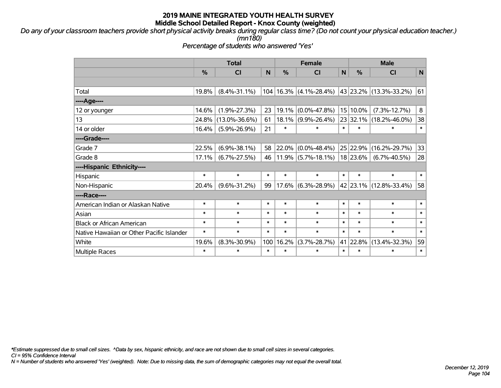*Do any of your classroom teachers provide short physical activity breaks during regular class time? (Do not count your physical education teacher.) (mn180)*

*Percentage of students who answered 'Yes'*

|                                           | <b>Total</b> |                     |        |        | <b>Female</b>              |        | <b>Male</b>   |                            |              |  |
|-------------------------------------------|--------------|---------------------|--------|--------|----------------------------|--------|---------------|----------------------------|--------------|--|
|                                           | $\%$         | <b>CI</b>           | N      | $\%$   | <b>CI</b>                  | N      | $\frac{0}{0}$ | <b>CI</b>                  | $\mathsf{N}$ |  |
|                                           |              |                     |        |        |                            |        |               |                            |              |  |
| Total                                     | 19.8%        | $(8.4\% - 31.1\%)$  |        |        | $104 16.3\% $ (4.1%-28.4%) |        |               | 43   23.2%   (13.3%-33.2%) | 61           |  |
| ----Age----                               |              |                     |        |        |                            |        |               |                            |              |  |
| 12 or younger                             | 14.6%        | $(1.9\% - 27.3\%)$  | 23     | 19.1%  | $(0.0\% - 47.8\%)$         |        | 15 10.0%      | $(7.3\% - 12.7\%)$         | 8            |  |
| 13                                        | 24.8%        | $(13.0\% - 36.6\%)$ | 61     | 18.1%  | $(9.9\% - 26.4\%)$         |        | 23 32.1%      | $(18.2\% - 46.0\%)$        | 38           |  |
| 14 or older                               | 16.4%        | $(5.9\% - 26.9\%)$  | 21     | $\ast$ | $\ast$                     | $\ast$ | $\ast$        | $\ast$                     | $\ast$       |  |
| ----Grade----                             |              |                     |        |        |                            |        |               |                            |              |  |
| Grade 7                                   | 22.5%        | $(6.9\% - 38.1\%)$  | 58     | 22.0%  | $(0.0\% - 48.4\%)$         |        | 25 22.9%      | $(16.2\% - 29.7\%)$        | 33           |  |
| Grade 8                                   | 17.1%        | $(6.7\% - 27.5\%)$  | 46     |        | $11.9\%$ (5.7%-18.1%)      |        | 18 23.6%      | $(6.7\% - 40.5\%)$         | 28           |  |
| ----Hispanic Ethnicity----                |              |                     |        |        |                            |        |               |                            |              |  |
| Hispanic                                  | $\ast$       | $\ast$              | $\ast$ | $\ast$ | $\ast$                     | $\ast$ | $\ast$        | $\ast$                     | $\ast$       |  |
| Non-Hispanic                              | 20.4%        | $(9.6\% - 31.2\%)$  | 99     | 17.6%  | $(6.3\% - 28.9\%)$         |        |               | 42 23.1% (12.8%-33.4%)     | 58           |  |
| ----Race----                              |              |                     |        |        |                            |        |               |                            |              |  |
| American Indian or Alaskan Native         | $\ast$       | $\ast$              | $\ast$ | $\ast$ | $\ast$                     | $\ast$ | $\ast$        | $\ast$                     | $\ast$       |  |
| Asian                                     | $\ast$       | $\ast$              | $\ast$ | $\ast$ | $\ast$                     | $\ast$ | $\ast$        | $\ast$                     | $\ast$       |  |
| <b>Black or African American</b>          | $\ast$       | $\ast$              | $\ast$ | $\ast$ | $\ast$                     | $\ast$ | $\ast$        | $\ast$                     | $\ast$       |  |
| Native Hawaiian or Other Pacific Islander | $\ast$       | $\ast$              | $\ast$ | $\ast$ | $\ast$                     | $\ast$ | $\ast$        | $\ast$                     | $\ast$       |  |
| White                                     | 19.6%        | $(8.3\% - 30.9\%)$  | 100    | 16.2%  | $(3.7\% - 28.7\%)$         | 41     | 22.8%         | $(13.4\% - 32.3\%)$        | 59           |  |
| <b>Multiple Races</b>                     | $\ast$       | $\ast$              | $\ast$ | $\ast$ | $\ast$                     | $\ast$ | $\ast$        | $\ast$                     | $\ast$       |  |

*\*Estimate suppressed due to small cell sizes. ^Data by sex, hispanic ethnicity, and race are not shown due to small cell sizes in several categories.*

*CI = 95% Confidence Interval*

*N = Number of students who answered 'Yes' (weighted). Note: Due to missing data, the sum of demographic categories may not equal the overall total.*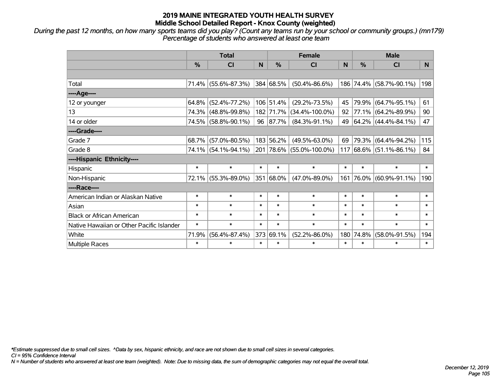*During the past 12 months, on how many sports teams did you play? (Count any teams run by your school or community groups.) (mn179) Percentage of students who answered at least one team*

|                                           | <b>Total</b>  |                     |        |               | <b>Female</b>            | <b>Male</b> |            |                                 |        |
|-------------------------------------------|---------------|---------------------|--------|---------------|--------------------------|-------------|------------|---------------------------------|--------|
|                                           | $\frac{0}{0}$ | <b>CI</b>           | N      | $\frac{0}{0}$ | <b>CI</b>                | N           | %          | <b>CI</b>                       | N.     |
|                                           |               |                     |        |               |                          |             |            |                                 |        |
| Total                                     |               | 71.4% (55.6%-87.3%) |        | 384 68.5%     | $(50.4\% - 86.6\%)$      |             |            | 186 74.4% (58.7%-90.1%)         | 198    |
| ----Age----                               |               |                     |        |               |                          |             |            |                                 |        |
| 12 or younger                             | $64.8\%$      | $(52.4\% - 77.2\%)$ |        | 106 51.4%     | $(29.2\% - 73.5\%)$      | 45          | 79.9%      | $(64.7\% - 95.1\%)$             | 61     |
| 13                                        |               | 74.3% (48.8%-99.8%) |        | 182 71.7%     | $(34.4\% - 100.0\%)$     | 92          |            | 77.1% (64.2%-89.9%)             | 90     |
| 14 or older                               |               | 74.5% (58.8%-90.1%) |        | 96 87.7%      | $(84.3\% - 91.1\%)$      | 49          |            | 64.2%   (44.4%-84.1%)           | 47     |
| ----Grade----                             |               |                     |        |               |                          |             |            |                                 |        |
| Grade 7                                   | 68.7%         | $(57.0\% - 80.5\%)$ |        | 183 56.2%     | $(49.5\% - 63.0\%)$      | 69          | 79.3%      | $(64.4\% - 94.2\%)$             | 115    |
| Grade 8                                   |               | 74.1% (54.1%-94.1%) |        |               | 201 78.6% (55.0%-100.0%) |             |            | $117 68.6\%  (51.1\% - 86.1\%)$ | 84     |
| ----Hispanic Ethnicity----                |               |                     |        |               |                          |             |            |                                 |        |
| Hispanic                                  | $\ast$        | $\ast$              | $\ast$ | $\ast$        | $\ast$                   | $\ast$      | $\ast$     | $\ast$                          | $\ast$ |
| Non-Hispanic                              |               | 72.1% (55.3%-89.0%) |        | 351 68.0%     | $(47.0\% - 89.0\%)$      | 161         | $ 76.0\% $ | $(60.9\% - 91.1\%)$             | 190    |
| ----Race----                              |               |                     |        |               |                          |             |            |                                 |        |
| American Indian or Alaskan Native         | $\ast$        | $\ast$              | $\ast$ | $\ast$        | $\ast$                   | $\ast$      | $\ast$     | $\ast$                          | $\ast$ |
| Asian                                     | $\ast$        | $\ast$              | $\ast$ | $\ast$        | $\ast$                   | $\ast$      | $\ast$     | $\ast$                          | $\ast$ |
| <b>Black or African American</b>          | $\ast$        | $\ast$              | $\ast$ | $\ast$        | $\ast$                   | $\ast$      | $\ast$     | $\ast$                          | $\ast$ |
| Native Hawaiian or Other Pacific Islander | $\ast$        | $\ast$              | $\ast$ | $\ast$        | $\ast$                   | $\ast$      | $\ast$     | $\ast$                          | $\ast$ |
| White                                     | 71.9%         | $(56.4\% - 87.4\%)$ |        | 373 69.1%     | $(52.2\% - 86.0\%)$      | 180         | 74.8%      | $(58.0\% - 91.5\%)$             | 194    |
| Multiple Races                            | $\ast$        | $\ast$              | $\ast$ | $\ast$        | $\ast$                   | $\ast$      | $\ast$     | $\ast$                          | $\ast$ |

*\*Estimate suppressed due to small cell sizes. ^Data by sex, hispanic ethnicity, and race are not shown due to small cell sizes in several categories.*

*CI = 95% Confidence Interval*

*N = Number of students who answered at least one team (weighted). Note: Due to missing data, the sum of demographic categories may not equal the overall total.*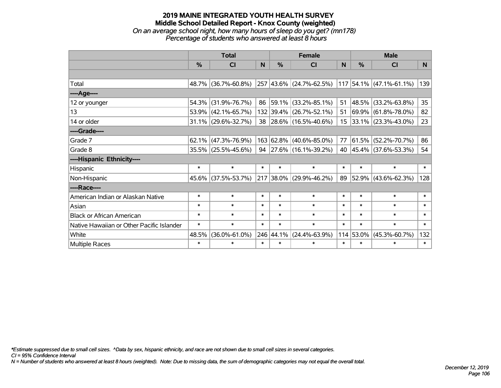## **2019 MAINE INTEGRATED YOUTH HEALTH SURVEY Middle School Detailed Report - Knox County (weighted)** *On an average school night, how many hours of sleep do you get? (mn178) Percentage of students who answered at least 8 hours*

|                                           | <b>Total</b> |                        |        |               | <b>Female</b>           | <b>Male</b> |           |                          |        |
|-------------------------------------------|--------------|------------------------|--------|---------------|-------------------------|-------------|-----------|--------------------------|--------|
|                                           | %            | CI                     | N      | $\frac{0}{0}$ | CI                      | N           | %         | <b>CI</b>                | N      |
|                                           |              |                        |        |               |                         |             |           |                          |        |
| Total                                     |              | 48.7% (36.7%-60.8%)    |        |               | 257 43.6% (24.7%-62.5%) |             |           | 117 54.1% (47.1%-61.1%)  | 139    |
| ----Age----                               |              |                        |        |               |                         |             |           |                          |        |
| 12 or younger                             | 54.3%        | $(31.9\% - 76.7\%)$    | 86     | $ 59.1\% $    | $(33.2\% - 85.1\%)$     | 51          |           | 48.5% (33.2%-63.8%)      | 35     |
| 13                                        |              | 53.9% (42.1%-65.7%)    |        |               | 132 39.4% (26.7%-52.1%) | 51          |           | 69.9% (61.8%-78.0%)      | 82     |
| 14 or older                               |              | $31.1\%$ (29.6%-32.7%) |        |               | 38 28.6% (16.5%-40.6%)  | 15          |           | $ 33.1\% $ (23.3%-43.0%) | 23     |
| ----Grade----                             |              |                        |        |               |                         |             |           |                          |        |
| Grade 7                                   | 62.1%        | $(47.3\% - 76.9\%)$    |        |               | 163 62.8% (40.6%-85.0%) | 77          |           | $61.5\%$ (52.2%-70.7%)   | 86     |
| Grade 8                                   |              | $35.5\%$ (25.5%-45.6%) |        |               | 94 27.6% (16.1%-39.2%)  | 40          |           | 45.4% (37.6%-53.3%)      | 54     |
| ----Hispanic Ethnicity----                |              |                        |        |               |                         |             |           |                          |        |
| Hispanic                                  | $\ast$       | $\ast$                 | $\ast$ | $\ast$        | $\ast$                  | $\ast$      | $\ast$    | $\ast$                   | $\ast$ |
| Non-Hispanic                              |              | 45.6% (37.5%-53.7%)    |        |               | 217 38.0% (29.9%-46.2%) | 89          |           | 52.9% (43.6%-62.3%)      | 128    |
| ----Race----                              |              |                        |        |               |                         |             |           |                          |        |
| American Indian or Alaskan Native         | $\ast$       | $\ast$                 | $\ast$ | $\ast$        | $\ast$                  | $\ast$      | $\ast$    | $\ast$                   | $\ast$ |
| Asian                                     | $\ast$       | $\ast$                 | $\ast$ | $\ast$        | $\ast$                  | $\ast$      | $\ast$    | $\ast$                   | $\ast$ |
| <b>Black or African American</b>          | $\ast$       | $\ast$                 | $\ast$ | $\ast$        | $\ast$                  | $\ast$      | $\ast$    | $\ast$                   | $\ast$ |
| Native Hawaiian or Other Pacific Islander | $\ast$       | $\ast$                 | $\ast$ | $\ast$        | $\ast$                  | $\ast$      | $\ast$    | $\ast$                   | $\ast$ |
| White                                     | 48.5%        | $(36.0\% - 61.0\%)$    |        | 246 44.1%     | $(24.4\% - 63.9\%)$     |             | 114 53.0% | $(45.3\% - 60.7\%)$      | 132    |
| Multiple Races                            | $\ast$       | $\ast$                 | $\ast$ | $\ast$        | $\ast$                  | $\ast$      | $\ast$    | $\ast$                   | $\ast$ |

*\*Estimate suppressed due to small cell sizes. ^Data by sex, hispanic ethnicity, and race are not shown due to small cell sizes in several categories.*

*CI = 95% Confidence Interval*

*N = Number of students who answered at least 8 hours (weighted). Note: Due to missing data, the sum of demographic categories may not equal the overall total.*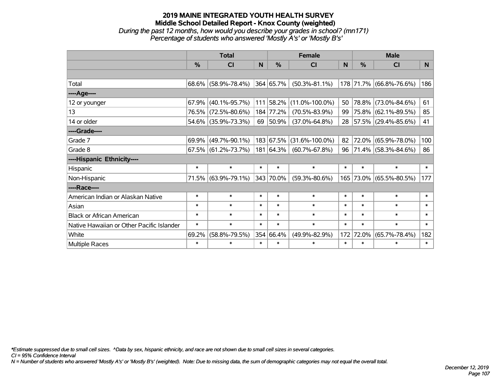## **2019 MAINE INTEGRATED YOUTH HEALTH SURVEY Middle School Detailed Report - Knox County (weighted)** *During the past 12 months, how would you describe your grades in school? (mn171) Percentage of students who answered 'Mostly A's' or 'Mostly B's'*

|                                           | <b>Total</b> |                        |              |           | <b>Female</b>        | <b>Male</b> |               |                          |        |
|-------------------------------------------|--------------|------------------------|--------------|-----------|----------------------|-------------|---------------|--------------------------|--------|
|                                           | %            | <b>CI</b>              | <sub>N</sub> | %         | <b>CI</b>            | N           | $\frac{0}{0}$ | <b>CI</b>                | N.     |
|                                           |              |                        |              |           |                      |             |               |                          |        |
| Total                                     |              | $68.6\%$ (58.9%-78.4%) |              | 364 65.7% | $(50.3\% - 81.1\%)$  |             |               | 178 71.7% (66.8%-76.6%)  | 186    |
| ----Age----                               |              |                        |              |           |                      |             |               |                          |        |
| 12 or younger                             | 67.9%        | $(40.1\% - 95.7\%)$    |              | 111 58.2% | $(11.0\% - 100.0\%)$ | 50          |               | 78.8% (73.0%-84.6%)      | 61     |
| 13                                        | 76.5%        | $(72.5\% - 80.6\%)$    |              | 184 77.2% | $(70.5\% - 83.9\%)$  | 99          |               | 75.8% (62.1%-89.5%)      | 85     |
| 14 or older                               |              | 54.6% (35.9%-73.3%)    |              | 69 50.9%  | $(37.0\% - 64.8\%)$  | 28          |               | $ 57.5\% $ (29.4%-85.6%) | 41     |
| ----Grade----                             |              |                        |              |           |                      |             |               |                          |        |
| Grade 7                                   | 69.9%        | $(49.7\% - 90.1\%)$    |              | 183 67.5% | $(31.6\% - 100.0\%)$ | 82          |               | 72.0% (65.9%-78.0%)      | 100    |
| Grade 8                                   |              | $67.5\%$ (61.2%-73.7%) |              | 181 64.3% | $(60.7\% - 67.8\%)$  |             |               | 96 71.4% (58.3%-84.6%)   | 86     |
| ----Hispanic Ethnicity----                |              |                        |              |           |                      |             |               |                          |        |
| Hispanic                                  | $\ast$       | $\ast$                 | $\ast$       | $\ast$    | $\ast$               | $\ast$      | $\ast$        | $\ast$                   | $\ast$ |
| Non-Hispanic                              |              | 71.5% (63.9%-79.1%)    |              | 343 70.0% | $(59.3\% - 80.6\%)$  |             |               | 165 73.0% (65.5%-80.5%)  | 177    |
| ----Race----                              |              |                        |              |           |                      |             |               |                          |        |
| American Indian or Alaskan Native         | $\ast$       | $\ast$                 | $\ast$       | $\ast$    | $\ast$               | $\ast$      | $\ast$        | $\ast$                   | $\ast$ |
| Asian                                     | $\ast$       | $\ast$                 | $\ast$       | $\ast$    | $\ast$               | $\ast$      | $\ast$        | $\ast$                   | $\ast$ |
| <b>Black or African American</b>          | $\ast$       | $\ast$                 | $\ast$       | $\ast$    | $\ast$               | $\ast$      | $\ast$        | $\ast$                   | $\ast$ |
| Native Hawaiian or Other Pacific Islander | $\ast$       | $\ast$                 | $\ast$       | $\ast$    | $\ast$               | $\ast$      | $\ast$        | $\ast$                   | $\ast$ |
| White                                     | 69.2%        | $(58.8\% - 79.5\%)$    |              | 354 66.4% | $(49.9\% - 82.9\%)$  | 172         | 72.0%         | $(65.7\% - 78.4\%)$      | 182    |
| Multiple Races                            | $\ast$       | $\ast$                 | $\ast$       | $\ast$    | $\ast$               | $\ast$      | $\ast$        | $\ast$                   | $\ast$ |

*\*Estimate suppressed due to small cell sizes. ^Data by sex, hispanic ethnicity, and race are not shown due to small cell sizes in several categories.*

*CI = 95% Confidence Interval*

*N = Number of students who answered 'Mostly A's' or 'Mostly B's' (weighted). Note: Due to missing data, the sum of demographic categories may not equal the overall total.*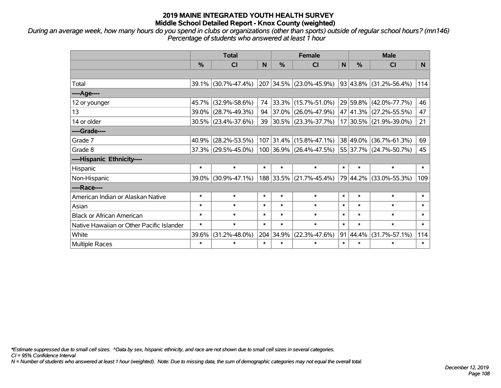*During an average week, how many hours do you spend in clubs or organizations (other than sports) outside of regular school hours? (mn146) Percentage of students who answered at least 1 hour*

|                                           | <b>Total</b> |                     |        |           | <b>Female</b>           |              | <b>Male</b> |                             |        |  |
|-------------------------------------------|--------------|---------------------|--------|-----------|-------------------------|--------------|-------------|-----------------------------|--------|--|
|                                           | %            | <b>CI</b>           | N      | %         | <b>CI</b>               | $\mathsf{N}$ | %           | <b>CI</b>                   | N.     |  |
|                                           |              |                     |        |           |                         |              |             |                             |        |  |
| Total                                     |              | 39.1% (30.7%-47.4%) | 207    |           | $34.5\%$ (23.0%-45.9%)  |              |             | $ 93 43.8\% $ (31.2%-56.4%) | 114    |  |
| ----Age----                               |              |                     |        |           |                         |              |             |                             |        |  |
| 12 or younger                             | 45.7%        | $(32.9\% - 58.6\%)$ | 74     | $33.3\%$  | $(15.7\% - 51.0\%)$     |              | 29 59.8%    | $(42.0\% - 77.7\%)$         | 46     |  |
| 13                                        | 39.0%        | $(28.7\% - 49.3\%)$ | 94     |           | 37.0% (26.0%-47.9%)     |              |             | 47 41.3% (27.2%-55.5%)      | 47     |  |
| 14 or older                               |              | 30.5% (23.4%-37.6%) | 39     |           | 30.5% (23.3%-37.7%)     |              |             | 17 30.5% (21.9%-39.0%)      | 21     |  |
| ----Grade----                             |              |                     |        |           |                         |              |             |                             |        |  |
| Grade 7                                   | 40.9%        | $(28.2\% - 53.5\%)$ |        |           | 107 31.4% (15.8%-47.1%) |              | 38 49.0%    | $(36.7\% - 61.3\%)$         | 69     |  |
| Grade 8                                   |              | 37.3% (29.5%-45.0%) |        |           | 100 36.9% (26.4%-47.5%) |              |             | 55 37.7% (24.7%-50.7%)      | 45     |  |
| ----Hispanic Ethnicity----                |              |                     |        |           |                         |              |             |                             |        |  |
| Hispanic                                  | $\ast$       | $\ast$              | $\ast$ | $\ast$    | $\ast$                  | $\ast$       | $\ast$      | $\ast$                      | $\ast$ |  |
| Non-Hispanic                              | 39.0%        | $(30.9\% - 47.1\%)$ |        | 188 33.5% | $(21.7\% - 45.4\%)$     |              | 79 44.2%    | $(33.0\% - 55.3\%)$         | 109    |  |
| ----Race----                              |              |                     |        |           |                         |              |             |                             |        |  |
| American Indian or Alaskan Native         | $\ast$       | $\ast$              | $\ast$ | $\ast$    | $\ast$                  | $\ast$       | $\ast$      | $\ast$                      | $\ast$ |  |
| Asian                                     | $\ast$       | $\ast$              | $\ast$ | $\ast$    | $\ast$                  | $\ast$       | $\ast$      | $\ast$                      | $\ast$ |  |
| <b>Black or African American</b>          | $\ast$       | $\ast$              | $\ast$ | $\ast$    | $\ast$                  | $\ast$       | $\ast$      | $\ast$                      | $\ast$ |  |
| Native Hawaiian or Other Pacific Islander | $\ast$       | $\ast$              | $\ast$ | $\ast$    | $\ast$                  | $\ast$       | $\ast$      | $\ast$                      | $\ast$ |  |
| White                                     | 39.6%        | $(31.2\% - 48.0\%)$ |        | 204 34.9% | $(22.3\% - 47.6\%)$     | 91           | 44.4%       | $(31.7\% - 57.1\%)$         | 114    |  |
| <b>Multiple Races</b>                     | $\ast$       | $\ast$              | $\ast$ | $\ast$    | $\ast$                  | $\ast$       | $\ast$      | $\ast$                      | $\ast$ |  |

*\*Estimate suppressed due to small cell sizes. ^Data by sex, hispanic ethnicity, and race are not shown due to small cell sizes in several categories.*

*CI = 95% Confidence Interval*

*N = Number of students who answered at least 1 hour (weighted). Note: Due to missing data, the sum of demographic categories may not equal the overall total.*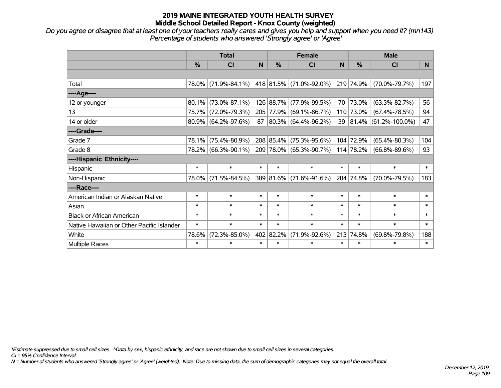*Do you agree or disagree that at least one of your teachers really cares and gives you help and support when you need it? (mn143) Percentage of students who answered 'Strongly agree' or 'Agree'*

|                                           | <b>Total</b> |                        |        | <b>Female</b> |                                   |        | <b>Male</b>   |                         |        |  |
|-------------------------------------------|--------------|------------------------|--------|---------------|-----------------------------------|--------|---------------|-------------------------|--------|--|
|                                           | %            | <b>CI</b>              | N      | %             | CI                                | N      | $\frac{0}{0}$ | <b>CI</b>               | N.     |  |
|                                           |              |                        |        |               |                                   |        |               |                         |        |  |
| Total                                     |              | 78.0% (71.9%-84.1%)    |        |               | 418   81.5%   (71.0%-92.0%)       |        | 219 74.9%     | $(70.0\% - 79.7\%)$     | 197    |  |
| ----Age----                               |              |                        |        |               |                                   |        |               |                         |        |  |
| 12 or younger                             | 80.1%        | $(73.0\% - 87.1\%)$    |        | 126 88.7%     | $(77.9\% - 99.5\%)$               | 70     | 73.0%         | $(63.3\% - 82.7\%)$     | 56     |  |
| 13                                        |              | 75.7% (72.0%-79.3%)    |        | 205 77.9%     | $(69.1\% - 86.7\%)$               |        | 110 73.0%     | $(67.4\% - 78.5\%)$     | 94     |  |
| 14 or older                               |              | $80.9\%$ (64.2%-97.6%) |        |               | $87   80.3\%   (64.4\% - 96.2\%)$ |        |               | 39 81.4% (61.2%-100.0%) | 47     |  |
| ----Grade----                             |              |                        |        |               |                                   |        |               |                         |        |  |
| Grade 7                                   | 78.1%        | $(75.4\% - 80.9\%)$    |        | 208 85.4%     | $(75.3\% - 95.6\%)$               |        | 104 72.9%     | $(65.4\% - 80.3\%)$     | 104    |  |
| Grade 8                                   |              | 78.2% (66.3%-90.1%)    |        |               | 209 78.0% (65.3%-90.7%)           |        | 114 78.2%     | $(66.8\% - 89.6\%)$     | 93     |  |
| ----Hispanic Ethnicity----                |              |                        |        |               |                                   |        |               |                         |        |  |
| Hispanic                                  | $\ast$       | $\ast$                 | $\ast$ | $\ast$        | $\ast$                            | $\ast$ | $\ast$        | $\ast$                  | $\ast$ |  |
| Non-Hispanic                              |              | 78.0% (71.5%-84.5%)    |        | 389 81.6%     | $(71.6\% - 91.6\%)$               |        | 204 74.8%     | $(70.0\% - 79.5\%)$     | 183    |  |
| ----Race----                              |              |                        |        |               |                                   |        |               |                         |        |  |
| American Indian or Alaskan Native         | $\ast$       | $\ast$                 | $\ast$ | $\ast$        | $\ast$                            | $\ast$ | $\ast$        | $\ast$                  | $\ast$ |  |
| Asian                                     | $\ast$       | $\ast$                 | $\ast$ | $\ast$        | $\ast$                            | $\ast$ | $\ast$        | $\ast$                  | $\ast$ |  |
| <b>Black or African American</b>          | $\ast$       | $\ast$                 | $\ast$ | $\ast$        | $\ast$                            | $\ast$ | $\ast$        | $\ast$                  | $\ast$ |  |
| Native Hawaiian or Other Pacific Islander | $\ast$       | $\ast$                 | $\ast$ | $\ast$        | $\ast$                            | $\ast$ | $\ast$        | $\ast$                  | $\ast$ |  |
| White                                     | 78.6%        | $(72.3\% - 85.0\%)$    |        | 402 82.2%     | $(71.9\% - 92.6\%)$               | 213    | 74.8%         | $(69.8\% - 79.8\%)$     | 188    |  |
| Multiple Races                            | $\ast$       | $\ast$                 | $\ast$ | $\ast$        | $\ast$                            | $\ast$ | $\ast$        | $\ast$                  | $\ast$ |  |

*\*Estimate suppressed due to small cell sizes. ^Data by sex, hispanic ethnicity, and race are not shown due to small cell sizes in several categories.*

*CI = 95% Confidence Interval*

*N = Number of students who answered 'Strongly agree' or 'Agree' (weighted). Note: Due to missing data, the sum of demographic categories may not equal the overall total.*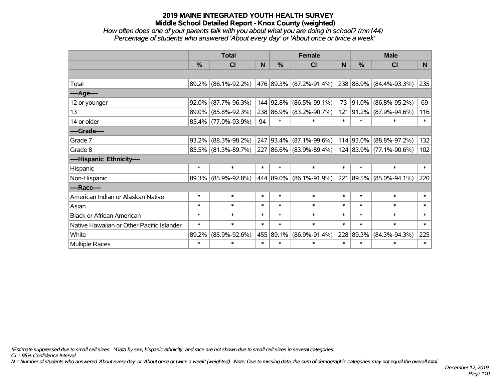#### *How often does one of your parents talk with you about what you are doing in school? (mn144) Percentage of students who answered 'About every day' or 'About once or twice a week'*

|                                           | <b>Total</b>  |                     |        |               | <b>Female</b>               |        | <b>Male</b> |                         |                |
|-------------------------------------------|---------------|---------------------|--------|---------------|-----------------------------|--------|-------------|-------------------------|----------------|
|                                           | $\frac{0}{0}$ | <b>CI</b>           | N      | $\frac{0}{0}$ | CI                          | N      | %           | <b>CI</b>               | N <sub>1</sub> |
|                                           |               |                     |        |               |                             |        |             |                         |                |
| Total                                     |               | 89.2% (86.1%-92.2%) |        |               | 476   89.3%   (87.2%-91.4%) |        |             | 238 88.9% (84.4%-93.3%) | 235            |
| ----Age----                               |               |                     |        |               |                             |        |             |                         |                |
| 12 or younger                             | 92.0%         | $(87.7\% - 96.3\%)$ |        | 144 92.8%     | $(86.5\% - 99.1\%)$         | 73     | 91.0%       | $(86.8\% - 95.2\%)$     | 69             |
| 13                                        |               | 89.0% (85.8%-92.3%) |        |               | 238 86.9% (83.2%-90.7%)     |        | 121 91.2%   | $(87.9\% - 94.6\%)$     | 116            |
| 14 or older                               |               | 85.4% (77.0%-93.9%) | 94     | $\ast$        | $\ast$                      | $\ast$ | $\ast$      | $\ast$                  | $\ast$         |
| ----Grade----                             |               |                     |        |               |                             |        |             |                         |                |
| Grade 7                                   | 93.2%         | $(88.3\% - 98.2\%)$ |        |               | 247 93.4% (87.1%-99.6%)     |        | 114 93.0%   | $(88.8\% - 97.2\%)$     | 132            |
| Grade 8                                   |               | 85.5% (81.3%-89.7%) |        |               | 227 86.6% (83.9%-89.4%)     |        |             | 124 83.9% (77.1%-90.6%) | 102            |
| ----Hispanic Ethnicity----                |               |                     |        |               |                             |        |             |                         |                |
| Hispanic                                  | $\ast$        | $\ast$              | $\ast$ | $\ast$        | $\ast$                      | $\ast$ | $\ast$      | $\ast$                  | $\ast$         |
| Non-Hispanic                              |               | 89.3% (85.9%-92.8%) |        |               | 444 89.0% (86.1%-91.9%)     |        |             | 221 89.5% (85.0%-94.1%) | 220            |
| ----Race----                              |               |                     |        |               |                             |        |             |                         |                |
| American Indian or Alaskan Native         | $\ast$        | $\ast$              | $\ast$ | $\ast$        | $\ast$                      | $\ast$ | $\ast$      | $\ast$                  | $\ast$         |
| Asian                                     | $\ast$        | $\ast$              | $\ast$ | $\ast$        | $\ast$                      | $\ast$ | $\ast$      | $\ast$                  | $\ast$         |
| <b>Black or African American</b>          | $\ast$        | $\ast$              | $\ast$ | $\ast$        | $\ast$                      | $\ast$ | $\ast$      | $\ast$                  | $\ast$         |
| Native Hawaiian or Other Pacific Islander | $\ast$        | $\ast$              | $\ast$ | $\ast$        | $\ast$                      | $\ast$ | $\ast$      | $\ast$                  | $\ast$         |
| White                                     | 89.2%         | $(85.9\% - 92.6\%)$ |        | 455 89.1%     | $(86.9\% - 91.4\%)$         |        | 228 89.3%   | $(84.3\% - 94.3\%)$     | 225            |
| <b>Multiple Races</b>                     | $\ast$        | $\ast$              | $\ast$ | $\ast$        | $\ast$                      | $\ast$ | $\ast$      | *                       | $\ast$         |

*\*Estimate suppressed due to small cell sizes. ^Data by sex, hispanic ethnicity, and race are not shown due to small cell sizes in several categories.*

*CI = 95% Confidence Interval*

*N = Number of students who answered 'About every day' or 'About once or twice a week' (weighted). Note: Due to missing data, the sum of demographic categories may not equal the overall total.*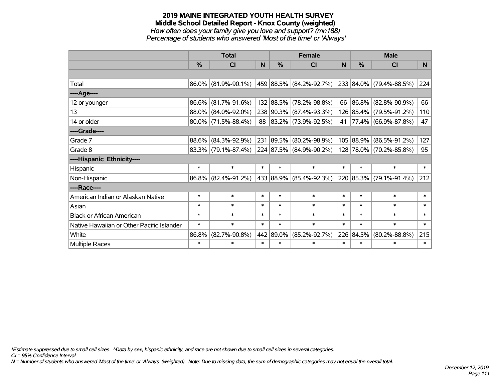## **2019 MAINE INTEGRATED YOUTH HEALTH SURVEY Middle School Detailed Report - Knox County (weighted)** *How often does your family give you love and support? (mn188)*

*Percentage of students who answered 'Most of the time' or 'Always'*

|                                           | <b>Total</b>  |                        |        | <b>Female</b> |                             |        | <b>Male</b> |                         |                |
|-------------------------------------------|---------------|------------------------|--------|---------------|-----------------------------|--------|-------------|-------------------------|----------------|
|                                           | $\frac{0}{0}$ | CI                     | N.     | $\frac{0}{0}$ | CI                          | N      | %           | <b>CI</b>               | N <sub>1</sub> |
|                                           |               |                        |        |               |                             |        |             |                         |                |
| Total                                     |               | 86.0% (81.9%-90.1%)    |        |               | 459   88.5%   (84.2%-92.7%) |        |             | 233 84.0% (79.4%-88.5%) | 224            |
| ----Age----                               |               |                        |        |               |                             |        |             |                         |                |
| 12 or younger                             | 86.6%         | $(81.7\% - 91.6\%)$    |        |               | 132 88.5% (78.2%-98.8%)     | 66     | 86.8%       | $(82.8\% - 90.9\%)$     | 66             |
| 13                                        |               | 88.0% (84.0%-92.0%)    |        |               | 238 90.3% (87.4%-93.3%)     |        |             | 126 85.4% (79.5%-91.2%) | 110            |
| 14 or older                               |               | $80.0\%$ (71.5%-88.4%) |        |               | 88 83.2% (73.9%-92.5%)      | 41     |             | 77.4% (66.9%-87.8%)     | 47             |
| ----Grade----                             |               |                        |        |               |                             |        |             |                         |                |
| Grade 7                                   | 88.6%         | $(84.3\% - 92.9\%)$    |        |               | 231 89.5% (80.2%-98.9%)     |        | 105 88.9%   | $(86.5\% - 91.2\%)$     | 127            |
| Grade 8                                   |               | $83.3\%$ (79.1%-87.4%) |        |               | 224 87.5% (84.9%-90.2%)     |        |             | 128 78.0% (70.2%-85.8%) | 95             |
| ----Hispanic Ethnicity----                |               |                        |        |               |                             |        |             |                         |                |
| Hispanic                                  | $\ast$        | $\ast$                 | $\ast$ | $\ast$        | $\ast$                      | $\ast$ | $\ast$      | $\ast$                  | $\ast$         |
| Non-Hispanic                              |               | 86.8% (82.4%-91.2%)    |        |               | 433 88.9% (85.4%-92.3%)     |        | 220 85.3%   | $(79.1\% - 91.4\%)$     | 212            |
| ----Race----                              |               |                        |        |               |                             |        |             |                         |                |
| American Indian or Alaskan Native         | $\ast$        | $\ast$                 | $\ast$ | $\ast$        | $\ast$                      | $\ast$ | $\ast$      | $\ast$                  | $\ast$         |
| Asian                                     | $\ast$        | $\ast$                 | $\ast$ | $\ast$        | $\ast$                      | $\ast$ | $\ast$      | $\ast$                  | $\ast$         |
| <b>Black or African American</b>          | $\ast$        | $\ast$                 | $\ast$ | $\ast$        | $\ast$                      | $\ast$ | $\ast$      | $\ast$                  | $\ast$         |
| Native Hawaiian or Other Pacific Islander | $\ast$        | $\ast$                 | $\ast$ | $\ast$        | $\ast$                      | $\ast$ | $\ast$      | $\ast$                  | $\ast$         |
| White                                     | 86.8%         | $(82.7\% - 90.8\%)$    |        | 442 89.0%     | $(85.2\% - 92.7\%)$         | 226    | 84.5%       | $(80.2\% - 88.8\%)$     | 215            |
| Multiple Races                            | $\ast$        | $\ast$                 | $\ast$ | $\ast$        | $\ast$                      | $\ast$ | $\ast$      | $\ast$                  | $\ast$         |

*\*Estimate suppressed due to small cell sizes. ^Data by sex, hispanic ethnicity, and race are not shown due to small cell sizes in several categories.*

*CI = 95% Confidence Interval*

*N = Number of students who answered 'Most of the time' or 'Always' (weighted). Note: Due to missing data, the sum of demographic categories may not equal the overall total.*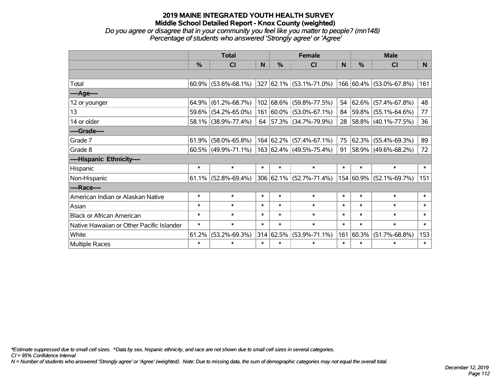*Do you agree or disagree that in your community you feel like you matter to people? (mn148) Percentage of students who answered 'Strongly agree' or 'Agree'*

|                                           | <b>Total</b>  |                        |        | <b>Female</b> |                                 |           | <b>Male</b> |                            |        |
|-------------------------------------------|---------------|------------------------|--------|---------------|---------------------------------|-----------|-------------|----------------------------|--------|
|                                           | $\frac{0}{0}$ | CI                     | N      | %             | CI                              | N         | %           | <b>CI</b>                  | N      |
|                                           |               |                        |        |               |                                 |           |             |                            |        |
| Total                                     |               | $60.9\%$ (53.6%-68.1%) |        |               | $ 327 62.1\%  (53.1\% -71.0\%)$ |           |             | 166 60.4% (53.0%-67.8%)    | 161    |
| ----Age----                               |               |                        |        |               |                                 |           |             |                            |        |
| 12 or younger                             | 64.9%         | $(61.2\% - 68.7\%)$    |        |               | 102 68.6% (59.8%-77.5%)         | 54        | 62.6%       | $(57.4\% - 67.8\%)$        | 48     |
| 13                                        | 59.6%         | $(54.2\% - 65.0\%)$    |        |               | 161 60.0% (53.0%-67.1%)         |           |             | 84 59.8% (55.1%-64.6%)     | 77     |
| 14 or older                               |               | 58.1% (38.9%-77.4%)    |        |               | 64 57.3% (34.7%-79.9%)          |           |             | 28   58.8%   (40.1%-77.5%) | 36     |
| ----Grade----                             |               |                        |        |               |                                 |           |             |                            |        |
| Grade 7                                   | 61.9%         | $(58.0\% - 65.8\%)$    |        |               | 164 62.2% (57.4%-67.1%)         | 75        | 62.3%       | $(55.4\% - 69.3\%)$        | 89     |
| Grade 8                                   |               | $60.5\%$ (49.9%-71.1%) |        |               | $163 62.4\% $ (49.5%-75.4%)     | $91 \mid$ |             | 58.9% (49.6%-68.2%)        | 72     |
| ----Hispanic Ethnicity----                |               |                        |        |               |                                 |           |             |                            |        |
| Hispanic                                  | $\ast$        | $\ast$                 | $\ast$ | $\ast$        | $\ast$                          | $\ast$    | $\ast$      | $\ast$                     | $\ast$ |
| Non-Hispanic                              | 61.1%         | $(52.8\% - 69.4\%)$    |        |               | $306 62.1\%  (52.7\% - 71.4\%)$ |           | 154 60.9%   | $(52.1\% - 69.7\%)$        | 151    |
| ----Race----                              |               |                        |        |               |                                 |           |             |                            |        |
| American Indian or Alaskan Native         | $\ast$        | $\ast$                 | $\ast$ | $\ast$        | $\ast$                          | $\ast$    | $\ast$      | $\ast$                     | $\ast$ |
| Asian                                     | $\ast$        | $\ast$                 | $\ast$ | $\ast$        | $\ast$                          | $\ast$    | $\ast$      | $\ast$                     | $\ast$ |
| <b>Black or African American</b>          | $\ast$        | $\ast$                 | $\ast$ | $\ast$        | $\ast$                          | $\ast$    | $\ast$      | $\ast$                     | $\ast$ |
| Native Hawaiian or Other Pacific Islander | $\ast$        | $\ast$                 | $\ast$ | $\ast$        | $\ast$                          | $\ast$    | $\ast$      | $\ast$                     | $\ast$ |
| White                                     | 61.2%         | $(53.2\% - 69.3\%)$    |        | 314 62.5%     | $(53.9\% - 71.1\%)$             | 161       | 60.3%       | $(51.7\% - 68.8\%)$        | 153    |
| <b>Multiple Races</b>                     | $\ast$        | $\ast$                 | $\ast$ | $\ast$        | $\ast$                          | $\ast$    | $\ast$      | $\ast$                     | $\ast$ |

*\*Estimate suppressed due to small cell sizes. ^Data by sex, hispanic ethnicity, and race are not shown due to small cell sizes in several categories.*

*CI = 95% Confidence Interval*

*N = Number of students who answered 'Strongly agree' or 'Agree' (weighted). Note: Due to missing data, the sum of demographic categories may not equal the overall total.*